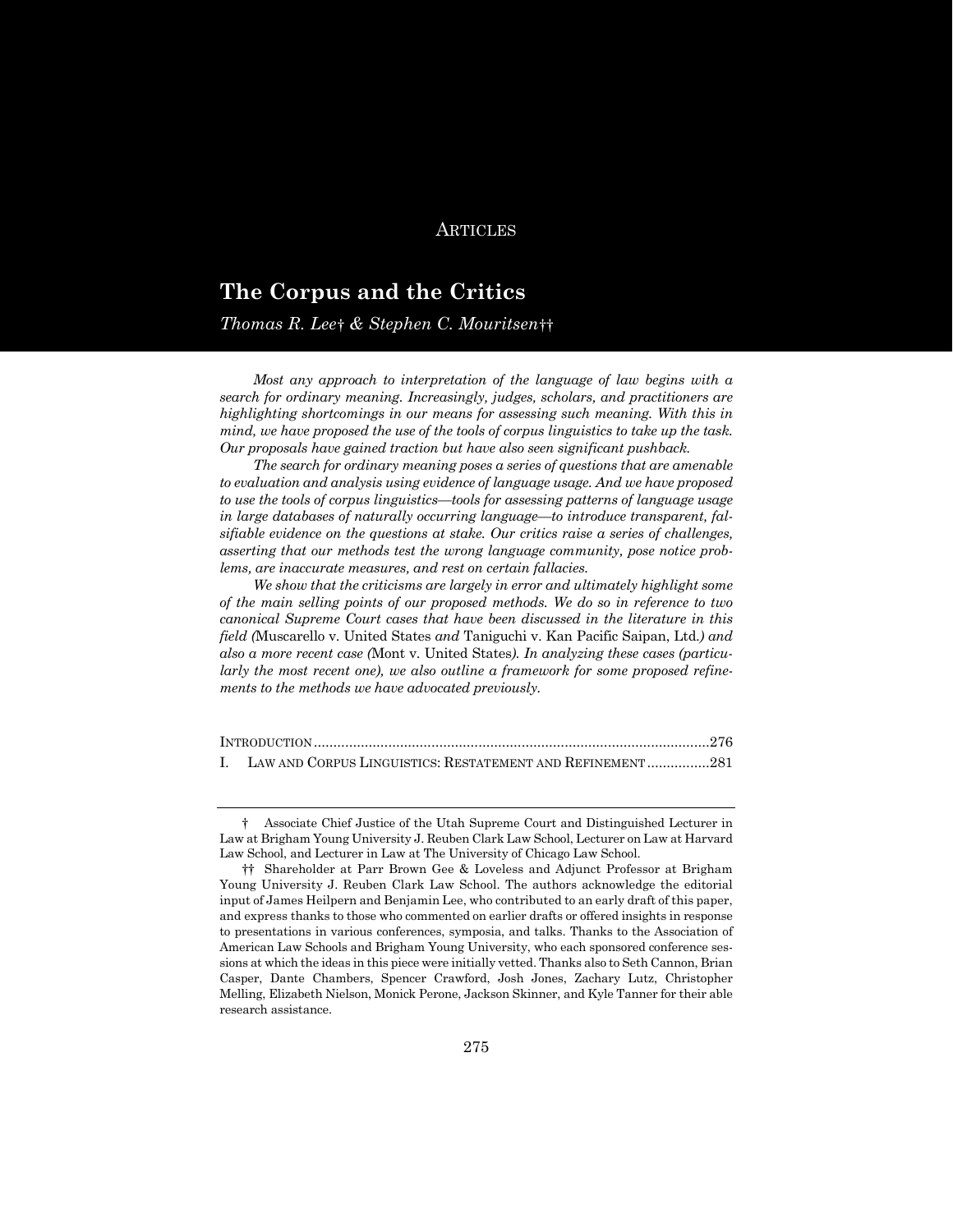# **ARTICLES**

# **The Corpus and the Critics**

*Thomas R. Lee*[†](#page-0-0) *& Stephen C. Mouritsen*[††](#page-0-1)

*Most any approach to interpretation of the language of law begins with a search for ordinary meaning. Increasingly, judges, scholars, and practitioners are highlighting shortcomings in our means for assessing such meaning. With this in mind, we have proposed the use of the tools of corpus linguistics to take up the task. Our proposals have gained traction but have also seen significant pushback.*

*The search for ordinary meaning poses a series of questions that are amenable to evaluation and analysis using evidence of language usage. And we have proposed to use the tools of corpus linguistics—tools for assessing patterns of language usage in large databases of naturally occurring language—to introduce transparent, falsifiable evidence on the questions at stake. Our critics raise a series of challenges, asserting that our methods test the wrong language community, pose notice problems, are inaccurate measures, and rest on certain fallacies.*

*We show that the criticisms are largely in error and ultimately highlight some of the main selling points of our proposed methods. We do so in reference to two canonical Supreme Court cases that have been discussed in the literature in this field (*Muscarello v. United States *and* Taniguchi v. Kan Pacific Saipan, Ltd.*) and also a more recent case (*Mont v. United States*). In analyzing these cases (particularly the most recent one), we also outline a framework for some proposed refinements to the methods we have advocated previously.*

| I. LAW AND CORPUS LINGUISTICS: RESTATEMENT AND REFINEMENT 281 |  |
|---------------------------------------------------------------|--|

<span id="page-0-0"></span><sup>†</sup> Associate Chief Justice of the Utah Supreme Court and Distinguished Lecturer in Law at Brigham Young University J. Reuben Clark Law School, Lecturer on Law at Harvard Law School, and Lecturer in Law at The University of Chicago Law School.

<span id="page-0-1"></span><sup>††</sup> Shareholder at Parr Brown Gee & Loveless and Adjunct Professor at Brigham Young University J. Reuben Clark Law School. The authors acknowledge the editorial input of James Heilpern and Benjamin Lee, who contributed to an early draft of this paper, and express thanks to those who commented on earlier drafts or offered insights in response to presentations in various conferences, symposia, and talks. Thanks to the Association of American Law Schools and Brigham Young University, who each sponsored conference sessions at which the ideas in this piece were initially vetted. Thanks also to Seth Cannon, Brian Casper, Dante Chambers, Spencer Crawford, Josh Jones, Zachary Lutz, Christopher Melling, Elizabeth Nielson, Monick Perone, Jackson Skinner, and Kyle Tanner for their able research assistance.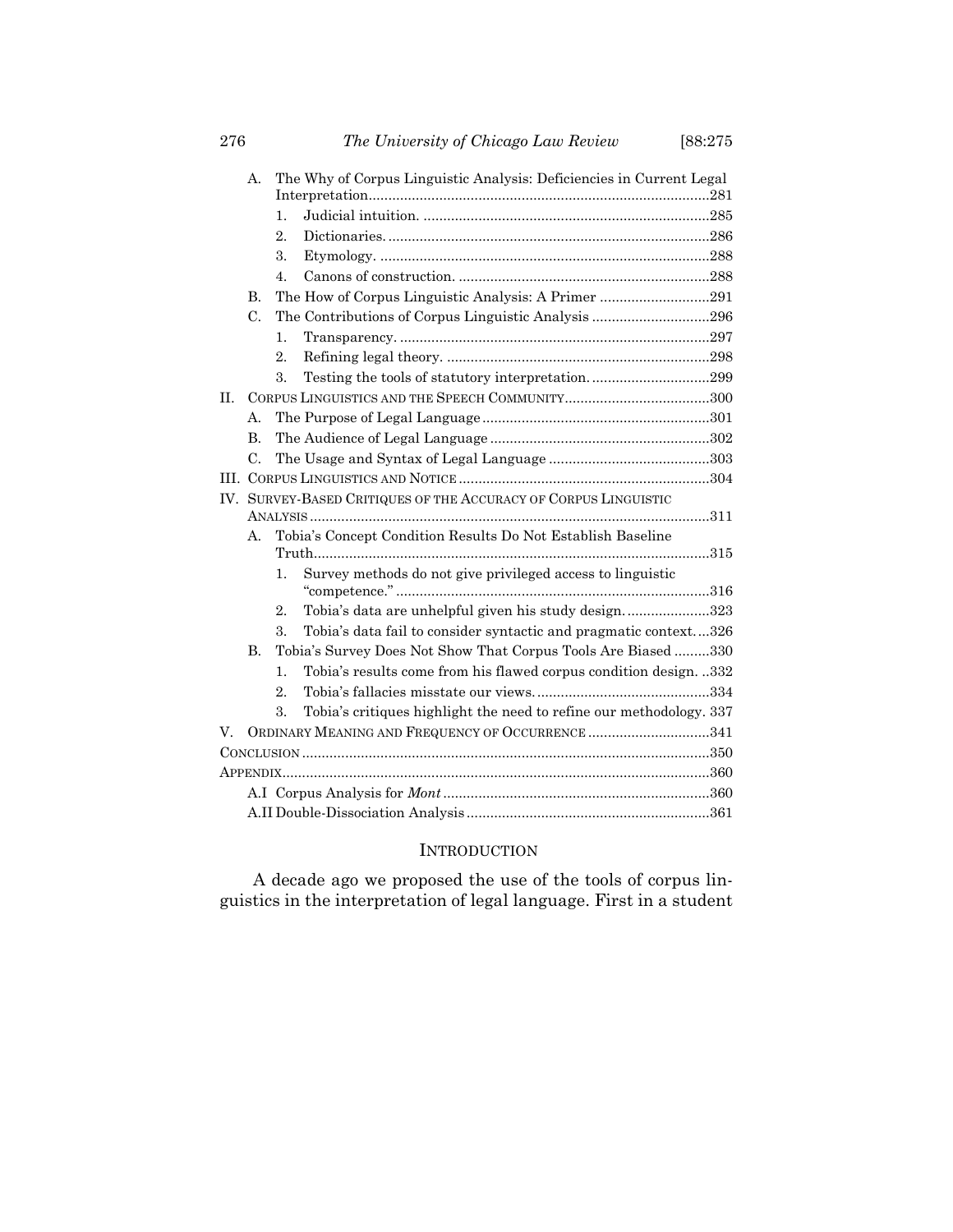|    | А.                                                              |                  | The Why of Corpus Linguistic Analysis: Deficiencies in Current Legal |  |  |
|----|-----------------------------------------------------------------|------------------|----------------------------------------------------------------------|--|--|
|    |                                                                 |                  |                                                                      |  |  |
|    |                                                                 | 1.               |                                                                      |  |  |
|    |                                                                 | $\overline{2}$ . |                                                                      |  |  |
|    |                                                                 | 3.               |                                                                      |  |  |
|    |                                                                 | 4.               |                                                                      |  |  |
|    | B.                                                              |                  | The How of Corpus Linguistic Analysis: A Primer 291                  |  |  |
|    | C.                                                              |                  |                                                                      |  |  |
|    |                                                                 | 1.               |                                                                      |  |  |
|    |                                                                 | 2.               |                                                                      |  |  |
|    |                                                                 | 3.               | Testing the tools of statutory interpretation299                     |  |  |
| H. |                                                                 |                  |                                                                      |  |  |
|    | $\mathbf{A}$                                                    |                  |                                                                      |  |  |
|    | $\mathbf{B}$                                                    |                  |                                                                      |  |  |
|    | C.                                                              |                  |                                                                      |  |  |
|    |                                                                 |                  |                                                                      |  |  |
|    | IV. SURVEY-BASED CRITIQUES OF THE ACCURACY OF CORPUS LINGUISTIC |                  |                                                                      |  |  |
|    |                                                                 |                  |                                                                      |  |  |
|    | А.                                                              |                  | Tobia's Concept Condition Results Do Not Establish Baseline          |  |  |
|    |                                                                 | 1.               | Survey methods do not give privileged access to linguistic           |  |  |
|    |                                                                 |                  |                                                                      |  |  |
|    |                                                                 | $\overline{2}$ . | Tobia's data are unhelpful given his study design323                 |  |  |
|    |                                                                 | 3.               | Tobia's data fail to consider syntactic and pragmatic context326     |  |  |
|    | B.                                                              |                  | Tobia's Survey Does Not Show That Corpus Tools Are Biased 330        |  |  |
|    |                                                                 | 1.               | Tobia's results come from his flawed corpus condition design. 332    |  |  |
|    |                                                                 | $\overline{2}$ . |                                                                      |  |  |
|    |                                                                 | 3.               | Tobia's critiques highlight the need to refine our methodology. 337  |  |  |
| V. | ORDINARY MEANING AND FREQUENCY OF OCCURRENCE 341                |                  |                                                                      |  |  |
|    |                                                                 |                  |                                                                      |  |  |
|    |                                                                 |                  |                                                                      |  |  |
|    |                                                                 |                  |                                                                      |  |  |
|    |                                                                 |                  |                                                                      |  |  |

# **INTRODUCTION**

A decade ago we proposed the use of the tools of corpus linguistics in the interpretation of legal language. First in a student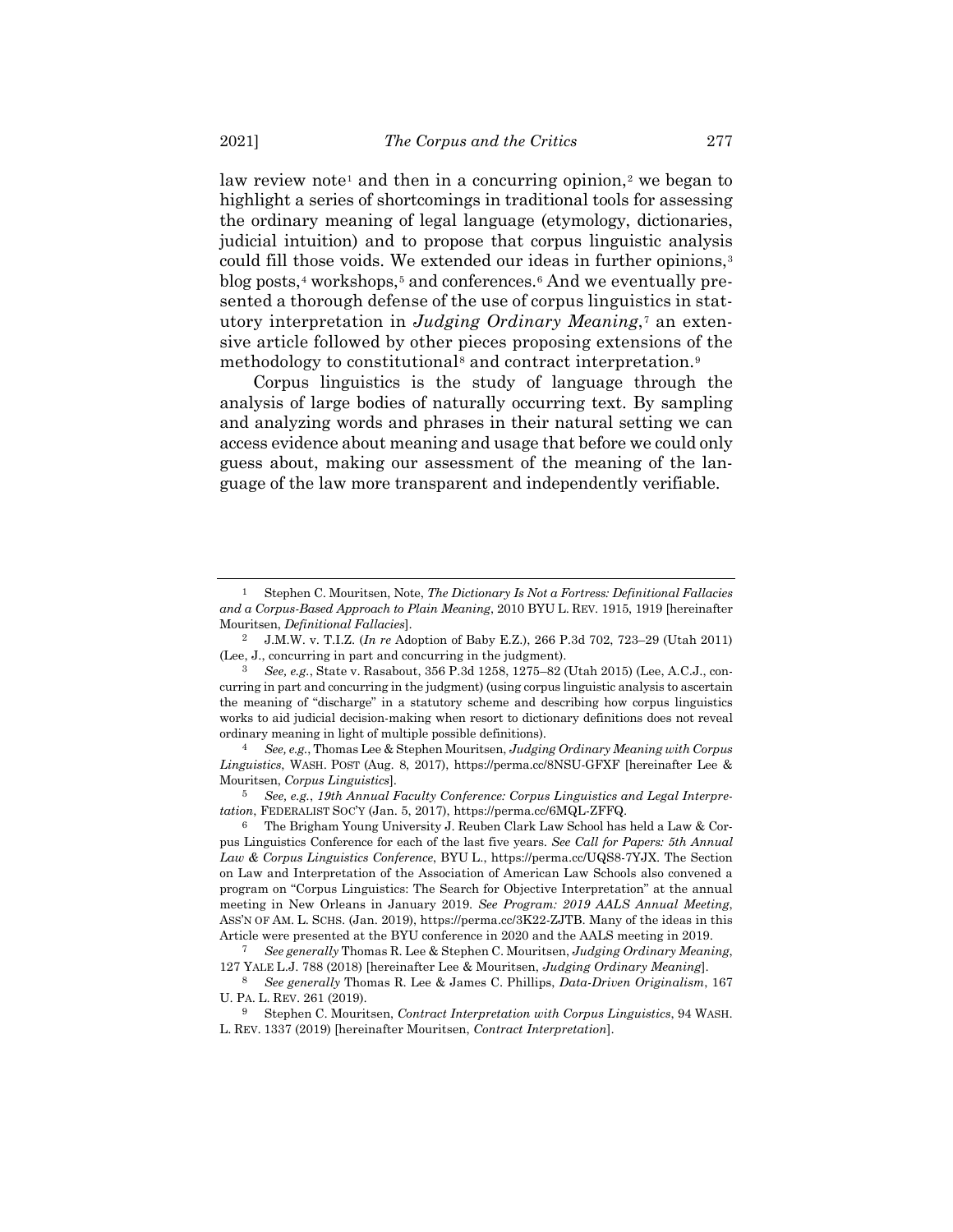<span id="page-2-10"></span>law review note<sup>[1](#page-2-0)</sup> and then in a concurring opinion,<sup>[2](#page-2-1)</sup> we began to highlight a series of shortcomings in traditional tools for assessing the ordinary meaning of legal language (etymology, dictionaries, judicial intuition) and to propose that corpus linguistic analysis could fill those voids. We extended our ideas in further opinions,<sup>[3](#page-2-2)</sup> blog posts,<sup>[4](#page-2-3)</sup> workshops,<sup>5</sup> and conferences.<sup>[6](#page-2-5)</sup> And we eventually presented a thorough defense of the use of corpus linguistics in statutory interpretation in *Judging Ordinary Meaning*,[7](#page-2-6) an extensive article followed by other pieces proposing extensions of the methodology to constitutional<sup>[8](#page-2-7)</sup> and contract interpretation.<sup>[9](#page-2-8)</sup>

<span id="page-2-11"></span><span id="page-2-9"></span>Corpus linguistics is the study of language through the analysis of large bodies of naturally occurring text. By sampling and analyzing words and phrases in their natural setting we can access evidence about meaning and usage that before we could only guess about, making our assessment of the meaning of the language of the law more transparent and independently verifiable.

<span id="page-2-0"></span><sup>1</sup> Stephen C. Mouritsen, Note, *The Dictionary Is Not a Fortress: Definitional Fallacies and a Corpus-Based Approach to Plain Meaning*, 2010 BYU L. REV. 1915, 1919 [hereinafter Mouritsen, *Definitional Fallacies*].

<span id="page-2-1"></span><sup>2</sup> J.M.W. v. T.I.Z. (*In re* Adoption of Baby E.Z.), 266 P.3d 702, 723–29 (Utah 2011) (Lee, J., concurring in part and concurring in the judgment).

<span id="page-2-2"></span><sup>3</sup> *See, e.g.*, State v. Rasabout, 356 P.3d 1258, 1275–82 (Utah 2015) (Lee, A.C.J., concurring in part and concurring in the judgment) (using corpus linguistic analysis to ascertain the meaning of "discharge" in a statutory scheme and describing how corpus linguistics works to aid judicial decision-making when resort to dictionary definitions does not reveal ordinary meaning in light of multiple possible definitions).

<span id="page-2-3"></span><sup>4</sup> *See, e.g.*, Thomas Lee & Stephen Mouritsen, *Judging Ordinary Meaning with Corpus Linguistics*, WASH. POST (Aug. 8, 2017), https://perma.cc/8NSU-GFXF [hereinafter Lee & Mouritsen, *Corpus Linguistics*].

<span id="page-2-4"></span><sup>5</sup> *See, e.g.*, *19th Annual Faculty Conference: Corpus Linguistics and Legal Interpretation*, FEDERALIST SOC'Y (Jan. 5, 2017), https://perma.cc/6MQL-ZFFQ.

<span id="page-2-5"></span><sup>6</sup> The Brigham Young University J. Reuben Clark Law School has held a Law & Corpus Linguistics Conference for each of the last five years. *See Call for Papers: 5th Annual Law & Corpus Linguistics Conference*, BYU L., https://perma.cc/UQS8-7YJX. The Section on Law and Interpretation of the Association of American Law Schools also convened a program on "Corpus Linguistics: The Search for Objective Interpretation" at the annual meeting in New Orleans in January 2019. *See Program: 2019 AALS Annual Meeting*, ASS'N OF AM. L. SCHS. (Jan. 2019), https://perma.cc/3K22-ZJTB. Many of the ideas in this Article were presented at the BYU conference in 2020 and the AALS meeting in 2019.

<span id="page-2-6"></span><sup>7</sup> *See generally* Thomas R. Lee & Stephen C. Mouritsen, *Judging Ordinary Meaning*, 127 YALE L.J. 788 (2018) [hereinafter Lee & Mouritsen, *Judging Ordinary Meaning*].

<span id="page-2-7"></span><sup>8</sup> *See generally* Thomas R. Lee & James C. Phillips, *Data-Driven Originalism*, 167 U. PA. L. REV. 261 (2019).

<span id="page-2-8"></span><sup>9</sup> Stephen C. Mouritsen, *Contract Interpretation with Corpus Linguistics*, 94 WASH. L. REV. 1337 (2019) [hereinafter Mouritsen, *Contract Interpretation*].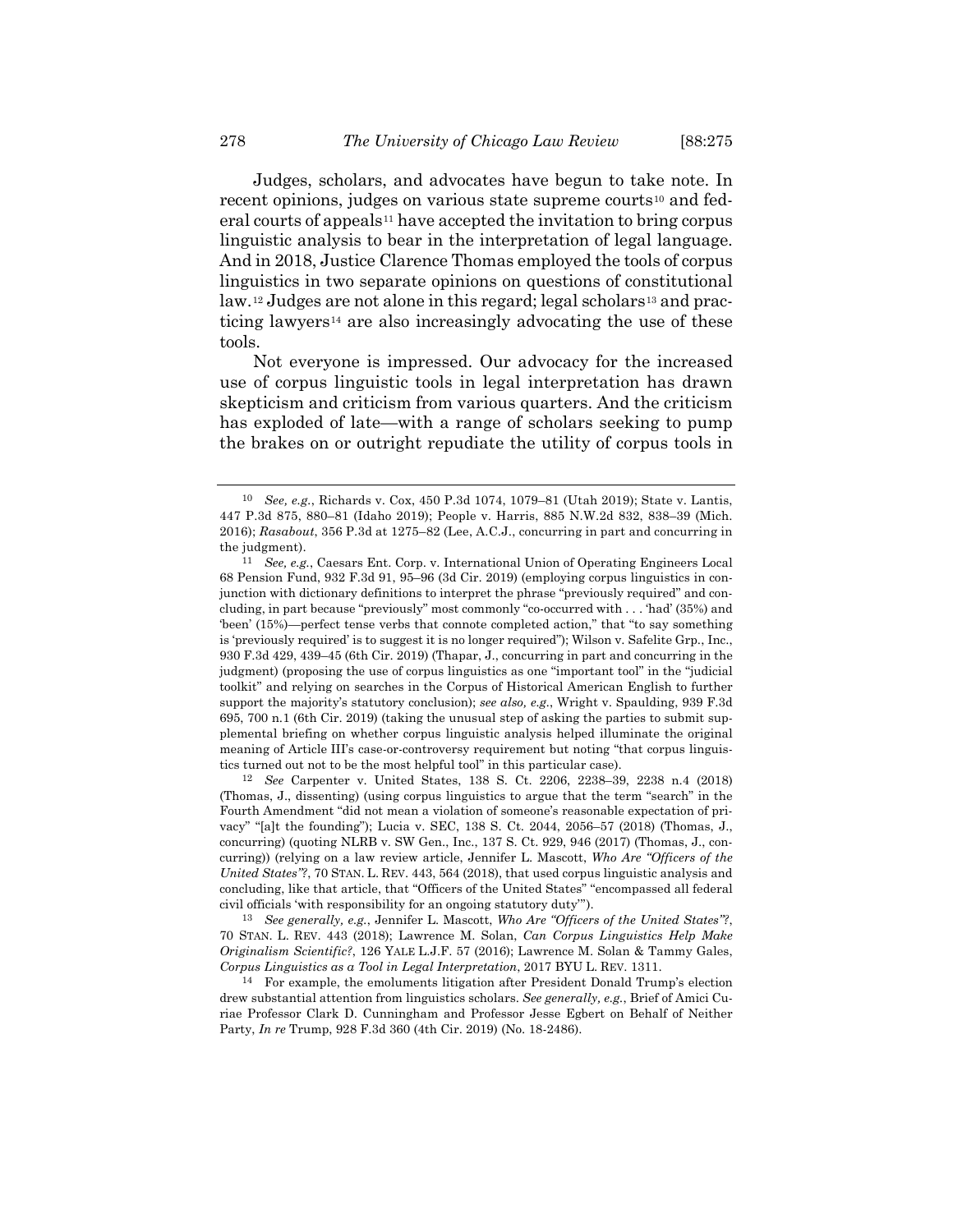Judges, scholars, and advocates have begun to take note. In recent opinions, judges on various state supreme courts<sup>[10](#page-3-0)</sup> and fed- $eral \, courts \, of \, appears^{11} \, have \, accepted \, the \, invitation \, to \, bring \, corpus$  $eral \, courts \, of \, appears^{11} \, have \, accepted \, the \, invitation \, to \, bring \, corpus$  $eral \, courts \, of \, appears^{11} \, have \, accepted \, the \, invitation \, to \, bring \, corpus$ linguistic analysis to bear in the interpretation of legal language. And in 2018, Justice Clarence Thomas employed the tools of corpus linguistics in two separate opinions on questions of constitutional law.<sup>[12](#page-3-2)</sup> Judges are not alone in this regard; legal scholars<sup>[13](#page-3-3)</sup> and practicing lawyers[14](#page-3-4) are also increasingly advocating the use of these tools.

<span id="page-3-5"></span>Not everyone is impressed. Our advocacy for the increased use of corpus linguistic tools in legal interpretation has drawn skepticism and criticism from various quarters. And the criticism has exploded of late—with a range of scholars seeking to pump the brakes on or outright repudiate the utility of corpus tools in

<span id="page-3-2"></span>12 *See* Carpenter v. United States, 138 S. Ct. 2206, 2238–39, 2238 n.4 (2018) (Thomas, J., dissenting) (using corpus linguistics to argue that the term "search" in the Fourth Amendment "did not mean a violation of someone's reasonable expectation of privacy" "[a]t the founding"); Lucia v. SEC, 138 S. Ct. 2044, 2056–57 (2018) (Thomas, J., concurring) (quoting NLRB v. SW Gen., Inc.,  $137$  S. Ct. 929, 946 (2017) (Thomas, J., concurring)) (relying on a law review article, Jennifer L. Mascott, *Who Are "Officers of the United States"?*, 70 STAN. L. REV. 443, 564 (2018), that used corpus linguistic analysis and concluding, like that article, that "Officers of the United States" "encompassed all federal civil officials 'with responsibility for an ongoing statutory duty'").

<span id="page-3-3"></span>13 *See generally, e.g.*, Jennifer L. Mascott, *Who Are "Officers of the United States"?*, 70 STAN. L. REV. 443 (2018); Lawrence M. Solan, *Can Corpus Linguistics Help Make Originalism Scientific?*, 126 YALE L.J.F. 57 (2016); Lawrence M. Solan & Tammy Gales, *Corpus Linguistics as a Tool in Legal Interpretation*, 2017 BYU L. REV. 1311.

<span id="page-3-0"></span><sup>10</sup> *See, e.g.*, Richards v. Cox, 450 P.3d 1074, 1079–81 (Utah 2019); State v. Lantis, 447 P.3d 875, 880–81 (Idaho 2019); People v. Harris, 885 N.W.2d 832, 838–39 (Mich. 2016); *Rasabout*, 356 P.3d at 1275–82 (Lee, A.C.J., concurring in part and concurring in the judgment).

<span id="page-3-1"></span><sup>11</sup> *See, e.g.*, Caesars Ent. Corp. v. International Union of Operating Engineers Local 68 Pension Fund, 932 F.3d 91, 95–96 (3d Cir. 2019) (employing corpus linguistics in conjunction with dictionary definitions to interpret the phrase "previously required" and concluding, in part because "previously" most commonly "co-occurred with . . . 'had' (35%) and 'been' (15%)—perfect tense verbs that connote completed action," that "to say something is 'previously required' is to suggest it is no longer required"); Wilson v. Safelite Grp., Inc., 930 F.3d 429, 439–45 (6th Cir. 2019) (Thapar, J., concurring in part and concurring in the judgment) (proposing the use of corpus linguistics as one "important tool" in the "judicial toolkit" and relying on searches in the Corpus of Historical American English to further support the majority's statutory conclusion); *see also, e.g.*, Wright v. Spaulding, 939 F.3d 695, 700 n.1 (6th Cir. 2019) (taking the unusual step of asking the parties to submit supplemental briefing on whether corpus linguistic analysis helped illuminate the original meaning of Article III's case-or-controversy requirement but noting "that corpus linguistics turned out not to be the most helpful tool" in this particular case).

<span id="page-3-4"></span><sup>14</sup> For example, the emoluments litigation after President Donald Trump's election drew substantial attention from linguistics scholars. *See generally, e.g.*, Brief of Amici Curiae Professor Clark D. Cunningham and Professor Jesse Egbert on Behalf of Neither Party, *In re* Trump, 928 F.3d 360 (4th Cir. 2019) (No. 18-2486).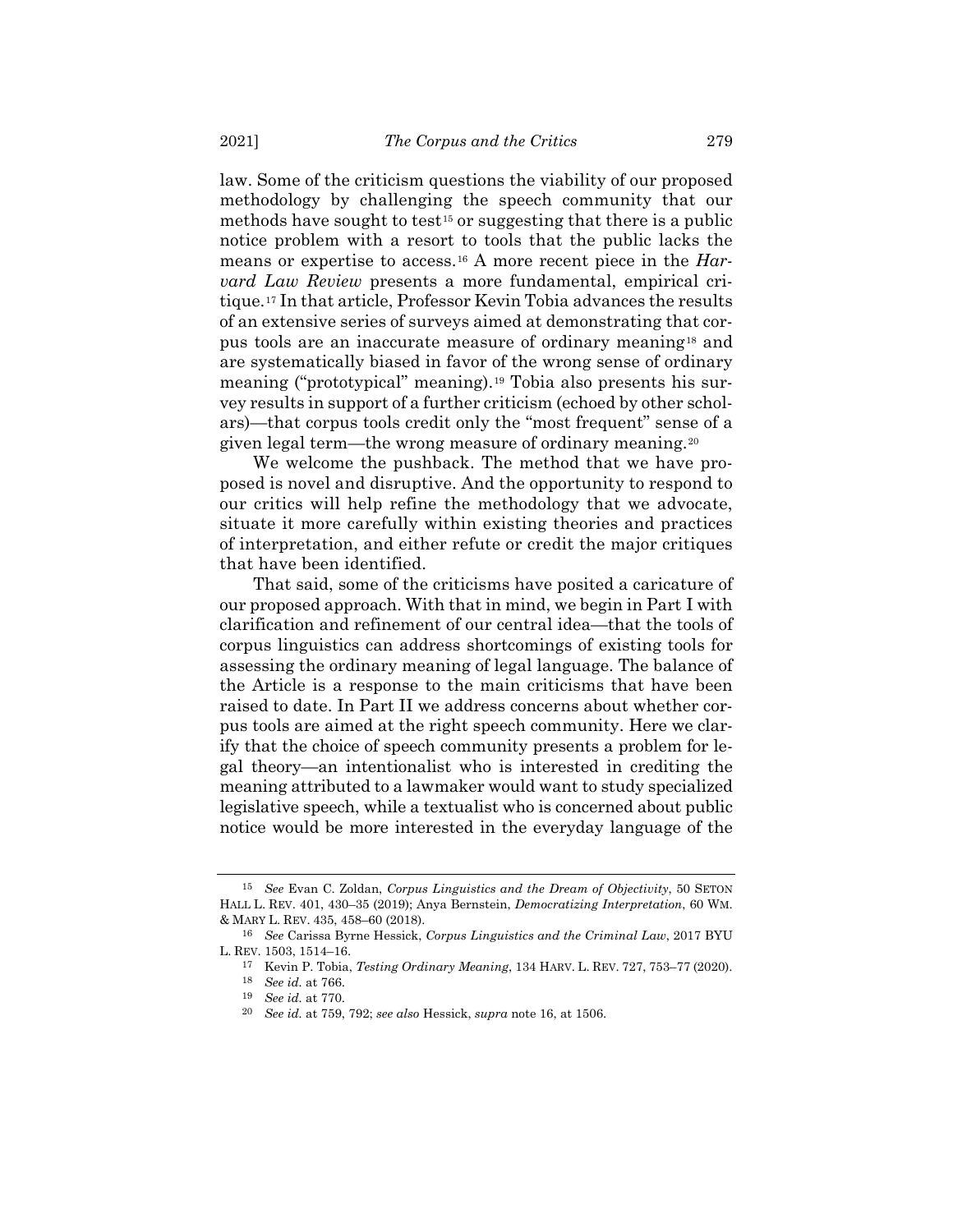<span id="page-4-8"></span><span id="page-4-7"></span><span id="page-4-0"></span>law. Some of the criticism questions the viability of our proposed methodology by challenging the speech community that our methods have sought to test<sup>[15](#page-4-1)</sup> or suggesting that there is a public notice problem with a resort to tools that the public lacks the means or expertise to access.[16](#page-4-2) A more recent piece in the *Harvard Law Review* presents a more fundamental, empirical critique.[17](#page-4-3) In that article, Professor Kevin Tobia advances the results of an extensive series of surveys aimed at demonstrating that corpus tools are an inaccurate measure of ordinary meaning[18](#page-4-4) and are systematically biased in favor of the wrong sense of ordinary meaning ("prototypical" meaning).[19](#page-4-5) Tobia also presents his survey results in support of a further criticism (echoed by other scholars)—that corpus tools credit only the "most frequent" sense of a given legal term—the wrong measure of ordinary meaning.[20](#page-4-6)

We welcome the pushback. The method that we have proposed is novel and disruptive. And the opportunity to respond to our critics will help refine the methodology that we advocate, situate it more carefully within existing theories and practices of interpretation, and either refute or credit the major critiques that have been identified.

That said, some of the criticisms have posited a caricature of our proposed approach. With that in mind, we begin in Part I with clarification and refinement of our central idea—that the tools of corpus linguistics can address shortcomings of existing tools for assessing the ordinary meaning of legal language. The balance of the Article is a response to the main criticisms that have been raised to date. In Part II we address concerns about whether corpus tools are aimed at the right speech community. Here we clarify that the choice of speech community presents a problem for legal theory—an intentionalist who is interested in crediting the meaning attributed to a lawmaker would want to study specialized legislative speech, while a textualist who is concerned about public notice would be more interested in the everyday language of the

<span id="page-4-1"></span><sup>15</sup> *See* Evan C. Zoldan, *Corpus Linguistics and the Dream of Objectivity*, 50 SETON HALL L. REV. 401, 430–35 (2019); Anya Bernstein, *Democratizing Interpretation*, 60 WM. & MARY L. REV. 435, 458–60 (2018).

<span id="page-4-6"></span><span id="page-4-5"></span><span id="page-4-4"></span><span id="page-4-3"></span><span id="page-4-2"></span><sup>16</sup> *See* Carissa Byrne Hessick, *Corpus Linguistics and the Criminal Law*, 2017 BYU L. REV. 1503, 1514–16.

<sup>17</sup> Kevin P. Tobia, *Testing Ordinary Meaning*, 134 HARV. L. REV. 727, 753–77 (2020).

<sup>18</sup> *See id.* at 766.

<sup>19</sup> *See id.* at 770.

<sup>20</sup> *See id.* at 759, 792; *see also* Hessick, *supra* note [16,](#page-4-0) at 1506.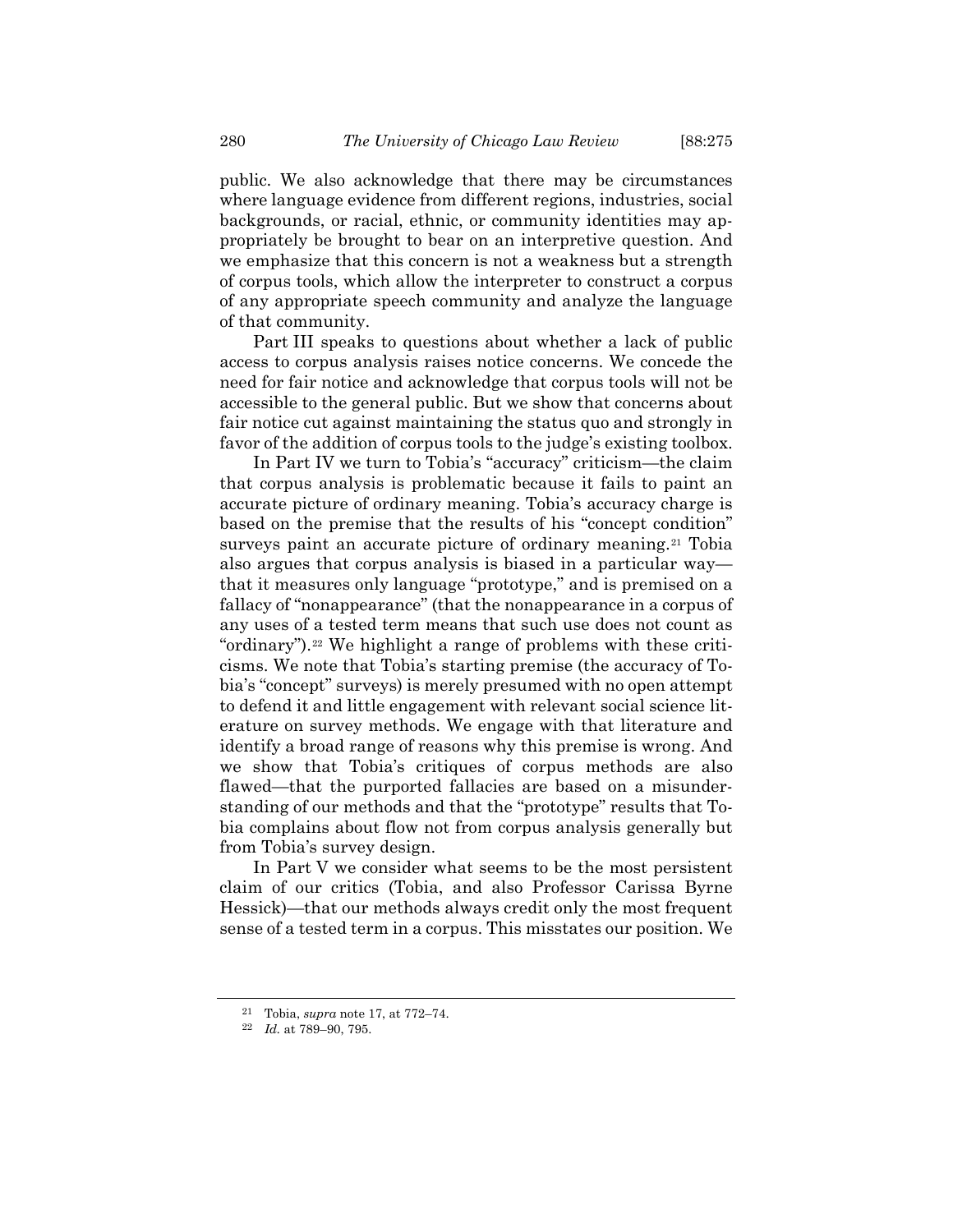public. We also acknowledge that there may be circumstances where language evidence from different regions, industries, social backgrounds, or racial, ethnic, or community identities may appropriately be brought to bear on an interpretive question. And we emphasize that this concern is not a weakness but a strength of corpus tools, which allow the interpreter to construct a corpus of any appropriate speech community and analyze the language of that community.

Part III speaks to questions about whether a lack of public access to corpus analysis raises notice concerns. We concede the need for fair notice and acknowledge that corpus tools will not be accessible to the general public. But we show that concerns about fair notice cut against maintaining the status quo and strongly in favor of the addition of corpus tools to the judge's existing toolbox.

In Part IV we turn to Tobia's "accuracy" criticism—the claim that corpus analysis is problematic because it fails to paint an accurate picture of ordinary meaning. Tobia's accuracy charge is based on the premise that the results of his "concept condition" surveys paint an accurate picture of ordinary meaning.<sup>[21](#page-5-0)</sup> Tobia also argues that corpus analysis is biased in a particular way that it measures only language "prototype," and is premised on a fallacy of "nonappearance" (that the nonappearance in a corpus of any uses of a tested term means that such use does not count as "ordinary").[22](#page-5-1) We highlight a range of problems with these criticisms. We note that Tobia's starting premise (the accuracy of Tobia's "concept" surveys) is merely presumed with no open attempt to defend it and little engagement with relevant social science literature on survey methods. We engage with that literature and identify a broad range of reasons why this premise is wrong. And we show that Tobia's critiques of corpus methods are also flawed—that the purported fallacies are based on a misunderstanding of our methods and that the "prototype" results that Tobia complains about flow not from corpus analysis generally but from Tobia's survey design.

In Part V we consider what seems to be the most persistent claim of our critics (Tobia, and also Professor Carissa Byrne Hessick)—that our methods always credit only the most frequent sense of a tested term in a corpus. This misstates our position. We

<sup>21</sup> Tobia, *supra* not[e 17,](#page-4-7) at 772–74.

<span id="page-5-1"></span><span id="page-5-0"></span><sup>22</sup> *Id.* at 789–90, 795.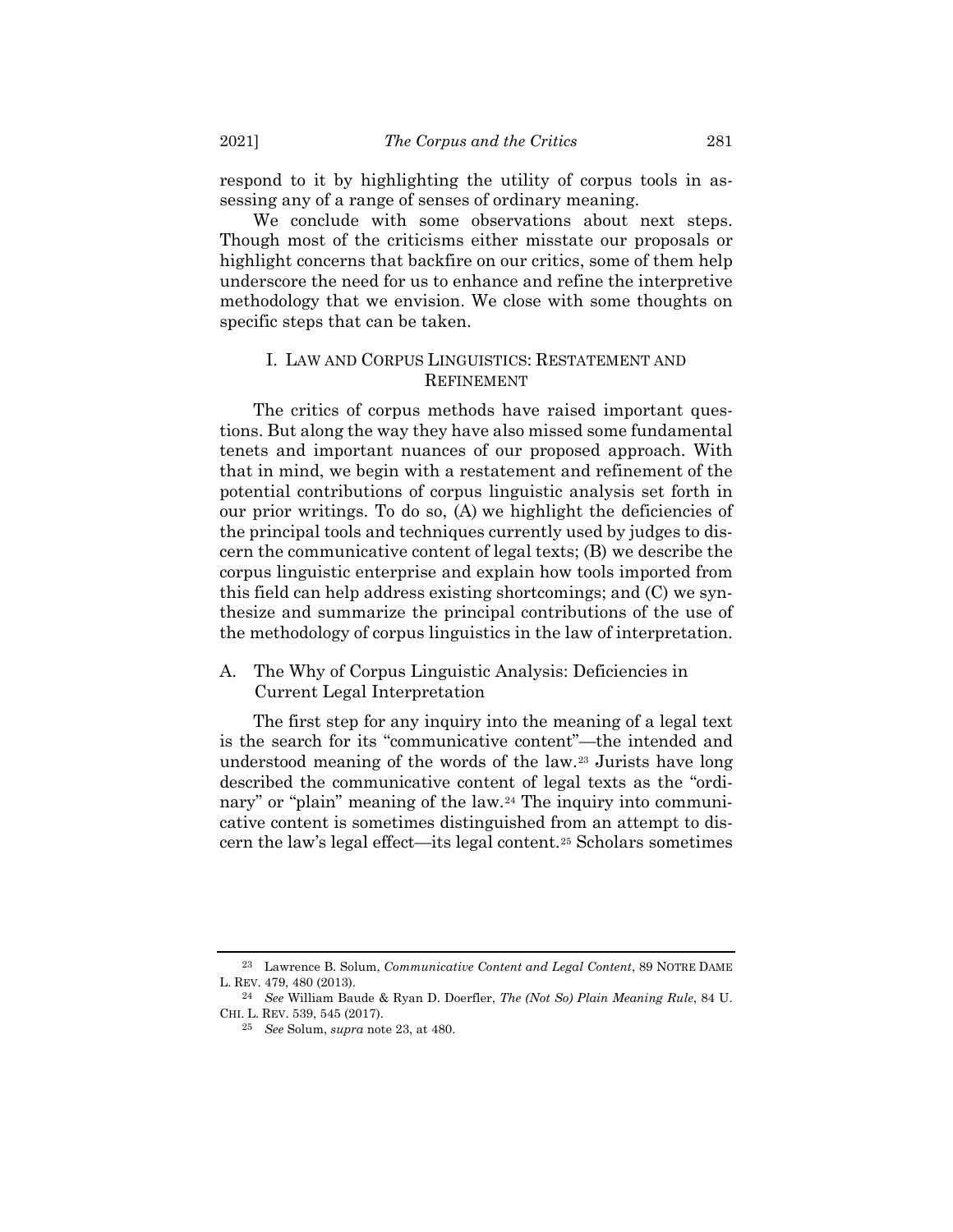respond to it by highlighting the utility of corpus tools in assessing any of a range of senses of ordinary meaning.

We conclude with some observations about next steps. Though most of the criticisms either misstate our proposals or highlight concerns that backfire on our critics, some of them help underscore the need for us to enhance and refine the interpretive methodology that we envision. We close with some thoughts on specific steps that can be taken.

# I. LAW AND CORPUS LINGUISTICS: RESTATEMENT AND REFINEMENT

The critics of corpus methods have raised important questions. But along the way they have also missed some fundamental tenets and important nuances of our proposed approach. With that in mind, we begin with a restatement and refinement of the potential contributions of corpus linguistic analysis set forth in our prior writings. To do so, (A) we highlight the deficiencies of the principal tools and techniques currently used by judges to discern the communicative content of legal texts; (B) we describe the corpus linguistic enterprise and explain how tools imported from this field can help address existing shortcomings; and (C) we synthesize and summarize the principal contributions of the use of the methodology of corpus linguistics in the law of interpretation.

A. The Why of Corpus Linguistic Analysis: Deficiencies in Current Legal Interpretation

<span id="page-6-0"></span>The first step for any inquiry into the meaning of a legal text is the search for its "communicative content"—the intended and understood meaning of the words of the law.[23](#page-6-1) Jurists have long described the communicative content of legal texts as the "ordi-nary" or "plain" meaning of the law.<sup>[24](#page-6-2)</sup> The inquiry into communicative content is sometimes distinguished from an attempt to discern the law's legal effect—its legal content.[25](#page-6-3) Scholars sometimes

<span id="page-6-1"></span><sup>23</sup> Lawrence B. Solum, *Communicative Content and Legal Content*, 89 NOTRE DAME L. REV. 479, 480 (2013).

<span id="page-6-3"></span><span id="page-6-2"></span><sup>24</sup> *See* William Baude & Ryan D. Doerfler, *The (Not So) Plain Meaning Rule*, 84 U. CHI. L. REV. 539, 545 (2017).

<sup>25</sup> *See* Solum, *supra* note [23,](#page-6-0) at 480.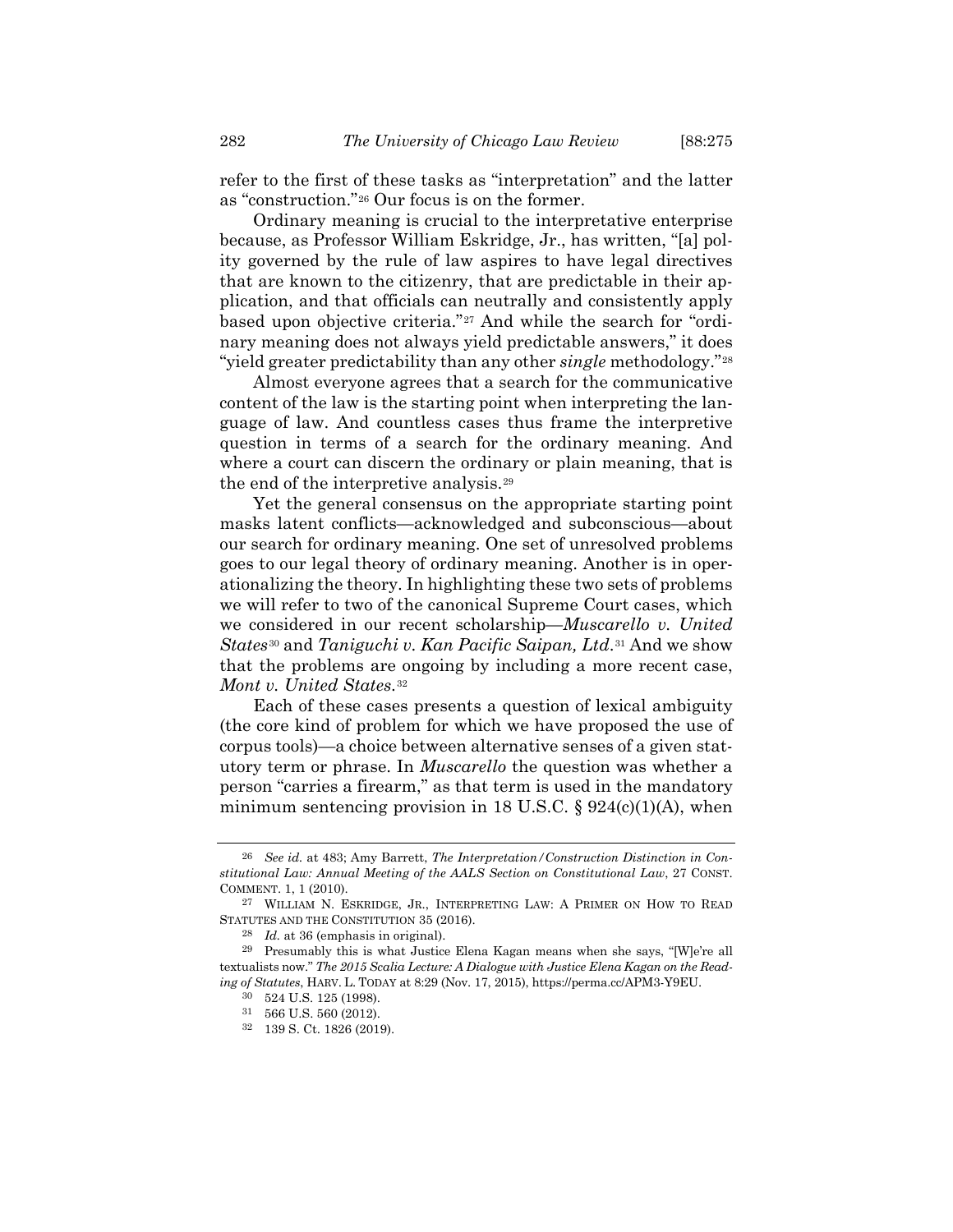refer to the first of these tasks as "interpretation" and the latter as "construction."[26](#page-7-0) Our focus is on the former.

Ordinary meaning is crucial to the interpretative enterprise because, as Professor William Eskridge, Jr., has written, "[a] polity governed by the rule of law aspires to have legal directives that are known to the citizenry, that are predictable in their application, and that officials can neutrally and consistently apply based upon objective criteria."[27](#page-7-1) And while the search for "ordinary meaning does not always yield predictable answers," it does "yield greater predictability than any other *single* methodology."[28](#page-7-2)

<span id="page-7-7"></span>Almost everyone agrees that a search for the communicative content of the law is the starting point when interpreting the language of law. And countless cases thus frame the interpretive question in terms of a search for the ordinary meaning. And where a court can discern the ordinary or plain meaning, that is the end of the interpretive analysis.[29](#page-7-3)

Yet the general consensus on the appropriate starting point masks latent conflicts—acknowledged and subconscious—about our search for ordinary meaning. One set of unresolved problems goes to our legal theory of ordinary meaning. Another is in operationalizing the theory. In highlighting these two sets of problems we will refer to two of the canonical Supreme Court cases, which we considered in our recent scholarship—*Muscarello v. United States*[30](#page-7-4) and *Taniguchi v. Kan Pacific Saipan, Ltd*.[31](#page-7-5) And we show that the problems are ongoing by including a more recent case, *Mont v. United States*.[32](#page-7-6)

Each of these cases presents a question of lexical ambiguity (the core kind of problem for which we have proposed the use of corpus tools)—a choice between alternative senses of a given statutory term or phrase. In *Muscarello* the question was whether a person "carries a firearm," as that term is used in the mandatory minimum sentencing provision in 18 U.S.C.  $\S 924(c)(1)(A)$ , when

<span id="page-7-0"></span><sup>26</sup> *See id.* at 483; Amy Barrett, *The Interpretation/Construction Distinction in Constitutional Law: Annual Meeting of the AALS Section on Constitutional Law*, 27 CONST. COMMENT. 1, 1 (2010).

<span id="page-7-1"></span><sup>27</sup> WILLIAM N. ESKRIDGE, JR., INTERPRETING LAW: A PRIMER ON HOW TO READ STATUTES AND THE CONSTITUTION 35 (2016).

<sup>28</sup> *Id.* at 36 (emphasis in original).

<span id="page-7-6"></span><span id="page-7-5"></span><span id="page-7-4"></span><span id="page-7-3"></span><span id="page-7-2"></span><sup>29</sup> Presumably this is what Justice Elena Kagan means when she says, "[W]e're all textualists now." *The 2015 Scalia Lecture: A Dialogue with Justice Elena Kagan on the Reading of Statutes*, HARV. L. TODAY at 8:29 (Nov. 17, 2015), https://perma.cc/APM3-Y9EU.

<sup>30</sup> 524 U.S. 125 (1998).

 $31\quad 566$  U.S. 560 (2012).

<sup>32</sup> 139 S. Ct. 1826 (2019).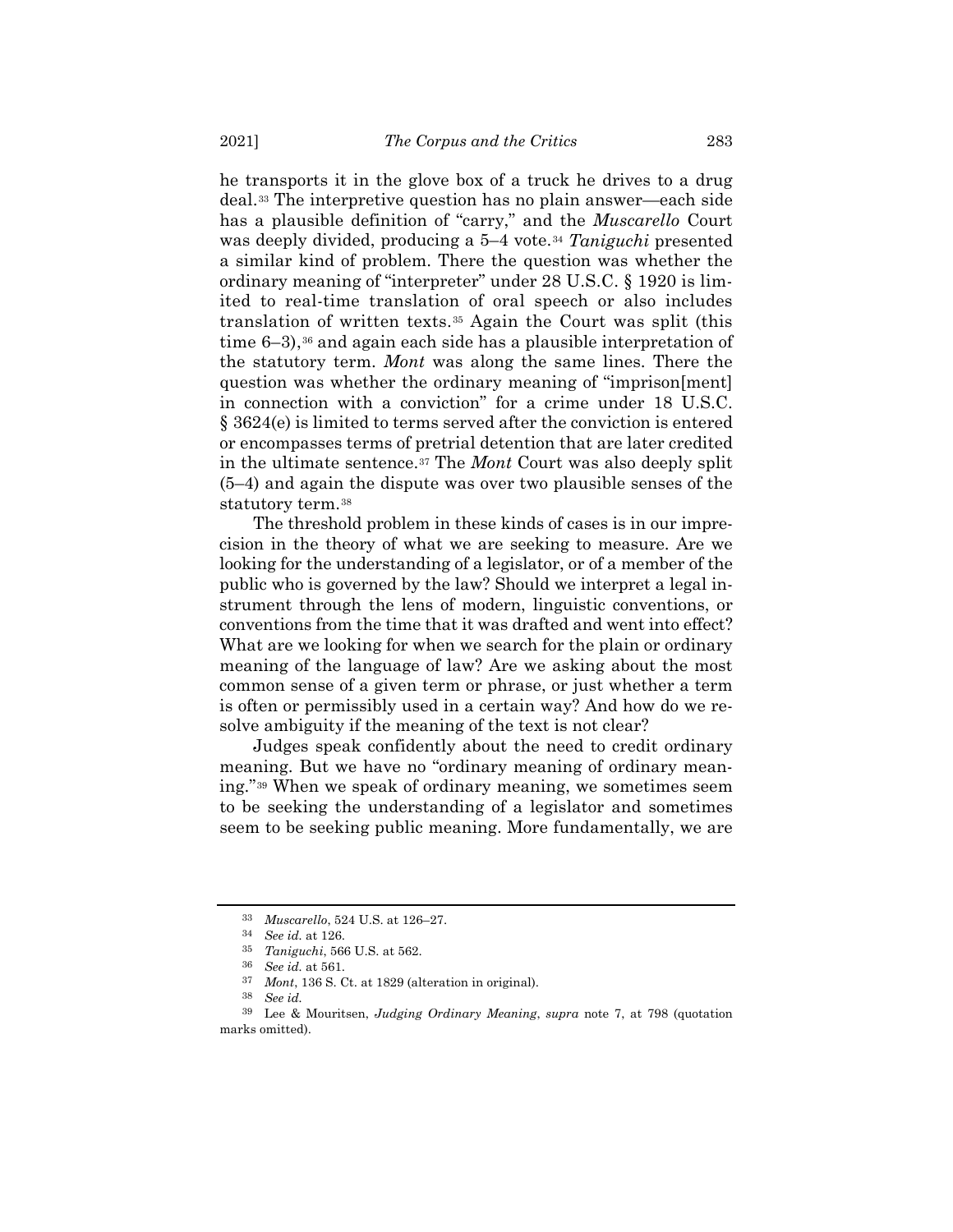he transports it in the glove box of a truck he drives to a drug deal.[33](#page-8-0) The interpretive question has no plain answer—each side has a plausible definition of "carry," and the *Muscarello* Court was deeply divided, producing a 5–4 vote.[34](#page-8-1) *Taniguchi* presented a similar kind of problem. There the question was whether the ordinary meaning of "interpreter" under 28 U.S.C. § 1920 is limited to real-time translation of oral speech or also includes translation of written texts.[35](#page-8-2) Again the Court was split (this time  $6-3$ ),<sup>[36](#page-8-3)</sup> and again each side has a plausible interpretation of the statutory term. *Mont* was along the same lines. There the question was whether the ordinary meaning of "imprison[ment] in connection with a conviction" for a crime under 18 U.S.C. § 3624(e) is limited to terms served after the conviction is entered or encompasses terms of pretrial detention that are later credited in the ultimate sentence.[37](#page-8-4) The *Mont* Court was also deeply split (5–4) and again the dispute was over two plausible senses of the statutory term.<sup>[38](#page-8-5)</sup>

The threshold problem in these kinds of cases is in our imprecision in the theory of what we are seeking to measure. Are we looking for the understanding of a legislator, or of a member of the public who is governed by the law? Should we interpret a legal instrument through the lens of modern, linguistic conventions, or conventions from the time that it was drafted and went into effect? What are we looking for when we search for the plain or ordinary meaning of the language of law? Are we asking about the most common sense of a given term or phrase, or just whether a term is often or permissibly used in a certain way? And how do we resolve ambiguity if the meaning of the text is not clear?

Judges speak confidently about the need to credit ordinary meaning. But we have no "ordinary meaning of ordinary meaning."[39](#page-8-6) When we speak of ordinary meaning, we sometimes seem to be seeking the understanding of a legislator and sometimes seem to be seeking public meaning. More fundamentally, we are

<sup>33</sup> *Muscarello*, 524 U.S. at 126–27.

<sup>34</sup> *See id.* at 126.

<sup>35</sup> *Taniguchi*, 566 U.S. at 562.

<sup>36</sup> *See id.* at 561.

<sup>37</sup> *Mont*, 136 S. Ct. at 1829 (alteration in original).

<sup>38</sup> *See id.*

<span id="page-8-6"></span><span id="page-8-5"></span><span id="page-8-4"></span><span id="page-8-3"></span><span id="page-8-2"></span><span id="page-8-1"></span><span id="page-8-0"></span><sup>39</sup> Lee & Mouritsen, *Judging Ordinary Meaning*, *supra* note [7,](#page-2-9) at 798 (quotation marks omitted).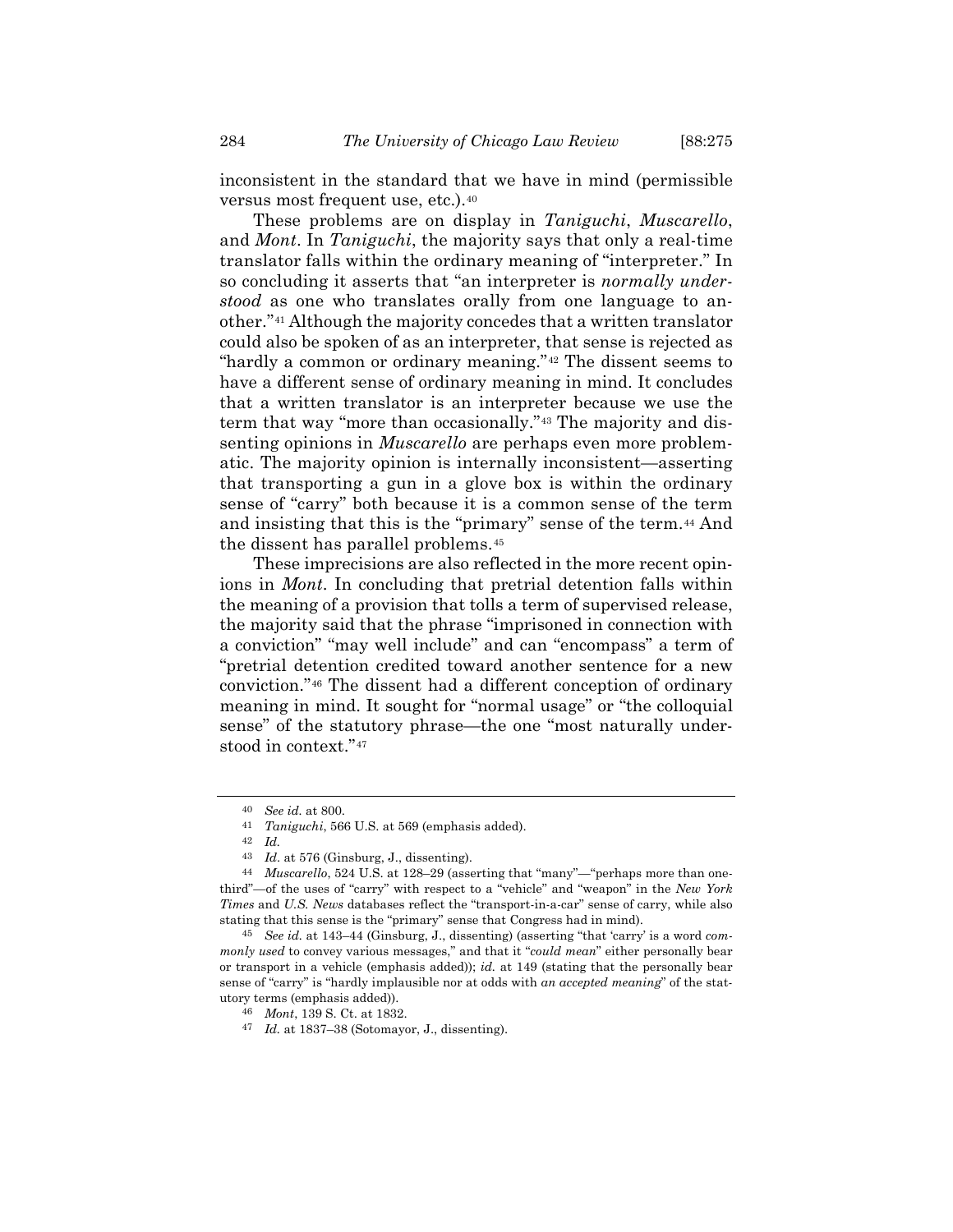inconsistent in the standard that we have in mind (permissible versus most frequent use, etc.).[40](#page-9-0)

These problems are on display in *Taniguchi*, *Muscarello*, and *Mont*. In *Taniguchi*, the majority says that only a real-time translator falls within the ordinary meaning of "interpreter." In so concluding it asserts that "an interpreter is *normally understood* as one who translates orally from one language to another."[41](#page-9-1) Although the majority concedes that a written translator could also be spoken of as an interpreter, that sense is rejected as "hardly a common or ordinary meaning."[42](#page-9-2) The dissent seems to have a different sense of ordinary meaning in mind. It concludes that a written translator is an interpreter because we use the term that way "more than occasionally."[43](#page-9-3) The majority and dissenting opinions in *Muscarello* are perhaps even more problematic. The majority opinion is internally inconsistent—asserting that transporting a gun in a glove box is within the ordinary sense of "carry" both because it is a common sense of the term and insisting that this is the "primary" sense of the term.[44](#page-9-4) And the dissent has parallel problems.[45](#page-9-5)

These imprecisions are also reflected in the more recent opinions in *Mont*. In concluding that pretrial detention falls within the meaning of a provision that tolls a term of supervised release, the majority said that the phrase "imprisoned in connection with a conviction" "may well include" and can "encompass" a term of "pretrial detention credited toward another sentence for a new conviction."[46](#page-9-6) The dissent had a different conception of ordinary meaning in mind. It sought for "normal usage" or "the colloquial sense" of the statutory phrase—the one "most naturally understood in context."[47](#page-9-7)

<sup>40</sup> *See id.* at 800.

<sup>41</sup> *Taniguchi*, 566 U.S. at 569 (emphasis added).

<sup>42</sup> *Id.*

<sup>43</sup> *Id*. at 576 (Ginsburg, J., dissenting).

<span id="page-9-4"></span><span id="page-9-3"></span><span id="page-9-2"></span><span id="page-9-1"></span><span id="page-9-0"></span><sup>44</sup> *Muscarello*, 524 U.S. at 128–29 (asserting that "many"—"perhaps more than onethird"—of the uses of "carry" with respect to a "vehicle" and "weapon" in the *New York Times* and *U.S. News* databases reflect the "transport-in-a-car" sense of carry, while also stating that this sense is the "primary" sense that Congress had in mind).

<span id="page-9-7"></span><span id="page-9-6"></span><span id="page-9-5"></span><sup>45</sup> *See id.* at 143–44 (Ginsburg, J., dissenting) (asserting "that 'carry' is a word *commonly used* to convey various messages," and that it "*could mean*" either personally bear or transport in a vehicle (emphasis added)); *id.* at 149 (stating that the personally bear sense of "carry" is "hardly implausible nor at odds with *an accepted meaning*" of the statutory terms (emphasis added)).

<sup>46</sup> *Mont*, 139 S. Ct. at 1832.

<sup>47</sup> *Id.* at 1837–38 (Sotomayor, J., dissenting).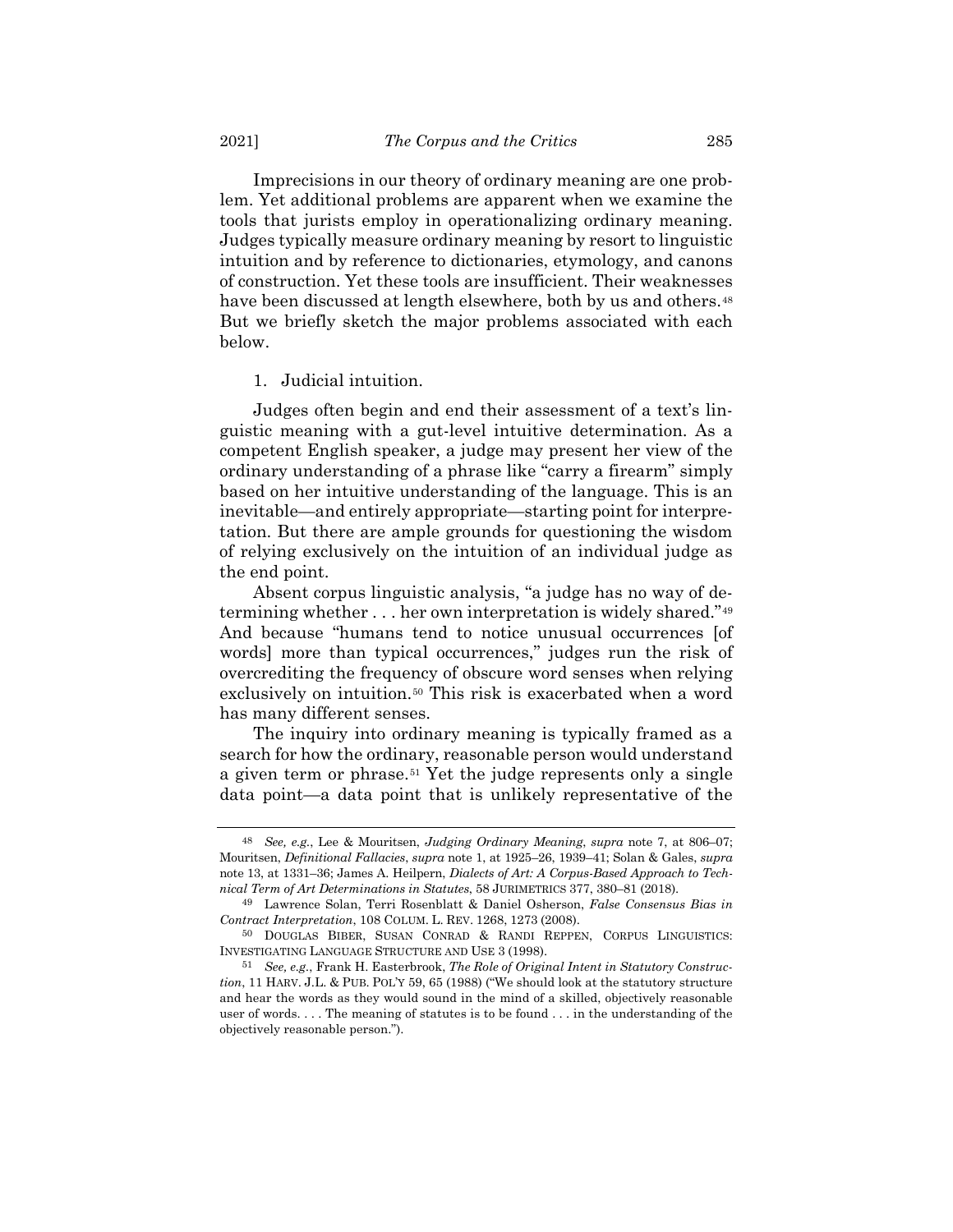Imprecisions in our theory of ordinary meaning are one problem. Yet additional problems are apparent when we examine the tools that jurists employ in operationalizing ordinary meaning. Judges typically measure ordinary meaning by resort to linguistic intuition and by reference to dictionaries, etymology, and canons of construction. Yet these tools are insufficient. Their weaknesses have been discussed at length elsewhere, both by us and others.<sup>[48](#page-10-0)</sup> But we briefly sketch the major problems associated with each below.

#### <span id="page-10-4"></span>1. Judicial intuition.

Judges often begin and end their assessment of a text's linguistic meaning with a gut-level intuitive determination. As a competent English speaker, a judge may present her view of the ordinary understanding of a phrase like "carry a firearm" simply based on her intuitive understanding of the language. This is an inevitable—and entirely appropriate—starting point for interpretation. But there are ample grounds for questioning the wisdom of relying exclusively on the intuition of an individual judge as the end point.

Absent corpus linguistic analysis, "a judge has no way of determining whether . . . her own interpretation is widely shared."[49](#page-10-1) And because "humans tend to notice unusual occurrences [of words] more than typical occurrences," judges run the risk of overcrediting the frequency of obscure word senses when relying exclusively on intuition.<sup>[50](#page-10-2)</sup> This risk is exacerbated when a word has many different senses.

The inquiry into ordinary meaning is typically framed as a search for how the ordinary, reasonable person would understand a given term or phrase.[51](#page-10-3) Yet the judge represents only a single data point—a data point that is unlikely representative of the

<span id="page-10-0"></span><sup>48</sup> *See, e.g.*, Lee & Mouritsen, *Judging Ordinary Meaning*, *supra* note [7,](#page-2-9) at 806–07; Mouritsen, *Definitional Fallacies*, *supra* note [1,](#page-2-10) at 1925–26, 1939–41; Solan & Gales, *supra* note [13,](#page-3-5) at 1331–36; James A. Heilpern, *Dialects of Art: A Corpus-Based Approach to Technical Term of Art Determinations in Statutes*, 58 JURIMETRICS 377, 380–81 (2018).

<span id="page-10-1"></span><sup>49</sup> Lawrence Solan, Terri Rosenblatt & Daniel Osherson, *False Consensus Bias in Contract Interpretation*, 108 COLUM. L. REV. 1268, 1273 (2008).

<span id="page-10-2"></span><sup>50</sup> DOUGLAS BIBER, SUSAN CONRAD & RANDI REPPEN, CORPUS LINGUISTICS: INVESTIGATING LANGUAGE STRUCTURE AND USE 3 (1998).

<span id="page-10-3"></span><sup>51</sup> *See, e.g.*, Frank H. Easterbrook, *The Role of Original Intent in Statutory Construction*, 11 HARV. J.L. & PUB. POL'Y 59, 65 (1988) ("We should look at the statutory structure and hear the words as they would sound in the mind of a skilled, objectively reasonable user of words. . . . The meaning of statutes is to be found . . . in the understanding of the objectively reasonable person.").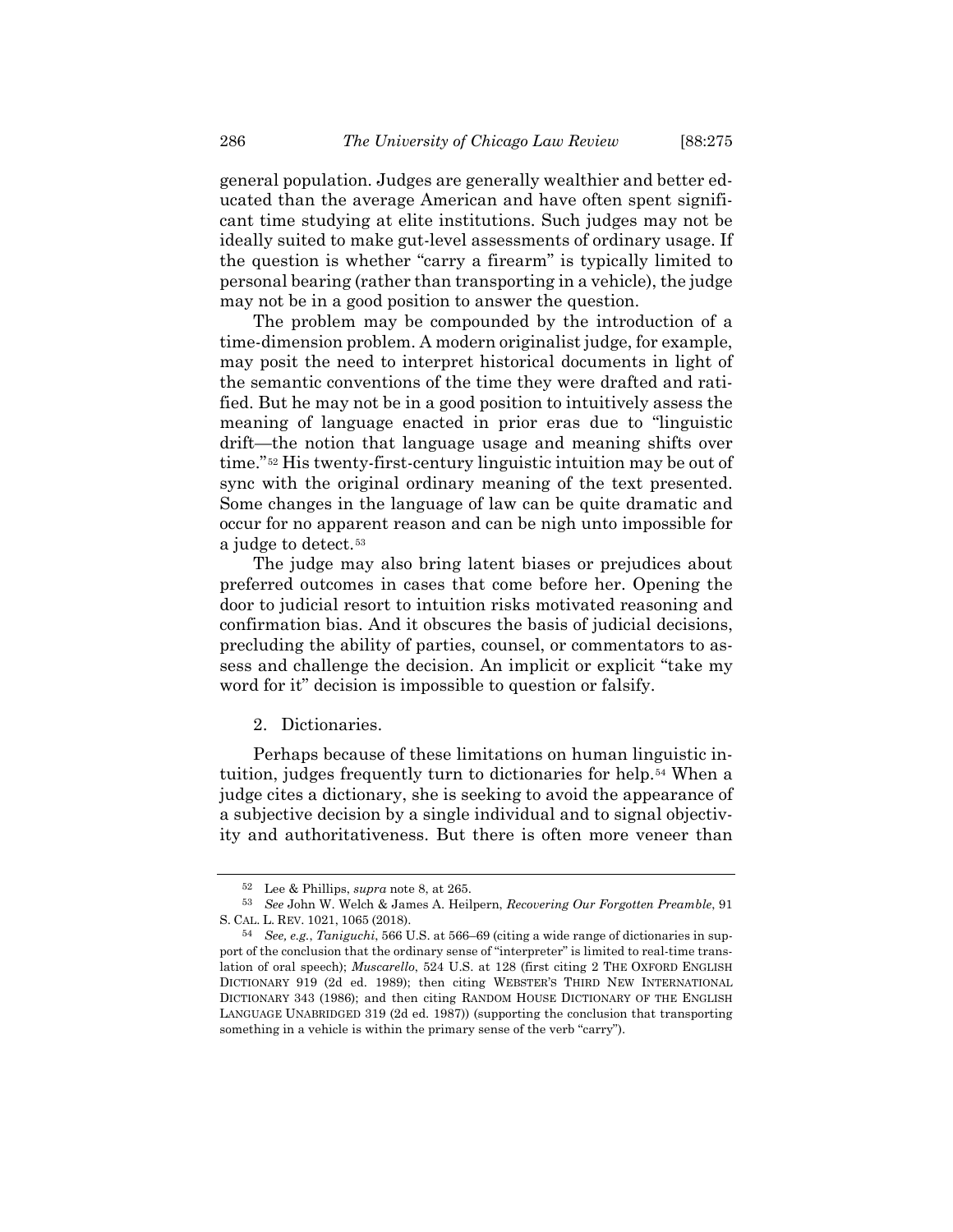general population. Judges are generally wealthier and better educated than the average American and have often spent significant time studying at elite institutions. Such judges may not be ideally suited to make gut-level assessments of ordinary usage. If the question is whether "carry a firearm" is typically limited to personal bearing (rather than transporting in a vehicle), the judge may not be in a good position to answer the question.

The problem may be compounded by the introduction of a time-dimension problem. A modern originalist judge, for example, may posit the need to interpret historical documents in light of the semantic conventions of the time they were drafted and ratified. But he may not be in a good position to intuitively assess the meaning of language enacted in prior eras due to "linguistic drift—the notion that language usage and meaning shifts over time."[52](#page-11-0) His twenty-first-century linguistic intuition may be out of sync with the original ordinary meaning of the text presented. Some changes in the language of law can be quite dramatic and occur for no apparent reason and can be nigh unto impossible for a judge to detect.[53](#page-11-1)

The judge may also bring latent biases or prejudices about preferred outcomes in cases that come before her. Opening the door to judicial resort to intuition risks motivated reasoning and confirmation bias. And it obscures the basis of judicial decisions, precluding the ability of parties, counsel, or commentators to assess and challenge the decision. An implicit or explicit "take my word for it" decision is impossible to question or falsify.

#### 2. Dictionaries.

Perhaps because of these limitations on human linguistic intuition, judges frequently turn to dictionaries for help.[54](#page-11-2) When a judge cites a dictionary, she is seeking to avoid the appearance of a subjective decision by a single individual and to signal objectivity and authoritativeness. But there is often more veneer than

<sup>52</sup> Lee & Phillips, *supra* note [8,](#page-2-11) at 265.

<span id="page-11-1"></span><span id="page-11-0"></span><sup>53</sup> *See* John W. Welch & James A. Heilpern, *Recovering Our Forgotten Preamble*, 91 S. CAL. L. REV. 1021, 1065 (2018).

<span id="page-11-2"></span><sup>54</sup> *See, e.g.*, *Taniguchi*, 566 U.S. at 566–69 (citing a wide range of dictionaries in support of the conclusion that the ordinary sense of "interpreter" is limited to real-time translation of oral speech); *Muscarello*, 524 U.S. at 128 (first citing 2 THE OXFORD ENGLISH DICTIONARY 919 (2d ed. 1989); then citing WEBSTER'S THIRD NEW INTERNATIONAL DICTIONARY 343 (1986); and then citing RANDOM HOUSE DICTIONARY OF THE ENGLISH LANGUAGE UNABRIDGED 319 (2d ed. 1987)) (supporting the conclusion that transporting something in a vehicle is within the primary sense of the verb "carry").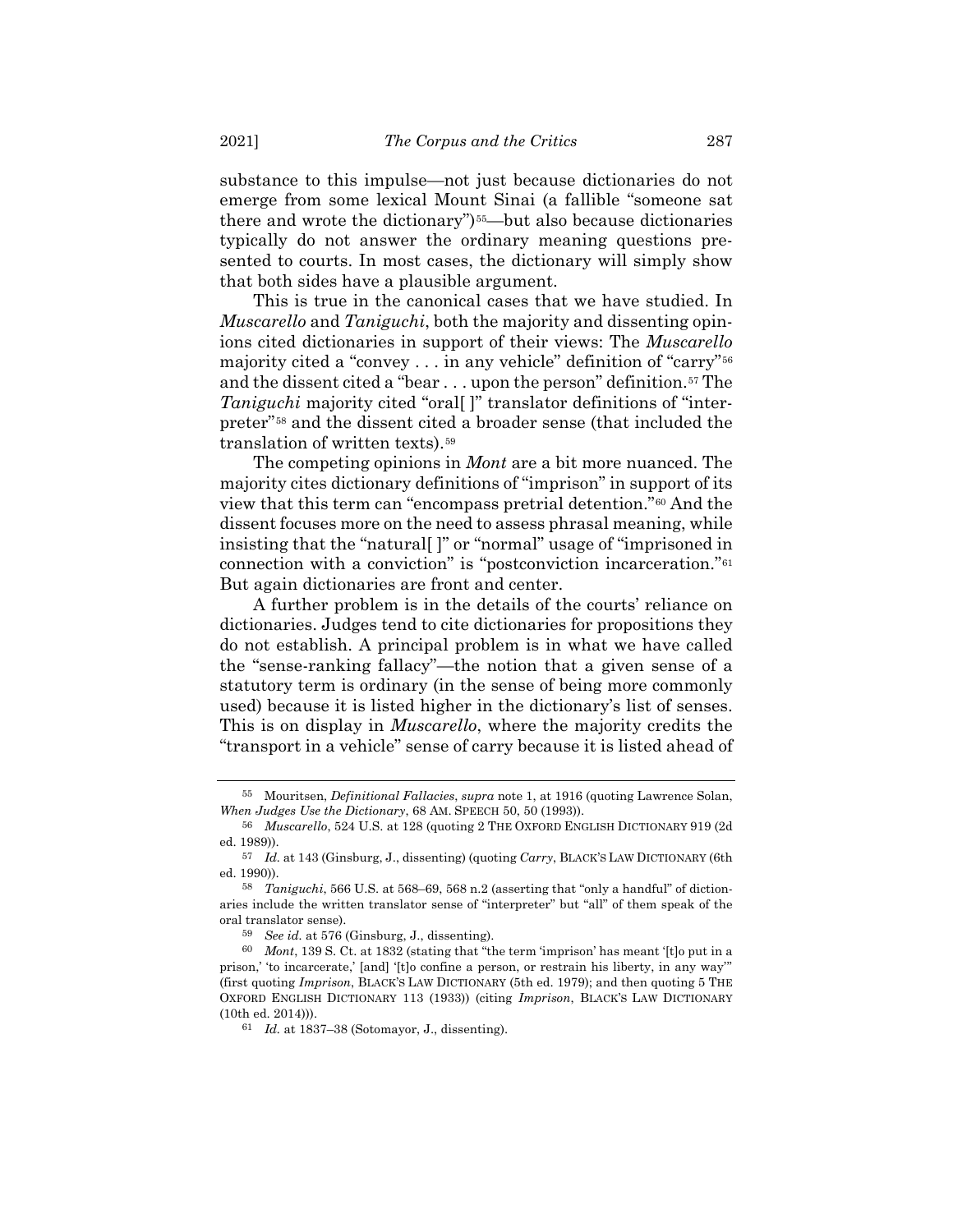substance to this impulse—not just because dictionaries do not emerge from some lexical Mount Sinai (a fallible "someone sat there and wrote the dictionary")<sup>55</sup>—but also because dictionaries typically do not answer the ordinary meaning questions presented to courts. In most cases, the dictionary will simply show that both sides have a plausible argument.

This is true in the canonical cases that we have studied. In *Muscarello* and *Taniguchi*, both the majority and dissenting opinions cited dictionaries in support of their views: The *Muscarello* majority cited a "convey . . . in any vehicle" definition of "carry"[56](#page-12-1) and the dissent cited a "bear . . . upon the person" definition.<sup>[57](#page-12-2)</sup> The *Taniguchi* majority cited "oral[ ]" translator definitions of "interpreter"[58](#page-12-3) and the dissent cited a broader sense (that included the translation of written texts).[59](#page-12-4)

The competing opinions in *Mont* are a bit more nuanced. The majority cites dictionary definitions of "imprison" in support of its view that this term can "encompass pretrial detention."[60](#page-12-5) And the dissent focuses more on the need to assess phrasal meaning, while insisting that the "natural[ ]" or "normal" usage of "imprisoned in connection with a conviction" is "postconviction incarceration."[61](#page-12-6) But again dictionaries are front and center.

A further problem is in the details of the courts' reliance on dictionaries. Judges tend to cite dictionaries for propositions they do not establish. A principal problem is in what we have called the "sense-ranking fallacy"—the notion that a given sense of a statutory term is ordinary (in the sense of being more commonly used) because it is listed higher in the dictionary's list of senses. This is on display in *Muscarello*, where the majority credits the "transport in a vehicle" sense of carry because it is listed ahead of

<span id="page-12-0"></span><sup>55</sup> Mouritsen, *Definitional Fallacies*, *supra* note [1,](#page-2-10) at 1916 (quoting Lawrence Solan, *When Judges Use the Dictionary*, 68 AM. SPEECH 50, 50 (1993)).

<span id="page-12-1"></span><sup>56</sup> *Muscarello*, 524 U.S. at 128 (quoting 2 THE OXFORD ENGLISH DICTIONARY 919 (2d ed. 1989)).

<span id="page-12-2"></span><sup>57</sup> *Id.* at 143 (Ginsburg, J., dissenting) (quoting *Carry*, BLACK'S LAW DICTIONARY (6th ed. 1990)).

<span id="page-12-3"></span><sup>58</sup> *Taniguchi*, 566 U.S. at 568–69, 568 n.2 (asserting that "only a handful" of dictionaries include the written translator sense of "interpreter" but "all" of them speak of the oral translator sense).

<sup>59</sup> *See id.* at 576 (Ginsburg, J., dissenting).

<span id="page-12-6"></span><span id="page-12-5"></span><span id="page-12-4"></span><sup>60</sup> *Mont*, 139 S. Ct. at 1832 (stating that "the term 'imprison' has meant '[t]o put in a prison,' 'to incarcerate,' [and] '[t]o confine a person, or restrain his liberty, in any way'" (first quoting *Imprison*, BLACK'S LAW DICTIONARY (5th ed. 1979); and then quoting 5 THE OXFORD ENGLISH DICTIONARY 113 (1933)) (citing *Imprison*, BLACK'S LAW DICTIONARY (10th ed. 2014))).

<sup>61</sup> *Id.* at 1837–38 (Sotomayor, J., dissenting).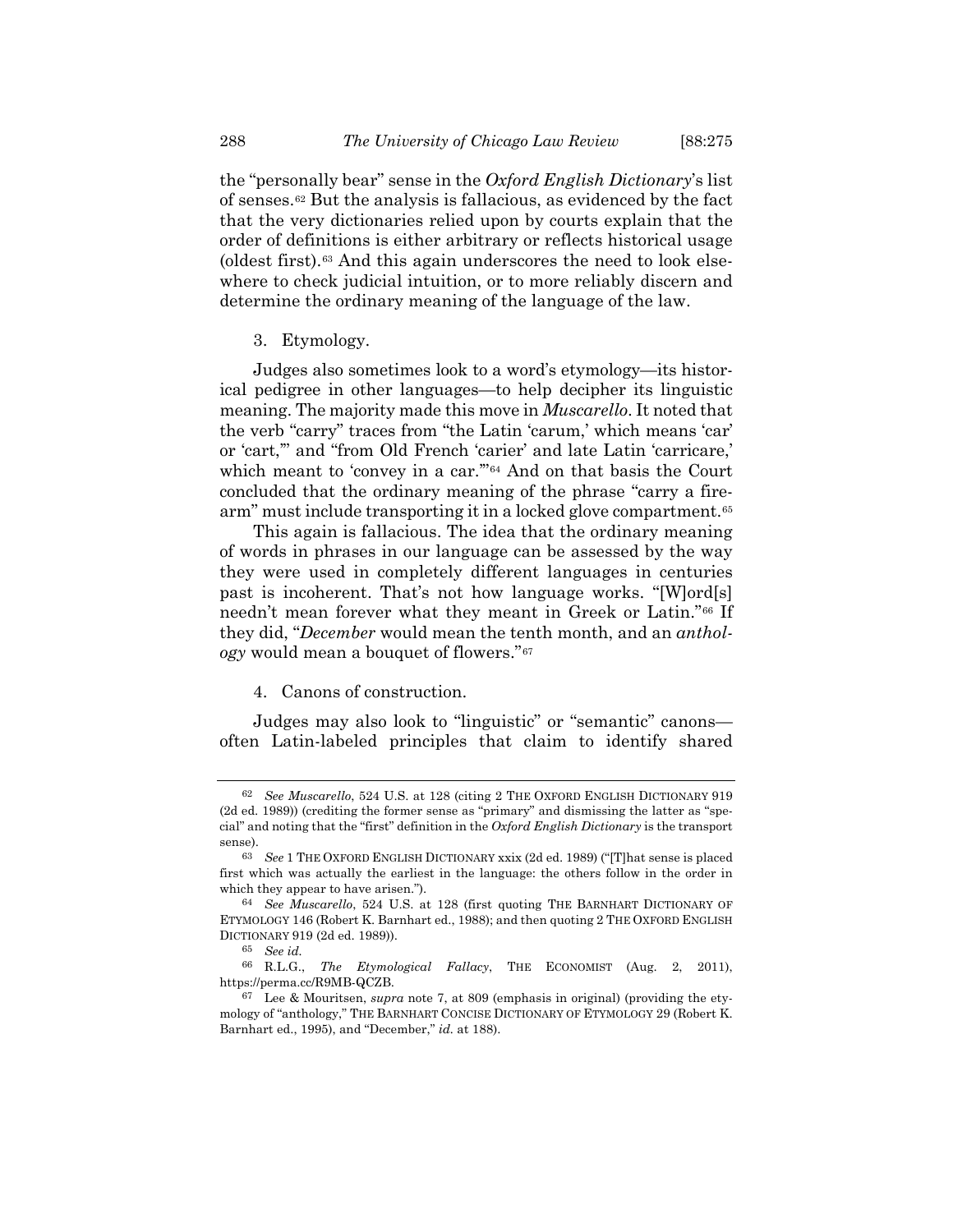the "personally bear" sense in the *Oxford English Dictionary*'s list of senses.[62](#page-13-0) But the analysis is fallacious, as evidenced by the fact that the very dictionaries relied upon by courts explain that the order of definitions is either arbitrary or reflects historical usage (oldest first).[63](#page-13-1) And this again underscores the need to look elsewhere to check judicial intuition, or to more reliably discern and determine the ordinary meaning of the language of the law.

3. Etymology.

Judges also sometimes look to a word's etymology—its historical pedigree in other languages—to help decipher its linguistic meaning. The majority made this move in *Muscarello*. It noted that the verb "carry" traces from "the Latin 'carum,' which means 'car' or 'cart,'" and "from Old French 'carier' and late Latin 'carricare,' which meant to 'convey in a car."<sup>[64](#page-13-2)</sup> And on that basis the Court concluded that the ordinary meaning of the phrase "carry a fire-arm" must include transporting it in a locked glove compartment.<sup>[65](#page-13-3)</sup>

This again is fallacious. The idea that the ordinary meaning of words in phrases in our language can be assessed by the way they were used in completely different languages in centuries past is incoherent. That's not how language works. "[W]ord[s] needn't mean forever what they meant in Greek or Latin."[66](#page-13-4) If they did, "*December* would mean the tenth month, and an *anthology* would mean a bouquet of flowers."[67](#page-13-5)

# 4. Canons of construction.

Judges may also look to "linguistic" or "semantic" canons often Latin-labeled principles that claim to identify shared

<span id="page-13-0"></span><sup>62</sup> *See Muscarello*, 524 U.S. at 128 (citing 2 THE OXFORD ENGLISH DICTIONARY 919 (2d ed. 1989)) (crediting the former sense as "primary" and dismissing the latter as "special" and noting that the "first" definition in the *Oxford English Dictionary* is the transport sense).

<span id="page-13-1"></span><sup>63</sup> *See* 1 THE OXFORD ENGLISH DICTIONARY xxix (2d ed. 1989) ("[T]hat sense is placed first which was actually the earliest in the language: the others follow in the order in which they appear to have arisen.").

<span id="page-13-2"></span><sup>64</sup> *See Muscarello*, 524 U.S. at 128 (first quoting THE BARNHART DICTIONARY OF ETYMOLOGY 146 (Robert K. Barnhart ed., 1988); and then quoting 2 THE OXFORD ENGLISH DICTIONARY 919 (2d ed. 1989)).

<sup>65</sup> *See id.*

<span id="page-13-4"></span><span id="page-13-3"></span><sup>66</sup> R.L.G., *The Etymological Fallacy*, THE ECONOMIST (Aug. 2, 2011), https://perma.cc/R9MB-QCZB.

<span id="page-13-5"></span><sup>67</sup> Lee & Mouritsen, *supra* note [7,](#page-2-9) at 809 (emphasis in original) (providing the etymology of "anthology," THE BARNHART CONCISE DICTIONARY OF ETYMOLOGY 29 (Robert K. Barnhart ed., 1995), and "December," *id.* at 188).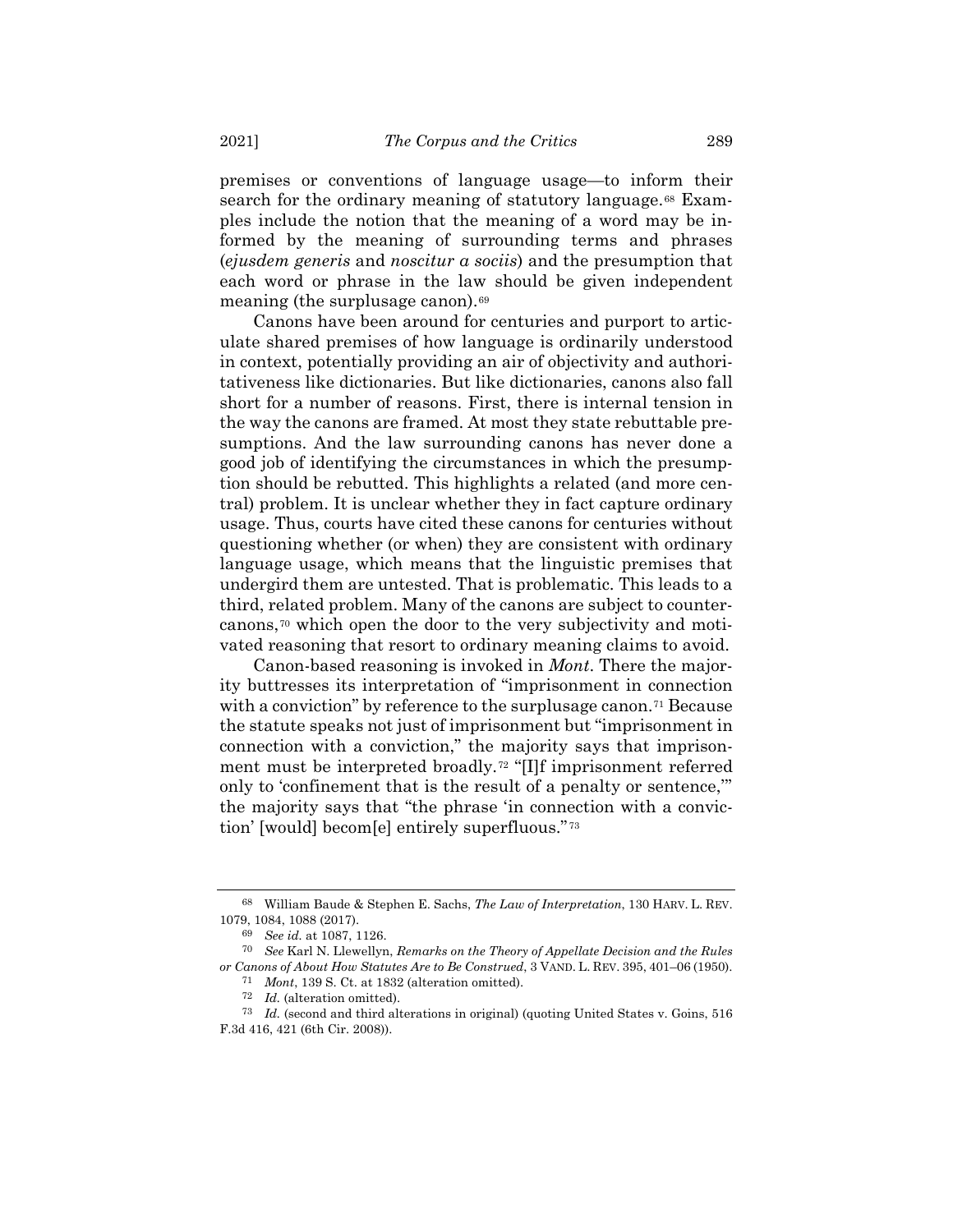<span id="page-14-6"></span>premises or conventions of language usage—to inform their search for the ordinary meaning of statutory language.<sup>[68](#page-14-0)</sup> Examples include the notion that the meaning of a word may be informed by the meaning of surrounding terms and phrases (*ejusdem generis* and *noscitur a sociis*) and the presumption that each word or phrase in the law should be given independent meaning (the surplusage canon).<sup>[69](#page-14-1)</sup>

Canons have been around for centuries and purport to articulate shared premises of how language is ordinarily understood in context, potentially providing an air of objectivity and authoritativeness like dictionaries. But like dictionaries, canons also fall short for a number of reasons. First, there is internal tension in the way the canons are framed. At most they state rebuttable presumptions. And the law surrounding canons has never done a good job of identifying the circumstances in which the presumption should be rebutted. This highlights a related (and more central) problem. It is unclear whether they in fact capture ordinary usage. Thus, courts have cited these canons for centuries without questioning whether (or when) they are consistent with ordinary language usage, which means that the linguistic premises that undergird them are untested. That is problematic. This leads to a third, related problem. Many of the canons are subject to countercanons,[70](#page-14-2) which open the door to the very subjectivity and motivated reasoning that resort to ordinary meaning claims to avoid.

Canon-based reasoning is invoked in *Mont*. There the majority buttresses its interpretation of "imprisonment in connection with a conviction" by reference to the surplusage canon.<sup>[71](#page-14-3)</sup> Because the statute speaks not just of imprisonment but "imprisonment in connection with a conviction," the majority says that imprisonment must be interpreted broadly.[72](#page-14-4) "[I]f imprisonment referred only to 'confinement that is the result of a penalty or sentence,'" the majority says that "the phrase 'in connection with a conviction' [would] becom[e] entirely superfluous." [73](#page-14-5)

<span id="page-14-0"></span><sup>68</sup> William Baude & Stephen E. Sachs, *The Law of Interpretation*, 130 HARV. L. REV. 1079, 1084, 1088 (2017).

<sup>69</sup> *See id.* at 1087, 1126.

<span id="page-14-3"></span><span id="page-14-2"></span><span id="page-14-1"></span><sup>70</sup> *See* Karl N. Llewellyn, *Remarks on the Theory of Appellate Decision and the Rules or Canons of About How Statutes Are to Be Construed*, 3 VAND. L. REV. 395, 401–06 (1950).

<sup>71</sup> *Mont*, 139 S. Ct. at 1832 (alteration omitted).

<sup>72</sup> *Id.* (alteration omitted).

<span id="page-14-5"></span><span id="page-14-4"></span><sup>73</sup> *Id.* (second and third alterations in original) (quoting United States v. Goins, 516 F.3d 416, 421 (6th Cir. 2008)).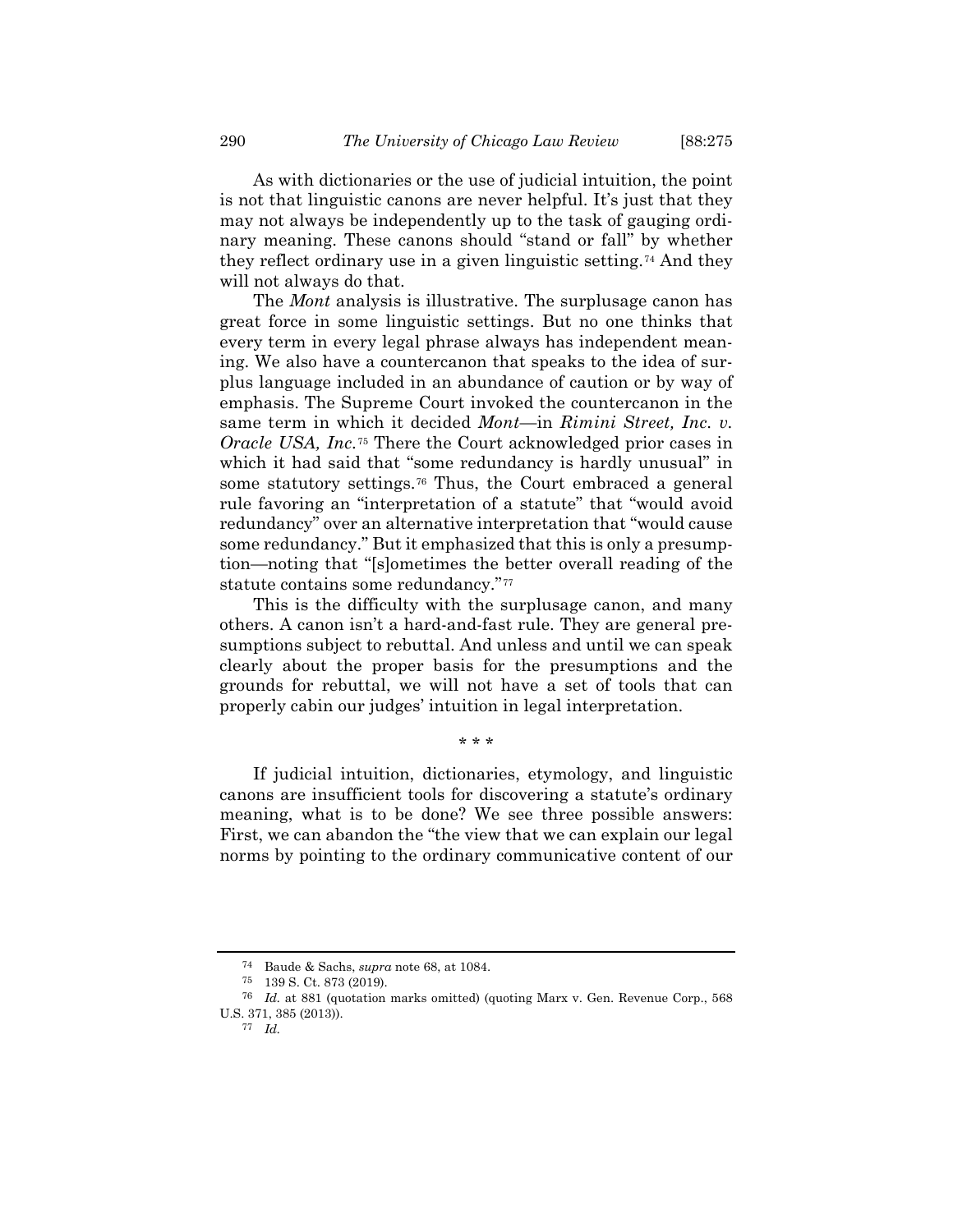As with dictionaries or the use of judicial intuition, the point is not that linguistic canons are never helpful. It's just that they may not always be independently up to the task of gauging ordinary meaning. These canons should "stand or fall" by whether they reflect ordinary use in a given linguistic setting.[74](#page-15-0) And they will not always do that.

The *Mont* analysis is illustrative. The surplusage canon has great force in some linguistic settings. But no one thinks that every term in every legal phrase always has independent meaning. We also have a countercanon that speaks to the idea of surplus language included in an abundance of caution or by way of emphasis. The Supreme Court invoked the countercanon in the same term in which it decided *Mont*—in *Rimini Street, Inc. v. Oracle USA, Inc.*[75](#page-15-1) There the Court acknowledged prior cases in which it had said that "some redundancy is hardly unusual" in some statutory settings[.76](#page-15-2) Thus, the Court embraced a general rule favoring an "interpretation of a statute" that "would avoid redundancy" over an alternative interpretation that "would cause some redundancy." But it emphasized that this is only a presumption—noting that "[s]ometimes the better overall reading of the statute contains some redundancy."<sup>[77](#page-15-3)</sup>

This is the difficulty with the surplusage canon, and many others. A canon isn't a hard-and-fast rule. They are general presumptions subject to rebuttal. And unless and until we can speak clearly about the proper basis for the presumptions and the grounds for rebuttal, we will not have a set of tools that can properly cabin our judges' intuition in legal interpretation.

\* \* \*

If judicial intuition, dictionaries, etymology, and linguistic canons are insufficient tools for discovering a statute's ordinary meaning, what is to be done? We see three possible answers: First, we can abandon the "the view that we can explain our legal norms by pointing to the ordinary communicative content of our

<sup>74</sup> Baude & Sachs, *supra* note [68,](#page-14-6) at 1084.

<sup>75</sup> 139 S. Ct. 873 (2019).

<span id="page-15-3"></span><span id="page-15-2"></span><span id="page-15-1"></span><span id="page-15-0"></span><sup>76</sup> *Id.* at 881 (quotation marks omitted) (quoting Marx v. Gen. Revenue Corp., 568 U.S. 371, 385 (2013)).

<sup>77</sup> *Id.*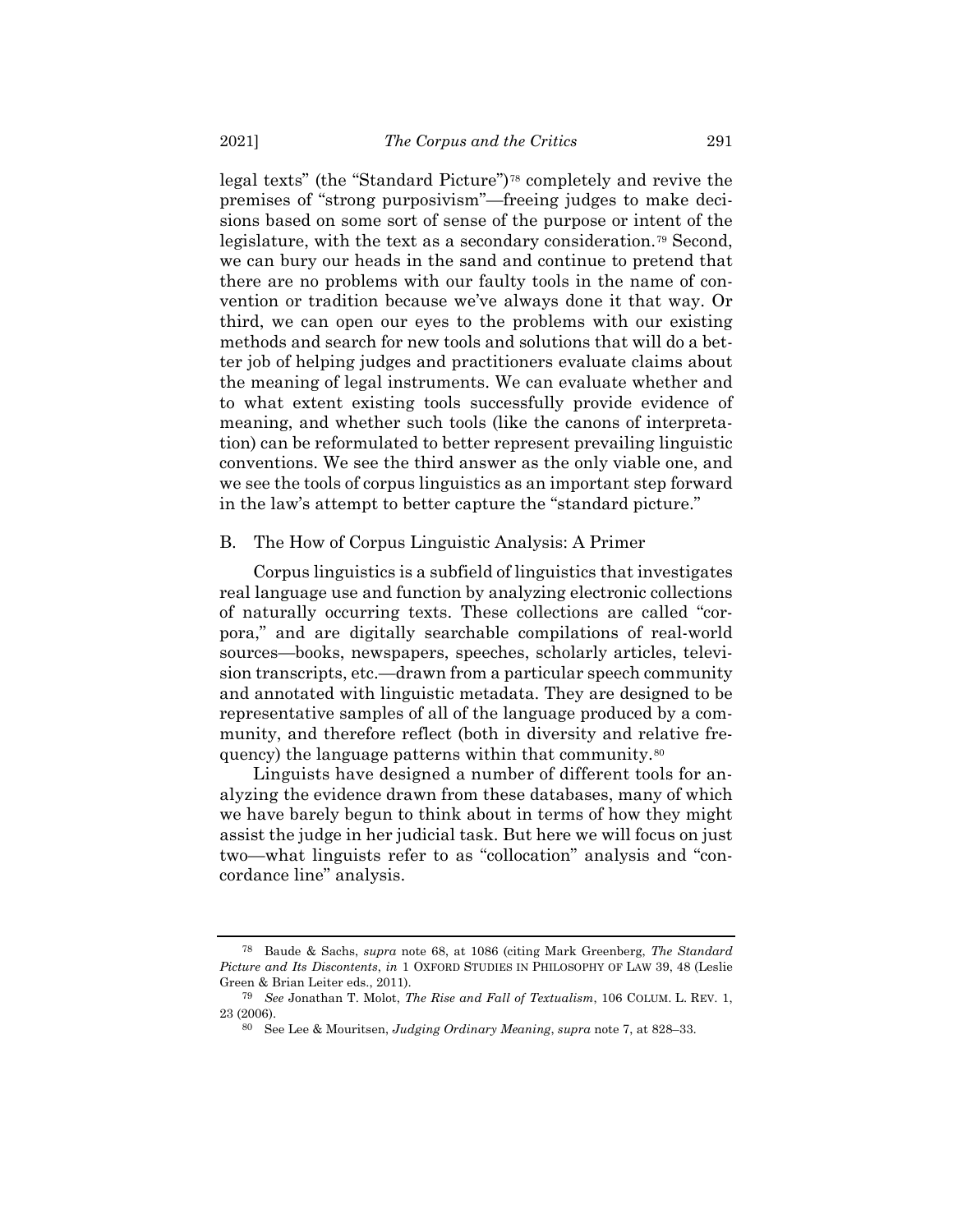legal texts" (the "Standard Picture")[78](#page-16-0) completely and revive the premises of "strong purposivism"—freeing judges to make decisions based on some sort of sense of the purpose or intent of the legislature, with the text as a secondary consideration.[79](#page-16-1) Second, we can bury our heads in the sand and continue to pretend that there are no problems with our faulty tools in the name of convention or tradition because we've always done it that way. Or third, we can open our eyes to the problems with our existing methods and search for new tools and solutions that will do a better job of helping judges and practitioners evaluate claims about the meaning of legal instruments. We can evaluate whether and to what extent existing tools successfully provide evidence of meaning, and whether such tools (like the canons of interpretation) can be reformulated to better represent prevailing linguistic conventions. We see the third answer as the only viable one, and we see the tools of corpus linguistics as an important step forward in the law's attempt to better capture the "standard picture."

#### B. The How of Corpus Linguistic Analysis: A Primer

Corpus linguistics is a subfield of linguistics that investigates real language use and function by analyzing electronic collections of naturally occurring texts. These collections are called "corpora," and are digitally searchable compilations of real-world sources—books, newspapers, speeches, scholarly articles, television transcripts, etc.—drawn from a particular speech community and annotated with linguistic metadata. They are designed to be representative samples of all of the language produced by a community, and therefore reflect (both in diversity and relative frequency) the language patterns within that community.[80](#page-16-2)

Linguists have designed a number of different tools for analyzing the evidence drawn from these databases, many of which we have barely begun to think about in terms of how they might assist the judge in her judicial task. But here we will focus on just two—what linguists refer to as "collocation" analysis and "concordance line" analysis.

<span id="page-16-0"></span><sup>78</sup> Baude & Sachs, *supra* note [68,](#page-14-6) at 1086 (citing Mark Greenberg, *The Standard Picture and Its Discontents*, *in* 1 OXFORD STUDIES IN PHILOSOPHY OF LAW 39, 48 (Leslie Green & Brian Leiter eds., 2011).

<span id="page-16-2"></span><span id="page-16-1"></span><sup>79</sup> *See* Jonathan T. Molot, *The Rise and Fall of Textualism*, 106 COLUM. L. REV. 1, 23 (2006).

<sup>80</sup> See Lee & Mouritsen, *Judging Ordinary Meaning*, *supra* note [7,](#page-2-9) at 828–33.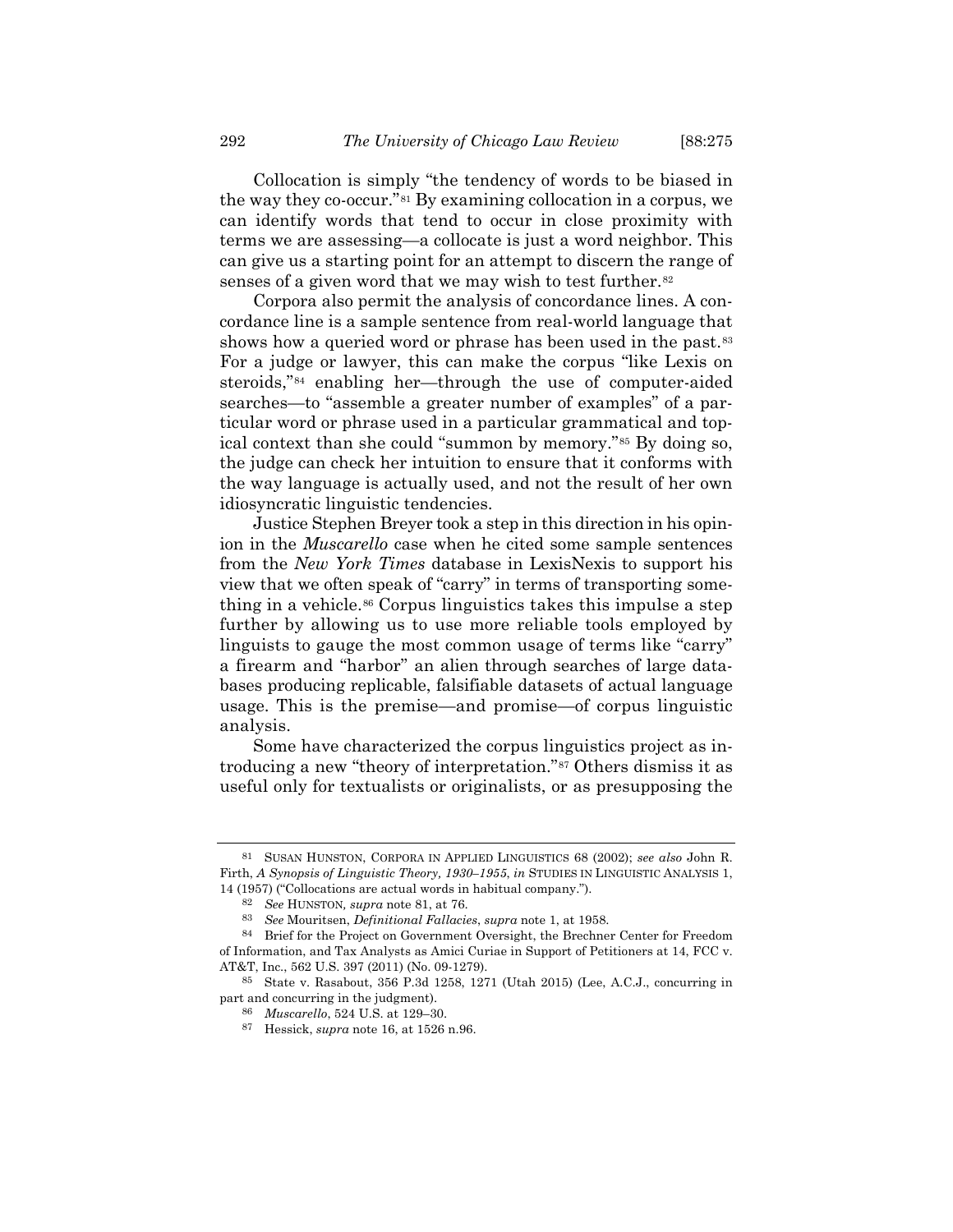<span id="page-17-0"></span>Collocation is simply "the tendency of words to be biased in the way they co-occur."[81](#page-17-1) By examining collocation in a corpus, we can identify words that tend to occur in close proximity with terms we are assessing—a collocate is just a word neighbor. This can give us a starting point for an attempt to discern the range of senses of a given word that we may wish to test further.<sup>[82](#page-17-2)</sup>

Corpora also permit the analysis of concordance lines. A concordance line is a sample sentence from real-world language that shows how a queried word or phrase has been used in the past.<sup>[83](#page-17-3)</sup> For a judge or lawyer, this can make the corpus "like Lexis on steroids,"[84](#page-17-4) enabling her—through the use of computer-aided searches—to "assemble a greater number of examples" of a particular word or phrase used in a particular grammatical and topical context than she could "summon by memory."[85](#page-17-5) By doing so, the judge can check her intuition to ensure that it conforms with the way language is actually used, and not the result of her own idiosyncratic linguistic tendencies.

Justice Stephen Breyer took a step in this direction in his opinion in the *Muscarello* case when he cited some sample sentences from the *New York Times* database in LexisNexis to support his view that we often speak of "carry" in terms of transporting something in a vehicle.[86](#page-17-6) Corpus linguistics takes this impulse a step further by allowing us to use more reliable tools employed by linguists to gauge the most common usage of terms like "carry" a firearm and "harbor" an alien through searches of large databases producing replicable, falsifiable datasets of actual language usage. This is the premise—and promise—of corpus linguistic analysis.

Some have characterized the corpus linguistics project as introducing a new "theory of interpretation."[87](#page-17-7) Others dismiss it as useful only for textualists or originalists, or as presupposing the

<span id="page-17-1"></span><sup>81</sup> SUSAN HUNSTON, CORPORA IN APPLIED LINGUISTICS 68 (2002); *see also* John R. Firth, *A Synopsis of Linguistic Theory, 1930–1955*, *in* STUDIES IN LINGUISTIC ANALYSIS 1, 14 (1957) ("Collocations are actual words in habitual company.").

<sup>82</sup> *See* HUNSTON*, supra* note [81,](#page-17-0) at 76.

<sup>83</sup> *See* Mouritsen, *Definitional Fallacies*, *supra* note [1,](#page-2-10) at 1958.

<span id="page-17-4"></span><span id="page-17-3"></span><span id="page-17-2"></span><sup>84</sup> Brief for the Project on Government Oversight, the Brechner Center for Freedom of Information, and Tax Analysts as Amici Curiae in Support of Petitioners at 14, FCC v. AT&T, Inc., 562 U.S. 397 (2011) (No. 09-1279).

<span id="page-17-7"></span><span id="page-17-6"></span><span id="page-17-5"></span><sup>85</sup> State v. Rasabout, 356 P.3d 1258, 1271 (Utah 2015) (Lee, A.C.J., concurring in part and concurring in the judgment).

<sup>86</sup> *Muscarello*, 524 U.S. at 129–30.

<sup>87</sup> Hessick, *supra* note [16,](#page-4-0) at 1526 n.96.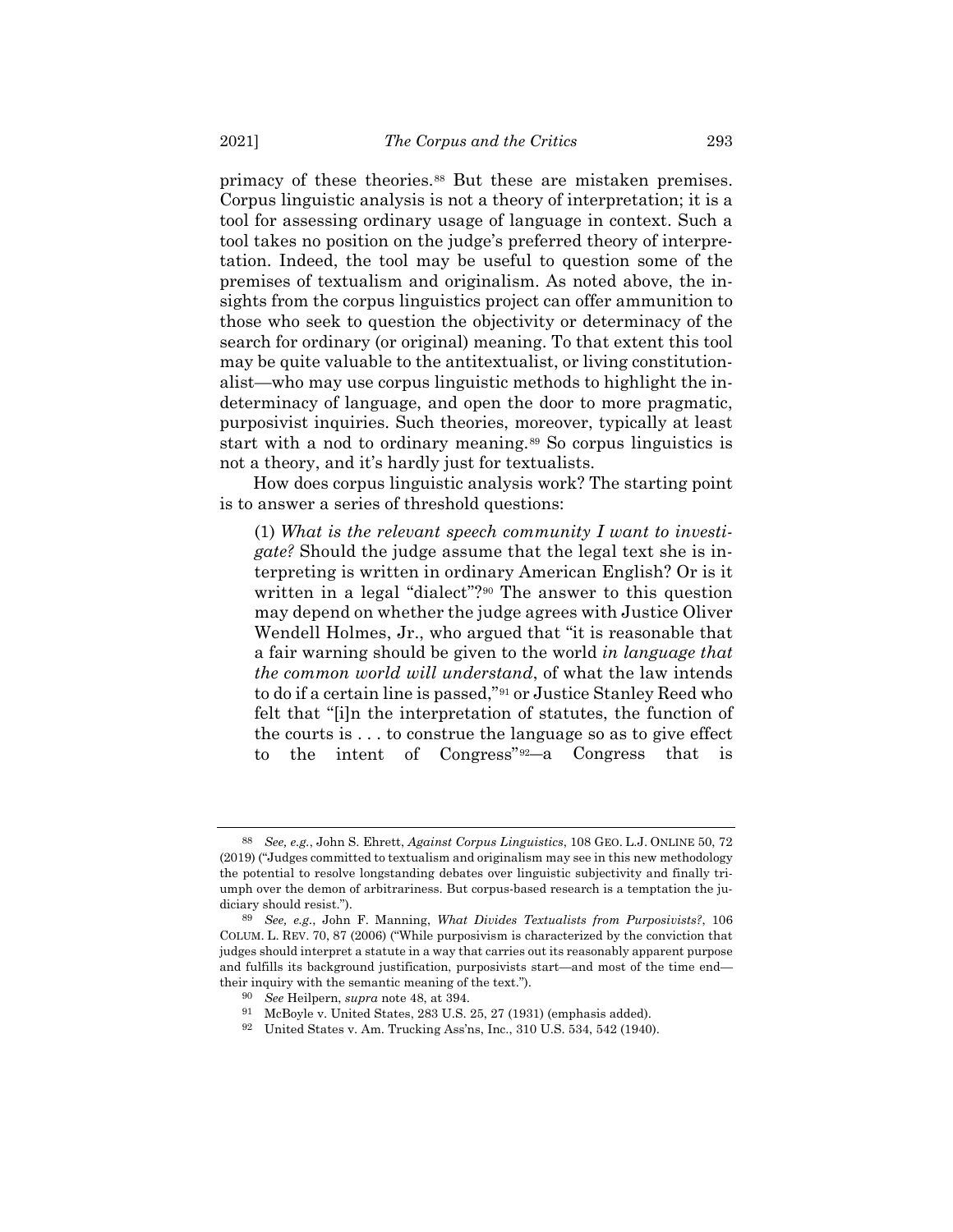primacy of these theories.[88](#page-18-0) But these are mistaken premises. Corpus linguistic analysis is not a theory of interpretation; it is a tool for assessing ordinary usage of language in context. Such a tool takes no position on the judge's preferred theory of interpretation. Indeed, the tool may be useful to question some of the premises of textualism and originalism. As noted above, the insights from the corpus linguistics project can offer ammunition to those who seek to question the objectivity or determinacy of the search for ordinary (or original) meaning. To that extent this tool may be quite valuable to the antitextualist, or living constitutionalist—who may use corpus linguistic methods to highlight the indeterminacy of language, and open the door to more pragmatic, purposivist inquiries. Such theories, moreover, typically at least start with a nod to ordinary meaning.<sup>[89](#page-18-1)</sup> So corpus linguistics is not a theory, and it's hardly just for textualists.

How does corpus linguistic analysis work? The starting point is to answer a series of threshold questions:

(1) *What is the relevant speech community I want to investigate?* Should the judge assume that the legal text she is interpreting is written in ordinary American English? Or is it written in a legal "dialect"?<sup>[90](#page-18-2)</sup> The answer to this question may depend on whether the judge agrees with Justice Oliver Wendell Holmes, Jr., who argued that "it is reasonable that a fair warning should be given to the world *in language that the common world will understand*, of what the law intends to do if a certain line is passed,"[91](#page-18-3) or Justice Stanley Reed who felt that "[i]n the interpretation of statutes, the function of the courts is . . . to construe the language so as to give effect to the intent of Congress"[92](#page-18-4)―a Congress that is

<span id="page-18-0"></span><sup>88</sup> *See, e.g.*, John S. Ehrett, *Against Corpus Linguistics*, 108 GEO. L.J. ONLINE 50, 72 (2019) ("Judges committed to textualism and originalism may see in this new methodology the potential to resolve longstanding debates over linguistic subjectivity and finally triumph over the demon of arbitrariness. But corpus-based research is a temptation the judiciary should resist.").

<span id="page-18-3"></span><span id="page-18-2"></span><span id="page-18-1"></span><sup>89</sup> *See, e.g.*, John F. Manning, *What Divides Textualists from Purposivists?*, 106 COLUM. L. REV. 70, 87 (2006) ("While purposivism is characterized by the conviction that judges should interpret a statute in a way that carries out its reasonably apparent purpose and fulfills its background justification, purposivists start—and most of the time end their inquiry with the semantic meaning of the text.").

<sup>90</sup> *See* Heilpern, *supra* note [48,](#page-10-4) at 394.

<sup>91</sup> McBoyle v. United States, 283 U.S. 25, 27 (1931) (emphasis added).

<span id="page-18-4"></span><sup>92</sup> United States v. Am. Trucking Ass'ns, Inc., 310 U.S. 534, 542 (1940).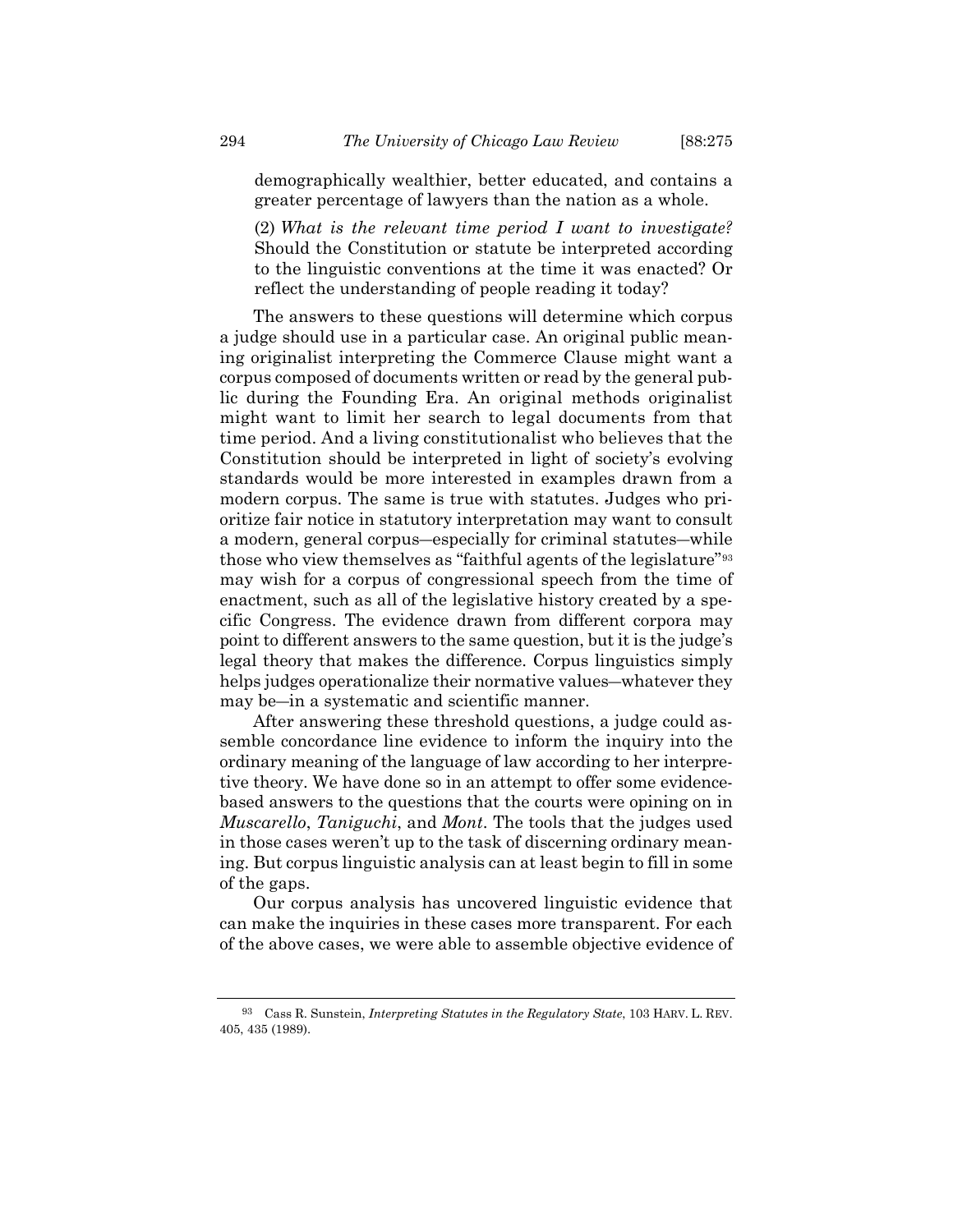demographically wealthier, better educated, and contains a greater percentage of lawyers than the nation as a whole.

(2) *What is the relevant time period I want to investigate?* Should the Constitution or statute be interpreted according to the linguistic conventions at the time it was enacted? Or reflect the understanding of people reading it today?

The answers to these questions will determine which corpus a judge should use in a particular case. An original public meaning originalist interpreting the Commerce Clause might want a corpus composed of documents written or read by the general public during the Founding Era. An original methods originalist might want to limit her search to legal documents from that time period. And a living constitutionalist who believes that the Constitution should be interpreted in light of society's evolving standards would be more interested in examples drawn from a modern corpus. The same is true with statutes. Judges who prioritize fair notice in statutory interpretation may want to consult a modern, general corpus―especially for criminal statutes―while those who view themselves as "faithful agents of the legislature"[93](#page-19-0) may wish for a corpus of congressional speech from the time of enactment, such as all of the legislative history created by a specific Congress. The evidence drawn from different corpora may point to different answers to the same question, but it is the judge's legal theory that makes the difference. Corpus linguistics simply helps judges operationalize their normative values―whatever they may be―in a systematic and scientific manner.

After answering these threshold questions, a judge could assemble concordance line evidence to inform the inquiry into the ordinary meaning of the language of law according to her interpretive theory. We have done so in an attempt to offer some evidencebased answers to the questions that the courts were opining on in *Muscarello*, *Taniguchi*, and *Mont*. The tools that the judges used in those cases weren't up to the task of discerning ordinary meaning. But corpus linguistic analysis can at least begin to fill in some of the gaps.

Our corpus analysis has uncovered linguistic evidence that can make the inquiries in these cases more transparent. For each of the above cases, we were able to assemble objective evidence of

<span id="page-19-0"></span><sup>93</sup> Cass R. Sunstein, *Interpreting Statutes in the Regulatory State*, 103 HARV. L. REV. 405, 435 (1989).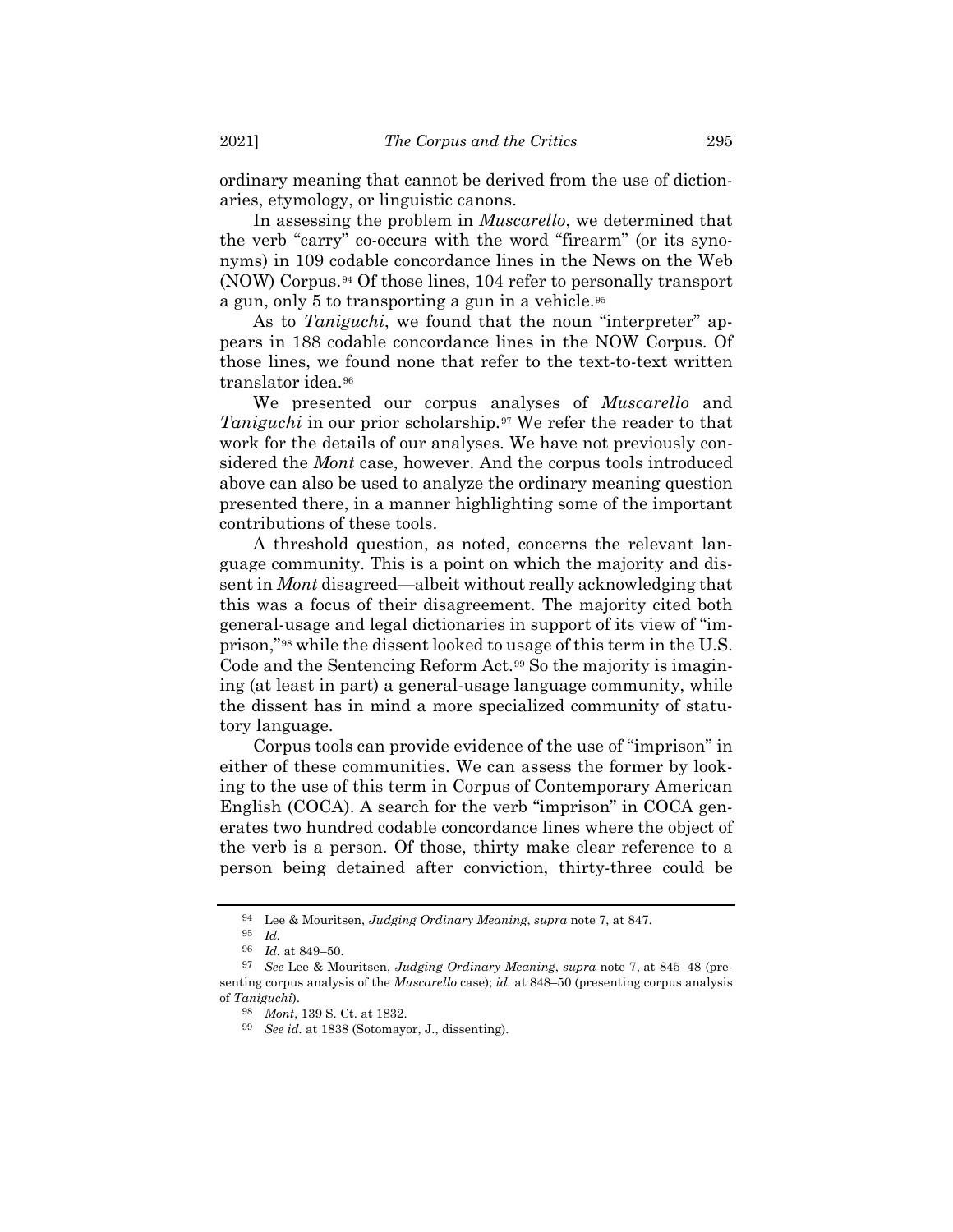ordinary meaning that cannot be derived from the use of dictionaries, etymology, or linguistic canons.

In assessing the problem in *Muscarello*, we determined that the verb "carry" co-occurs with the word "firearm" (or its synonyms) in 109 codable concordance lines in the News on the Web (NOW) Corpus.[94](#page-20-0) Of those lines, 104 refer to personally transport a gun, only 5 to transporting a gun in a vehicle.[95](#page-20-1)

As to *Taniguchi*, we found that the noun "interpreter" appears in 188 codable concordance lines in the NOW Corpus. Of those lines, we found none that refer to the text-to-text written translator idea.<sup>[96](#page-20-2)</sup>

We presented our corpus analyses of *Muscarello* and *Taniguchi* in our prior scholarship.<sup>[97](#page-20-3)</sup> We refer the reader to that work for the details of our analyses. We have not previously considered the *Mont* case, however. And the corpus tools introduced above can also be used to analyze the ordinary meaning question presented there, in a manner highlighting some of the important contributions of these tools.

A threshold question, as noted, concerns the relevant language community. This is a point on which the majority and dissent in *Mont* disagreed—albeit without really acknowledging that this was a focus of their disagreement. The majority cited both general-usage and legal dictionaries in support of its view of "imprison,"[98](#page-20-4) while the dissent looked to usage of this term in the U.S. Code and the Sentencing Reform Act.[99](#page-20-5) So the majority is imagining (at least in part) a general-usage language community, while the dissent has in mind a more specialized community of statutory language.

Corpus tools can provide evidence of the use of "imprison" in either of these communities. We can assess the former by looking to the use of this term in Corpus of Contemporary American English (COCA). A search for the verb "imprison" in COCA generates two hundred codable concordance lines where the object of the verb is a person. Of those, thirty make clear reference to a person being detained after conviction, thirty-three could be

<sup>94</sup> Lee & Mouritsen, *Judging Ordinary Meaning*, *supra* note [7,](#page-2-9) at 847.

<sup>95</sup> *Id.*

<sup>96</sup> *Id.* at 849–50.

<span id="page-20-5"></span><span id="page-20-4"></span><span id="page-20-3"></span><span id="page-20-2"></span><span id="page-20-1"></span><span id="page-20-0"></span><sup>97</sup> *See* Lee & Mouritsen, *Judging Ordinary Meaning*, *supra* note [7,](#page-2-9) at 845–48 (presenting corpus analysis of the *Muscarello* case); *id.* at 848–50 (presenting corpus analysis of *Taniguchi*).

<sup>98</sup> *Mont*, 139 S. Ct. at 1832.

<sup>99</sup> *See id.* at 1838 (Sotomayor, J., dissenting).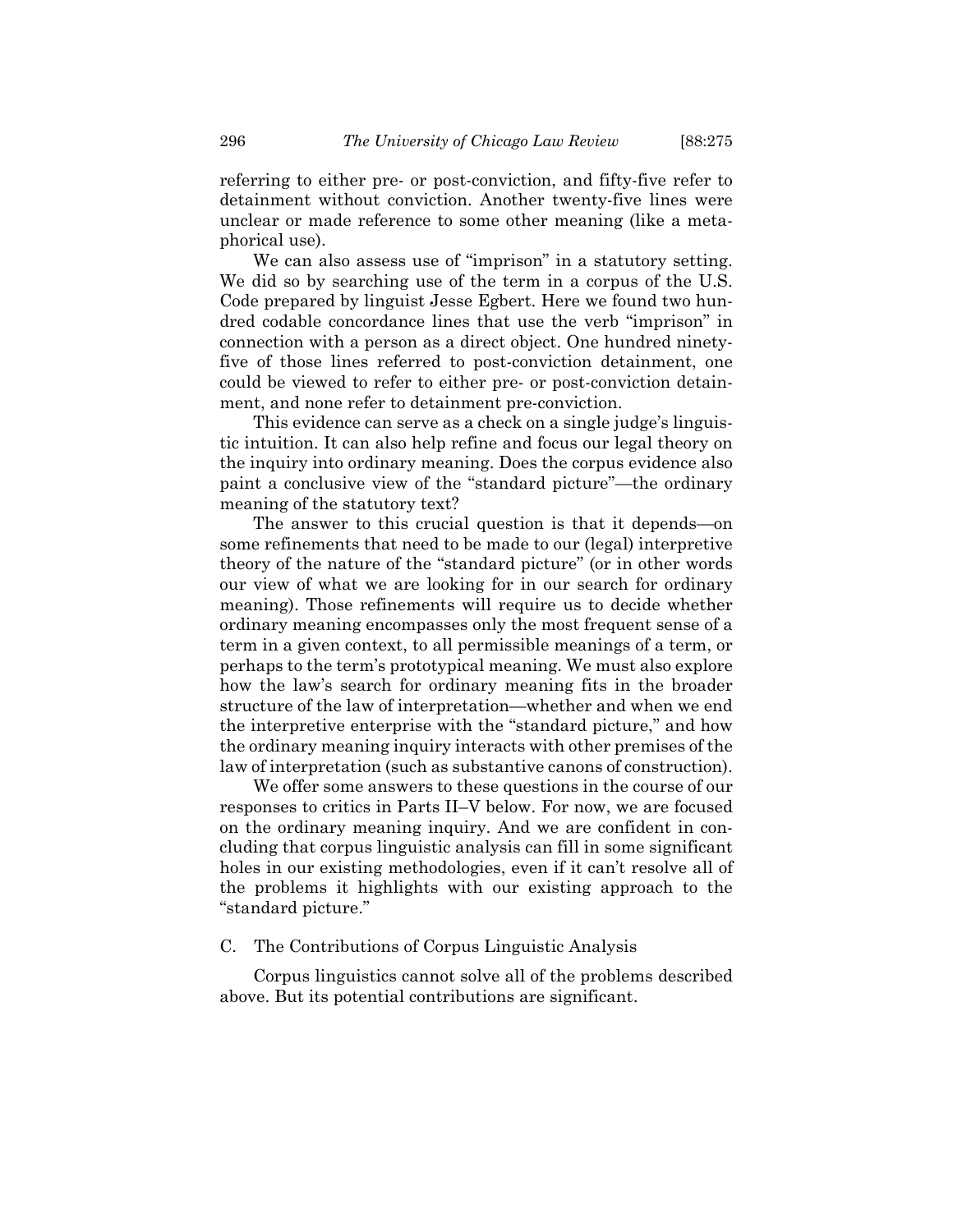referring to either pre- or post-conviction, and fifty-five refer to detainment without conviction. Another twenty-five lines were unclear or made reference to some other meaning (like a metaphorical use).

We can also assess use of "imprison" in a statutory setting. We did so by searching use of the term in a corpus of the U.S. Code prepared by linguist Jesse Egbert. Here we found two hundred codable concordance lines that use the verb "imprison" in connection with a person as a direct object. One hundred ninetyfive of those lines referred to post-conviction detainment, one could be viewed to refer to either pre- or post-conviction detainment, and none refer to detainment pre-conviction.

This evidence can serve as a check on a single judge's linguistic intuition. It can also help refine and focus our legal theory on the inquiry into ordinary meaning. Does the corpus evidence also paint a conclusive view of the "standard picture"—the ordinary meaning of the statutory text?

The answer to this crucial question is that it depends—on some refinements that need to be made to our (legal) interpretive theory of the nature of the "standard picture" (or in other words our view of what we are looking for in our search for ordinary meaning). Those refinements will require us to decide whether ordinary meaning encompasses only the most frequent sense of a term in a given context, to all permissible meanings of a term, or perhaps to the term's prototypical meaning. We must also explore how the law's search for ordinary meaning fits in the broader structure of the law of interpretation—whether and when we end the interpretive enterprise with the "standard picture," and how the ordinary meaning inquiry interacts with other premises of the law of interpretation (such as substantive canons of construction).

We offer some answers to these questions in the course of our responses to critics in Parts II–V below. For now, we are focused on the ordinary meaning inquiry. And we are confident in concluding that corpus linguistic analysis can fill in some significant holes in our existing methodologies, even if it can't resolve all of the problems it highlights with our existing approach to the "standard picture."

#### C. The Contributions of Corpus Linguistic Analysis

Corpus linguistics cannot solve all of the problems described above. But its potential contributions are significant.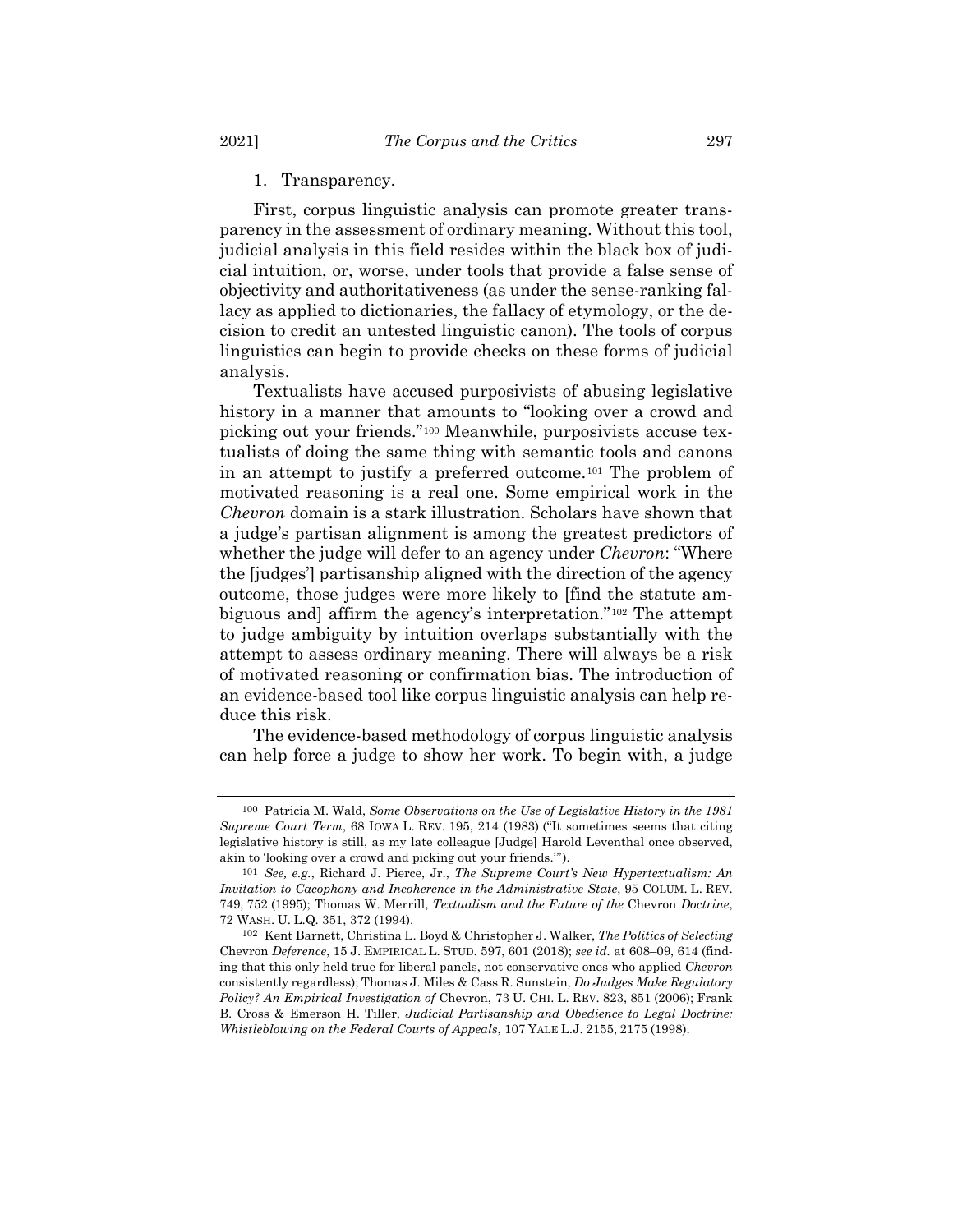1. Transparency.

First, corpus linguistic analysis can promote greater transparency in the assessment of ordinary meaning. Without this tool, judicial analysis in this field resides within the black box of judicial intuition, or, worse, under tools that provide a false sense of objectivity and authoritativeness (as under the sense-ranking fallacy as applied to dictionaries, the fallacy of etymology, or the decision to credit an untested linguistic canon). The tools of corpus linguistics can begin to provide checks on these forms of judicial analysis.

Textualists have accused purposivists of abusing legislative history in a manner that amounts to "looking over a crowd and picking out your friends."[100](#page-22-0) Meanwhile, purposivists accuse textualists of doing the same thing with semantic tools and canons in an attempt to justify a preferred outcome.[101](#page-22-1) The problem of motivated reasoning is a real one. Some empirical work in the *Chevron* domain is a stark illustration. Scholars have shown that a judge's partisan alignment is among the greatest predictors of whether the judge will defer to an agency under *Chevron*: "Where the [judges'] partisanship aligned with the direction of the agency outcome, those judges were more likely to [find the statute ambiguous and] affirm the agency's interpretation."[102](#page-22-2) The attempt to judge ambiguity by intuition overlaps substantially with the attempt to assess ordinary meaning. There will always be a risk of motivated reasoning or confirmation bias. The introduction of an evidence-based tool like corpus linguistic analysis can help reduce this risk.

The evidence-based methodology of corpus linguistic analysis can help force a judge to show her work. To begin with, a judge

<span id="page-22-0"></span><sup>100</sup> Patricia M. Wald, *Some Observations on the Use of Legislative History in the 1981 Supreme Court Term*, 68 IOWA L. REV. 195, 214 (1983) ("It sometimes seems that citing legislative history is still, as my late colleague [Judge] Harold Leventhal once observed, akin to 'looking over a crowd and picking out your friends.'").

<span id="page-22-1"></span><sup>101</sup> *See, e.g.*, Richard J. Pierce, Jr., *The Supreme Court's New Hypertextualism: An Invitation to Cacophony and Incoherence in the Administrative State*, 95 COLUM. L. REV. 749, 752 (1995); Thomas W. Merrill, *Textualism and the Future of the* Chevron *Doctrine*, 72 WASH. U. L.Q. 351, 372 (1994).

<span id="page-22-2"></span><sup>102</sup> Kent Barnett, Christina L. Boyd & Christopher J. Walker, *The Politics of Selecting*  Chevron *Deference*, 15 J. EMPIRICAL L. STUD. 597, 601 (2018); *see id.* at 608–09, 614 (finding that this only held true for liberal panels, not conservative ones who applied *Chevron* consistently regardless); Thomas J. Miles & Cass R. Sunstein, *Do Judges Make Regulatory Policy? An Empirical Investigation of* Chevron, 73 U. CHI. L. REV. 823, 851 (2006); Frank B. Cross & Emerson H. Tiller, *Judicial Partisanship and Obedience to Legal Doctrine: Whistleblowing on the Federal Courts of Appeals*, 107 YALE L.J. 2155, 2175 (1998).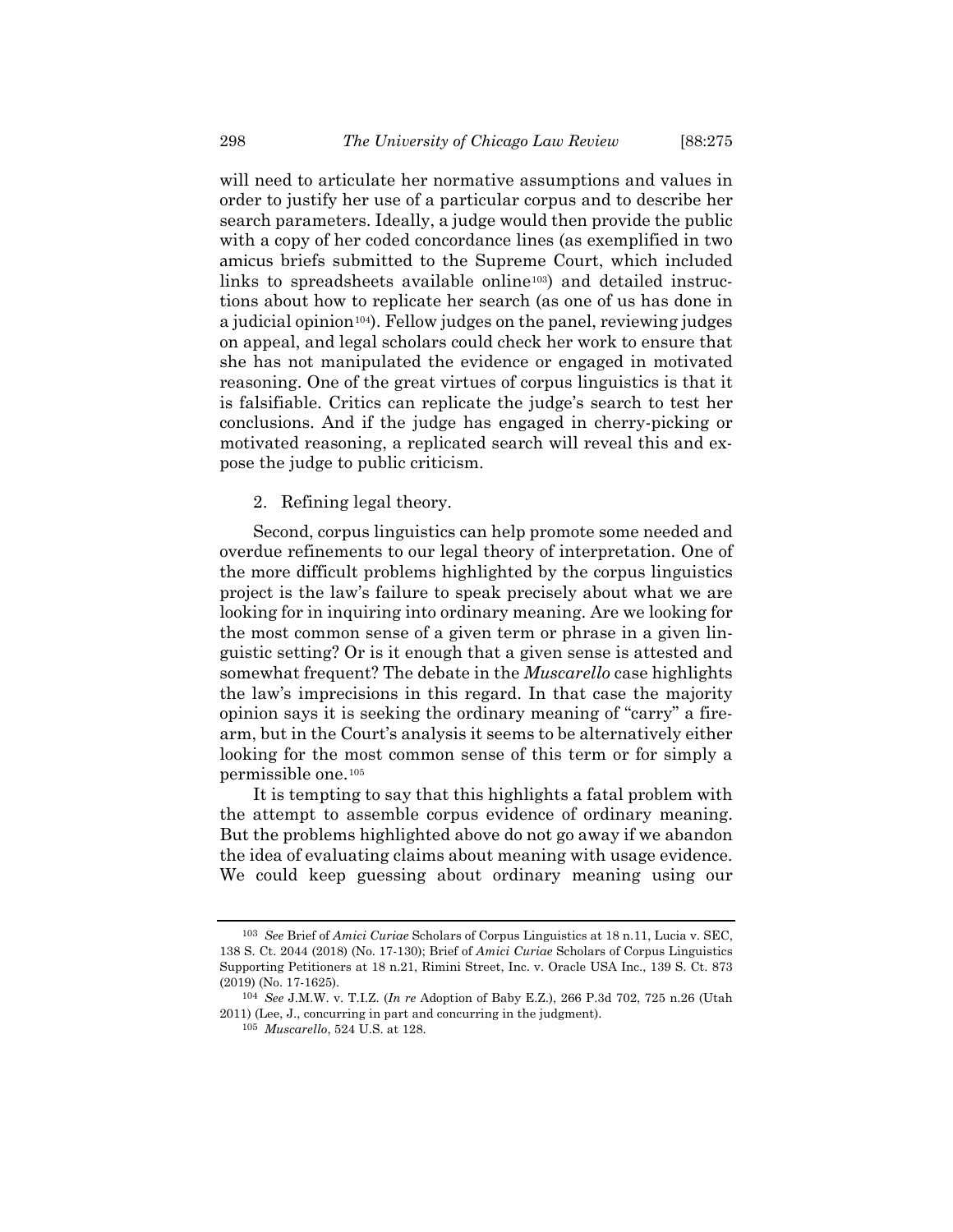will need to articulate her normative assumptions and values in order to justify her use of a particular corpus and to describe her search parameters. Ideally, a judge would then provide the public with a copy of her coded concordance lines (as exemplified in two amicus briefs submitted to the Supreme Court, which included links to spreadsheets available online[103\)](#page-23-0) and detailed instructions about how to replicate her search (as one of us has done in a judicial opinion<sup>[104](#page-23-1)</sup>). Fellow judges on the panel, reviewing judges on appeal, and legal scholars could check her work to ensure that she has not manipulated the evidence or engaged in motivated reasoning. One of the great virtues of corpus linguistics is that it is falsifiable. Critics can replicate the judge's search to test her conclusions. And if the judge has engaged in cherry-picking or motivated reasoning, a replicated search will reveal this and expose the judge to public criticism.

2. Refining legal theory.

Second, corpus linguistics can help promote some needed and overdue refinements to our legal theory of interpretation. One of the more difficult problems highlighted by the corpus linguistics project is the law's failure to speak precisely about what we are looking for in inquiring into ordinary meaning. Are we looking for the most common sense of a given term or phrase in a given linguistic setting? Or is it enough that a given sense is attested and somewhat frequent? The debate in the *Muscarello* case highlights the law's imprecisions in this regard. In that case the majority opinion says it is seeking the ordinary meaning of "carry" a firearm, but in the Court's analysis it seems to be alternatively either looking for the most common sense of this term or for simply a permissible one.[105](#page-23-2)

It is tempting to say that this highlights a fatal problem with the attempt to assemble corpus evidence of ordinary meaning. But the problems highlighted above do not go away if we abandon the idea of evaluating claims about meaning with usage evidence. We could keep guessing about ordinary meaning using our

<span id="page-23-0"></span><sup>103</sup> *See* Brief of *Amici Curiae* Scholars of Corpus Linguistics at 18 n.11, Lucia v. SEC, 138 S. Ct. 2044 (2018) (No. 17-130); Brief of *Amici Curiae* Scholars of Corpus Linguistics Supporting Petitioners at 18 n.21, Rimini Street, Inc. v. Oracle USA Inc., 139 S. Ct. 873 (2019) (No. 17-1625).

<span id="page-23-2"></span><span id="page-23-1"></span><sup>104</sup> *See* J.M.W. v. T.I.Z. (*In re* Adoption of Baby E.Z.), 266 P.3d 702, 725 n.26 (Utah 2011) (Lee, J., concurring in part and concurring in the judgment).

<sup>105</sup> *Muscarello*, 524 U.S. at 128.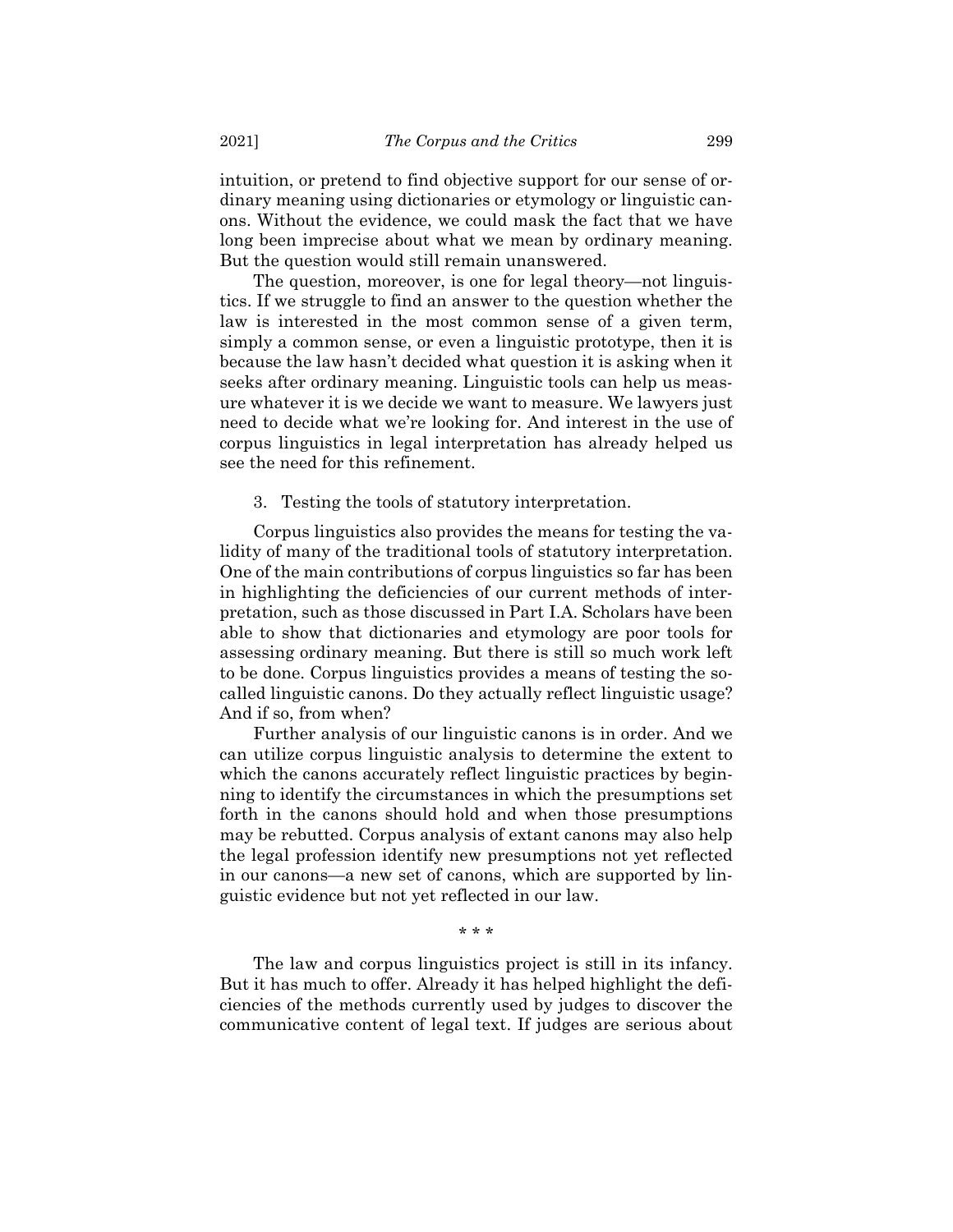intuition, or pretend to find objective support for our sense of ordinary meaning using dictionaries or etymology or linguistic canons. Without the evidence, we could mask the fact that we have long been imprecise about what we mean by ordinary meaning. But the question would still remain unanswered.

The question, moreover, is one for legal theory—not linguistics. If we struggle to find an answer to the question whether the law is interested in the most common sense of a given term, simply a common sense, or even a linguistic prototype, then it is because the law hasn't decided what question it is asking when it seeks after ordinary meaning. Linguistic tools can help us measure whatever it is we decide we want to measure. We lawyers just need to decide what we're looking for. And interest in the use of corpus linguistics in legal interpretation has already helped us see the need for this refinement.

3. Testing the tools of statutory interpretation.

Corpus linguistics also provides the means for testing the validity of many of the traditional tools of statutory interpretation. One of the main contributions of corpus linguistics so far has been in highlighting the deficiencies of our current methods of interpretation, such as those discussed in Part I.A. Scholars have been able to show that dictionaries and etymology are poor tools for assessing ordinary meaning. But there is still so much work left to be done. Corpus linguistics provides a means of testing the socalled linguistic canons. Do they actually reflect linguistic usage? And if so, from when?

Further analysis of our linguistic canons is in order. And we can utilize corpus linguistic analysis to determine the extent to which the canons accurately reflect linguistic practices by beginning to identify the circumstances in which the presumptions set forth in the canons should hold and when those presumptions may be rebutted. Corpus analysis of extant canons may also help the legal profession identify new presumptions not yet reflected in our canons—a new set of canons, which are supported by linguistic evidence but not yet reflected in our law.

\* \* \*

The law and corpus linguistics project is still in its infancy. But it has much to offer. Already it has helped highlight the deficiencies of the methods currently used by judges to discover the communicative content of legal text. If judges are serious about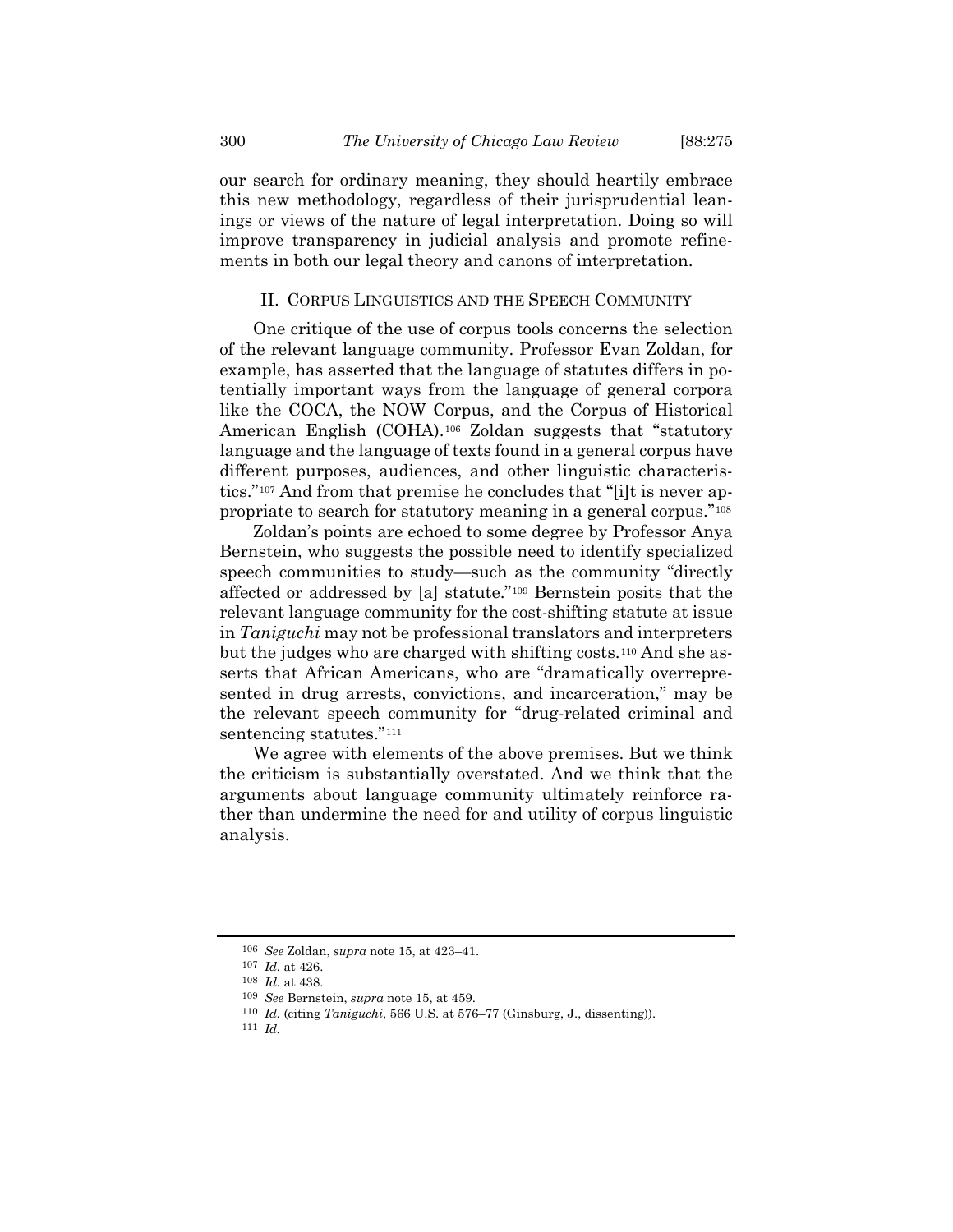our search for ordinary meaning, they should heartily embrace this new methodology, regardless of their jurisprudential leanings or views of the nature of legal interpretation. Doing so will improve transparency in judicial analysis and promote refinements in both our legal theory and canons of interpretation.

## II. CORPUS LINGUISTICS AND THE SPEECH COMMUNITY

One critique of the use of corpus tools concerns the selection of the relevant language community. Professor Evan Zoldan, for example, has asserted that the language of statutes differs in potentially important ways from the language of general corpora like the COCA, the NOW Corpus, and the Corpus of Historical American English (COHA).[106](#page-25-0) Zoldan suggests that "statutory language and the language of texts found in a general corpus have different purposes, audiences, and other linguistic characteristics."[107](#page-25-1) And from that premise he concludes that "[i]t is never appropriate to search for statutory meaning in a general corpus."[108](#page-25-2)

Zoldan's points are echoed to some degree by Professor Anya Bernstein, who suggests the possible need to identify specialized speech communities to study—such as the community "directly affected or addressed by [a] statute."[109](#page-25-3) Bernstein posits that the relevant language community for the cost-shifting statute at issue in *Taniguchi* may not be professional translators and interpreters but the judges who are charged with shifting costs.[110](#page-25-4) And she asserts that African Americans, who are "dramatically overrepresented in drug arrests, convictions, and incarceration," may be the relevant speech community for "drug-related criminal and sentencing statutes."<sup>[111](#page-25-5)</sup>

We agree with elements of the above premises. But we think the criticism is substantially overstated. And we think that the arguments about language community ultimately reinforce rather than undermine the need for and utility of corpus linguistic analysis.

<span id="page-25-5"></span><span id="page-25-4"></span>111 *Id.*

<span id="page-25-0"></span><sup>106</sup> *See* Zoldan, *supra* note [15,](#page-4-8) at 423–41.

<span id="page-25-2"></span><span id="page-25-1"></span><sup>107</sup> *Id.* at 426.

<sup>108</sup> *Id.* at 438.

<span id="page-25-3"></span><sup>109</sup> *See* Bernstein, *supra* note [15,](#page-4-8) at 459.

<sup>110</sup> *Id.* (citing *Taniguchi*, 566 U.S. at 576–77 (Ginsburg, J., dissenting)).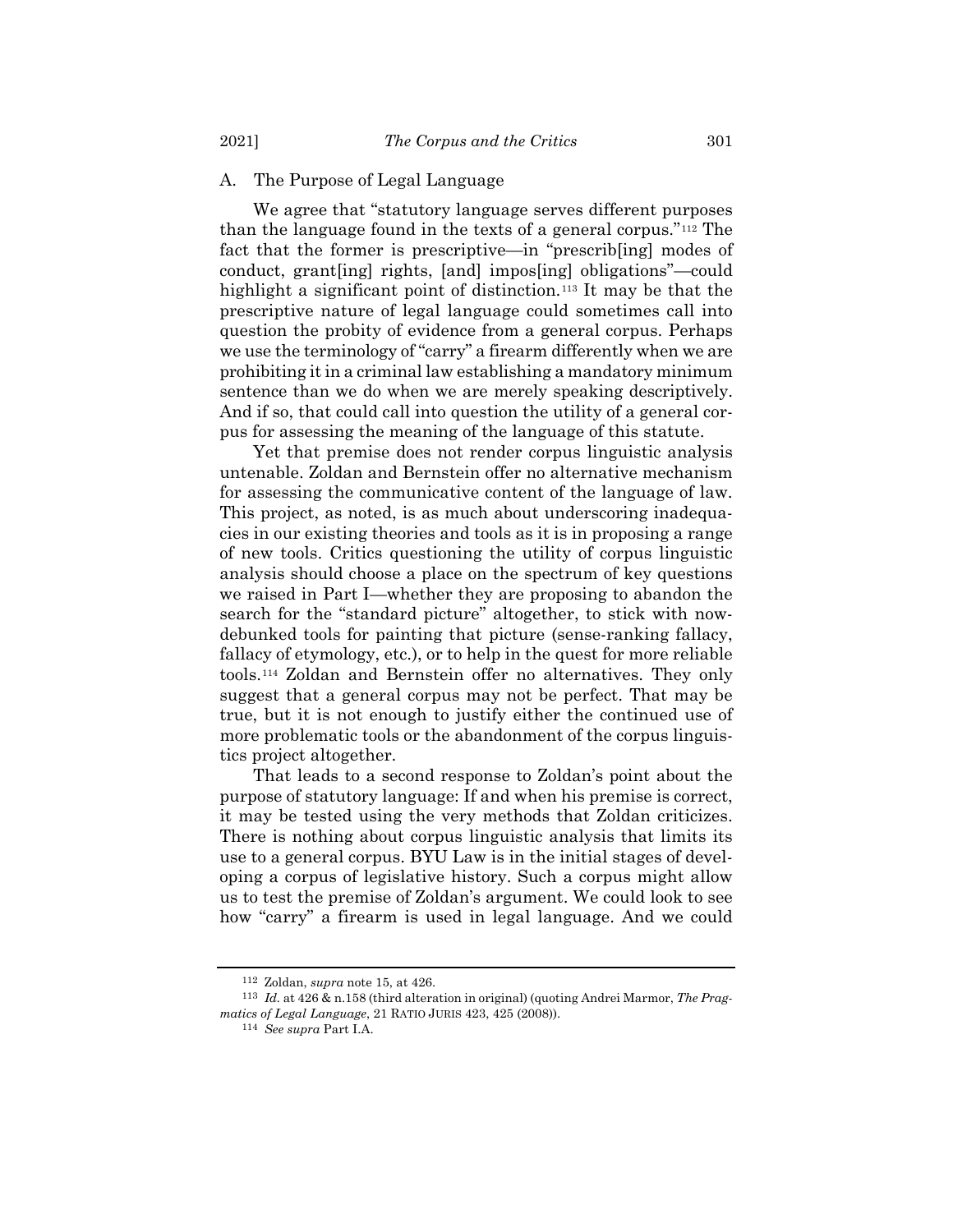# A. The Purpose of Legal Language

We agree that "statutory language serves different purposes than the language found in the texts of a general corpus."[112](#page-26-0) The fact that the former is prescriptive—in "prescrib[ing] modes of conduct, grant[ing] rights, [and] impos[ing] obligations"—could highlight a significant point of distinction.<sup>[113](#page-26-1)</sup> It may be that the prescriptive nature of legal language could sometimes call into question the probity of evidence from a general corpus. Perhaps we use the terminology of "carry" a firearm differently when we are prohibiting it in a criminal law establishing a mandatory minimum sentence than we do when we are merely speaking descriptively. And if so, that could call into question the utility of a general corpus for assessing the meaning of the language of this statute.

Yet that premise does not render corpus linguistic analysis untenable. Zoldan and Bernstein offer no alternative mechanism for assessing the communicative content of the language of law. This project, as noted, is as much about underscoring inadequacies in our existing theories and tools as it is in proposing a range of new tools. Critics questioning the utility of corpus linguistic analysis should choose a place on the spectrum of key questions we raised in Part I—whether they are proposing to abandon the search for the "standard picture" altogether, to stick with nowdebunked tools for painting that picture (sense-ranking fallacy, fallacy of etymology, etc.), or to help in the quest for more reliable tools.[114](#page-26-2) Zoldan and Bernstein offer no alternatives. They only suggest that a general corpus may not be perfect. That may be true, but it is not enough to justify either the continued use of more problematic tools or the abandonment of the corpus linguistics project altogether.

That leads to a second response to Zoldan's point about the purpose of statutory language: If and when his premise is correct, it may be tested using the very methods that Zoldan criticizes. There is nothing about corpus linguistic analysis that limits its use to a general corpus. BYU Law is in the initial stages of developing a corpus of legislative history. Such a corpus might allow us to test the premise of Zoldan's argument. We could look to see how "carry" a firearm is used in legal language. And we could

<sup>112</sup> Zoldan, *supra* note [15,](#page-4-8) at 426.

<span id="page-26-2"></span><span id="page-26-1"></span><span id="page-26-0"></span><sup>113</sup> *Id.* at 426 & n.158 (third alteration in original) (quoting Andrei Marmor, *The Pragmatics of Legal Language*, 21 RATIO JURIS 423, 425 (2008)).

<sup>114</sup> *See supra* Part I.A.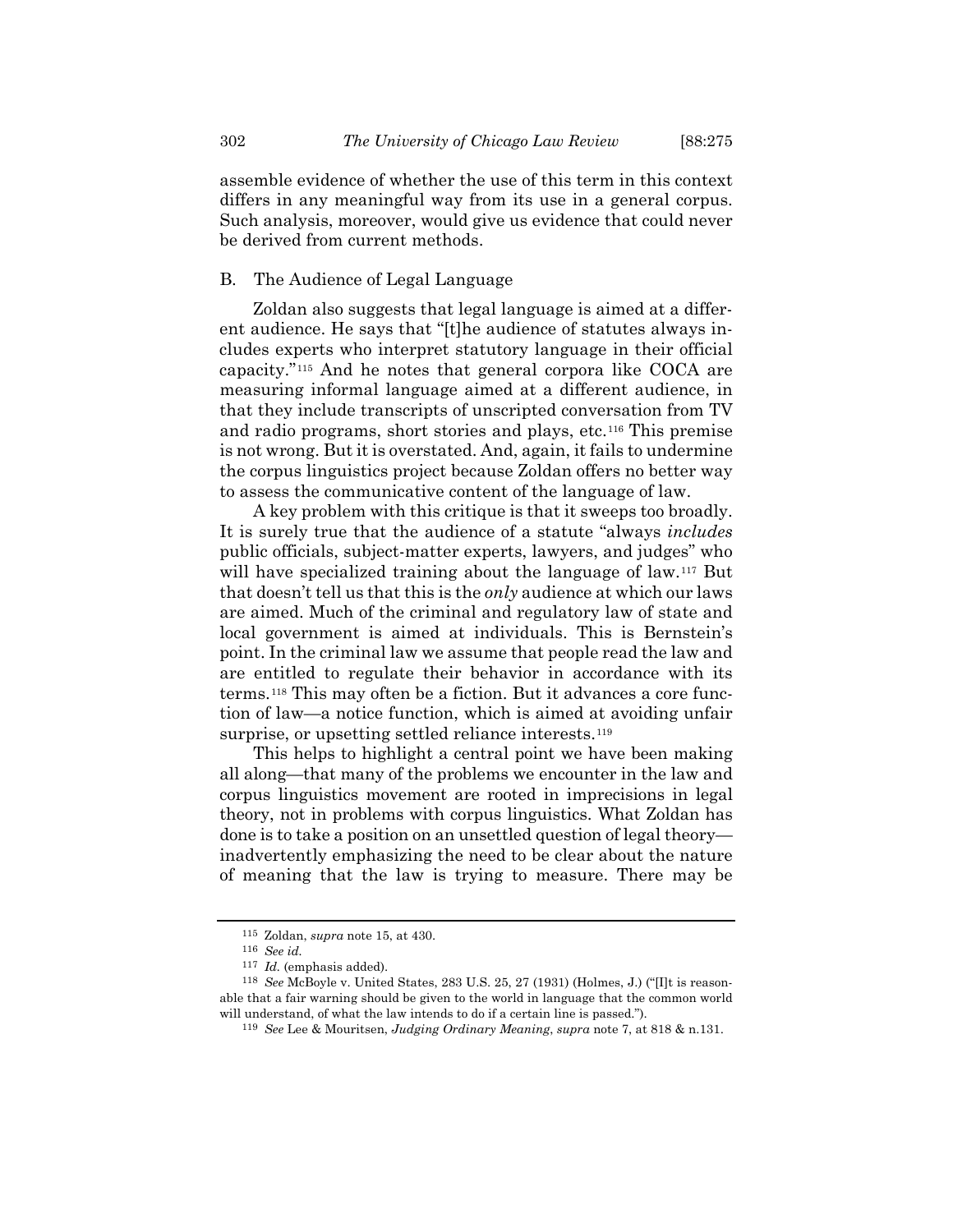assemble evidence of whether the use of this term in this context differs in any meaningful way from its use in a general corpus. Such analysis, moreover, would give us evidence that could never be derived from current methods.

# B. The Audience of Legal Language

Zoldan also suggests that legal language is aimed at a different audience. He says that "[t]he audience of statutes always includes experts who interpret statutory language in their official capacity."[115](#page-27-0) And he notes that general corpora like COCA are measuring informal language aimed at a different audience, in that they include transcripts of unscripted conversation from TV and radio programs, short stories and plays, etc.[116](#page-27-1) This premise is not wrong. But it is overstated. And, again, it fails to undermine the corpus linguistics project because Zoldan offers no better way to assess the communicative content of the language of law.

A key problem with this critique is that it sweeps too broadly. It is surely true that the audience of a statute "always *includes* public officials, subject-matter experts, lawyers, and judges" who will have specialized training about the language of law.<sup>[117](#page-27-2)</sup> But that doesn't tell us that this is the *only* audience at which our laws are aimed. Much of the criminal and regulatory law of state and local government is aimed at individuals. This is Bernstein's point. In the criminal law we assume that people read the law and are entitled to regulate their behavior in accordance with its terms.[118](#page-27-3) This may often be a fiction. But it advances a core function of law—a notice function, which is aimed at avoiding unfair surprise, or upsetting settled reliance interests.<sup>[119](#page-27-4)</sup>

This helps to highlight a central point we have been making all along—that many of the problems we encounter in the law and corpus linguistics movement are rooted in imprecisions in legal theory, not in problems with corpus linguistics. What Zoldan has done is to take a position on an unsettled question of legal theory inadvertently emphasizing the need to be clear about the nature of meaning that the law is trying to measure. There may be

<sup>115</sup> Zoldan, *supra* not[e 15,](#page-4-8) at 430.

<sup>116</sup> *See id.*

<sup>117</sup> *Id.* (emphasis added).

<span id="page-27-4"></span><span id="page-27-3"></span><span id="page-27-2"></span><span id="page-27-1"></span><span id="page-27-0"></span><sup>118</sup> *See* McBoyle v. United States, 283 U.S. 25, 27 (1931) (Holmes, J.) ("[I]t is reasonable that a fair warning should be given to the world in language that the common world will understand, of what the law intends to do if a certain line is passed.").

<sup>119</sup> *See* Lee & Mouritsen, *Judging Ordinary Meaning*, *supra* not[e 7,](#page-2-9) at 818 & n.131.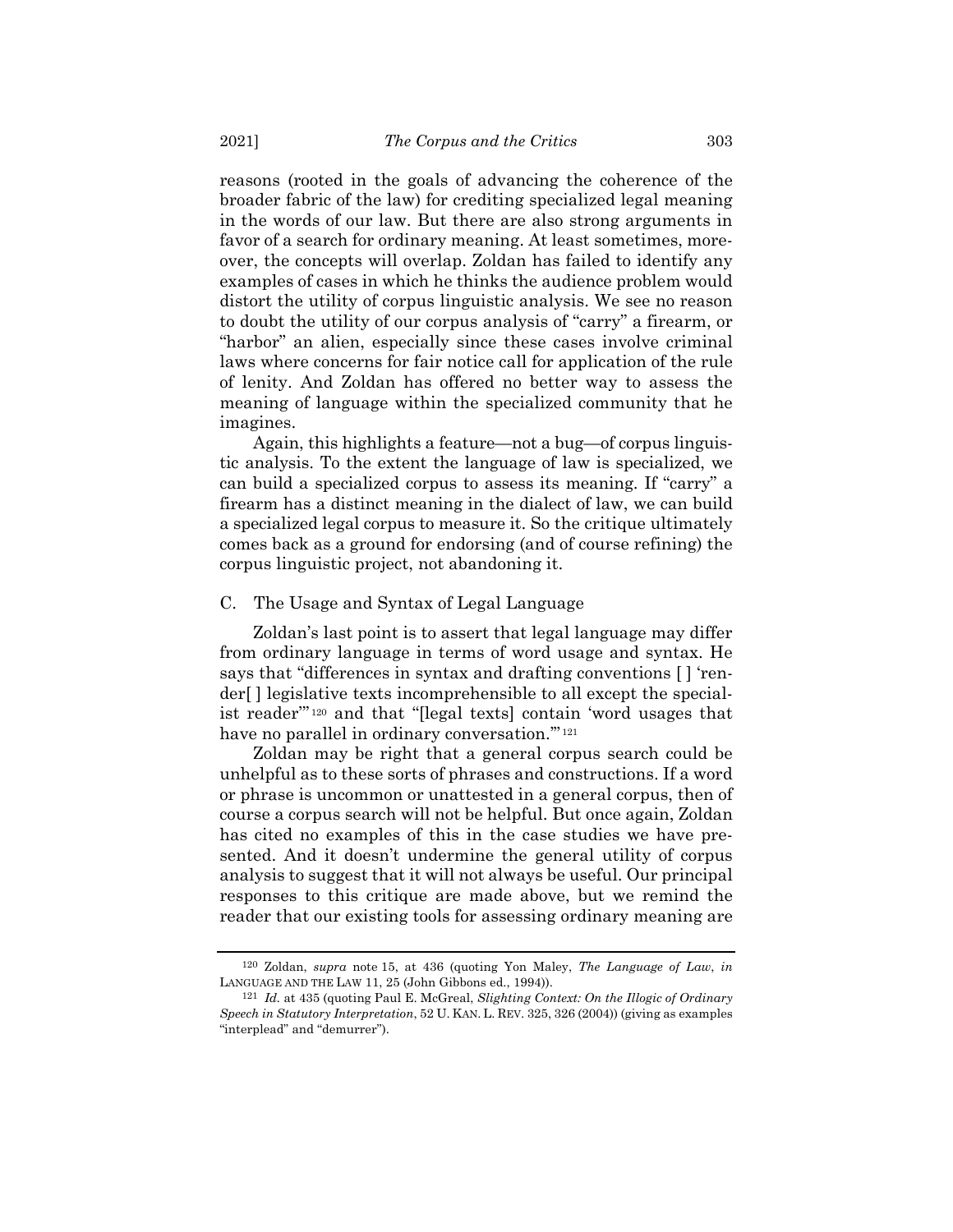reasons (rooted in the goals of advancing the coherence of the broader fabric of the law) for crediting specialized legal meaning in the words of our law. But there are also strong arguments in favor of a search for ordinary meaning. At least sometimes, moreover, the concepts will overlap. Zoldan has failed to identify any examples of cases in which he thinks the audience problem would distort the utility of corpus linguistic analysis. We see no reason to doubt the utility of our corpus analysis of "carry" a firearm, or "harbor" an alien, especially since these cases involve criminal laws where concerns for fair notice call for application of the rule of lenity. And Zoldan has offered no better way to assess the meaning of language within the specialized community that he imagines.

Again, this highlights a feature—not a bug—of corpus linguistic analysis. To the extent the language of law is specialized, we can build a specialized corpus to assess its meaning. If "carry" a firearm has a distinct meaning in the dialect of law, we can build a specialized legal corpus to measure it. So the critique ultimately comes back as a ground for endorsing (and of course refining) the corpus linguistic project, not abandoning it.

## C. The Usage and Syntax of Legal Language

Zoldan's last point is to assert that legal language may differ from ordinary language in terms of word usage and syntax. He says that "differences in syntax and drafting conventions [ ] 'render[ ] legislative texts incomprehensible to all except the specialist reader'" [120](#page-28-0) and that "[legal texts] contain 'word usages that have no parallel in ordinary conversation."<sup>[121](#page-28-1)</sup>

Zoldan may be right that a general corpus search could be unhelpful as to these sorts of phrases and constructions. If a word or phrase is uncommon or unattested in a general corpus, then of course a corpus search will not be helpful. But once again, Zoldan has cited no examples of this in the case studies we have presented. And it doesn't undermine the general utility of corpus analysis to suggest that it will not always be useful. Our principal responses to this critique are made above, but we remind the reader that our existing tools for assessing ordinary meaning are

<span id="page-28-0"></span><sup>120</sup> Zoldan, *supra* note [15,](#page-4-8) at 436 (quoting Yon Maley, *The Language of Law*, *in* LANGUAGE AND THE LAW 11, 25 (John Gibbons ed., 1994)).

<span id="page-28-1"></span><sup>121</sup> *Id.* at 435 (quoting Paul E. McGreal, *Slighting Context: On the Illogic of Ordinary Speech in Statutory Interpretation*, 52 U. KAN. L. REV. 325, 326 (2004)) (giving as examples "interplead" and "demurrer").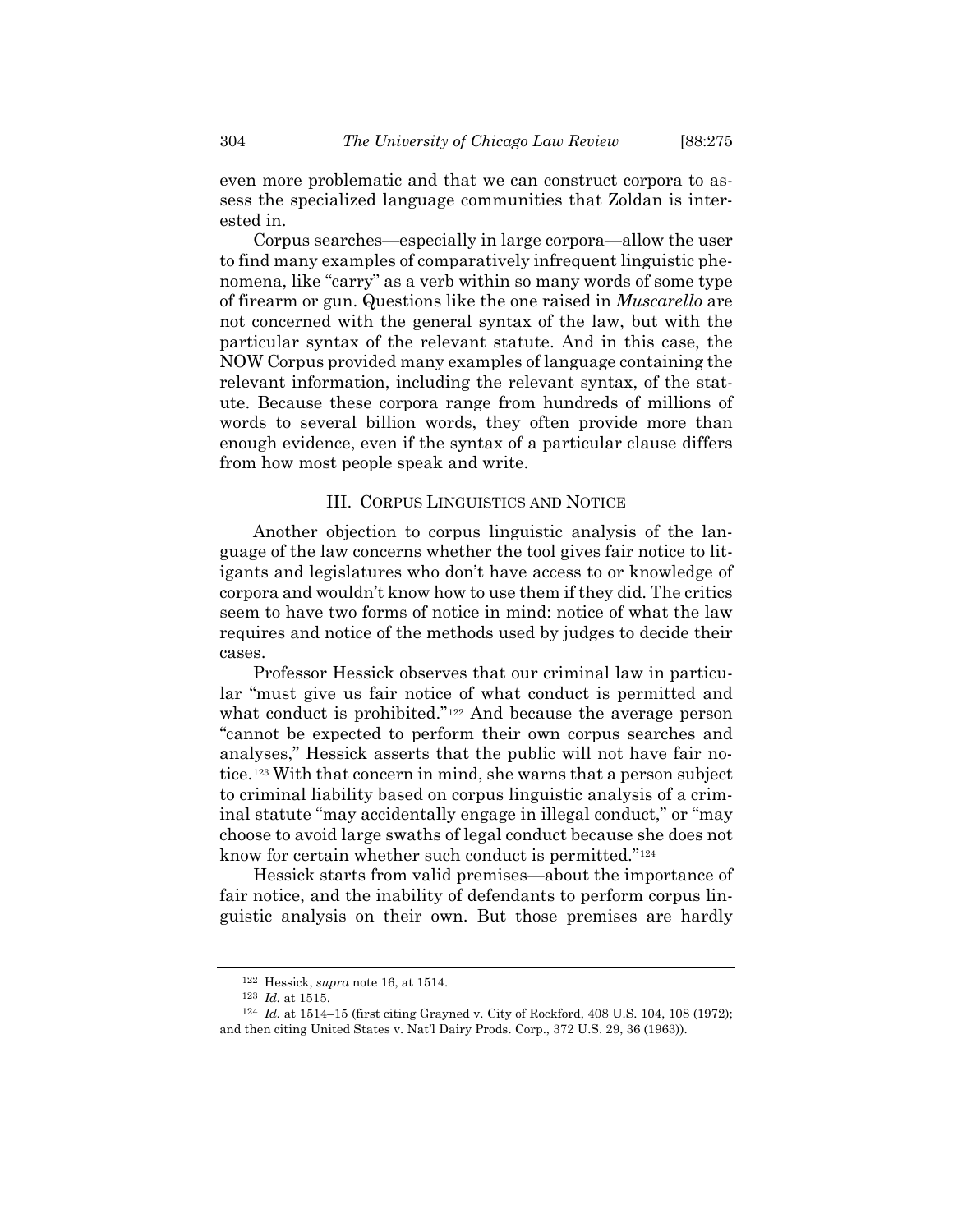even more problematic and that we can construct corpora to assess the specialized language communities that Zoldan is interested in.

Corpus searches—especially in large corpora—allow the user to find many examples of comparatively infrequent linguistic phenomena, like "carry" as a verb within so many words of some type of firearm or gun. Questions like the one raised in *Muscarello* are not concerned with the general syntax of the law, but with the particular syntax of the relevant statute. And in this case, the NOW Corpus provided many examples of language containing the relevant information, including the relevant syntax, of the statute. Because these corpora range from hundreds of millions of words to several billion words, they often provide more than enough evidence, even if the syntax of a particular clause differs from how most people speak and write.

#### III. CORPUS LINGUISTICS AND NOTICE

Another objection to corpus linguistic analysis of the language of the law concerns whether the tool gives fair notice to litigants and legislatures who don't have access to or knowledge of corpora and wouldn't know how to use them if they did. The critics seem to have two forms of notice in mind: notice of what the law requires and notice of the methods used by judges to decide their cases.

Professor Hessick observes that our criminal law in particular "must give us fair notice of what conduct is permitted and what conduct is prohibited."<sup>[122](#page-29-0)</sup> And because the average person "cannot be expected to perform their own corpus searches and analyses," Hessick asserts that the public will not have fair notice.[123](#page-29-1) With that concern in mind, she warns that a person subject to criminal liability based on corpus linguistic analysis of a criminal statute "may accidentally engage in illegal conduct," or "may choose to avoid large swaths of legal conduct because she does not know for certain whether such conduct is permitted."[124](#page-29-2)

Hessick starts from valid premises—about the importance of fair notice, and the inability of defendants to perform corpus linguistic analysis on their own. But those premises are hardly

<sup>122</sup> Hessick, *supra* note [16,](#page-4-0) at 1514.

<sup>123</sup> *Id.* at 1515.

<span id="page-29-2"></span><span id="page-29-1"></span><span id="page-29-0"></span><sup>124</sup> *Id.* at 1514–15 (first citing Grayned v. City of Rockford, 408 U.S. 104, 108 (1972); and then citing United States v. Nat'l Dairy Prods. Corp., 372 U.S. 29, 36 (1963)).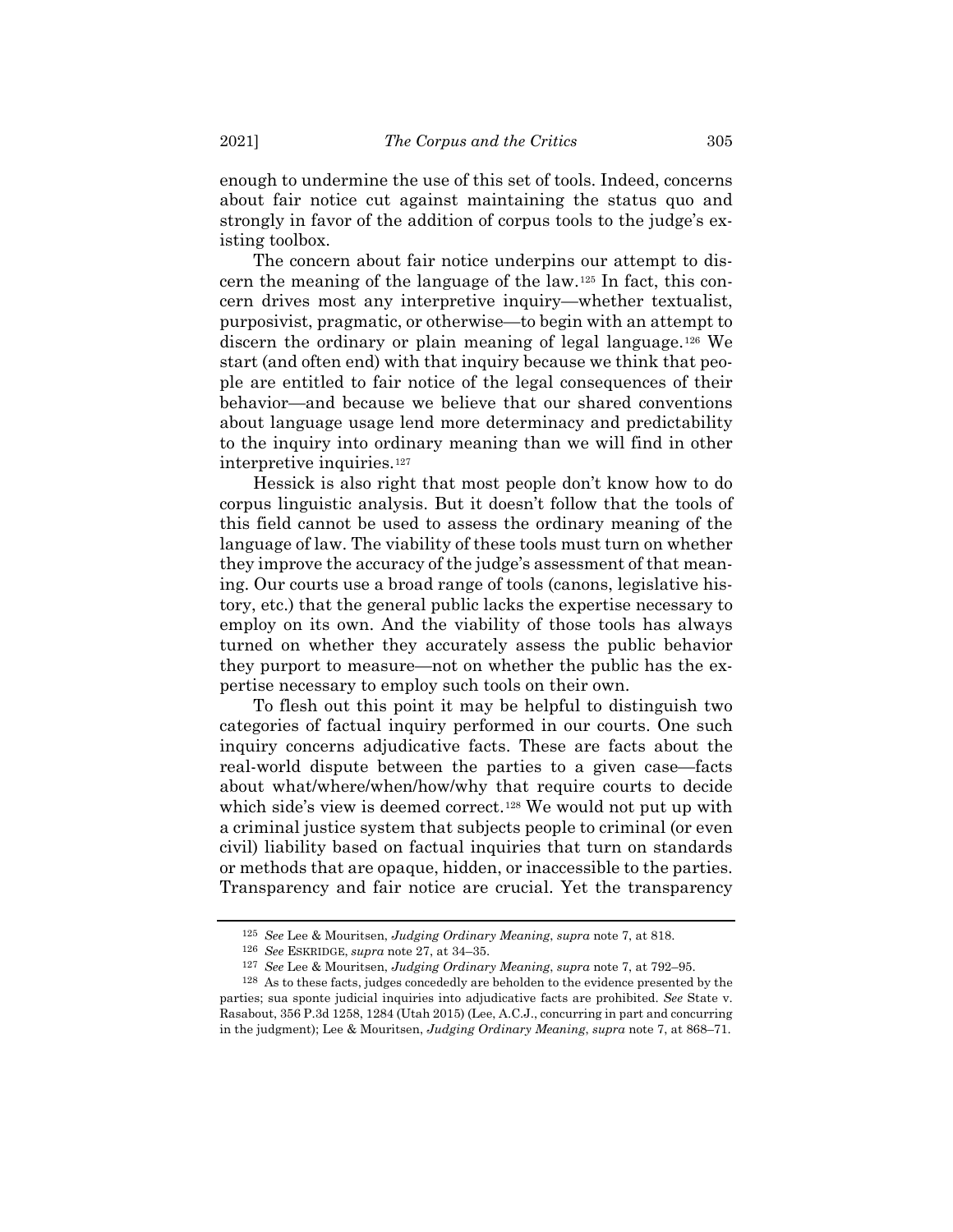enough to undermine the use of this set of tools. Indeed, concerns about fair notice cut against maintaining the status quo and strongly in favor of the addition of corpus tools to the judge's existing toolbox.

The concern about fair notice underpins our attempt to discern the meaning of the language of the law.[125](#page-30-0) In fact, this concern drives most any interpretive inquiry—whether textualist, purposivist, pragmatic, or otherwise—to begin with an attempt to discern the ordinary or plain meaning of legal language.[126](#page-30-1) We start (and often end) with that inquiry because we think that people are entitled to fair notice of the legal consequences of their behavior—and because we believe that our shared conventions about language usage lend more determinacy and predictability to the inquiry into ordinary meaning than we will find in other interpretive inquiries.[127](#page-30-2)

Hessick is also right that most people don't know how to do corpus linguistic analysis. But it doesn't follow that the tools of this field cannot be used to assess the ordinary meaning of the language of law. The viability of these tools must turn on whether they improve the accuracy of the judge's assessment of that meaning. Our courts use a broad range of tools (canons, legislative history, etc.) that the general public lacks the expertise necessary to employ on its own. And the viability of those tools has always turned on whether they accurately assess the public behavior they purport to measure—not on whether the public has the expertise necessary to employ such tools on their own.

To flesh out this point it may be helpful to distinguish two categories of factual inquiry performed in our courts. One such inquiry concerns adjudicative facts. These are facts about the real-world dispute between the parties to a given case—facts about what/where/when/how/why that require courts to decide which side's view is deemed correct.<sup>[128](#page-30-3)</sup> We would not put up with a criminal justice system that subjects people to criminal (or even civil) liability based on factual inquiries that turn on standards or methods that are opaque, hidden, or inaccessible to the parties. Transparency and fair notice are crucial. Yet the transparency

<sup>125</sup> *See* Lee & Mouritsen, *Judging Ordinary Meaning*, *supra* not[e 7,](#page-2-9) at 818.

<sup>126</sup> *See* ESKRIDGE, *supra* not[e 27,](#page-7-7) at 34–35.

<sup>127</sup> *See* Lee & Mouritsen, *Judging Ordinary Meaning*, *supra* not[e 7,](#page-2-9) at 792–95.

<span id="page-30-3"></span><span id="page-30-2"></span><span id="page-30-1"></span><span id="page-30-0"></span><sup>128</sup> As to these facts, judges concededly are beholden to the evidence presented by the parties; sua sponte judicial inquiries into adjudicative facts are prohibited. *See* State v. Rasabout, 356 P.3d 1258, 1284 (Utah 2015) (Lee, A.C.J., concurring in part and concurring in the judgment); Lee & Mouritsen, *Judging Ordinary Meaning*, *supra* not[e 7,](#page-2-9) at 868–71.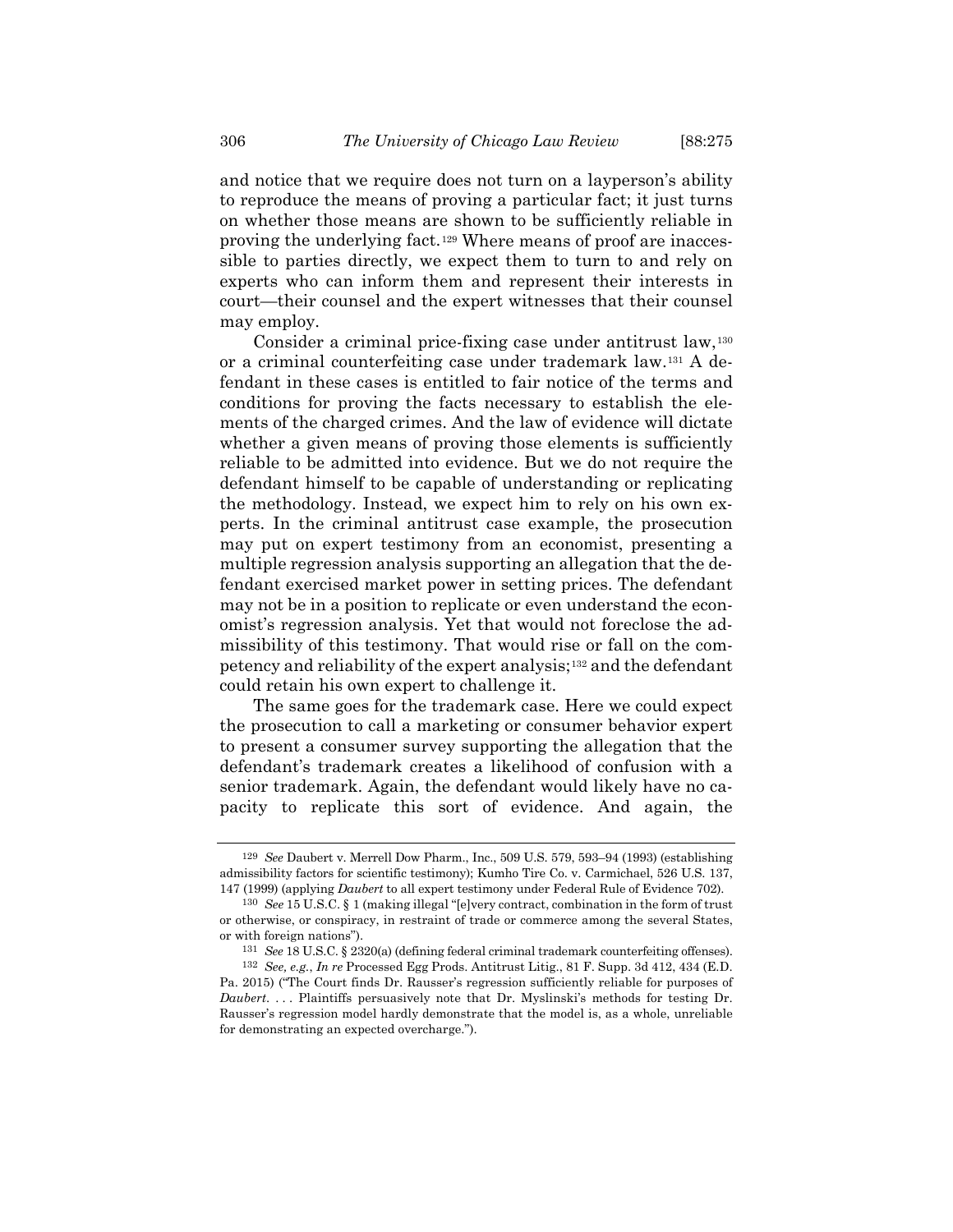and notice that we require does not turn on a layperson's ability to reproduce the means of proving a particular fact; it just turns on whether those means are shown to be sufficiently reliable in proving the underlying fact.[129](#page-31-0) Where means of proof are inaccessible to parties directly, we expect them to turn to and rely on experts who can inform them and represent their interests in court—their counsel and the expert witnesses that their counsel may employ.

Consider a criminal price-fixing case under antitrust law,[130](#page-31-1) or a criminal counterfeiting case under trademark law.[131](#page-31-2) A defendant in these cases is entitled to fair notice of the terms and conditions for proving the facts necessary to establish the elements of the charged crimes. And the law of evidence will dictate whether a given means of proving those elements is sufficiently reliable to be admitted into evidence. But we do not require the defendant himself to be capable of understanding or replicating the methodology. Instead, we expect him to rely on his own experts. In the criminal antitrust case example, the prosecution may put on expert testimony from an economist, presenting a multiple regression analysis supporting an allegation that the defendant exercised market power in setting prices. The defendant may not be in a position to replicate or even understand the economist's regression analysis. Yet that would not foreclose the admissibility of this testimony. That would rise or fall on the competency and reliability of the expert analysis;[132](#page-31-3) and the defendant could retain his own expert to challenge it.

The same goes for the trademark case. Here we could expect the prosecution to call a marketing or consumer behavior expert to present a consumer survey supporting the allegation that the defendant's trademark creates a likelihood of confusion with a senior trademark. Again, the defendant would likely have no capacity to replicate this sort of evidence. And again, the

<span id="page-31-0"></span><sup>129</sup> *See* Daubert v. Merrell Dow Pharm., Inc., 509 U.S. 579, 593–94 (1993) (establishing admissibility factors for scientific testimony); Kumho Tire Co. v. Carmichael, 526 U.S. 137, 147 (1999) (applying *Daubert* to all expert testimony under Federal Rule of Evidence 702).

<span id="page-31-1"></span><sup>130</sup> *See* 15 U.S.C. § 1 (making illegal "[e]very contract, combination in the form of trust or otherwise, or conspiracy, in restraint of trade or commerce among the several States, or with foreign nations").

<sup>131</sup> *See* 18 U.S.C. § 2320(a) (defining federal criminal trademark counterfeiting offenses).

<span id="page-31-3"></span><span id="page-31-2"></span><sup>132</sup> *See, e.g.*, *In re* Processed Egg Prods. Antitrust Litig., 81 F. Supp. 3d 412, 434 (E.D. Pa. 2015) ("The Court finds Dr. Rausser's regression sufficiently reliable for purposes of *Daubert*. . . . Plaintiffs persuasively note that Dr. Myslinski's methods for testing Dr. Rausser's regression model hardly demonstrate that the model is, as a whole, unreliable for demonstrating an expected overcharge.").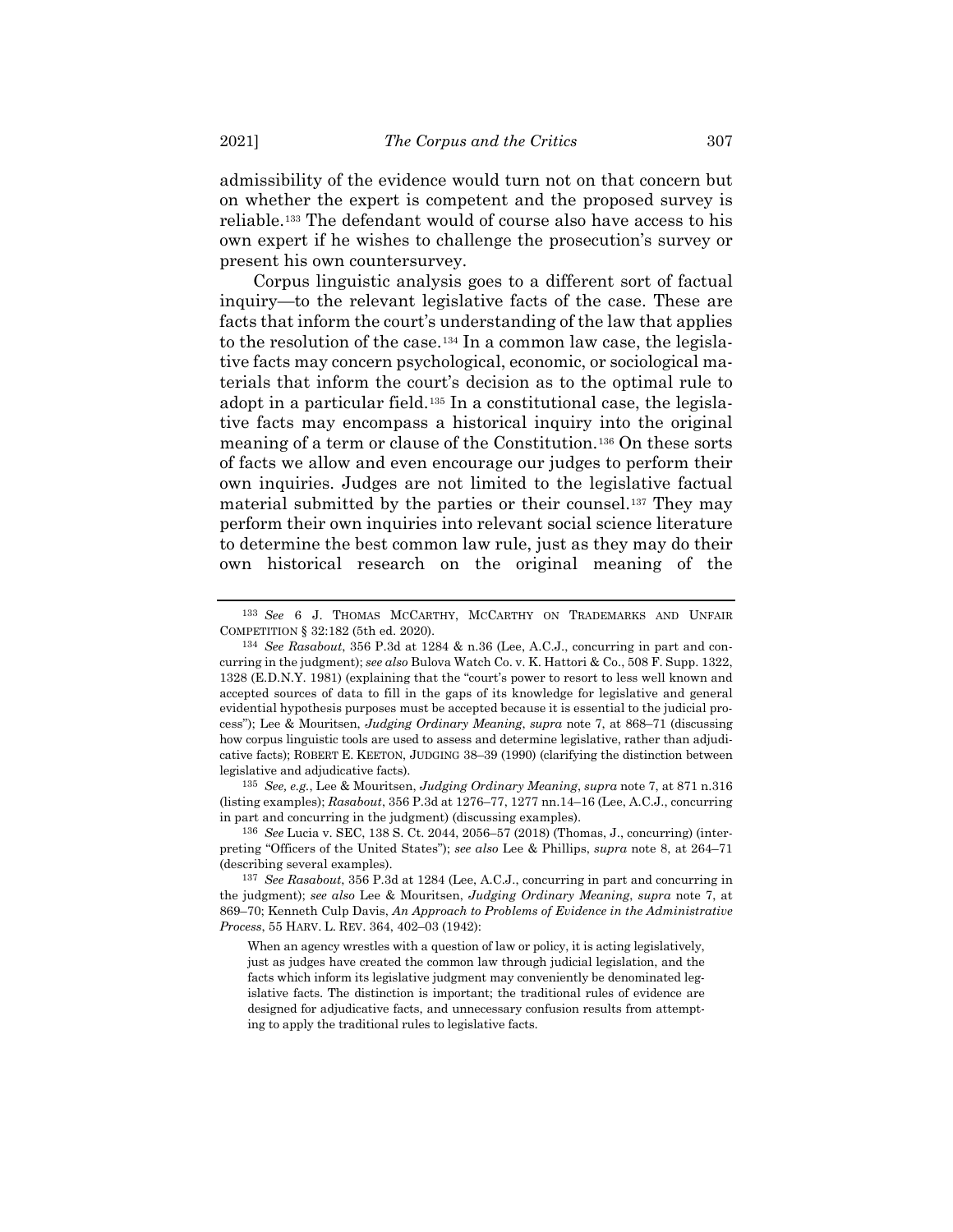admissibility of the evidence would turn not on that concern but on whether the expert is competent and the proposed survey is reliable.[133](#page-32-0) The defendant would of course also have access to his own expert if he wishes to challenge the prosecution's survey or present his own countersurvey.

Corpus linguistic analysis goes to a different sort of factual inquiry—to the relevant legislative facts of the case. These are facts that inform the court's understanding of the law that applies to the resolution of the case.[134](#page-32-1) In a common law case, the legislative facts may concern psychological, economic, or sociological materials that inform the court's decision as to the optimal rule to adopt in a particular field.[135](#page-32-2) In a constitutional case, the legislative facts may encompass a historical inquiry into the original meaning of a term or clause of the Constitution.[136](#page-32-3) On these sorts of facts we allow and even encourage our judges to perform their own inquiries. Judges are not limited to the legislative factual material submitted by the parties or their counsel[.137](#page-32-4) They may perform their own inquiries into relevant social science literature to determine the best common law rule, just as they may do their own historical research on the original meaning of the

<span id="page-32-2"></span>135 *See, e.g.*, Lee & Mouritsen, *Judging Ordinary Meaning*, *supra* not[e 7,](#page-2-9) at 871 n.316 (listing examples); *Rasabout*, 356 P.3d at 1276–77, 1277 nn.14–16 (Lee, A.C.J., concurring in part and concurring in the judgment) (discussing examples).

<span id="page-32-3"></span>136 *See* Lucia v. SEC, 138 S. Ct. 2044, 2056–57 (2018) (Thomas, J., concurring) (interpreting "Officers of the United States"); *see also* Lee & Phillips, *supra* note [8,](#page-2-11) at 264–71 (describing several examples).

<span id="page-32-0"></span><sup>133</sup> *See* 6 J. THOMAS MCCARTHY, MCCARTHY ON TRADEMARKS AND UNFAIR COMPETITION § 32:182 (5th ed. 2020).

<span id="page-32-1"></span><sup>134</sup> *See Rasabout*, 356 P.3d at 1284 & n.36 (Lee, A.C.J., concurring in part and concurring in the judgment); *see also* Bulova Watch Co. v. K. Hattori & Co., 508 F. Supp. 1322, 1328 (E.D.N.Y. 1981) (explaining that the "court's power to resort to less well known and accepted sources of data to fill in the gaps of its knowledge for legislative and general evidential hypothesis purposes must be accepted because it is essential to the judicial process"); Lee & Mouritsen, *Judging Ordinary Meaning*, *supra* note [7,](#page-2-9) at 868–71 (discussing how corpus linguistic tools are used to assess and determine legislative, rather than adjudicative facts); ROBERT E. KEETON, JUDGING 38–39 (1990) (clarifying the distinction between legislative and adjudicative facts).

<span id="page-32-4"></span><sup>137</sup> *See Rasabout*, 356 P.3d at 1284 (Lee, A.C.J., concurring in part and concurring in the judgment); *see also* Lee & Mouritsen, *Judging Ordinary Meaning*, *supra* note [7,](#page-2-9) at 869–70; Kenneth Culp Davis, *An Approach to Problems of Evidence in the Administrative Process*, 55 HARV. L. REV. 364, 402–03 (1942):

When an agency wrestles with a question of law or policy, it is acting legislatively, just as judges have created the common law through judicial legislation, and the facts which inform its legislative judgment may conveniently be denominated legislative facts. The distinction is important; the traditional rules of evidence are designed for adjudicative facts, and unnecessary confusion results from attempting to apply the traditional rules to legislative facts.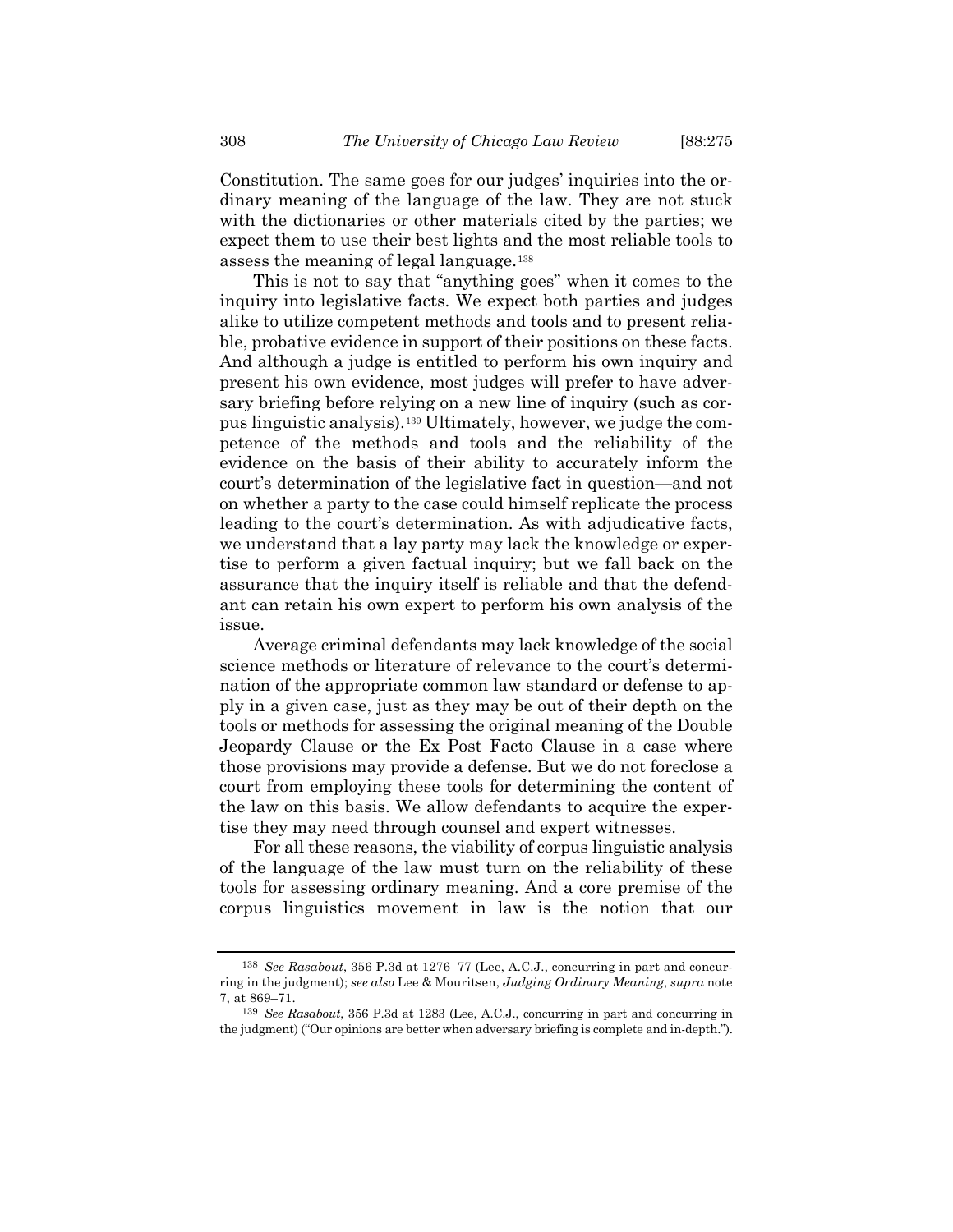Constitution. The same goes for our judges' inquiries into the ordinary meaning of the language of the law. They are not stuck with the dictionaries or other materials cited by the parties; we expect them to use their best lights and the most reliable tools to assess the meaning of legal language.[138](#page-33-0)

This is not to say that "anything goes" when it comes to the inquiry into legislative facts. We expect both parties and judges alike to utilize competent methods and tools and to present reliable, probative evidence in support of their positions on these facts. And although a judge is entitled to perform his own inquiry and present his own evidence, most judges will prefer to have adversary briefing before relying on a new line of inquiry (such as corpus linguistic analysis).[139](#page-33-1) Ultimately, however, we judge the competence of the methods and tools and the reliability of the evidence on the basis of their ability to accurately inform the court's determination of the legislative fact in question—and not on whether a party to the case could himself replicate the process leading to the court's determination. As with adjudicative facts, we understand that a lay party may lack the knowledge or expertise to perform a given factual inquiry; but we fall back on the assurance that the inquiry itself is reliable and that the defendant can retain his own expert to perform his own analysis of the issue.

Average criminal defendants may lack knowledge of the social science methods or literature of relevance to the court's determination of the appropriate common law standard or defense to apply in a given case, just as they may be out of their depth on the tools or methods for assessing the original meaning of the Double Jeopardy Clause or the Ex Post Facto Clause in a case where those provisions may provide a defense. But we do not foreclose a court from employing these tools for determining the content of the law on this basis. We allow defendants to acquire the expertise they may need through counsel and expert witnesses.

For all these reasons, the viability of corpus linguistic analysis of the language of the law must turn on the reliability of these tools for assessing ordinary meaning. And a core premise of the corpus linguistics movement in law is the notion that our

<span id="page-33-0"></span><sup>138</sup> *See Rasabout*, 356 P.3d at 1276–77 (Lee, A.C.J., concurring in part and concurring in the judgment); *see also* Lee & Mouritsen, *Judging Ordinary Meaning*, *supra* note [7,](#page-2-9) at 869–71.

<span id="page-33-1"></span><sup>139</sup> *See Rasabout*, 356 P.3d at 1283 (Lee, A.C.J., concurring in part and concurring in the judgment) ("Our opinions are better when adversary briefing is complete and in-depth.").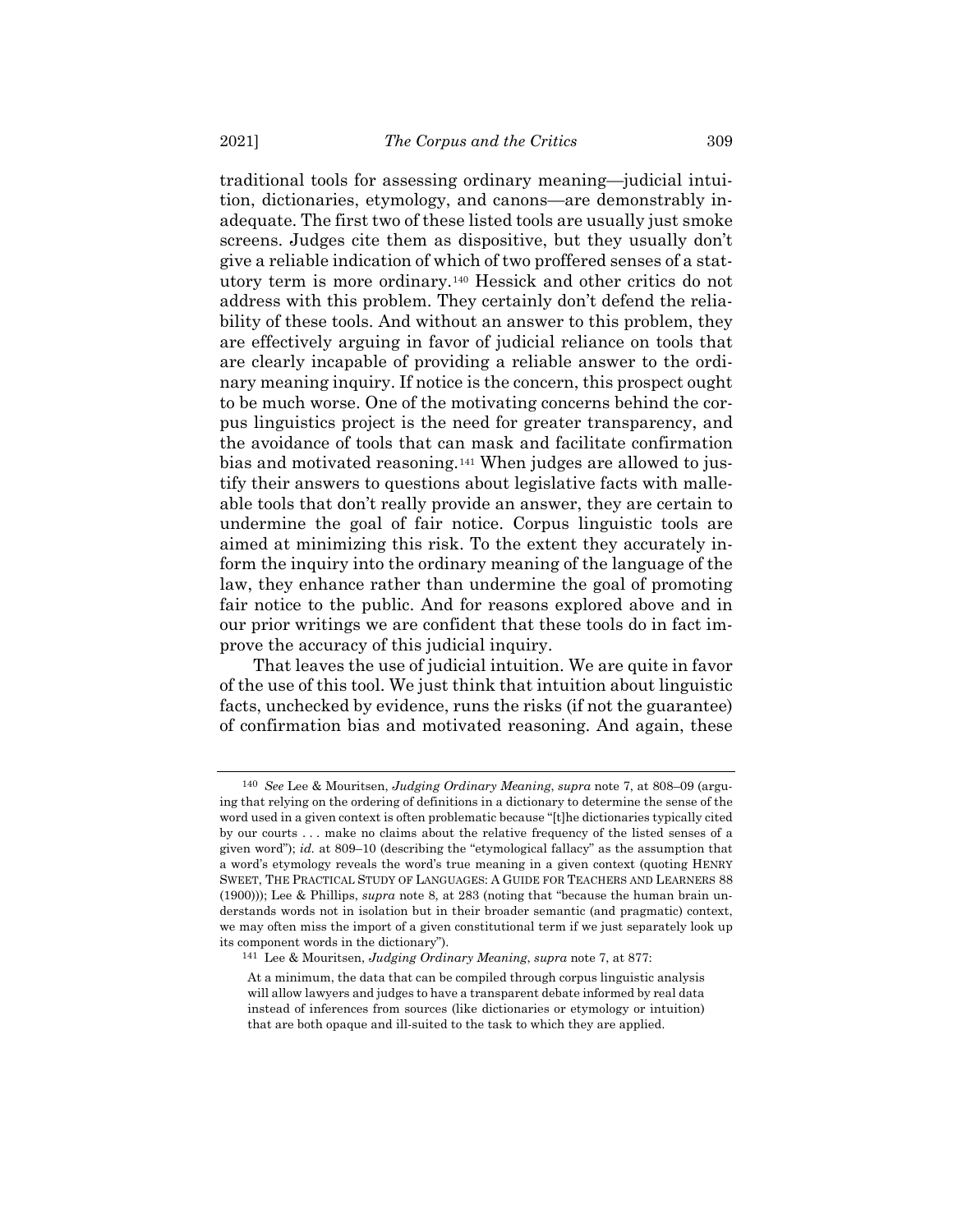traditional tools for assessing ordinary meaning—judicial intuition, dictionaries, etymology, and canons—are demonstrably inadequate. The first two of these listed tools are usually just smoke screens. Judges cite them as dispositive, but they usually don't give a reliable indication of which of two proffered senses of a statutory term is more ordinary.[140](#page-34-0) Hessick and other critics do not address with this problem. They certainly don't defend the reliability of these tools. And without an answer to this problem, they are effectively arguing in favor of judicial reliance on tools that are clearly incapable of providing a reliable answer to the ordinary meaning inquiry. If notice is the concern, this prospect ought to be much worse. One of the motivating concerns behind the corpus linguistics project is the need for greater transparency, and the avoidance of tools that can mask and facilitate confirmation bias and motivated reasoning.[141](#page-34-1) When judges are allowed to justify their answers to questions about legislative facts with malleable tools that don't really provide an answer, they are certain to undermine the goal of fair notice. Corpus linguistic tools are aimed at minimizing this risk. To the extent they accurately inform the inquiry into the ordinary meaning of the language of the law, they enhance rather than undermine the goal of promoting fair notice to the public. And for reasons explored above and in our prior writings we are confident that these tools do in fact improve the accuracy of this judicial inquiry.

That leaves the use of judicial intuition. We are quite in favor of the use of this tool. We just think that intuition about linguistic facts, unchecked by evidence, runs the risks (if not the guarantee) of confirmation bias and motivated reasoning. And again, these

<span id="page-34-0"></span><sup>140</sup> *See* Lee & Mouritsen, *Judging Ordinary Meaning*, *supra* not[e 7,](#page-2-9) at 808–09 (arguing that relying on the ordering of definitions in a dictionary to determine the sense of the word used in a given context is often problematic because "[t]he dictionaries typically cited by our courts . . . make no claims about the relative frequency of the listed senses of a given word"); *id.* at 809–10 (describing the "etymological fallacy" as the assumption that a word's etymology reveals the word's true meaning in a given context (quoting HENRY SWEET, THE PRACTICAL STUDY OF LANGUAGES: A GUIDE FOR TEACHERS AND LEARNERS 88 (1900))); Lee & Phillips, *supra* note [8,](#page-2-11) at 283 (noting that "because the human brain understands words not in isolation but in their broader semantic (and pragmatic) context, we may often miss the import of a given constitutional term if we just separately look up its component words in the dictionary").

<span id="page-34-1"></span><sup>141</sup> Lee & Mouritsen, *Judging Ordinary Meaning*, *supra* note [7,](#page-2-9) at 877:

At a minimum, the data that can be compiled through corpus linguistic analysis will allow lawyers and judges to have a transparent debate informed by real data instead of inferences from sources (like dictionaries or etymology or intuition) that are both opaque and ill-suited to the task to which they are applied.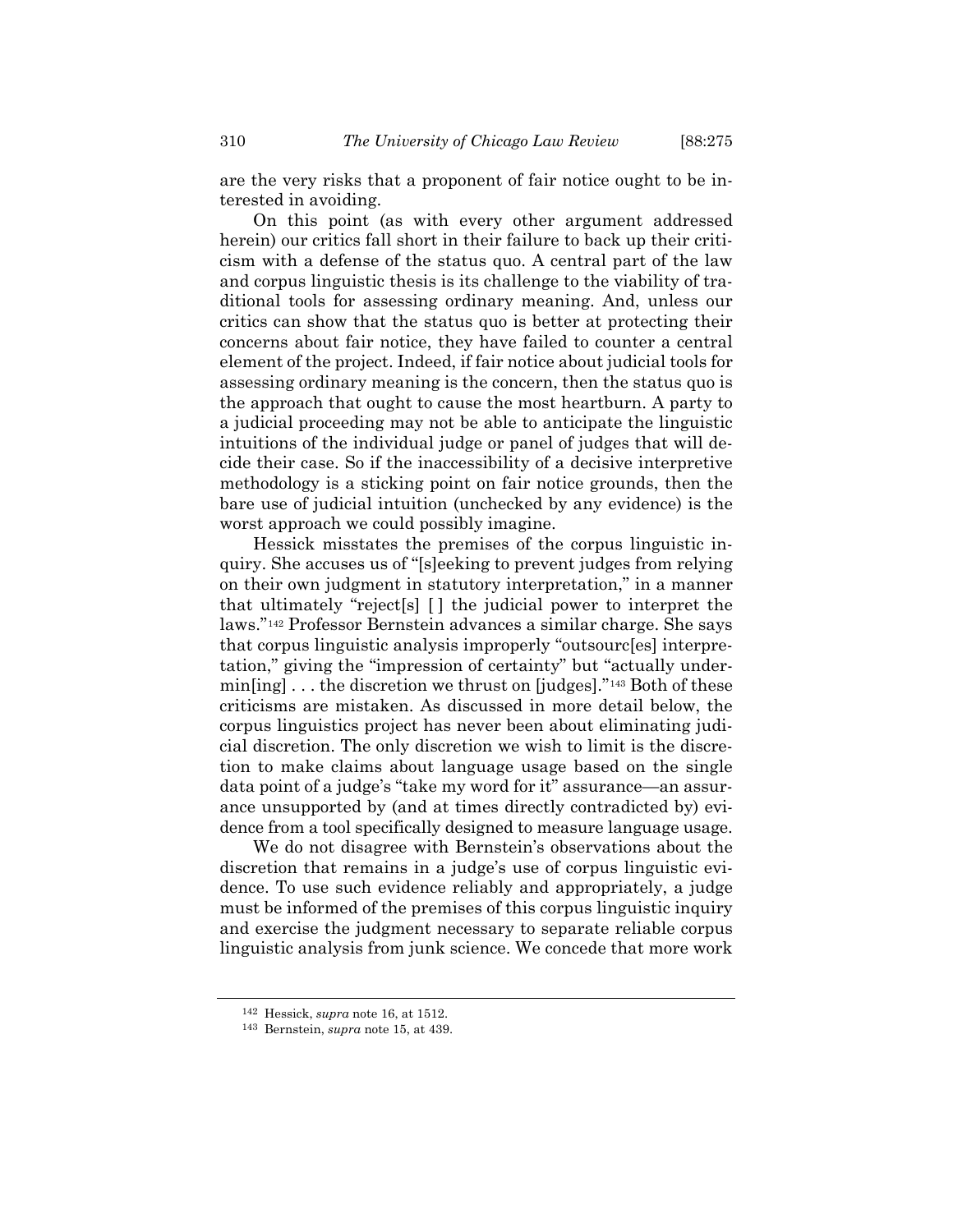are the very risks that a proponent of fair notice ought to be interested in avoiding.

On this point (as with every other argument addressed herein) our critics fall short in their failure to back up their criticism with a defense of the status quo. A central part of the law and corpus linguistic thesis is its challenge to the viability of traditional tools for assessing ordinary meaning. And, unless our critics can show that the status quo is better at protecting their concerns about fair notice, they have failed to counter a central element of the project. Indeed, if fair notice about judicial tools for assessing ordinary meaning is the concern, then the status quo is the approach that ought to cause the most heartburn. A party to a judicial proceeding may not be able to anticipate the linguistic intuitions of the individual judge or panel of judges that will decide their case. So if the inaccessibility of a decisive interpretive methodology is a sticking point on fair notice grounds, then the bare use of judicial intuition (unchecked by any evidence) is the worst approach we could possibly imagine.

Hessick misstates the premises of the corpus linguistic inquiry. She accuses us of "[s]eeking to prevent judges from relying on their own judgment in statutory interpretation," in a manner that ultimately "reject[s] [ ] the judicial power to interpret the laws."[142](#page-35-0) Professor Bernstein advances a similar charge. She says that corpus linguistic analysis improperly "outsourc[es] interpretation," giving the "impression of certainty" but "actually undermin[ing] . . . the discretion we thrust on [judges]."[143](#page-35-1) Both of these criticisms are mistaken. As discussed in more detail below, the corpus linguistics project has never been about eliminating judicial discretion. The only discretion we wish to limit is the discretion to make claims about language usage based on the single data point of a judge's "take my word for it" assurance—an assurance unsupported by (and at times directly contradicted by) evidence from a tool specifically designed to measure language usage.

We do not disagree with Bernstein's observations about the discretion that remains in a judge's use of corpus linguistic evidence. To use such evidence reliably and appropriately, a judge must be informed of the premises of this corpus linguistic inquiry and exercise the judgment necessary to separate reliable corpus linguistic analysis from junk science. We concede that more work

<sup>142</sup> Hessick, *supra* note [16,](#page-4-0) at 1512.

<span id="page-35-1"></span><span id="page-35-0"></span><sup>143</sup> Bernstein, *supra* not[e 15,](#page-4-8) at 439.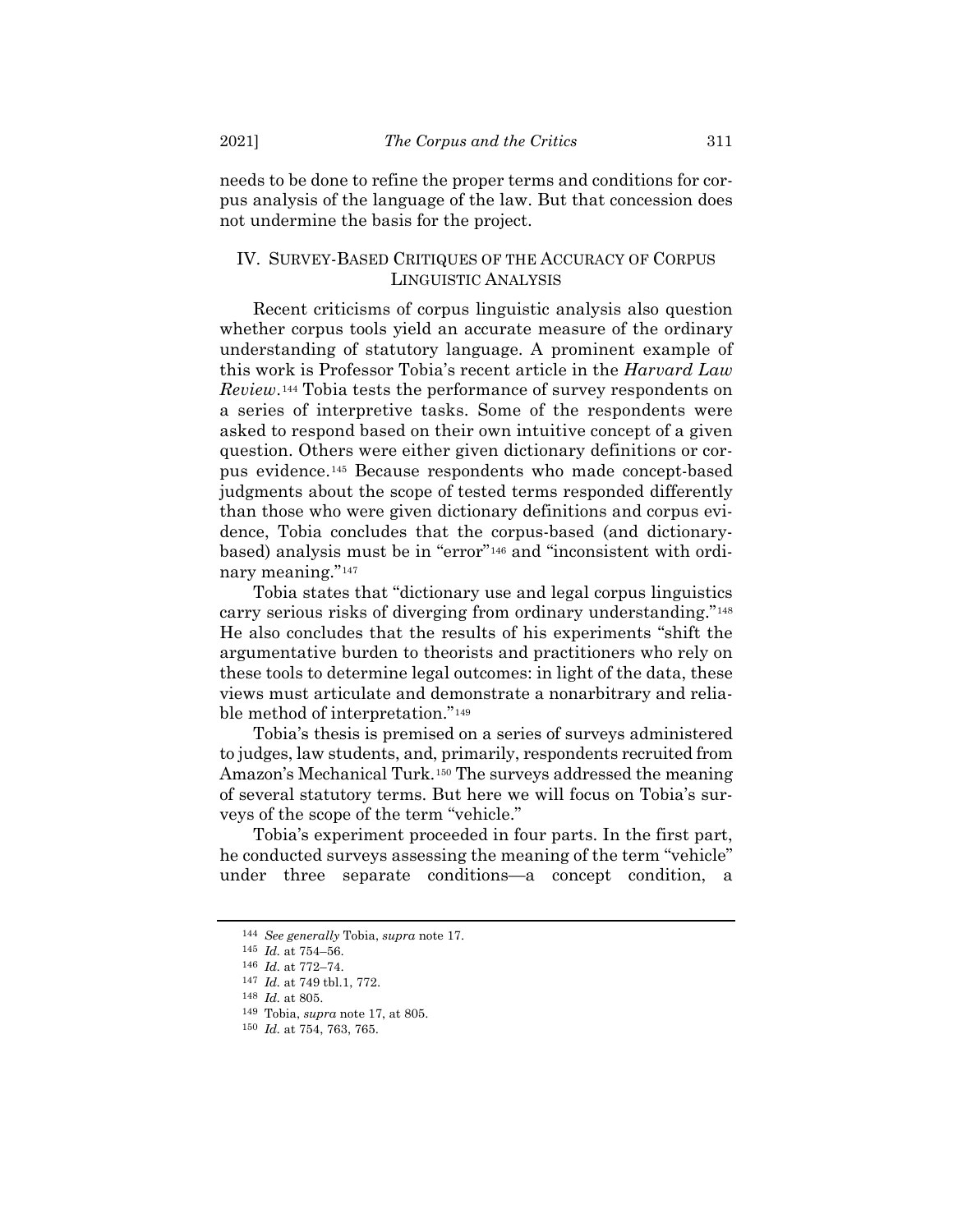needs to be done to refine the proper terms and conditions for corpus analysis of the language of the law. But that concession does not undermine the basis for the project.

## IV. SURVEY-BASED CRITIQUES OF THE ACCURACY OF CORPUS LINGUISTIC ANALYSIS

Recent criticisms of corpus linguistic analysis also question whether corpus tools yield an accurate measure of the ordinary understanding of statutory language. A prominent example of this work is Professor Tobia's recent article in the *Harvard Law Review*.[144](#page-36-0) Tobia tests the performance of survey respondents on a series of interpretive tasks. Some of the respondents were asked to respond based on their own intuitive concept of a given question. Others were either given dictionary definitions or corpus evidence.[145](#page-36-1) Because respondents who made concept-based judgments about the scope of tested terms responded differently than those who were given dictionary definitions and corpus evidence, Tobia concludes that the corpus-based (and dictionarybased) analysis must be in "error"[146](#page-36-2) and "inconsistent with ordinary meaning."[147](#page-36-3)

Tobia states that "dictionary use and legal corpus linguistics carry serious risks of diverging from ordinary understanding."[148](#page-36-4) He also concludes that the results of his experiments "shift the argumentative burden to theorists and practitioners who rely on these tools to determine legal outcomes: in light of the data, these views must articulate and demonstrate a nonarbitrary and reliable method of interpretation."[149](#page-36-5)

Tobia's thesis is premised on a series of surveys administered to judges, law students, and, primarily, respondents recruited from Amazon's Mechanical Turk.[150](#page-36-6) The surveys addressed the meaning of several statutory terms. But here we will focus on Tobia's surveys of the scope of the term "vehicle."

<span id="page-36-0"></span>Tobia's experiment proceeded in four parts. In the first part, he conducted surveys assessing the meaning of the term "vehicle" under three separate conditions—a concept condition, a

<sup>144</sup> *See generally* Tobia, *supra* not[e 17.](#page-4-0)

<span id="page-36-1"></span><sup>145</sup> *Id.* at 754–56.

<sup>146</sup> *Id.* at 772–74.

<span id="page-36-4"></span><span id="page-36-3"></span><span id="page-36-2"></span><sup>147</sup> *Id.* at 749 tbl.1, 772.

<sup>148</sup> *Id.* at 805.

<span id="page-36-5"></span><sup>149</sup> Tobia, *supra* not[e 17,](#page-4-0) at 805.

<span id="page-36-6"></span><sup>150</sup> *Id.* at 754, 763, 765.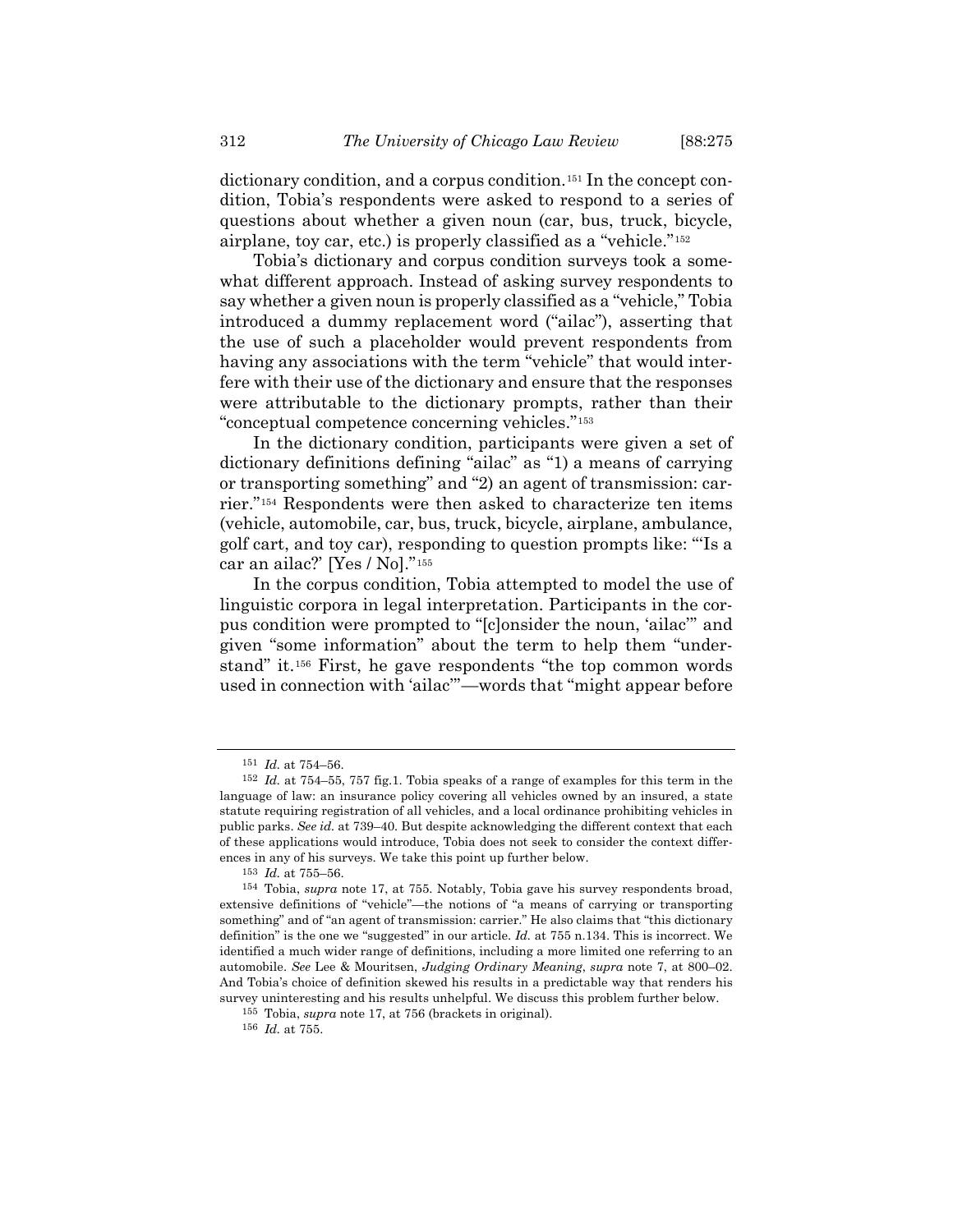dictionary condition, and a corpus condition.[151](#page-37-0) In the concept condition, Tobia's respondents were asked to respond to a series of questions about whether a given noun (car, bus, truck, bicycle, airplane, toy car, etc.) is properly classified as a "vehicle."[152](#page-37-1)

Tobia's dictionary and corpus condition surveys took a somewhat different approach. Instead of asking survey respondents to say whether a given noun is properly classified as a "vehicle," Tobia introduced a dummy replacement word ("ailac"), asserting that the use of such a placeholder would prevent respondents from having any associations with the term "vehicle" that would interfere with their use of the dictionary and ensure that the responses were attributable to the dictionary prompts, rather than their "conceptual competence concerning vehicles."[153](#page-37-2)

In the dictionary condition, participants were given a set of dictionary definitions defining "ailac" as "1) a means of carrying or transporting something" and "2) an agent of transmission: carrier."[154](#page-37-3) Respondents were then asked to characterize ten items (vehicle, automobile, car, bus, truck, bicycle, airplane, ambulance, golf cart, and toy car), responding to question prompts like: "'Is a car an ailac?' [Yes / No]."[155](#page-37-4)

In the corpus condition, Tobia attempted to model the use of linguistic corpora in legal interpretation. Participants in the corpus condition were prompted to "[c]onsider the noun, 'ailac'" and given "some information" about the term to help them "understand" it.[156](#page-37-5) First, he gave respondents "the top common words used in connection with 'ailac'"—words that "might appear before

<sup>151</sup> *Id.* at 754–56.

<span id="page-37-1"></span><span id="page-37-0"></span><sup>152</sup> *Id.* at 754–55, 757 fig.1. Tobia speaks of a range of examples for this term in the language of law: an insurance policy covering all vehicles owned by an insured, a state statute requiring registration of all vehicles, and a local ordinance prohibiting vehicles in public parks. *See id.* at 739–40. But despite acknowledging the different context that each of these applications would introduce, Tobia does not seek to consider the context differences in any of his surveys. We take this point up further below.

<sup>153</sup> *Id.* at 755–56.

<span id="page-37-3"></span><span id="page-37-2"></span><sup>154</sup> Tobia, *supra* note [17,](#page-4-0) at 755. Notably, Tobia gave his survey respondents broad, extensive definitions of "vehicle"—the notions of "a means of carrying or transporting something" and of "an agent of transmission: carrier." He also claims that "this dictionary definition" is the one we "suggested" in our article. *Id.* at 755 n.134. This is incorrect. We identified a much wider range of definitions, including a more limited one referring to an automobile. *See* Lee & Mouritsen, *Judging Ordinary Meaning*, *supra* note [7,](#page-2-0) at 800–02. And Tobia's choice of definition skewed his results in a predictable way that renders his survey uninteresting and his results unhelpful. We discuss this problem further below.

<span id="page-37-4"></span><sup>155</sup> Tobia, *supra* not[e 17,](#page-4-0) at 756 (brackets in original).

<span id="page-37-5"></span><sup>156</sup> *Id.* at 755.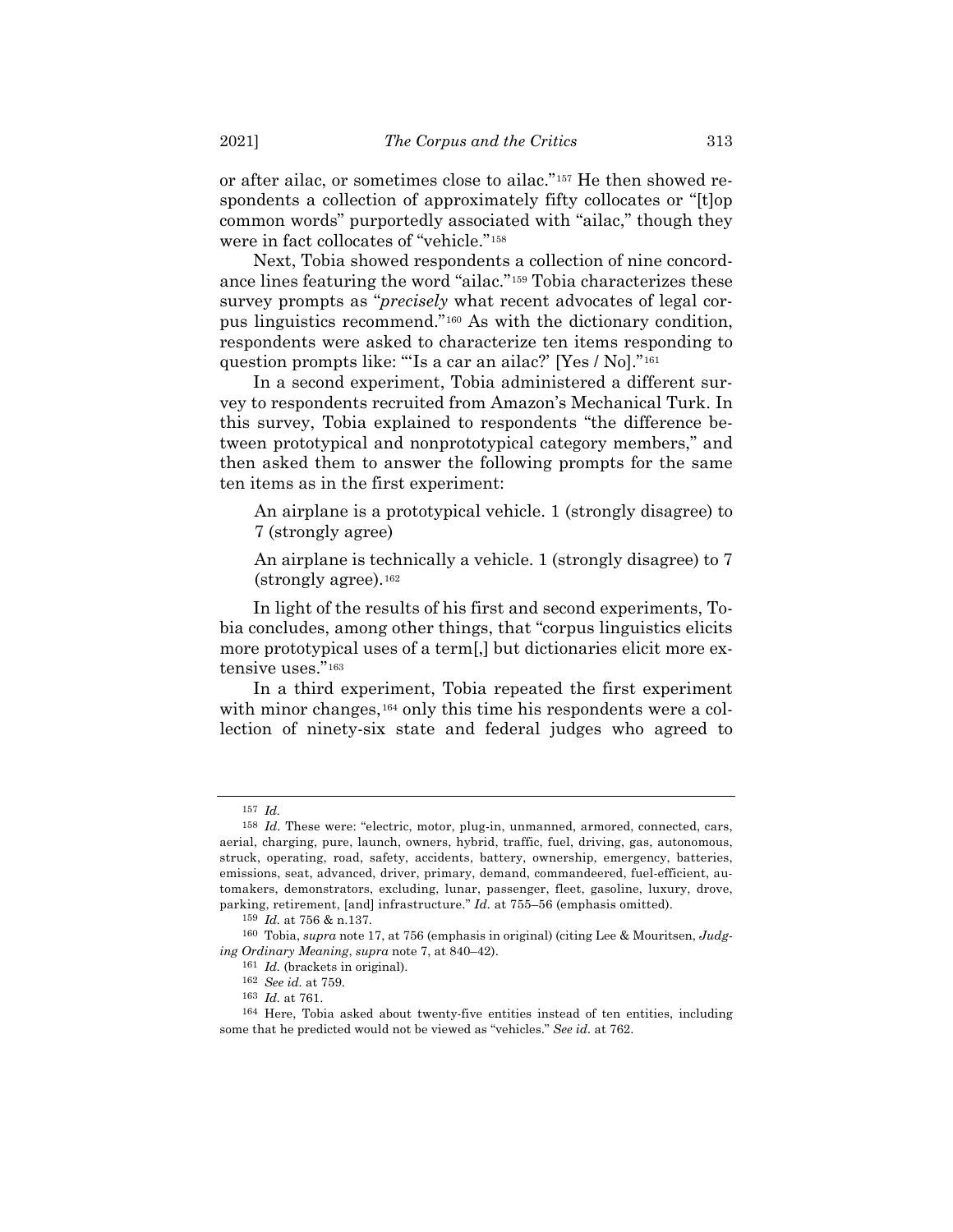or after ailac, or sometimes close to ailac."[157](#page-38-0) He then showed respondents a collection of approximately fifty collocates or "[t]op common words" purportedly associated with "ailac," though they were in fact collocates of "vehicle."[158](#page-38-1)

Next, Tobia showed respondents a collection of nine concordance lines featuring the word "ailac."[159](#page-38-2) Tobia characterizes these survey prompts as "*precisely* what recent advocates of legal corpus linguistics recommend."[160](#page-38-3) As with the dictionary condition, respondents were asked to characterize ten items responding to question prompts like: "'Is a car an ailac?' [Yes / No]."[161](#page-38-4)

In a second experiment, Tobia administered a different survey to respondents recruited from Amazon's Mechanical Turk. In this survey, Tobia explained to respondents "the difference between prototypical and nonprototypical category members," and then asked them to answer the following prompts for the same ten items as in the first experiment:

An airplane is a prototypical vehicle. 1 (strongly disagree) to 7 (strongly agree)

An airplane is technically a vehicle. 1 (strongly disagree) to 7 (strongly agree).[162](#page-38-5)

In light of the results of his first and second experiments, Tobia concludes, among other things, that "corpus linguistics elicits more prototypical uses of a term[,] but dictionaries elicit more extensive uses."[163](#page-38-6)

In a third experiment, Tobia repeated the first experiment with minor changes,<sup>[164](#page-38-7)</sup> only this time his respondents were a collection of ninety-six state and federal judges who agreed to

<sup>157</sup> *Id.*

<span id="page-38-1"></span><span id="page-38-0"></span><sup>158</sup> *Id.* These were: "electric, motor, plug-in, unmanned, armored, connected, cars, aerial, charging, pure, launch, owners, hybrid, traffic, fuel, driving, gas, autonomous, struck, operating, road, safety, accidents, battery, ownership, emergency, batteries, emissions, seat, advanced, driver, primary, demand, commandeered, fuel-efficient, automakers, demonstrators, excluding, lunar, passenger, fleet, gasoline, luxury, drove, parking, retirement, [and] infrastructure." *Id.* at 755–56 (emphasis omitted).

<sup>159</sup> *Id.* at 756 & n.137.

<span id="page-38-4"></span><span id="page-38-3"></span><span id="page-38-2"></span><sup>160</sup> Tobia, *supra* not[e 17,](#page-4-0) at 756 (emphasis in original) (citing Lee & Mouritsen, *Judging Ordinary Meaning*, *supra* not[e 7,](#page-2-0) at 840–42).

<sup>161</sup> *Id.* (brackets in original).

<sup>162</sup> *See id.* at 759.

<sup>163</sup> *Id.* at 761.

<span id="page-38-7"></span><span id="page-38-6"></span><span id="page-38-5"></span><sup>164</sup> Here, Tobia asked about twenty-five entities instead of ten entities, including some that he predicted would not be viewed as "vehicles." *See id.* at 762.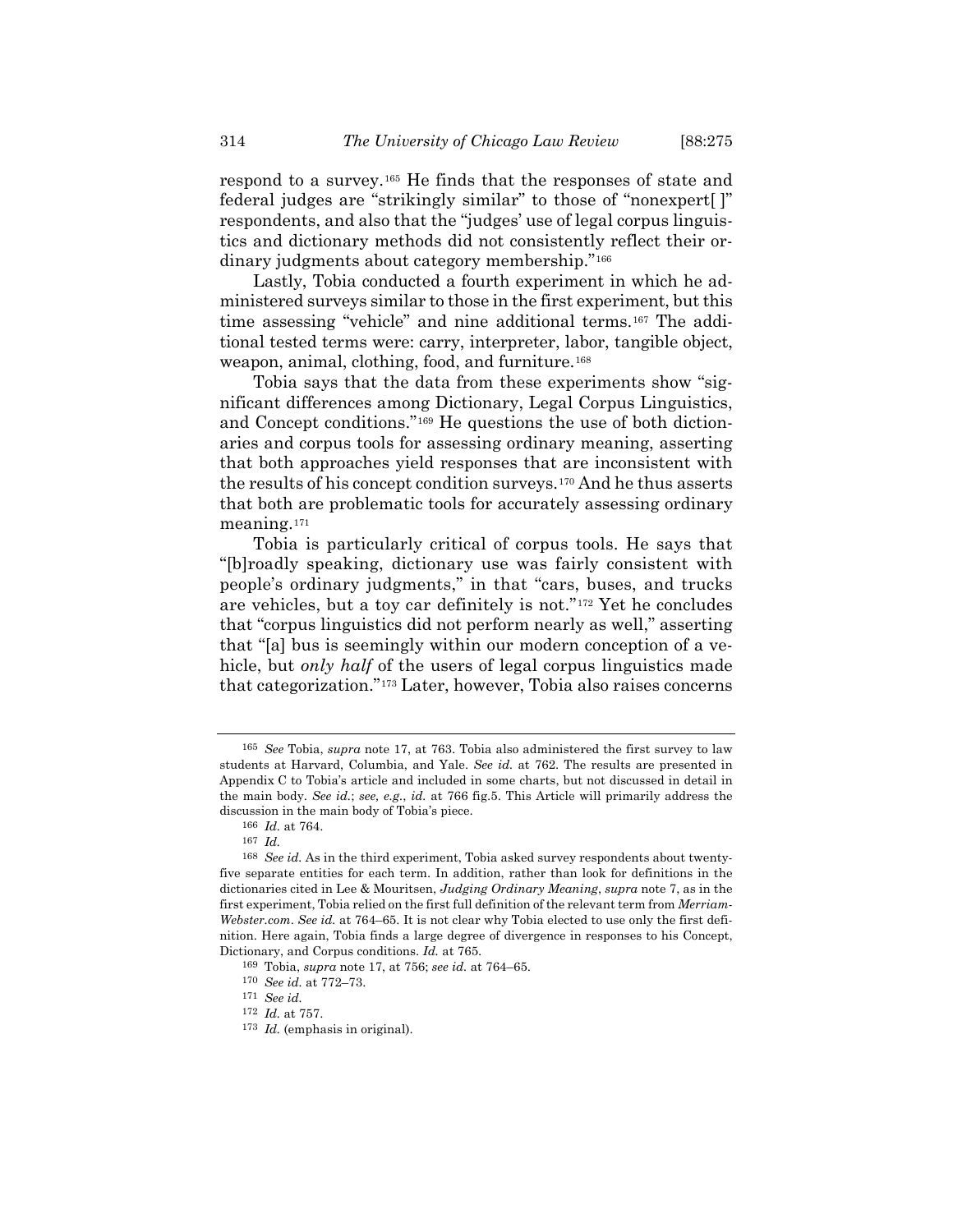respond to a survey.[165](#page-39-0) He finds that the responses of state and federal judges are "strikingly similar" to those of "nonexpert[ ]" respondents, and also that the "judges' use of legal corpus linguistics and dictionary methods did not consistently reflect their ordinary judgments about category membership."[166](#page-39-1)

Lastly, Tobia conducted a fourth experiment in which he administered surveys similar to those in the first experiment, but this time assessing "vehicle" and nine additional terms.[167](#page-39-2) The additional tested terms were: carry, interpreter, labor, tangible object, weapon, animal, clothing, food, and furniture.[168](#page-39-3)

Tobia says that the data from these experiments show "significant differences among Dictionary, Legal Corpus Linguistics, and Concept conditions."[169](#page-39-4) He questions the use of both dictionaries and corpus tools for assessing ordinary meaning, asserting that both approaches yield responses that are inconsistent with the results of his concept condition surveys.[170](#page-39-5) And he thus asserts that both are problematic tools for accurately assessing ordinary meaning.[171](#page-39-6)

Tobia is particularly critical of corpus tools. He says that "[b]roadly speaking, dictionary use was fairly consistent with people's ordinary judgments," in that "cars, buses, and trucks are vehicles, but a toy car definitely is not."[172](#page-39-7) Yet he concludes that "corpus linguistics did not perform nearly as well," asserting that "[a] bus is seemingly within our modern conception of a vehicle, but *only half* of the users of legal corpus linguistics made that categorization."[173](#page-39-8) Later, however, Tobia also raises concerns

<span id="page-39-0"></span><sup>165</sup> *See* Tobia, *supra* note [17,](#page-4-0) at 763. Tobia also administered the first survey to law students at Harvard, Columbia, and Yale. *See id.* at 762. The results are presented in Appendix C to Tobia's article and included in some charts, but not discussed in detail in the main body. *See id.*; *see, e.g.*, *id.* at 766 fig.5. This Article will primarily address the discussion in the main body of Tobia's piece.

<sup>166</sup> *Id.* at 764.

<sup>167</sup> *Id.*

<span id="page-39-3"></span><span id="page-39-2"></span><span id="page-39-1"></span><sup>168</sup> *See id.* As in the third experiment, Tobia asked survey respondents about twentyfive separate entities for each term. In addition, rather than look for definitions in the dictionaries cited in Lee & Mouritsen, *Judging Ordinary Meaning*, *supra* not[e 7,](#page-2-0) as in the first experiment, Tobia relied on the first full definition of the relevant term from *Merriam-Webster.com*. *See id.* at 764–65. It is not clear why Tobia elected to use only the first definition. Here again, Tobia finds a large degree of divergence in responses to his Concept, Dictionary, and Corpus conditions. *Id.* at 765.

<span id="page-39-4"></span><sup>169</sup> Tobia, *supra* not[e 17,](#page-4-0) at 756; *see id.* at 764–65.

<span id="page-39-5"></span><sup>170</sup> *See id.* at 772–73.

<span id="page-39-6"></span><sup>171</sup> *See id.*

<span id="page-39-7"></span><sup>172</sup> *Id.* at 757.

<span id="page-39-8"></span><sup>173</sup> *Id.* (emphasis in original).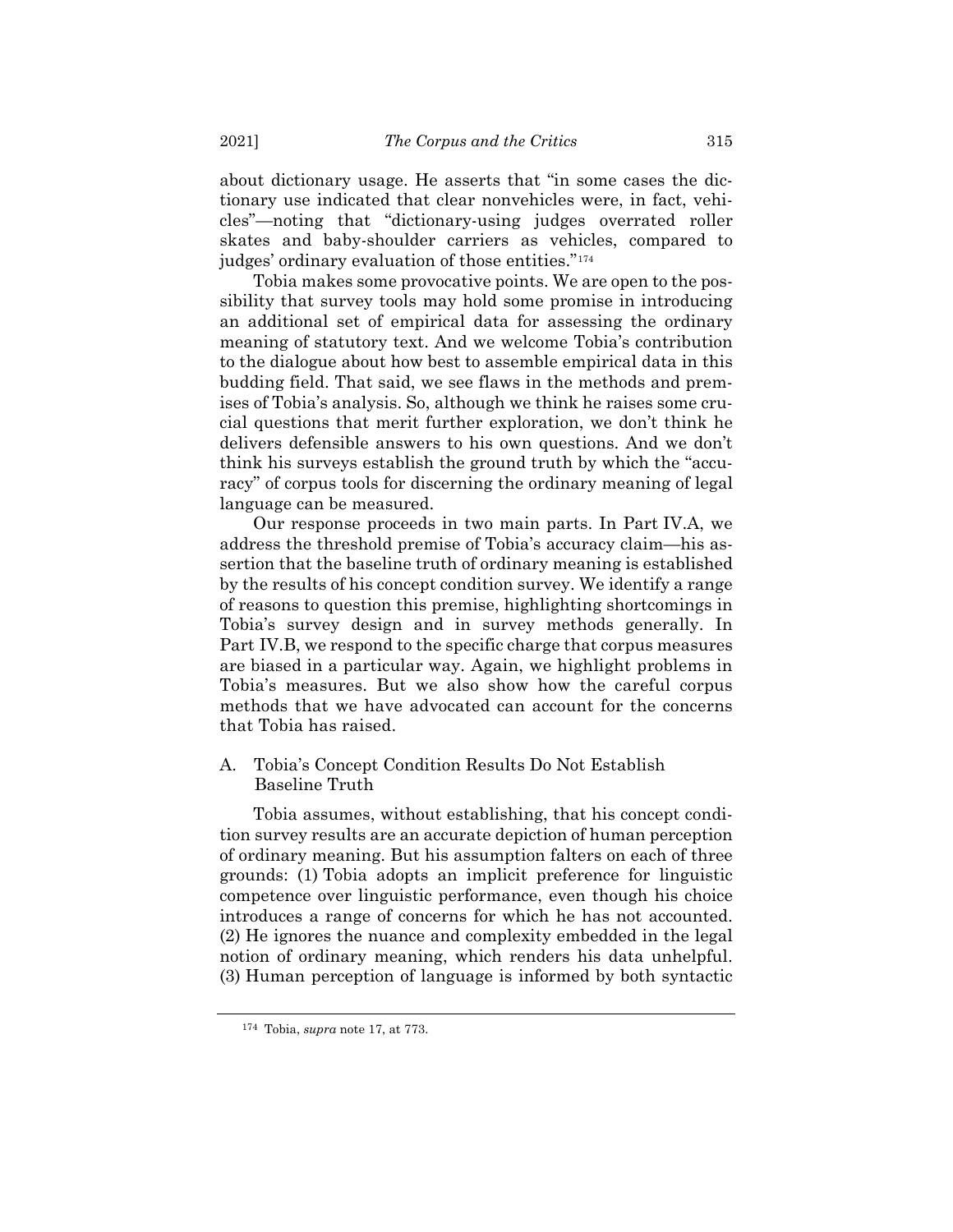about dictionary usage. He asserts that "in some cases the dictionary use indicated that clear nonvehicles were, in fact, vehicles"—noting that "dictionary-using judges overrated roller skates and baby-shoulder carriers as vehicles, compared to judges' ordinary evaluation of those entities."[174](#page-40-0)

Tobia makes some provocative points. We are open to the possibility that survey tools may hold some promise in introducing an additional set of empirical data for assessing the ordinary meaning of statutory text. And we welcome Tobia's contribution to the dialogue about how best to assemble empirical data in this budding field. That said, we see flaws in the methods and premises of Tobia's analysis. So, although we think he raises some crucial questions that merit further exploration, we don't think he delivers defensible answers to his own questions. And we don't think his surveys establish the ground truth by which the "accuracy" of corpus tools for discerning the ordinary meaning of legal language can be measured.

Our response proceeds in two main parts. In Part IV.A, we address the threshold premise of Tobia's accuracy claim—his assertion that the baseline truth of ordinary meaning is established by the results of his concept condition survey. We identify a range of reasons to question this premise, highlighting shortcomings in Tobia's survey design and in survey methods generally. In Part IV.B, we respond to the specific charge that corpus measures are biased in a particular way. Again, we highlight problems in Tobia's measures. But we also show how the careful corpus methods that we have advocated can account for the concerns that Tobia has raised.

A. Tobia's Concept Condition Results Do Not Establish Baseline Truth

Tobia assumes, without establishing, that his concept condition survey results are an accurate depiction of human perception of ordinary meaning. But his assumption falters on each of three grounds: (1) Tobia adopts an implicit preference for linguistic competence over linguistic performance, even though his choice introduces a range of concerns for which he has not accounted. (2) He ignores the nuance and complexity embedded in the legal notion of ordinary meaning, which renders his data unhelpful. (3) Human perception of language is informed by both syntactic

<span id="page-40-0"></span><sup>174</sup> Tobia, *supra* not[e 17,](#page-4-0) at 773.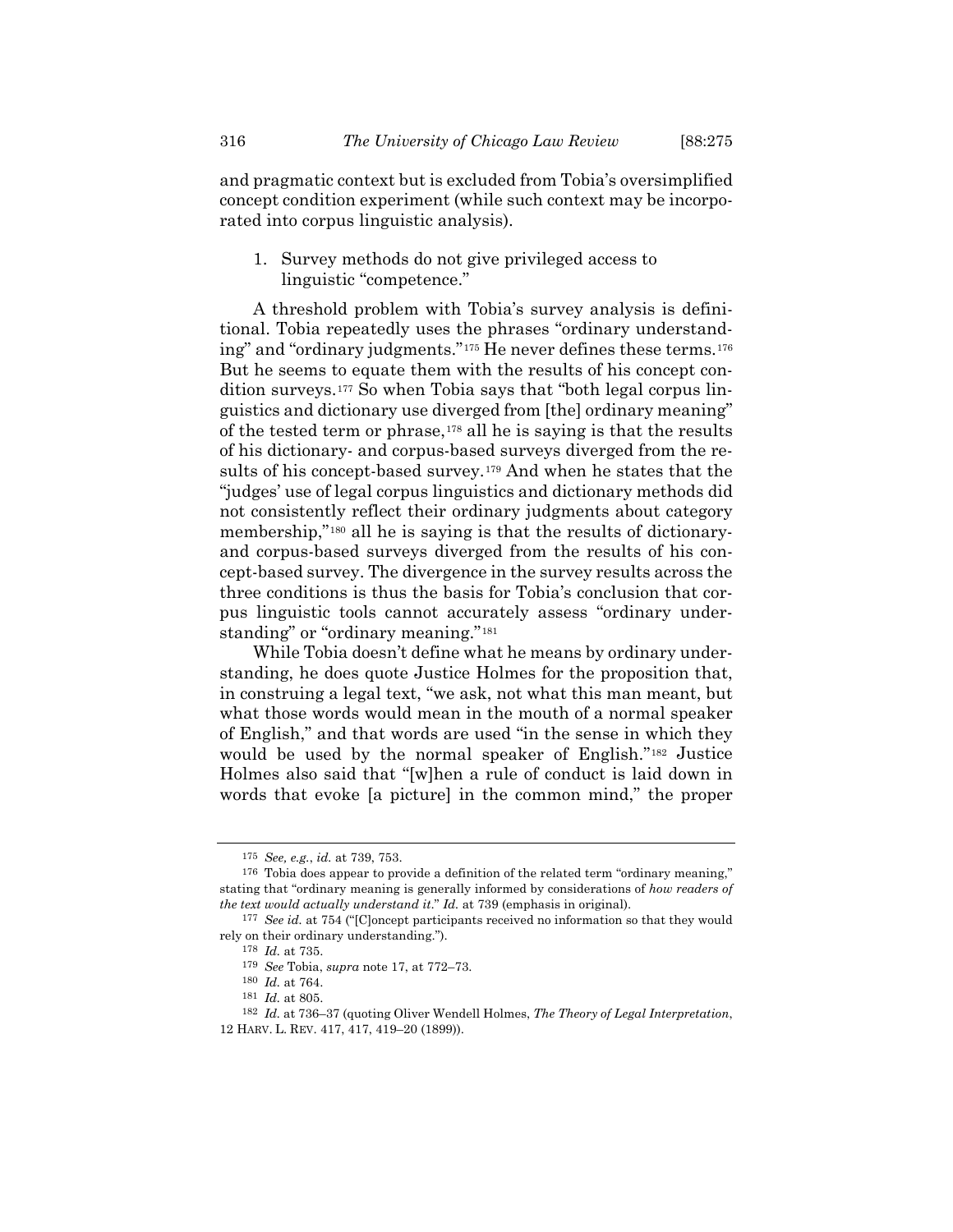and pragmatic context but is excluded from Tobia's oversimplified concept condition experiment (while such context may be incorporated into corpus linguistic analysis).

1. Survey methods do not give privileged access to linguistic "competence."

A threshold problem with Tobia's survey analysis is definitional. Tobia repeatedly uses the phrases "ordinary understanding" and "ordinary judgments."[175](#page-41-0) He never defines these terms.[176](#page-41-1) But he seems to equate them with the results of his concept condition surveys.[177](#page-41-2) So when Tobia says that "both legal corpus linguistics and dictionary use diverged from [the] ordinary meaning" of the tested term or phrase,  $178$  all he is saying is that the results of his dictionary- and corpus-based surveys diverged from the results of his concept-based survey.[179](#page-41-4) And when he states that the "judges' use of legal corpus linguistics and dictionary methods did not consistently reflect their ordinary judgments about category membership,"[180](#page-41-5) all he is saying is that the results of dictionaryand corpus-based surveys diverged from the results of his concept-based survey. The divergence in the survey results across the three conditions is thus the basis for Tobia's conclusion that corpus linguistic tools cannot accurately assess "ordinary under-standing" or "ordinary meaning."<sup>[181](#page-41-6)</sup>

While Tobia doesn't define what he means by ordinary understanding, he does quote Justice Holmes for the proposition that, in construing a legal text, "we ask, not what this man meant, but what those words would mean in the mouth of a normal speaker of English," and that words are used "in the sense in which they would be used by the normal speaker of English."[182](#page-41-7) Justice Holmes also said that "[w]hen a rule of conduct is laid down in words that evoke [a picture] in the common mind," the proper

<sup>175</sup> *See, e.g.*, *id.* at 739, 753.

<span id="page-41-1"></span><span id="page-41-0"></span><sup>176</sup> Tobia does appear to provide a definition of the related term "ordinary meaning," stating that "ordinary meaning is generally informed by considerations of *how readers of the text would actually understand it*." *Id.* at 739 (emphasis in original).

<span id="page-41-4"></span><span id="page-41-3"></span><span id="page-41-2"></span><sup>177</sup> *See id.* at 754 ("[C]oncept participants received no information so that they would rely on their ordinary understanding.").

<sup>178</sup> *Id.* at 735.

<sup>179</sup> *See* Tobia, *supra* not[e 17,](#page-4-0) at 772–73.

<sup>180</sup> *Id.* at 764.

<sup>181</sup> *Id.* at 805.

<span id="page-41-7"></span><span id="page-41-6"></span><span id="page-41-5"></span><sup>182</sup> *Id.* at 736–37 (quoting Oliver Wendell Holmes, *The Theory of Legal Interpretation*, 12 HARV. L. REV. 417, 417, 419–20 (1899)).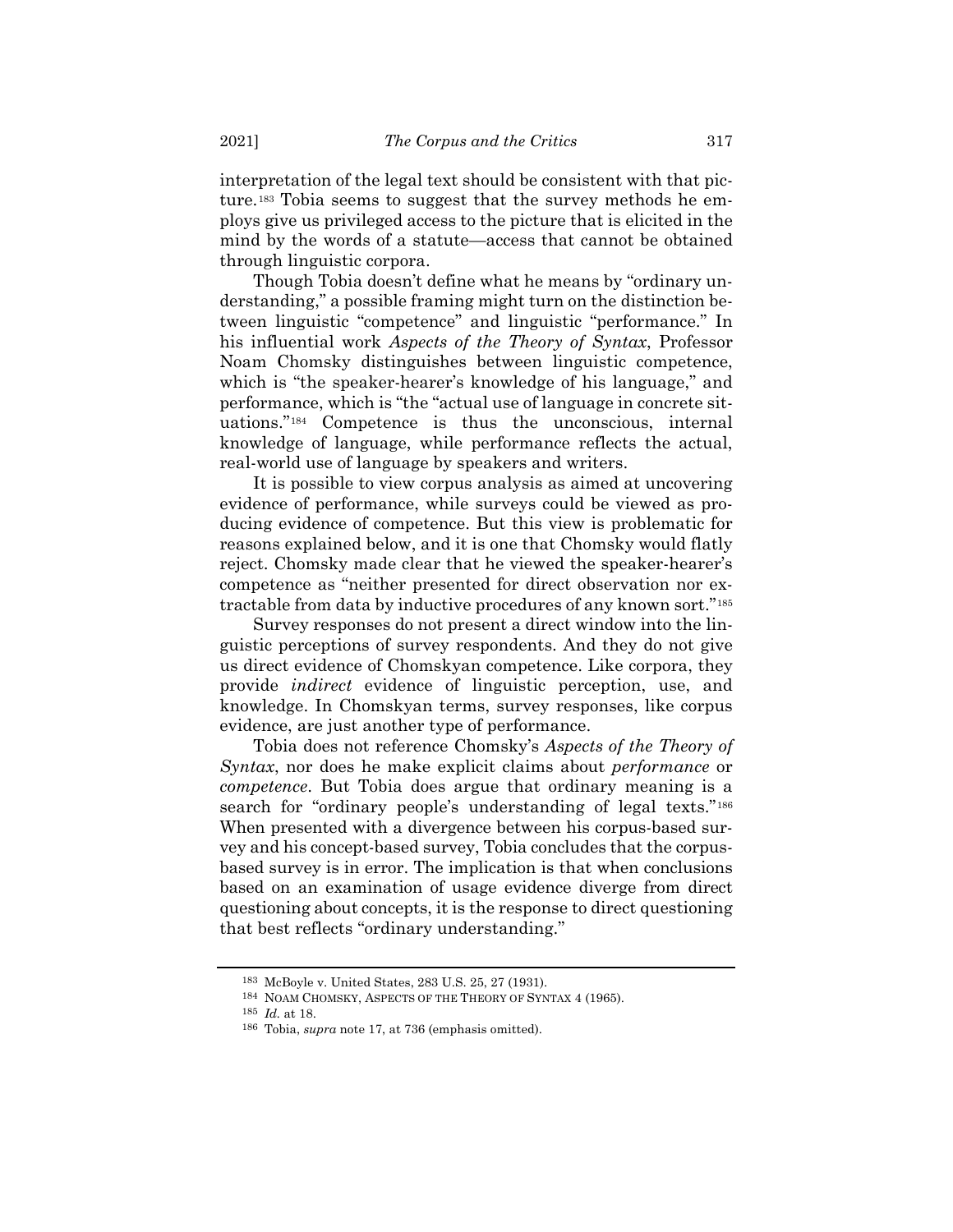interpretation of the legal text should be consistent with that picture.[183](#page-42-0) Tobia seems to suggest that the survey methods he employs give us privileged access to the picture that is elicited in the mind by the words of a statute—access that cannot be obtained through linguistic corpora.

Though Tobia doesn't define what he means by "ordinary understanding," a possible framing might turn on the distinction between linguistic "competence" and linguistic "performance." In his influential work *Aspects of the Theory of Syntax*, Professor Noam Chomsky distinguishes between linguistic competence, which is "the speaker-hearer's knowledge of his language," and performance, which is "the "actual use of language in concrete situations."[184](#page-42-1) Competence is thus the unconscious, internal knowledge of language, while performance reflects the actual, real-world use of language by speakers and writers.

It is possible to view corpus analysis as aimed at uncovering evidence of performance, while surveys could be viewed as producing evidence of competence. But this view is problematic for reasons explained below, and it is one that Chomsky would flatly reject. Chomsky made clear that he viewed the speaker-hearer's competence as "neither presented for direct observation nor extractable from data by inductive procedures of any known sort."[185](#page-42-2)

Survey responses do not present a direct window into the linguistic perceptions of survey respondents. And they do not give us direct evidence of Chomskyan competence. Like corpora, they provide *indirect* evidence of linguistic perception, use, and knowledge. In Chomskyan terms, survey responses, like corpus evidence, are just another type of performance.

Tobia does not reference Chomsky's *Aspects of the Theory of Syntax*, nor does he make explicit claims about *performance* or *competence*. But Tobia does argue that ordinary meaning is a search for "ordinary people's understanding of legal texts."<sup>[186](#page-42-3)</sup> When presented with a divergence between his corpus-based survey and his concept-based survey, Tobia concludes that the corpusbased survey is in error. The implication is that when conclusions based on an examination of usage evidence diverge from direct questioning about concepts, it is the response to direct questioning that best reflects "ordinary understanding."

<sup>183</sup> McBoyle v. United States, 283 U.S. 25, 27 (1931).

<span id="page-42-1"></span><span id="page-42-0"></span><sup>184</sup> NOAM CHOMSKY, ASPECTS OF THE THEORY OF SYNTAX 4 (1965).

<span id="page-42-3"></span><span id="page-42-2"></span><sup>185</sup> *Id.* at 18.

<sup>186</sup> Tobia, *supra* note [17,](#page-4-0) at 736 (emphasis omitted).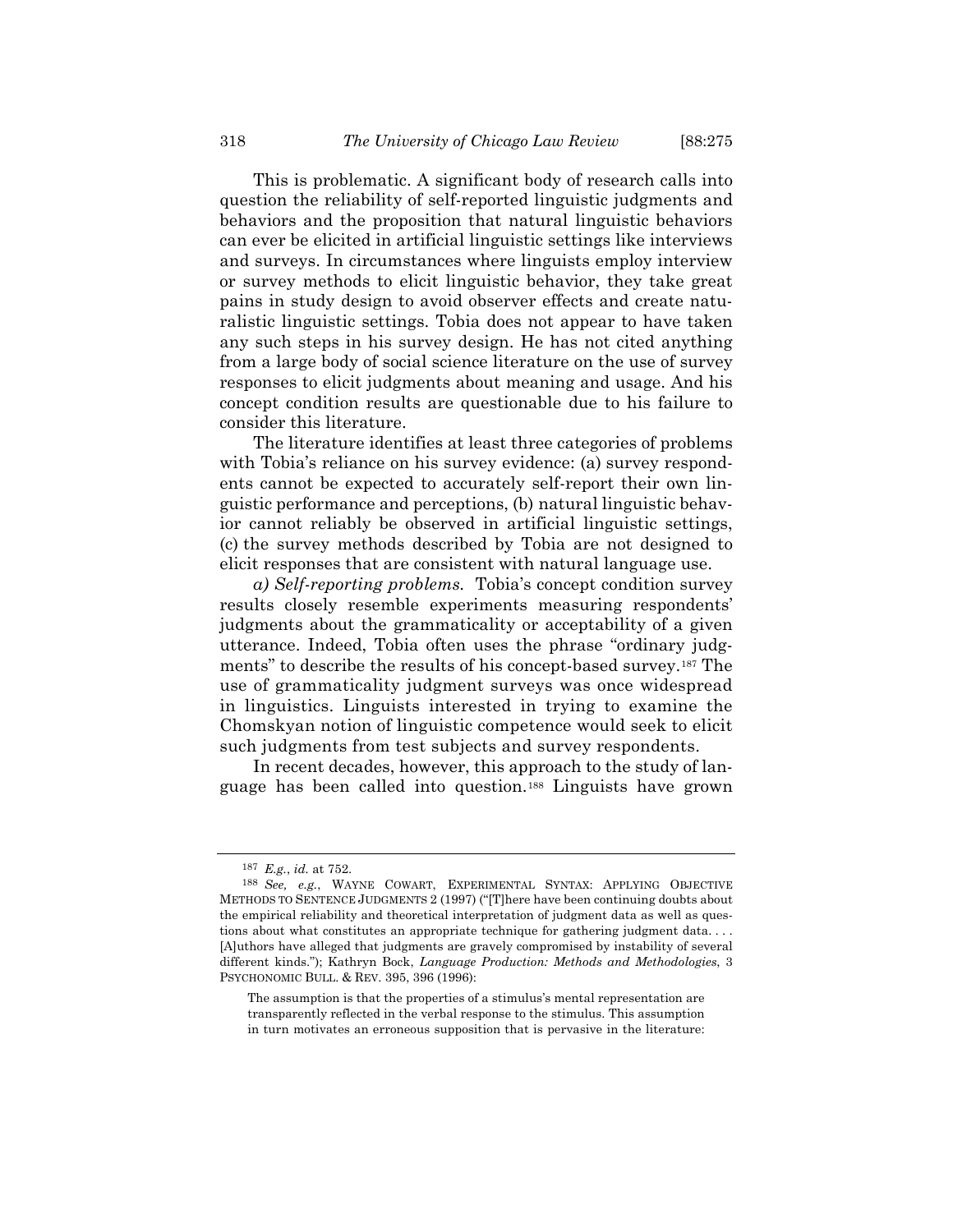This is problematic. A significant body of research calls into question the reliability of self-reported linguistic judgments and behaviors and the proposition that natural linguistic behaviors can ever be elicited in artificial linguistic settings like interviews and surveys. In circumstances where linguists employ interview or survey methods to elicit linguistic behavior, they take great pains in study design to avoid observer effects and create naturalistic linguistic settings. Tobia does not appear to have taken any such steps in his survey design. He has not cited anything from a large body of social science literature on the use of survey responses to elicit judgments about meaning and usage. And his concept condition results are questionable due to his failure to consider this literature.

The literature identifies at least three categories of problems with Tobia's reliance on his survey evidence: (a) survey respondents cannot be expected to accurately self-report their own linguistic performance and perceptions, (b) natural linguistic behavior cannot reliably be observed in artificial linguistic settings, (c) the survey methods described by Tobia are not designed to elicit responses that are consistent with natural language use.

*a) Self-reporting problems.* Tobia's concept condition survey results closely resemble experiments measuring respondents' judgments about the grammaticality or acceptability of a given utterance. Indeed, Tobia often uses the phrase "ordinary judgments" to describe the results of his concept-based survey.[187](#page-43-0) The use of grammaticality judgment surveys was once widespread in linguistics. Linguists interested in trying to examine the Chomskyan notion of linguistic competence would seek to elicit such judgments from test subjects and survey respondents.

In recent decades, however, this approach to the study of language has been called into question.[188](#page-43-1) Linguists have grown

The assumption is that the properties of a stimulus's mental representation are transparently reflected in the verbal response to the stimulus. This assumption in turn motivates an erroneous supposition that is pervasive in the literature:

<span id="page-43-2"></span><sup>187</sup> *E.g.*, *id.* at 752.

<span id="page-43-1"></span><span id="page-43-0"></span><sup>188</sup> *See, e.g.*, WAYNE COWART, EXPERIMENTAL SYNTAX: APPLYING OBJECTIVE METHODS TO SENTENCE JUDGMENTS 2 (1997) ("[T]here have been continuing doubts about the empirical reliability and theoretical interpretation of judgment data as well as questions about what constitutes an appropriate technique for gathering judgment data.... [A]uthors have alleged that judgments are gravely compromised by instability of several different kinds."); Kathryn Bock, *Language Production: Methods and Methodologies*, 3 PSYCHONOMIC BULL. & REV. 395, 396 (1996):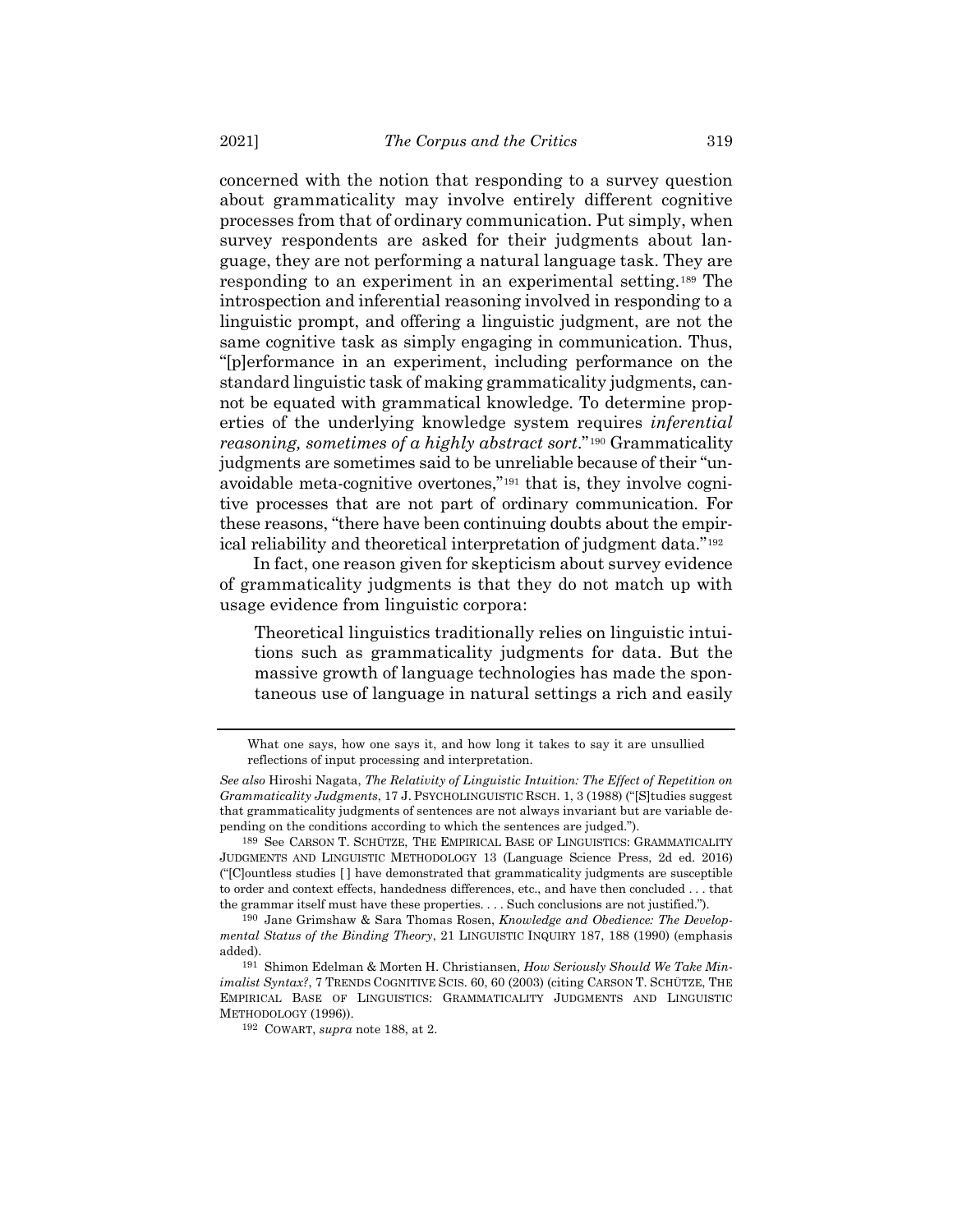concerned with the notion that responding to a survey question about grammaticality may involve entirely different cognitive processes from that of ordinary communication. Put simply, when survey respondents are asked for their judgments about language, they are not performing a natural language task. They are responding to an experiment in an experimental setting.[189](#page-44-0) The introspection and inferential reasoning involved in responding to a linguistic prompt, and offering a linguistic judgment, are not the same cognitive task as simply engaging in communication. Thus, "[p]erformance in an experiment, including performance on the standard linguistic task of making grammaticality judgments, cannot be equated with grammatical knowledge. To determine properties of the underlying knowledge system requires *inferential reasoning, sometimes of a highly abstract sort*."[190](#page-44-1) Grammaticality judgments are sometimes said to be unreliable because of their "unavoidable meta-cognitive overtones,"[191](#page-44-2) that is, they involve cognitive processes that are not part of ordinary communication. For these reasons, "there have been continuing doubts about the empirical reliability and theoretical interpretation of judgment data."[192](#page-44-3)

In fact, one reason given for skepticism about survey evidence of grammaticality judgments is that they do not match up with usage evidence from linguistic corpora:

<span id="page-44-5"></span><span id="page-44-4"></span>Theoretical linguistics traditionally relies on linguistic intuitions such as grammaticality judgments for data. But the massive growth of language technologies has made the spontaneous use of language in natural settings a rich and easily

What one says, how one says it, and how long it takes to say it are unsullied reflections of input processing and interpretation.

*See also* Hiroshi Nagata, *The Relativity of Linguistic Intuition: The Effect of Repetition on Grammaticality Judgments*, 17 J. PSYCHOLINGUISTIC RSCH. 1, 3 (1988) ("[S]tudies suggest that grammaticality judgments of sentences are not always invariant but are variable depending on the conditions according to which the sentences are judged.").

<span id="page-44-0"></span><sup>189</sup> See CARSON T. SCHÜTZE, THE EMPIRICAL BASE OF LINGUISTICS: GRAMMATICALITY JUDGMENTS AND LINGUISTIC METHODOLOGY 13 (Language Science Press, 2d ed. 2016) ("[C]ountless studies [ ] have demonstrated that grammaticality judgments are susceptible to order and context effects, handedness differences, etc., and have then concluded . . . that the grammar itself must have these properties. . . . Such conclusions are not justified.").

<span id="page-44-1"></span><sup>190</sup> Jane Grimshaw & Sara Thomas Rosen, *Knowledge and Obedience: The Developmental Status of the Binding Theory*, 21 LINGUISTIC INQUIRY 187, 188 (1990) (emphasis added).

<span id="page-44-3"></span><span id="page-44-2"></span><sup>191</sup> Shimon Edelman & Morten H. Christiansen, *How Seriously Should We Take Minimalist Syntax?*, 7 TRENDS COGNITIVE SCIS. 60, 60 (2003) (citing CARSON T. SCHÜTZE, THE EMPIRICAL BASE OF LINGUISTICS: GRAMMATICALITY JUDGMENTS AND LINGUISTIC METHODOLOGY (1996)).

<sup>192</sup> COWART, *supra* note [188,](#page-43-2) at 2.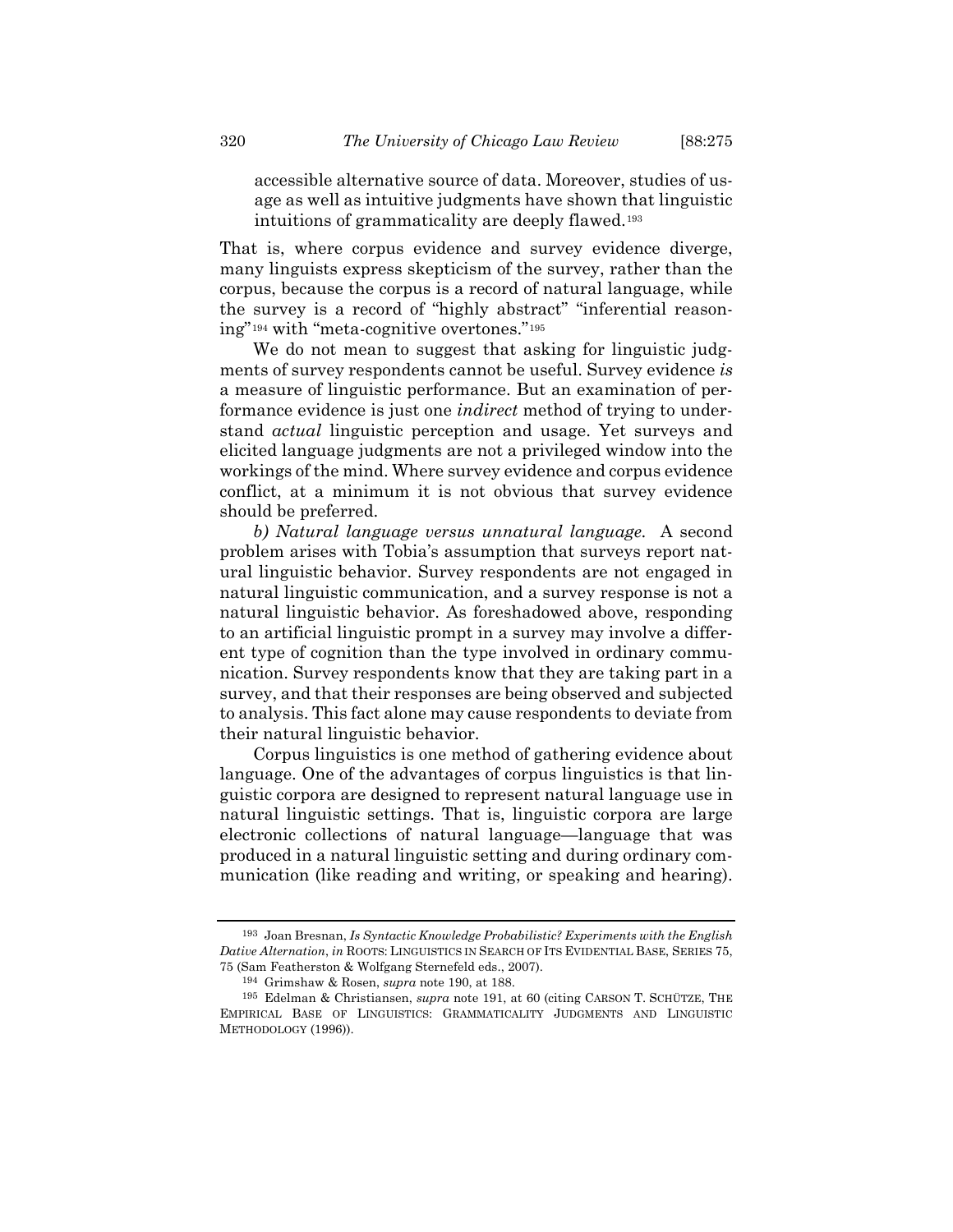accessible alternative source of data. Moreover, studies of usage as well as intuitive judgments have shown that linguistic intuitions of grammaticality are deeply flawed.[193](#page-45-0)

That is, where corpus evidence and survey evidence diverge, many linguists express skepticism of the survey, rather than the corpus, because the corpus is a record of natural language, while the survey is a record of "highly abstract" "inferential reasoning"[194](#page-45-1) with "meta-cognitive overtones."[195](#page-45-2)

We do not mean to suggest that asking for linguistic judgments of survey respondents cannot be useful. Survey evidence *is* a measure of linguistic performance. But an examination of performance evidence is just one *indirect* method of trying to understand *actual* linguistic perception and usage. Yet surveys and elicited language judgments are not a privileged window into the workings of the mind. Where survey evidence and corpus evidence conflict, at a minimum it is not obvious that survey evidence should be preferred.

*b) Natural language versus unnatural language.* A second problem arises with Tobia's assumption that surveys report natural linguistic behavior. Survey respondents are not engaged in natural linguistic communication, and a survey response is not a natural linguistic behavior. As foreshadowed above, responding to an artificial linguistic prompt in a survey may involve a different type of cognition than the type involved in ordinary communication. Survey respondents know that they are taking part in a survey, and that their responses are being observed and subjected to analysis. This fact alone may cause respondents to deviate from their natural linguistic behavior.

Corpus linguistics is one method of gathering evidence about language. One of the advantages of corpus linguistics is that linguistic corpora are designed to represent natural language use in natural linguistic settings. That is, linguistic corpora are large electronic collections of natural language—language that was produced in a natural linguistic setting and during ordinary communication (like reading and writing, or speaking and hearing).

<span id="page-45-0"></span><sup>193</sup> Joan Bresnan, *Is Syntactic Knowledge Probabilistic? Experiments with the English Dative Alternation*, *in* ROOTS: LINGUISTICS IN SEARCH OF ITS EVIDENTIAL BASE, SERIES 75, 75 (Sam Featherston & Wolfgang Sternefeld eds., 2007).

<sup>194</sup> Grimshaw & Rosen, *supra* note [190,](#page-44-4) at 188.

<span id="page-45-2"></span><span id="page-45-1"></span><sup>195</sup> Edelman & Christiansen, *supra* note [191,](#page-44-5) at 60 (citing CARSON T. SCHÜTZE, THE EMPIRICAL BASE OF LINGUISTICS: GRAMMATICALITY JUDGMENTS AND LINGUISTIC METHODOLOGY (1996)).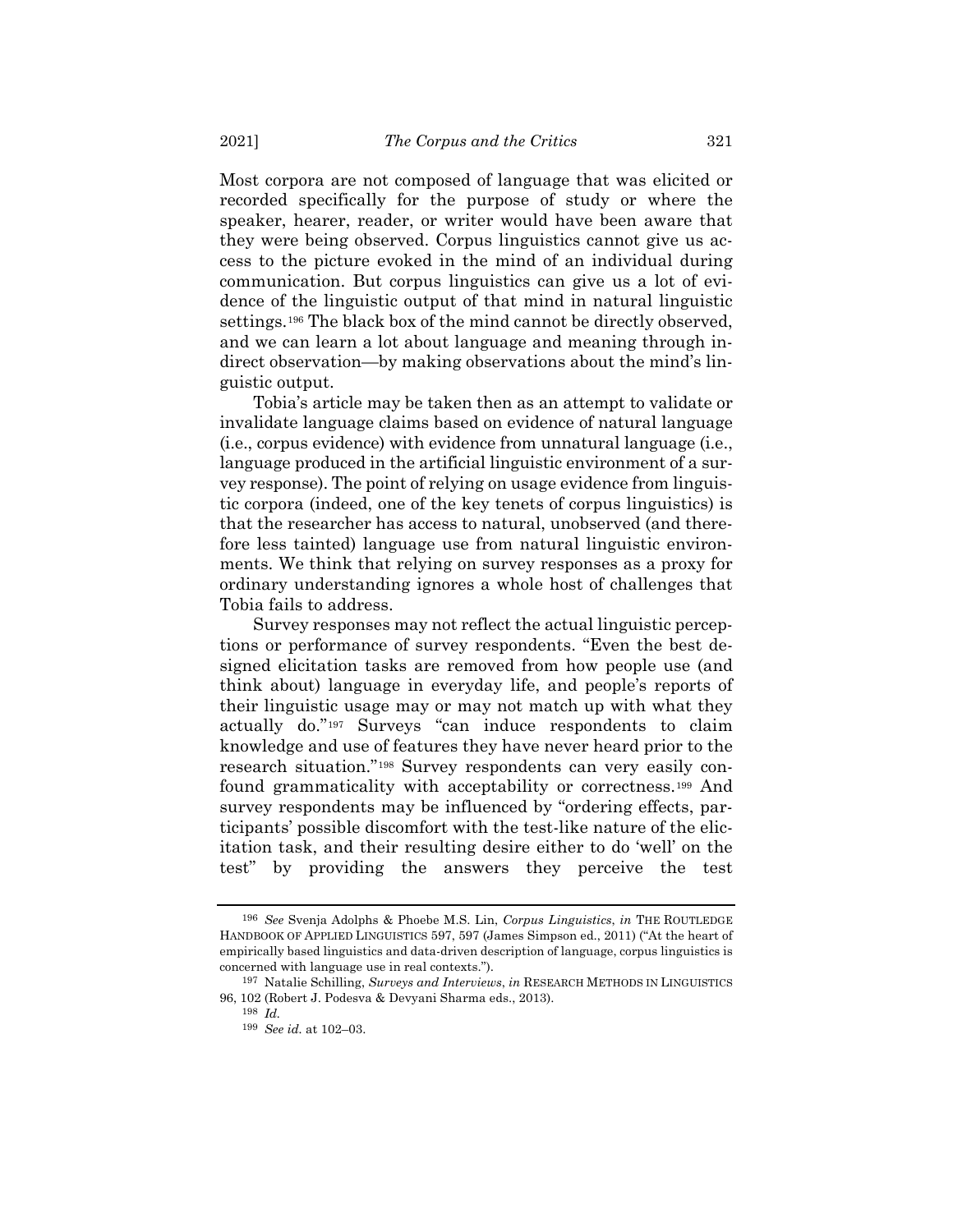Most corpora are not composed of language that was elicited or recorded specifically for the purpose of study or where the speaker, hearer, reader, or writer would have been aware that they were being observed. Corpus linguistics cannot give us access to the picture evoked in the mind of an individual during communication. But corpus linguistics can give us a lot of evidence of the linguistic output of that mind in natural linguistic settings.[196](#page-46-0) The black box of the mind cannot be directly observed, and we can learn a lot about language and meaning through indirect observation—by making observations about the mind's linguistic output.

Tobia's article may be taken then as an attempt to validate or invalidate language claims based on evidence of natural language (i.e., corpus evidence) with evidence from unnatural language (i.e., language produced in the artificial linguistic environment of a survey response). The point of relying on usage evidence from linguistic corpora (indeed, one of the key tenets of corpus linguistics) is that the researcher has access to natural, unobserved (and therefore less tainted) language use from natural linguistic environments. We think that relying on survey responses as a proxy for ordinary understanding ignores a whole host of challenges that Tobia fails to address.

<span id="page-46-4"></span>Survey responses may not reflect the actual linguistic perceptions or performance of survey respondents. "Even the best designed elicitation tasks are removed from how people use (and think about) language in everyday life, and people's reports of their linguistic usage may or may not match up with what they actually do."[197](#page-46-1) Surveys "can induce respondents to claim knowledge and use of features they have never heard prior to the research situation."[198](#page-46-2) Survey respondents can very easily confound grammaticality with acceptability or correctness.[199](#page-46-3) And survey respondents may be influenced by "ordering effects, participants' possible discomfort with the test-like nature of the elicitation task, and their resulting desire either to do 'well' on the test" by providing the answers they perceive the test

<span id="page-46-0"></span><sup>196</sup> *See* Svenja Adolphs & Phoebe M.S. Lin, *Corpus Linguistics*, *in* THE ROUTLEDGE HANDBOOK OF APPLIED LINGUISTICS 597, 597 (James Simpson ed., 2011) ("At the heart of empirically based linguistics and data-driven description of language, corpus linguistics is concerned with language use in real contexts.").

<span id="page-46-3"></span><span id="page-46-2"></span><span id="page-46-1"></span><sup>197</sup> Natalie Schilling, *Surveys and Interviews*, *in* RESEARCH METHODS IN LINGUISTICS 96, 102 (Robert J. Podesva & Devyani Sharma eds., 2013).

<sup>198</sup> *Id.*

<sup>199</sup> *See id.* at 102–03.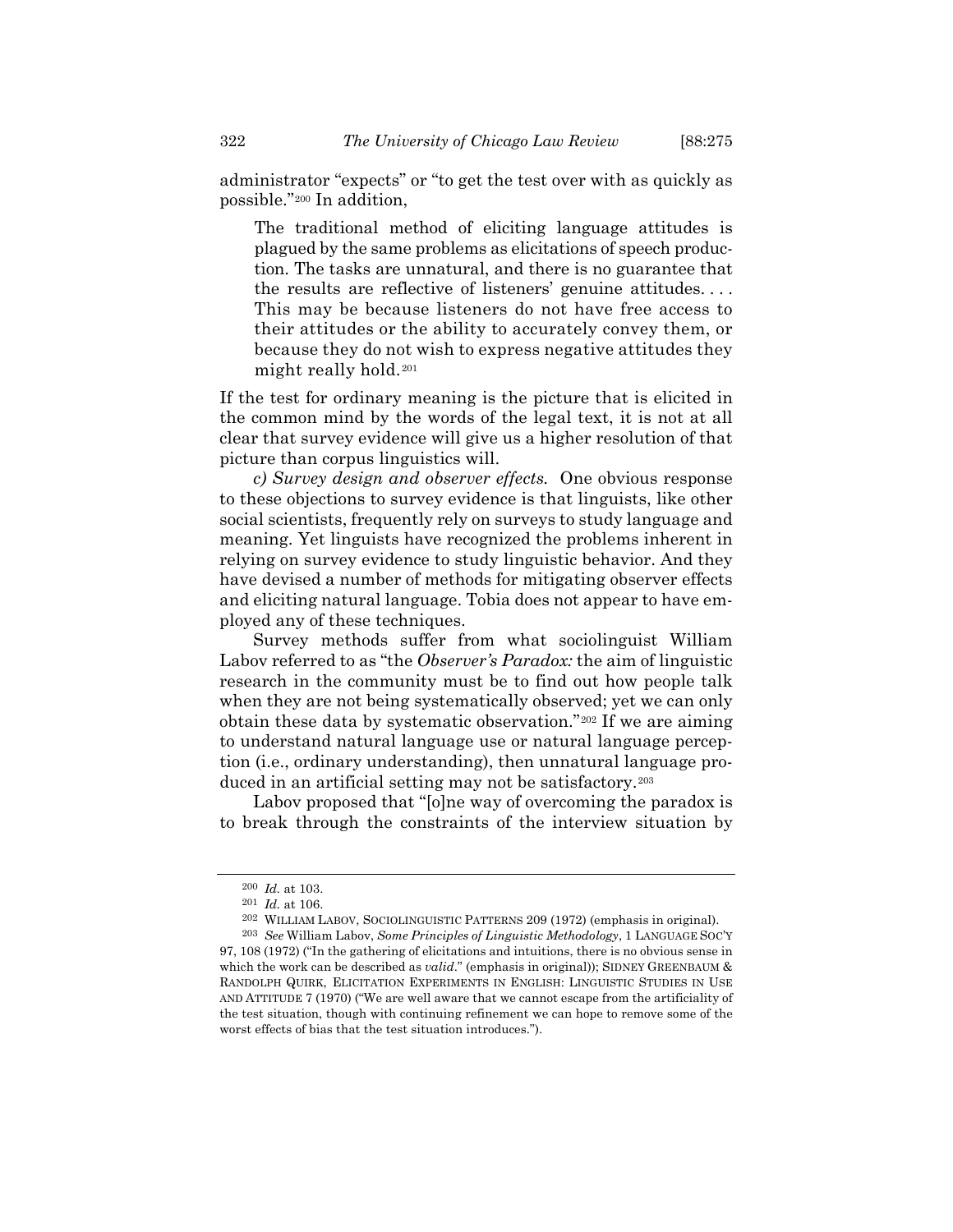The traditional method of eliciting language attitudes is plagued by the same problems as elicitations of speech production. The tasks are unnatural, and there is no guarantee that the results are reflective of listeners' genuine attitudes. . . . This may be because listeners do not have free access to their attitudes or the ability to accurately convey them, or because they do not wish to express negative attitudes they might really hold.[201](#page-47-1)

If the test for ordinary meaning is the picture that is elicited in the common mind by the words of the legal text, it is not at all clear that survey evidence will give us a higher resolution of that picture than corpus linguistics will.

*c) Survey design and observer effects.* One obvious response to these objections to survey evidence is that linguists, like other social scientists, frequently rely on surveys to study language and meaning. Yet linguists have recognized the problems inherent in relying on survey evidence to study linguistic behavior. And they have devised a number of methods for mitigating observer effects and eliciting natural language. Tobia does not appear to have employed any of these techniques.

<span id="page-47-4"></span>Survey methods suffer from what sociolinguist William Labov referred to as "the *Observer's Paradox:* the aim of linguistic research in the community must be to find out how people talk when they are not being systematically observed; yet we can only obtain these data by systematic observation."[202](#page-47-2) If we are aiming to understand natural language use or natural language perception (i.e., ordinary understanding), then unnatural language produced in an artificial setting may not be satisfactory.[203](#page-47-3)

Labov proposed that "[o]ne way of overcoming the paradox is to break through the constraints of the interview situation by

<span id="page-47-5"></span><sup>200</sup> *Id.* at 103.

<sup>201</sup> *Id.* at 106.

<sup>202</sup> WILLIAM LABOV, SOCIOLINGUISTIC PATTERNS 209 (1972) (emphasis in original).

<span id="page-47-3"></span><span id="page-47-2"></span><span id="page-47-1"></span><span id="page-47-0"></span><sup>203</sup> *See* William Labov, *Some Principles of Linguistic Methodology*, 1 LANGUAGE SOC'Y 97, 108 (1972) ("In the gathering of elicitations and intuitions, there is no obvious sense in which the work can be described as *valid*." (emphasis in original)); SIDNEY GREENBAUM & RANDOLPH QUIRK, ELICITATION EXPERIMENTS IN ENGLISH: LINGUISTIC STUDIES IN USE AND ATTITUDE 7 (1970) ("We are well aware that we cannot escape from the artificiality of the test situation, though with continuing refinement we can hope to remove some of the worst effects of bias that the test situation introduces.").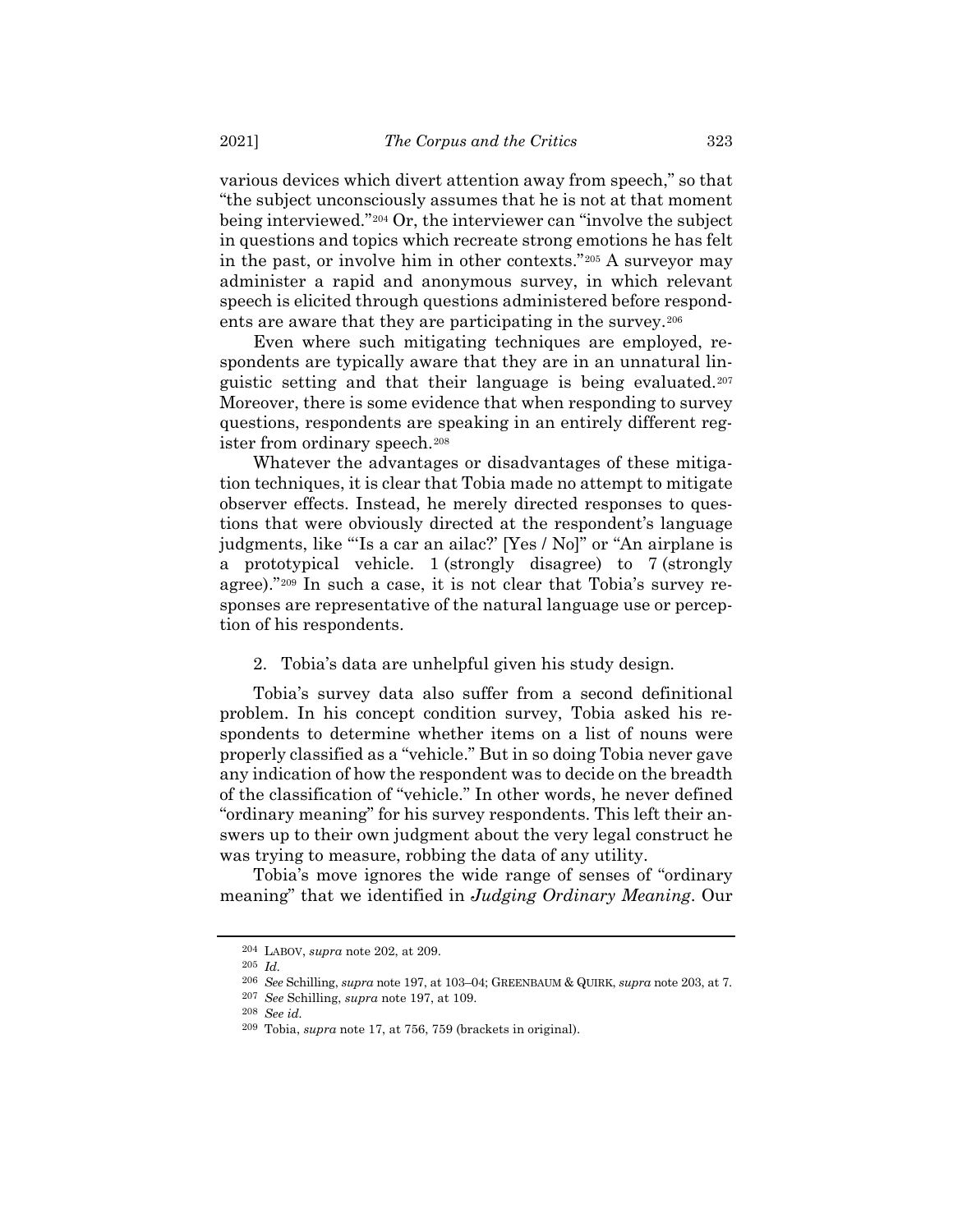various devices which divert attention away from speech," so that "the subject unconsciously assumes that he is not at that moment being interviewed."[204](#page-48-0) Or, the interviewer can "involve the subject in questions and topics which recreate strong emotions he has felt in the past, or involve him in other contexts."[205](#page-48-1) A surveyor may administer a rapid and anonymous survey, in which relevant speech is elicited through questions administered before respondents are aware that they are participating in the survey.[206](#page-48-2)

Even where such mitigating techniques are employed, respondents are typically aware that they are in an unnatural linguistic setting and that their language is being evaluated.[207](#page-48-3) Moreover, there is some evidence that when responding to survey questions, respondents are speaking in an entirely different register from ordinary speech.[208](#page-48-4)

Whatever the advantages or disadvantages of these mitigation techniques, it is clear that Tobia made no attempt to mitigate observer effects. Instead, he merely directed responses to questions that were obviously directed at the respondent's language judgments, like "'Is a car an ailac?' [Yes / No]" or "An airplane is a prototypical vehicle. 1 (strongly disagree) to 7 (strongly agree)."[209](#page-48-5) In such a case, it is not clear that Tobia's survey responses are representative of the natural language use or perception of his respondents.

2. Tobia's data are unhelpful given his study design.

Tobia's survey data also suffer from a second definitional problem. In his concept condition survey, Tobia asked his respondents to determine whether items on a list of nouns were properly classified as a "vehicle." But in so doing Tobia never gave any indication of how the respondent was to decide on the breadth of the classification of "vehicle." In other words, he never defined "ordinary meaning" for his survey respondents. This left their answers up to their own judgment about the very legal construct he was trying to measure, robbing the data of any utility.

<span id="page-48-1"></span><span id="page-48-0"></span>Tobia's move ignores the wide range of senses of "ordinary meaning" that we identified in *Judging Ordinary Meaning*. Our

<sup>204</sup> LABOV, *supra* note [202,](#page-47-4) at 209.

<span id="page-48-2"></span><sup>205</sup> *Id.*

<sup>206</sup> *See* Schilling, *supra* not[e 197,](#page-46-4) at 103–04; GREENBAUM & QUIRK, *supra* note [203,](#page-47-5) at 7.

<sup>207</sup> *See* Schilling, *supra* note [197,](#page-46-4) at 109.

<span id="page-48-3"></span><sup>208</sup> *See id.*

<span id="page-48-5"></span><span id="page-48-4"></span><sup>209</sup> Tobia, *supra* note [17,](#page-4-0) at 756, 759 (brackets in original).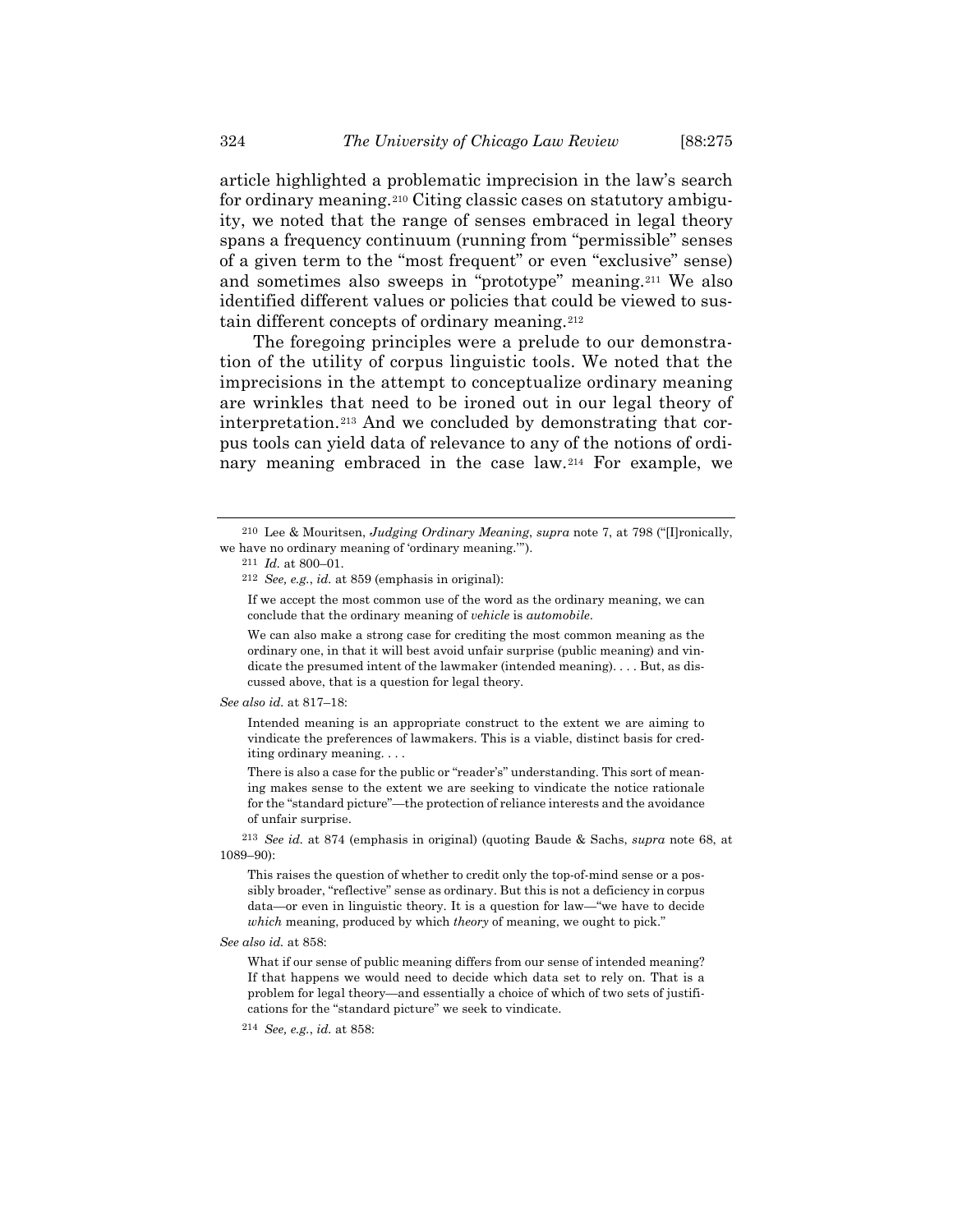article highlighted a problematic imprecision in the law's search for ordinary meaning.[210](#page-49-0) Citing classic cases on statutory ambiguity, we noted that the range of senses embraced in legal theory spans a frequency continuum (running from "permissible" senses of a given term to the "most frequent" or even "exclusive" sense) and sometimes also sweeps in "prototype" meaning.[211](#page-49-1) We also identified different values or policies that could be viewed to sustain different concepts of ordinary meaning.[212](#page-49-2)

The foregoing principles were a prelude to our demonstration of the utility of corpus linguistic tools. We noted that the imprecisions in the attempt to conceptualize ordinary meaning are wrinkles that need to be ironed out in our legal theory of interpretation.[213](#page-49-3) And we concluded by demonstrating that corpus tools can yield data of relevance to any of the notions of ordinary meaning embraced in the case law.[214](#page-49-4) For example, we

If we accept the most common use of the word as the ordinary meaning, we can conclude that the ordinary meaning of *vehicle* is *automobile*.

We can also make a strong case for crediting the most common meaning as the ordinary one, in that it will best avoid unfair surprise (public meaning) and vindicate the presumed intent of the lawmaker (intended meaning). . . . But, as discussed above, that is a question for legal theory.

*See also id.* at 817–18:

Intended meaning is an appropriate construct to the extent we are aiming to vindicate the preferences of lawmakers. This is a viable, distinct basis for crediting ordinary meaning. . . .

There is also a case for the public or "reader's" understanding. This sort of meaning makes sense to the extent we are seeking to vindicate the notice rationale for the "standard picture"—the protection of reliance interests and the avoidance of unfair surprise.

<span id="page-49-3"></span>213 *See id.* at 874 (emphasis in original) (quoting Baude & Sachs, *supra* note [68,](#page-14-0) at 1089–90):

This raises the question of whether to credit only the top-of-mind sense or a possibly broader, "reflective" sense as ordinary. But this is not a deficiency in corpus data—or even in linguistic theory. It is a question for law—"we have to decide *which* meaning, produced by which *theory* of meaning, we ought to pick."

<span id="page-49-4"></span>*See also id.* at 858:

What if our sense of public meaning differs from our sense of intended meaning? If that happens we would need to decide which data set to rely on. That is a problem for legal theory—and essentially a choice of which of two sets of justifications for the "standard picture" we seek to vindicate.

214 *See, e.g.*, *id.* at 858:

<span id="page-49-2"></span><span id="page-49-1"></span><span id="page-49-0"></span><sup>210</sup> Lee & Mouritsen, *Judging Ordinary Meaning*, *supra* note [7,](#page-2-0) at 798 ("[I]ronically, we have no ordinary meaning of 'ordinary meaning.'").

<sup>211</sup> *Id.* at 800–01.

<sup>212</sup> *See, e.g.*, *id.* at 859 (emphasis in original):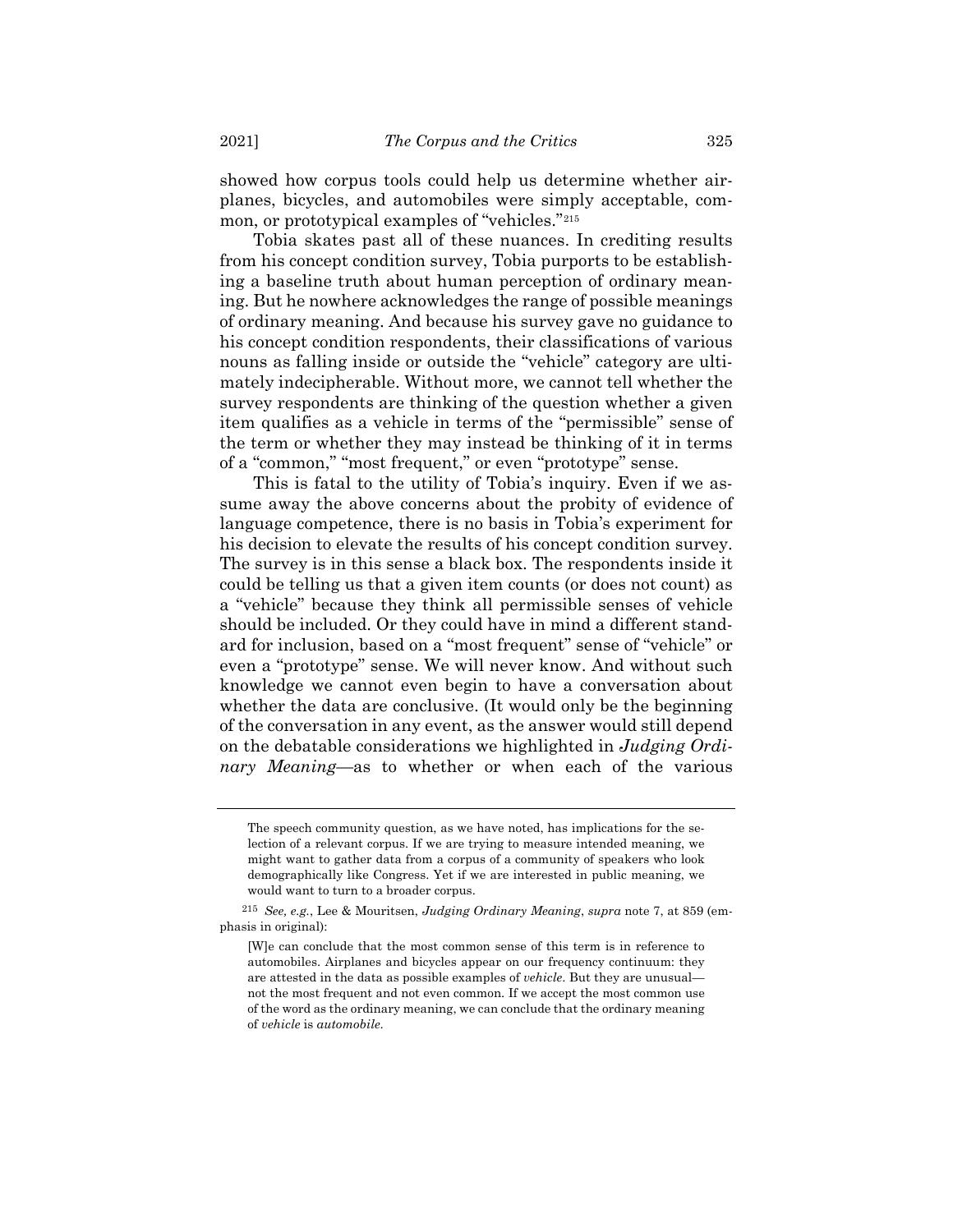showed how corpus tools could help us determine whether airplanes, bicycles, and automobiles were simply acceptable, common, or prototypical examples of "vehicles."[215](#page-50-0)

Tobia skates past all of these nuances. In crediting results from his concept condition survey, Tobia purports to be establishing a baseline truth about human perception of ordinary meaning. But he nowhere acknowledges the range of possible meanings of ordinary meaning. And because his survey gave no guidance to his concept condition respondents, their classifications of various nouns as falling inside or outside the "vehicle" category are ultimately indecipherable. Without more, we cannot tell whether the survey respondents are thinking of the question whether a given item qualifies as a vehicle in terms of the "permissible" sense of the term or whether they may instead be thinking of it in terms of a "common," "most frequent," or even "prototype" sense.

This is fatal to the utility of Tobia's inquiry. Even if we assume away the above concerns about the probity of evidence of language competence, there is no basis in Tobia's experiment for his decision to elevate the results of his concept condition survey. The survey is in this sense a black box. The respondents inside it could be telling us that a given item counts (or does not count) as a "vehicle" because they think all permissible senses of vehicle should be included. Or they could have in mind a different standard for inclusion, based on a "most frequent" sense of "vehicle" or even a "prototype" sense. We will never know. And without such knowledge we cannot even begin to have a conversation about whether the data are conclusive. (It would only be the beginning of the conversation in any event, as the answer would still depend on the debatable considerations we highlighted in *Judging Ordinary Meaning*—as to whether or when each of the various

The speech community question, as we have noted, has implications for the selection of a relevant corpus. If we are trying to measure intended meaning, we might want to gather data from a corpus of a community of speakers who look demographically like Congress. Yet if we are interested in public meaning, we would want to turn to a broader corpus.

<span id="page-50-0"></span><sup>215</sup> *See, e.g.*, Lee & Mouritsen, *Judging Ordinary Meaning*, *supra* note [7,](#page-2-0) at 859 (emphasis in original):

<sup>[</sup>W]e can conclude that the most common sense of this term is in reference to automobiles. Airplanes and bicycles appear on our frequency continuum: they are attested in the data as possible examples of *vehicle*. But they are unusual not the most frequent and not even common. If we accept the most common use of the word as the ordinary meaning, we can conclude that the ordinary meaning of *vehicle* is *automobile*.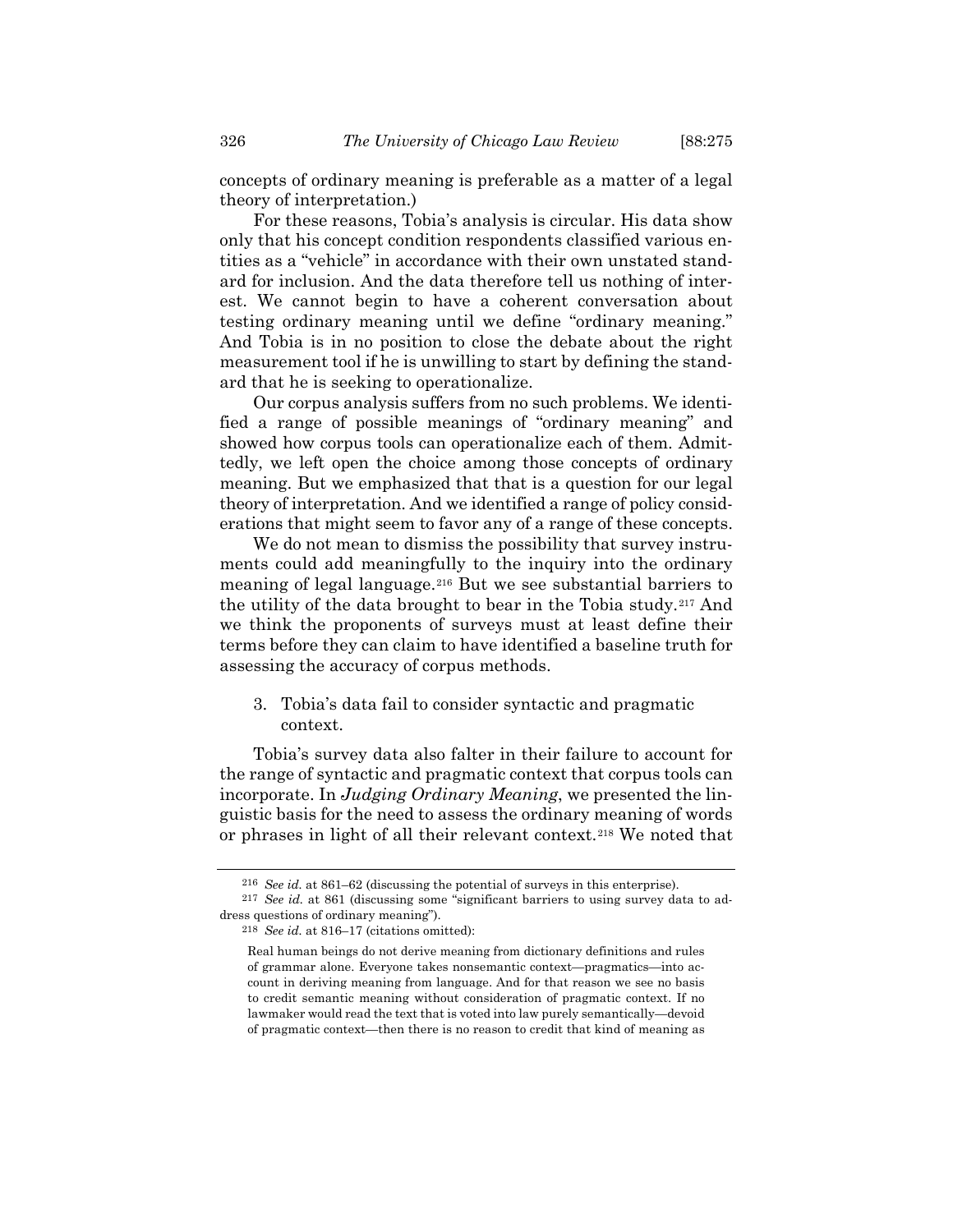concepts of ordinary meaning is preferable as a matter of a legal theory of interpretation.)

For these reasons, Tobia's analysis is circular. His data show only that his concept condition respondents classified various entities as a "vehicle" in accordance with their own unstated standard for inclusion. And the data therefore tell us nothing of interest. We cannot begin to have a coherent conversation about testing ordinary meaning until we define "ordinary meaning." And Tobia is in no position to close the debate about the right measurement tool if he is unwilling to start by defining the standard that he is seeking to operationalize.

Our corpus analysis suffers from no such problems. We identified a range of possible meanings of "ordinary meaning" and showed how corpus tools can operationalize each of them. Admittedly, we left open the choice among those concepts of ordinary meaning. But we emphasized that that is a question for our legal theory of interpretation. And we identified a range of policy considerations that might seem to favor any of a range of these concepts.

We do not mean to dismiss the possibility that survey instruments could add meaningfully to the inquiry into the ordinary meaning of legal language.[216](#page-51-0) But we see substantial barriers to the utility of the data brought to bear in the Tobia study.[217](#page-51-1) And we think the proponents of surveys must at least define their terms before they can claim to have identified a baseline truth for assessing the accuracy of corpus methods.

3. Tobia's data fail to consider syntactic and pragmatic context.

Tobia's survey data also falter in their failure to account for the range of syntactic and pragmatic context that corpus tools can incorporate. In *Judging Ordinary Meaning*, we presented the linguistic basis for the need to assess the ordinary meaning of words or phrases in light of all their relevant context.[218](#page-51-2) We noted that

<sup>216</sup> *See id.* at 861–62 (discussing the potential of surveys in this enterprise).

<span id="page-51-2"></span><span id="page-51-1"></span><span id="page-51-0"></span><sup>217</sup> *See id.* at 861 (discussing some "significant barriers to using survey data to address questions of ordinary meaning").

<sup>218</sup> *See id.* at 816–17 (citations omitted):

Real human beings do not derive meaning from dictionary definitions and rules of grammar alone. Everyone takes nonsemantic context—pragmatics—into account in deriving meaning from language. And for that reason we see no basis to credit semantic meaning without consideration of pragmatic context. If no lawmaker would read the text that is voted into law purely semantically—devoid of pragmatic context—then there is no reason to credit that kind of meaning as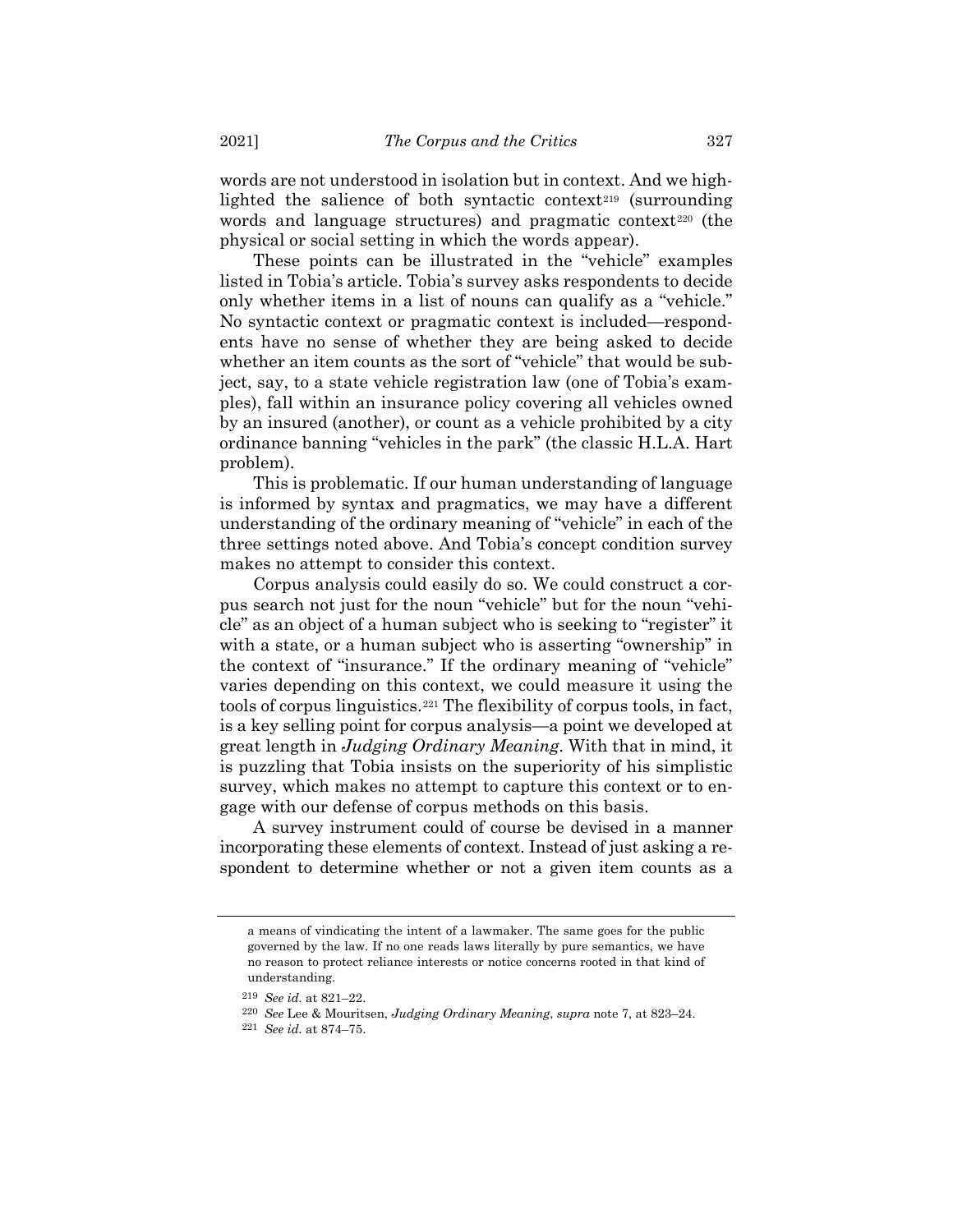words are not understood in isolation but in context. And we high-lighted the salience of both syntactic context<sup>[219](#page-52-0)</sup> (surrounding words and language structures) and pragmatic context<sup>[220](#page-52-1)</sup> (the physical or social setting in which the words appear).

These points can be illustrated in the "vehicle" examples listed in Tobia's article. Tobia's survey asks respondents to decide only whether items in a list of nouns can qualify as a "vehicle." No syntactic context or pragmatic context is included—respondents have no sense of whether they are being asked to decide whether an item counts as the sort of "vehicle" that would be subject, say, to a state vehicle registration law (one of Tobia's examples), fall within an insurance policy covering all vehicles owned by an insured (another), or count as a vehicle prohibited by a city ordinance banning "vehicles in the park" (the classic H.L.A. Hart problem).

This is problematic. If our human understanding of language is informed by syntax and pragmatics, we may have a different understanding of the ordinary meaning of "vehicle" in each of the three settings noted above. And Tobia's concept condition survey makes no attempt to consider this context.

Corpus analysis could easily do so. We could construct a corpus search not just for the noun "vehicle" but for the noun "vehicle" as an object of a human subject who is seeking to "register" it with a state, or a human subject who is asserting "ownership" in the context of "insurance." If the ordinary meaning of "vehicle" varies depending on this context, we could measure it using the tools of corpus linguistics.[221](#page-52-2) The flexibility of corpus tools, in fact, is a key selling point for corpus analysis—a point we developed at great length in *Judging Ordinary Meaning*. With that in mind, it is puzzling that Tobia insists on the superiority of his simplistic survey, which makes no attempt to capture this context or to engage with our defense of corpus methods on this basis.

A survey instrument could of course be devised in a manner incorporating these elements of context. Instead of just asking a respondent to determine whether or not a given item counts as a

a means of vindicating the intent of a lawmaker. The same goes for the public governed by the law. If no one reads laws literally by pure semantics, we have no reason to protect reliance interests or notice concerns rooted in that kind of understanding.

<span id="page-52-1"></span><span id="page-52-0"></span><sup>219</sup> *See id.* at 821–22.

<sup>220</sup> *See* Lee & Mouritsen, *Judging Ordinary Meaning*, *supra* note [7,](#page-2-0) at 823–24.

<span id="page-52-2"></span><sup>221</sup> *See id.* at 874–75.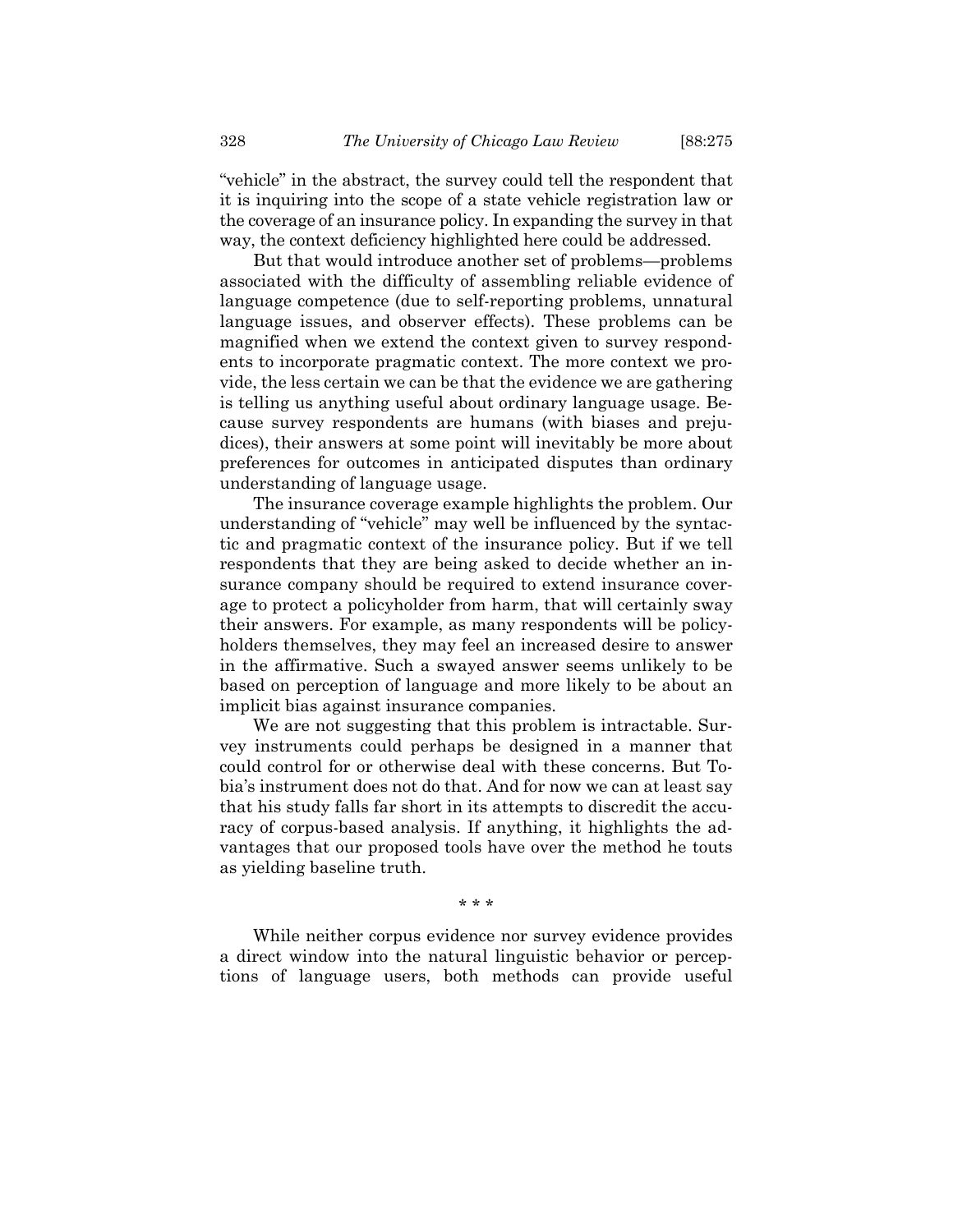"vehicle" in the abstract, the survey could tell the respondent that it is inquiring into the scope of a state vehicle registration law or the coverage of an insurance policy. In expanding the survey in that way, the context deficiency highlighted here could be addressed.

But that would introduce another set of problems—problems associated with the difficulty of assembling reliable evidence of language competence (due to self-reporting problems, unnatural language issues, and observer effects). These problems can be magnified when we extend the context given to survey respondents to incorporate pragmatic context. The more context we provide, the less certain we can be that the evidence we are gathering is telling us anything useful about ordinary language usage. Because survey respondents are humans (with biases and prejudices), their answers at some point will inevitably be more about preferences for outcomes in anticipated disputes than ordinary understanding of language usage.

The insurance coverage example highlights the problem. Our understanding of "vehicle" may well be influenced by the syntactic and pragmatic context of the insurance policy. But if we tell respondents that they are being asked to decide whether an insurance company should be required to extend insurance coverage to protect a policyholder from harm, that will certainly sway their answers. For example, as many respondents will be policyholders themselves, they may feel an increased desire to answer in the affirmative. Such a swayed answer seems unlikely to be based on perception of language and more likely to be about an implicit bias against insurance companies.

We are not suggesting that this problem is intractable. Survey instruments could perhaps be designed in a manner that could control for or otherwise deal with these concerns. But Tobia's instrument does not do that. And for now we can at least say that his study falls far short in its attempts to discredit the accuracy of corpus-based analysis. If anything, it highlights the advantages that our proposed tools have over the method he touts as yielding baseline truth.

\* \* \*

While neither corpus evidence nor survey evidence provides a direct window into the natural linguistic behavior or perceptions of language users, both methods can provide useful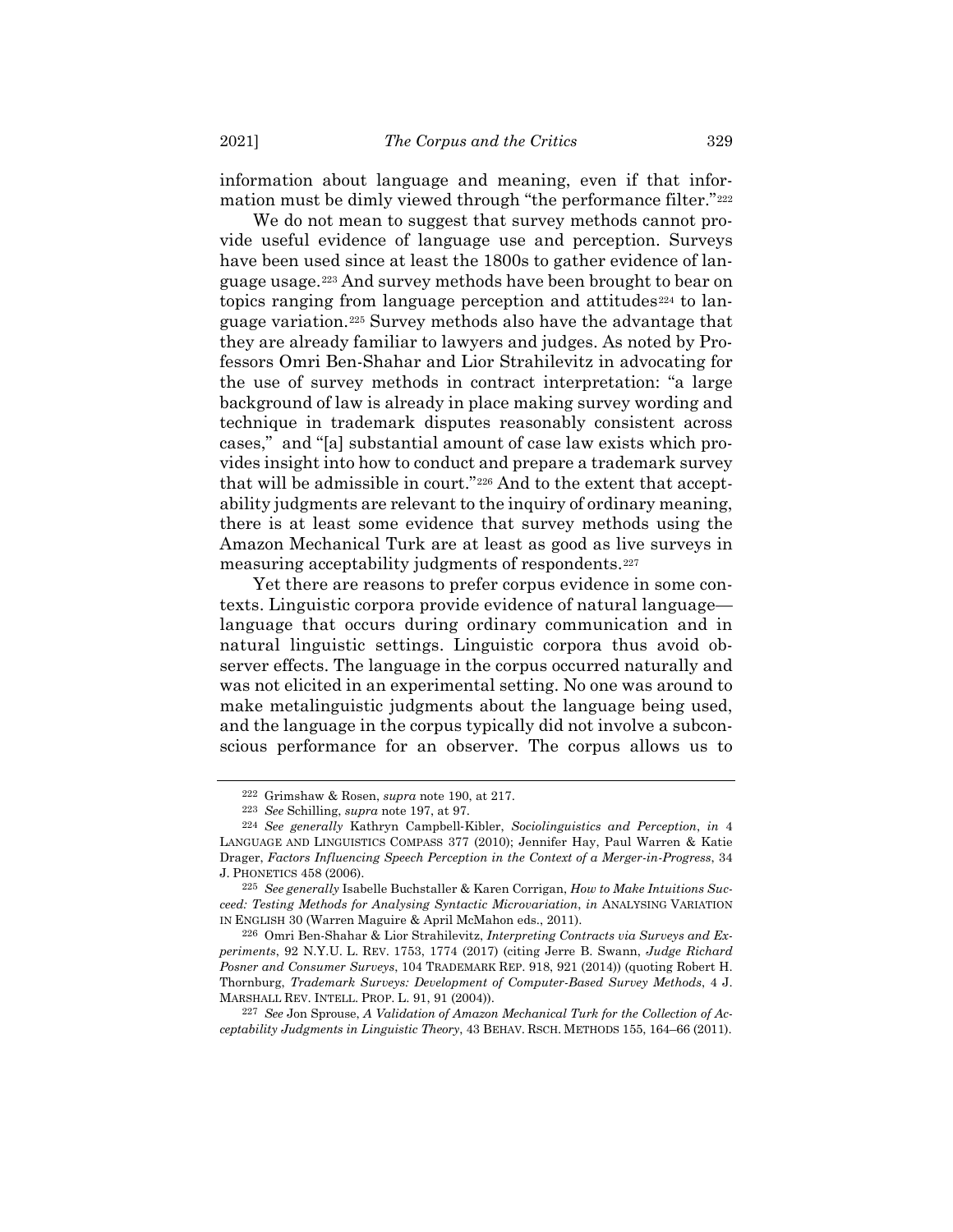information about language and meaning, even if that infor-mation must be dimly viewed through "the performance filter."<sup>[222](#page-54-0)</sup>

We do not mean to suggest that survey methods cannot provide useful evidence of language use and perception. Surveys have been used since at least the 1800s to gather evidence of language usage.[223](#page-54-1) And survey methods have been brought to bear on topics ranging from language perception and attitudes<sup>[224](#page-54-2)</sup> to language variation.[225](#page-54-3) Survey methods also have the advantage that they are already familiar to lawyers and judges. As noted by Professors Omri Ben-Shahar and Lior Strahilevitz in advocating for the use of survey methods in contract interpretation: "a large background of law is already in place making survey wording and technique in trademark disputes reasonably consistent across cases," and "[a] substantial amount of case law exists which provides insight into how to conduct and prepare a trademark survey that will be admissible in court."[226](#page-54-4) And to the extent that acceptability judgments are relevant to the inquiry of ordinary meaning, there is at least some evidence that survey methods using the Amazon Mechanical Turk are at least as good as live surveys in measuring acceptability judgments of respondents.[227](#page-54-5)

Yet there are reasons to prefer corpus evidence in some contexts. Linguistic corpora provide evidence of natural language language that occurs during ordinary communication and in natural linguistic settings. Linguistic corpora thus avoid observer effects. The language in the corpus occurred naturally and was not elicited in an experimental setting. No one was around to make metalinguistic judgments about the language being used, and the language in the corpus typically did not involve a subconscious performance for an observer. The corpus allows us to

<sup>222</sup> Grimshaw & Rosen, *supra* note [190,](#page-44-4) at 217.

<sup>223</sup> *See* Schilling, *supra* note [197,](#page-46-4) at 97.

<span id="page-54-2"></span><span id="page-54-1"></span><span id="page-54-0"></span><sup>224</sup> *See generally* Kathryn Campbell‐Kibler, *Sociolinguistics and Perception*, *in* 4 LANGUAGE AND LINGUISTICS COMPASS 377 (2010); Jennifer Hay, Paul Warren & Katie Drager, *Factors Influencing Speech Perception in the Context of a Merger-in-Progress*, 34 J. PHONETICS 458 (2006).

<span id="page-54-3"></span><sup>225</sup> *See generally* Isabelle Buchstaller & Karen Corrigan, *How to Make Intuitions Succeed: Testing Methods for Analysing Syntactic Microvariation*, *in* ANALYSING VARIATION IN ENGLISH 30 (Warren Maguire & April McMahon eds., 2011).

<span id="page-54-4"></span><sup>226</sup> Omri Ben-Shahar & Lior Strahilevitz, *Interpreting Contracts via Surveys and Experiments*, 92 N.Y.U. L. REV. 1753, 1774 (2017) (citing Jerre B. Swann, *Judge Richard Posner and Consumer Surveys*, 104 TRADEMARK REP. 918, 921 (2014)) (quoting Robert H. Thornburg, *Trademark Surveys: Development of Computer-Based Survey Methods*, 4 J. MARSHALL REV. INTELL. PROP. L. 91, 91 (2004)).

<span id="page-54-5"></span><sup>227</sup> *See* Jon Sprouse, *A Validation of Amazon Mechanical Turk for the Collection of Acceptability Judgments in Linguistic Theory*, 43 BEHAV. RSCH. METHODS 155, 164–66 (2011).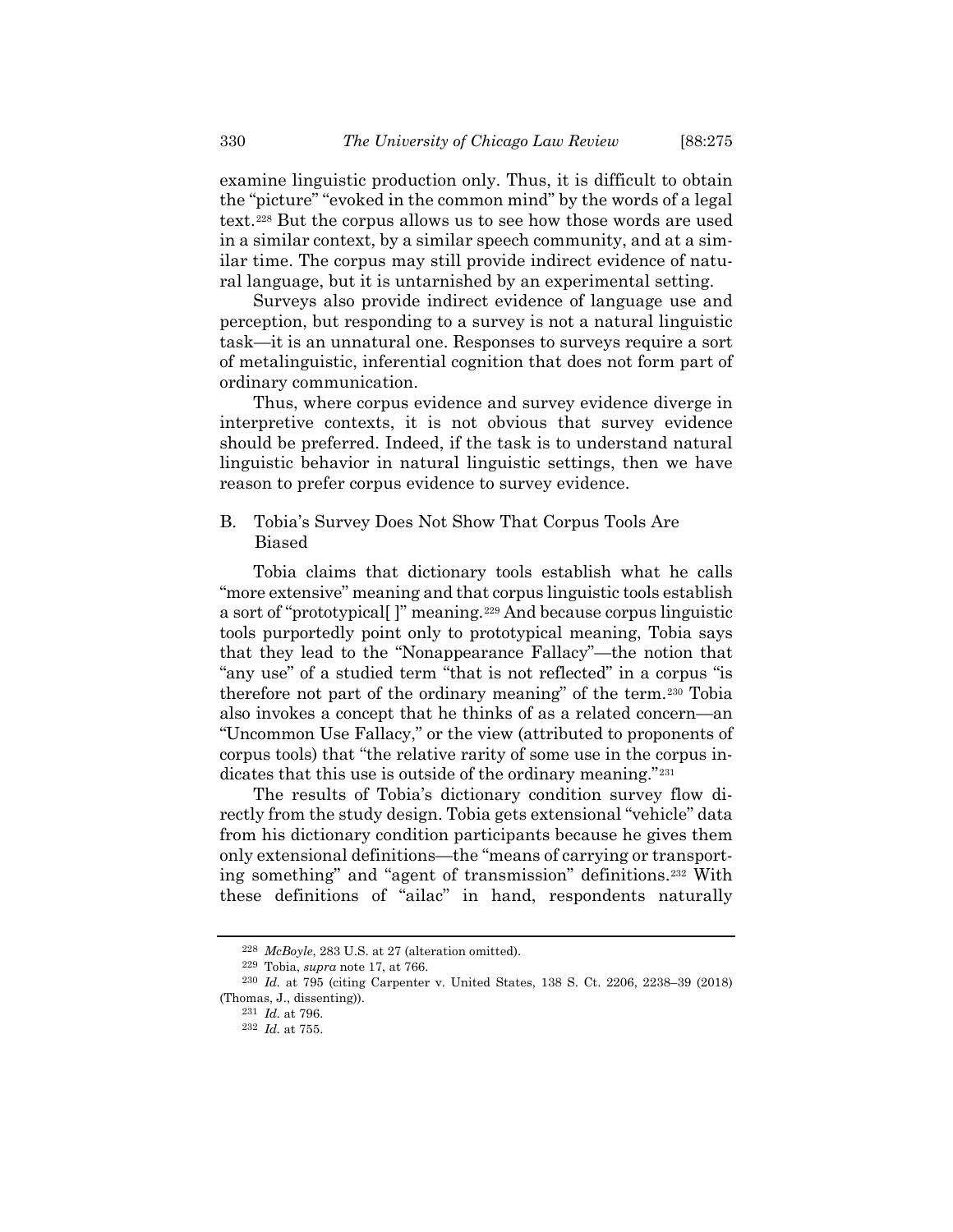examine linguistic production only. Thus, it is difficult to obtain the "picture" "evoked in the common mind" by the words of a legal text.[228](#page-55-0) But the corpus allows us to see how those words are used in a similar context, by a similar speech community, and at a similar time. The corpus may still provide indirect evidence of natural language, but it is untarnished by an experimental setting.

Surveys also provide indirect evidence of language use and perception, but responding to a survey is not a natural linguistic task—it is an unnatural one. Responses to surveys require a sort of metalinguistic, inferential cognition that does not form part of ordinary communication.

Thus, where corpus evidence and survey evidence diverge in interpretive contexts, it is not obvious that survey evidence should be preferred. Indeed, if the task is to understand natural linguistic behavior in natural linguistic settings, then we have reason to prefer corpus evidence to survey evidence.

B. Tobia's Survey Does Not Show That Corpus Tools Are Biased

Tobia claims that dictionary tools establish what he calls "more extensive" meaning and that corpus linguistic tools establish a sort of "prototypical[ ]" meaning.[229](#page-55-1) And because corpus linguistic tools purportedly point only to prototypical meaning, Tobia says that they lead to the "Nonappearance Fallacy"—the notion that "any use" of a studied term "that is not reflected" in a corpus "is therefore not part of the ordinary meaning" of the term.[230](#page-55-2) Tobia also invokes a concept that he thinks of as a related concern—an "Uncommon Use Fallacy," or the view (attributed to proponents of corpus tools) that "the relative rarity of some use in the corpus in-dicates that this use is outside of the ordinary meaning."<sup>[231](#page-55-3)</sup>

The results of Tobia's dictionary condition survey flow directly from the study design. Tobia gets extensional "vehicle" data from his dictionary condition participants because he gives them only extensional definitions—the "means of carrying or transporting something" and "agent of transmission" definitions.[232](#page-55-4) With these definitions of "ailac" in hand, respondents naturally

<sup>228</sup> *McBoyle*, 283 U.S. at 27 (alteration omitted).

<sup>229</sup> Tobia, *supra* note [17,](#page-4-0) at 766.

<span id="page-55-4"></span><span id="page-55-3"></span><span id="page-55-2"></span><span id="page-55-1"></span><span id="page-55-0"></span><sup>230</sup> *Id.* at 795 (citing Carpenter v. United States, 138 S. Ct. 2206, 2238–39 (2018) (Thomas, J., dissenting)).

<sup>231</sup> *Id.* at 796.

<sup>232</sup> *Id.* at 755.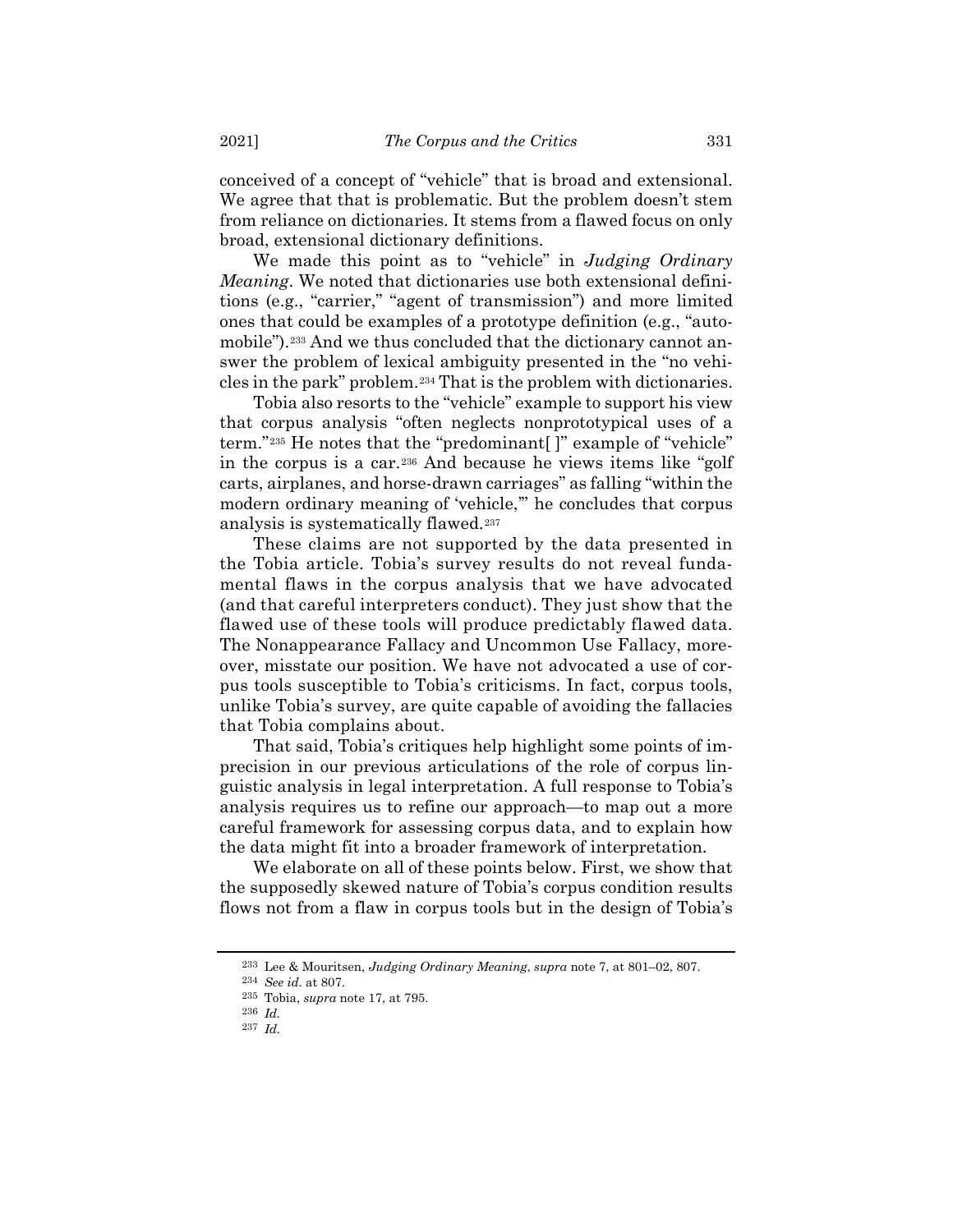conceived of a concept of "vehicle" that is broad and extensional. We agree that that is problematic. But the problem doesn't stem from reliance on dictionaries. It stems from a flawed focus on only broad, extensional dictionary definitions.

We made this point as to "vehicle" in *Judging Ordinary Meaning*. We noted that dictionaries use both extensional definitions (e.g., "carrier," "agent of transmission") and more limited ones that could be examples of a prototype definition (e.g., "automobile").<sup>233</sup> And we thus concluded that the dictionary cannot answer the problem of lexical ambiguity presented in the "no vehicles in the park" problem.[234](#page-56-1) That is the problem with dictionaries.

Tobia also resorts to the "vehicle" example to support his view that corpus analysis "often neglects nonprototypical uses of a term."[235](#page-56-2) He notes that the "predominant[ ]" example of "vehicle" in the corpus is a car.[236](#page-56-3) And because he views items like "golf carts, airplanes, and horse-drawn carriages" as falling "within the modern ordinary meaning of 'vehicle,'" he concludes that corpus analysis is systematically flawed.[237](#page-56-4)

These claims are not supported by the data presented in the Tobia article. Tobia's survey results do not reveal fundamental flaws in the corpus analysis that we have advocated (and that careful interpreters conduct). They just show that the flawed use of these tools will produce predictably flawed data. The Nonappearance Fallacy and Uncommon Use Fallacy, moreover, misstate our position. We have not advocated a use of corpus tools susceptible to Tobia's criticisms. In fact, corpus tools, unlike Tobia's survey, are quite capable of avoiding the fallacies that Tobia complains about.

That said, Tobia's critiques help highlight some points of imprecision in our previous articulations of the role of corpus linguistic analysis in legal interpretation. A full response to Tobia's analysis requires us to refine our approach—to map out a more careful framework for assessing corpus data, and to explain how the data might fit into a broader framework of interpretation.

We elaborate on all of these points below. First, we show that the supposedly skewed nature of Tobia's corpus condition results flows not from a flaw in corpus tools but in the design of Tobia's

<sup>233</sup> Lee & Mouritsen, *Judging Ordinary Meaning*, *supra* note [7,](#page-2-0) at 801–02, 807.

<span id="page-56-2"></span><span id="page-56-1"></span><span id="page-56-0"></span><sup>234</sup> *See id.* at 807.

<sup>235</sup> Tobia, *supra* note [17,](#page-4-0) at 795.

<sup>236</sup> *Id.*

<span id="page-56-4"></span><span id="page-56-3"></span><sup>237</sup> *Id.*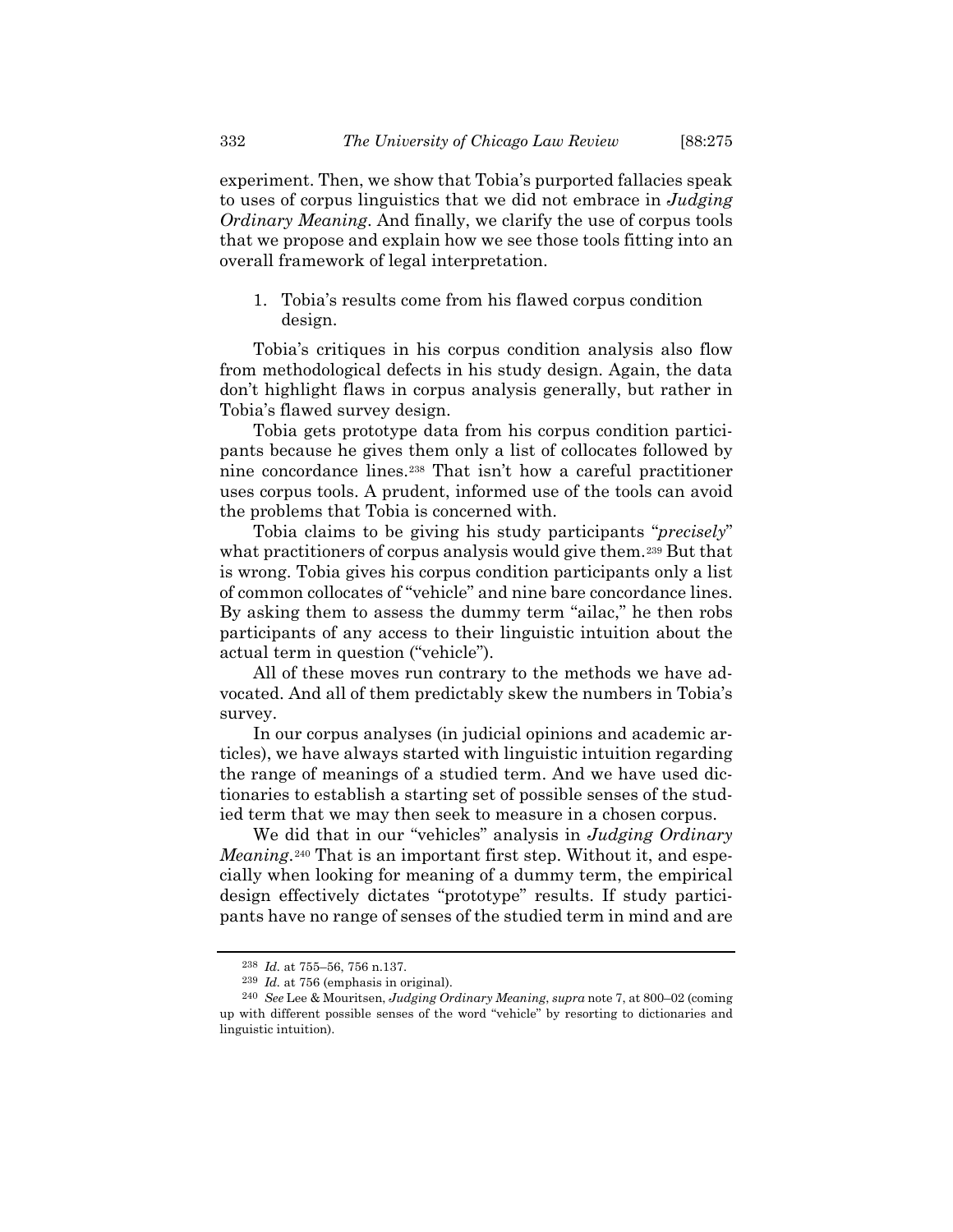experiment. Then, we show that Tobia's purported fallacies speak to uses of corpus linguistics that we did not embrace in *Judging Ordinary Meaning*. And finally, we clarify the use of corpus tools that we propose and explain how we see those tools fitting into an overall framework of legal interpretation.

1. Tobia's results come from his flawed corpus condition design.

Tobia's critiques in his corpus condition analysis also flow from methodological defects in his study design. Again, the data don't highlight flaws in corpus analysis generally, but rather in Tobia's flawed survey design.

Tobia gets prototype data from his corpus condition participants because he gives them only a list of collocates followed by nine concordance lines.[238](#page-57-0) That isn't how a careful practitioner uses corpus tools. A prudent, informed use of the tools can avoid the problems that Tobia is concerned with.

Tobia claims to be giving his study participants "*precisely*" what practitioners of corpus analysis would give them.<sup>[239](#page-57-1)</sup> But that is wrong. Tobia gives his corpus condition participants only a list of common collocates of "vehicle" and nine bare concordance lines. By asking them to assess the dummy term "ailac," he then robs participants of any access to their linguistic intuition about the actual term in question ("vehicle").

All of these moves run contrary to the methods we have advocated. And all of them predictably skew the numbers in Tobia's survey.

In our corpus analyses (in judicial opinions and academic articles), we have always started with linguistic intuition regarding the range of meanings of a studied term. And we have used dictionaries to establish a starting set of possible senses of the studied term that we may then seek to measure in a chosen corpus.

We did that in our "vehicles" analysis in *Judging Ordinary Meaning*.<sup>[240](#page-57-2)</sup> That is an important first step. Without it, and especially when looking for meaning of a dummy term, the empirical design effectively dictates "prototype" results. If study participants have no range of senses of the studied term in mind and are

<sup>238</sup> *Id.* at 755–56, 756 n.137.

<sup>239</sup> *Id.* at 756 (emphasis in original).

<span id="page-57-2"></span><span id="page-57-1"></span><span id="page-57-0"></span><sup>240</sup> *See* Lee & Mouritsen, *Judging Ordinary Meaning*, *supra* note [7,](#page-2-0) at 800–02 (coming up with different possible senses of the word "vehicle" by resorting to dictionaries and linguistic intuition).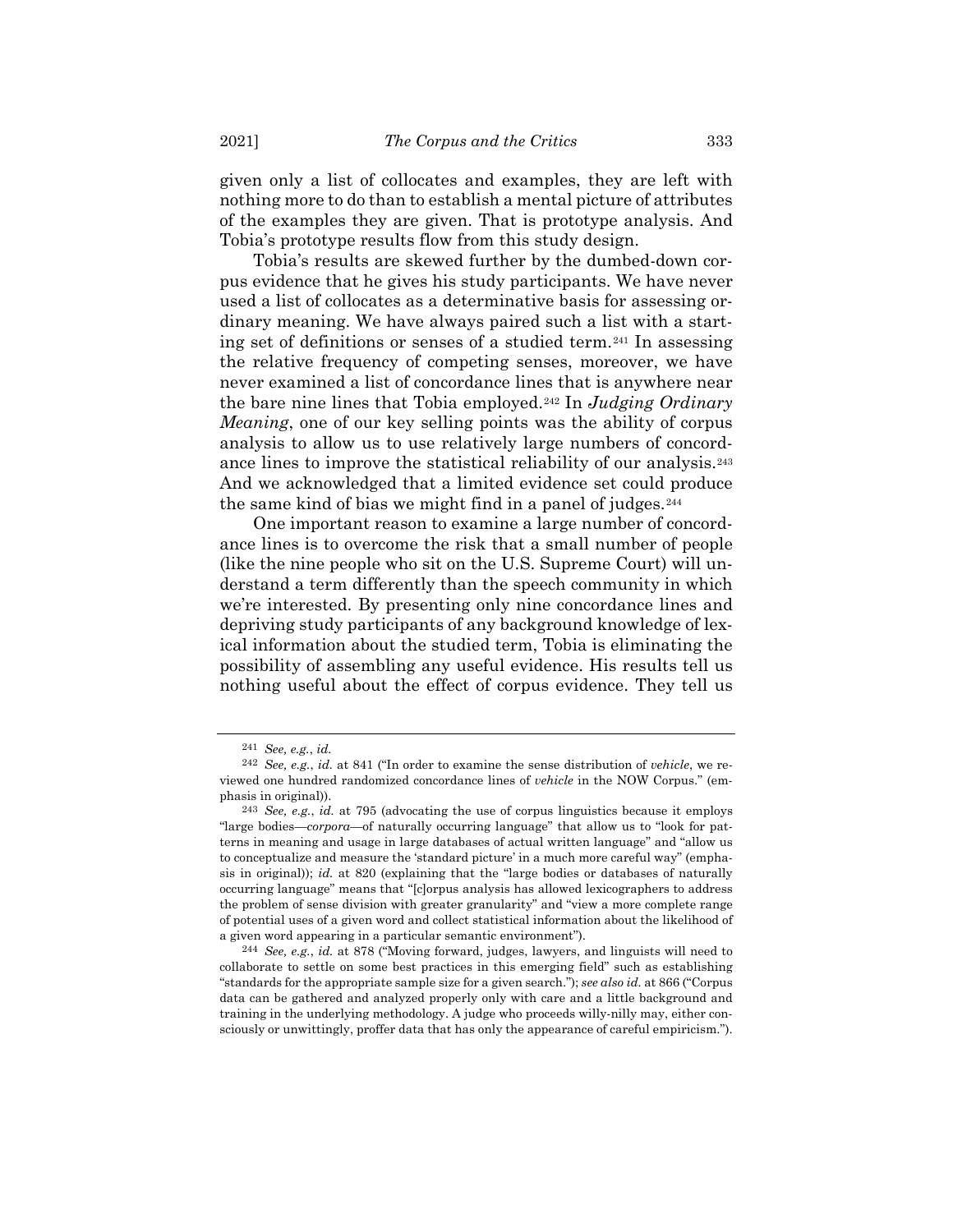given only a list of collocates and examples, they are left with nothing more to do than to establish a mental picture of attributes of the examples they are given. That is prototype analysis. And Tobia's prototype results flow from this study design.

Tobia's results are skewed further by the dumbed-down corpus evidence that he gives his study participants. We have never used a list of collocates as a determinative basis for assessing ordinary meaning. We have always paired such a list with a starting set of definitions or senses of a studied term.[241](#page-58-0) In assessing the relative frequency of competing senses, moreover, we have never examined a list of concordance lines that is anywhere near the bare nine lines that Tobia employed.[242](#page-58-1) In *Judging Ordinary Meaning*, one of our key selling points was the ability of corpus analysis to allow us to use relatively large numbers of concordance lines to improve the statistical reliability of our analysis.[243](#page-58-2) And we acknowledged that a limited evidence set could produce the same kind of bias we might find in a panel of judges.[244](#page-58-3)

One important reason to examine a large number of concordance lines is to overcome the risk that a small number of people (like the nine people who sit on the U.S. Supreme Court) will understand a term differently than the speech community in which we're interested. By presenting only nine concordance lines and depriving study participants of any background knowledge of lexical information about the studied term, Tobia is eliminating the possibility of assembling any useful evidence. His results tell us nothing useful about the effect of corpus evidence. They tell us

<sup>241</sup> *See, e.g.*, *id.*

<span id="page-58-1"></span><span id="page-58-0"></span><sup>242</sup> *See, e.g.*, *id.* at 841 ("In order to examine the sense distribution of *vehicle*, we reviewed one hundred randomized concordance lines of *vehicle* in the NOW Corpus." (emphasis in original)).

<span id="page-58-2"></span><sup>243</sup> *See, e.g.*, *id.* at 795 (advocating the use of corpus linguistics because it employs "large bodies—*corpora*—of naturally occurring language" that allow us to "look for patterns in meaning and usage in large databases of actual written language" and "allow us to conceptualize and measure the 'standard picture' in a much more careful way" (emphasis in original)); *id.* at 820 (explaining that the "large bodies or databases of naturally occurring language" means that "[c]orpus analysis has allowed lexicographers to address the problem of sense division with greater granularity" and "view a more complete range of potential uses of a given word and collect statistical information about the likelihood of a given word appearing in a particular semantic environment").

<span id="page-58-3"></span><sup>244</sup> *See, e.g.*, *id.* at 878 ("Moving forward, judges, lawyers, and linguists will need to collaborate to settle on some best practices in this emerging field" such as establishing "standards for the appropriate sample size for a given search."); *see also id.* at 866 ("Corpus data can be gathered and analyzed properly only with care and a little background and training in the underlying methodology. A judge who proceeds willy-nilly may, either consciously or unwittingly, proffer data that has only the appearance of careful empiricism.").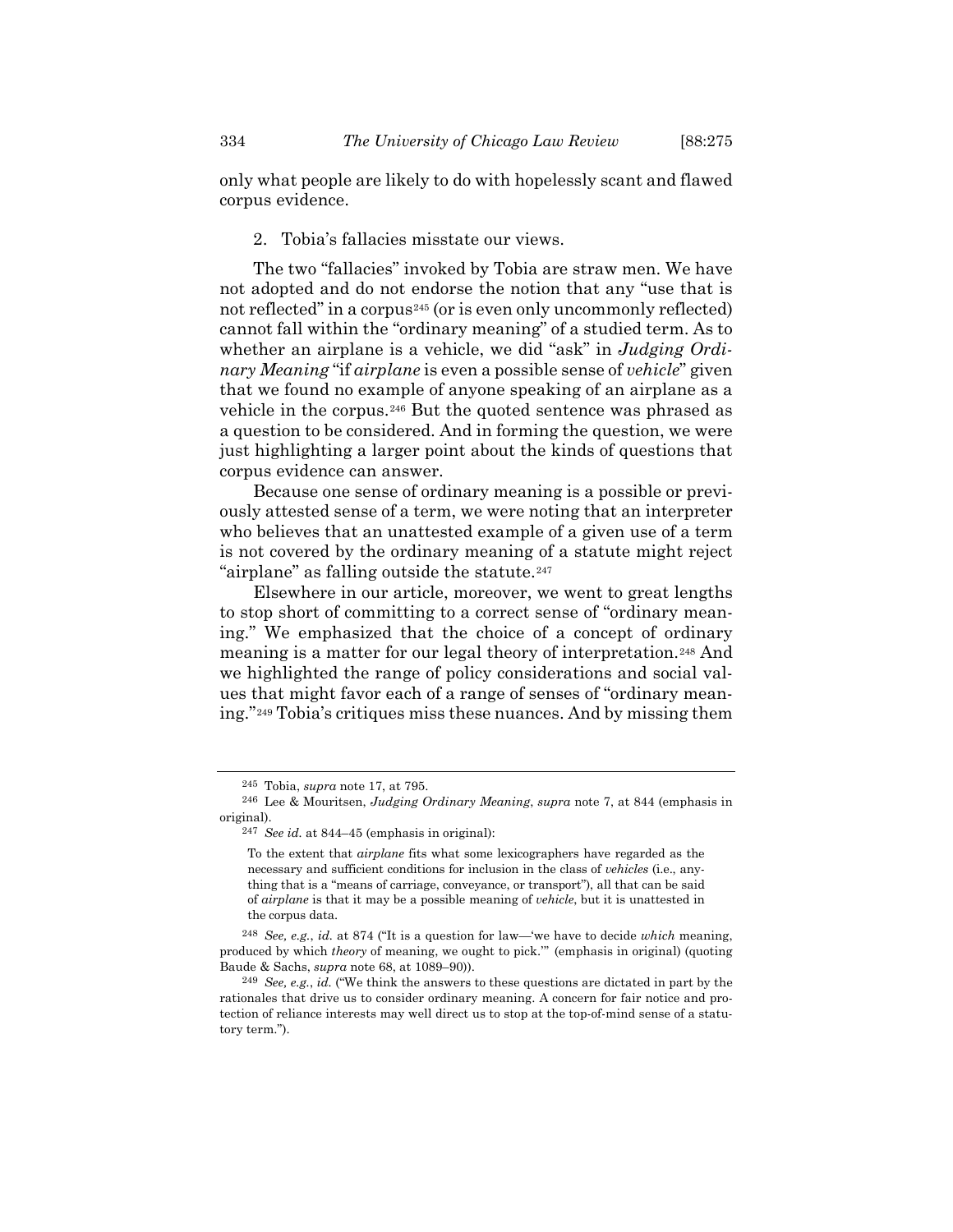only what people are likely to do with hopelessly scant and flawed corpus evidence.

## 2. Tobia's fallacies misstate our views.

The two "fallacies" invoked by Tobia are straw men. We have not adopted and do not endorse the notion that any "use that is not reflected" in a corpus<sup>[245](#page-59-0)</sup> (or is even only uncommonly reflected) cannot fall within the "ordinary meaning" of a studied term. As to whether an airplane is a vehicle, we did "ask" in *Judging Ordinary Meaning* "if *airplane* is even a possible sense of *vehicle*" given that we found no example of anyone speaking of an airplane as a vehicle in the corpus.[246](#page-59-1) But the quoted sentence was phrased as a question to be considered. And in forming the question, we were just highlighting a larger point about the kinds of questions that corpus evidence can answer.

Because one sense of ordinary meaning is a possible or previously attested sense of a term, we were noting that an interpreter who believes that an unattested example of a given use of a term is not covered by the ordinary meaning of a statute might reject "airplane" as falling outside the statute.[247](#page-59-2)

Elsewhere in our article, moreover, we went to great lengths to stop short of committing to a correct sense of "ordinary meaning." We emphasized that the choice of a concept of ordinary meaning is a matter for our legal theory of interpretation.[248](#page-59-3) And we highlighted the range of policy considerations and social values that might favor each of a range of senses of "ordinary meaning."[249](#page-59-4) Tobia's critiques miss these nuances. And by missing them

<sup>245</sup> Tobia, *supra* note [17,](#page-4-0) at 795.

<span id="page-59-2"></span><span id="page-59-1"></span><span id="page-59-0"></span><sup>246</sup> Lee & Mouritsen, *Judging Ordinary Meaning*, *supra* note [7,](#page-2-0) at 844 (emphasis in original).

<sup>247</sup> *See id.* at 844–45 (emphasis in original):

To the extent that *airplane* fits what some lexicographers have regarded as the necessary and sufficient conditions for inclusion in the class of *vehicles* (i.e., anything that is a "means of carriage, conveyance, or transport"), all that can be said of *airplane* is that it may be a possible meaning of *vehicle*, but it is unattested in the corpus data.

<span id="page-59-3"></span><sup>248</sup> *See, e.g.*, *id.* at 874 ("It is a question for law—'we have to decide *which* meaning, produced by which *theory* of meaning, we ought to pick.'" (emphasis in original) (quoting Baude & Sachs, *supra* note [68,](#page-14-0) at 1089–90)).

<span id="page-59-4"></span><sup>249</sup> *See, e.g.*, *id.* ("We think the answers to these questions are dictated in part by the rationales that drive us to consider ordinary meaning. A concern for fair notice and protection of reliance interests may well direct us to stop at the top-of-mind sense of a statutory term.").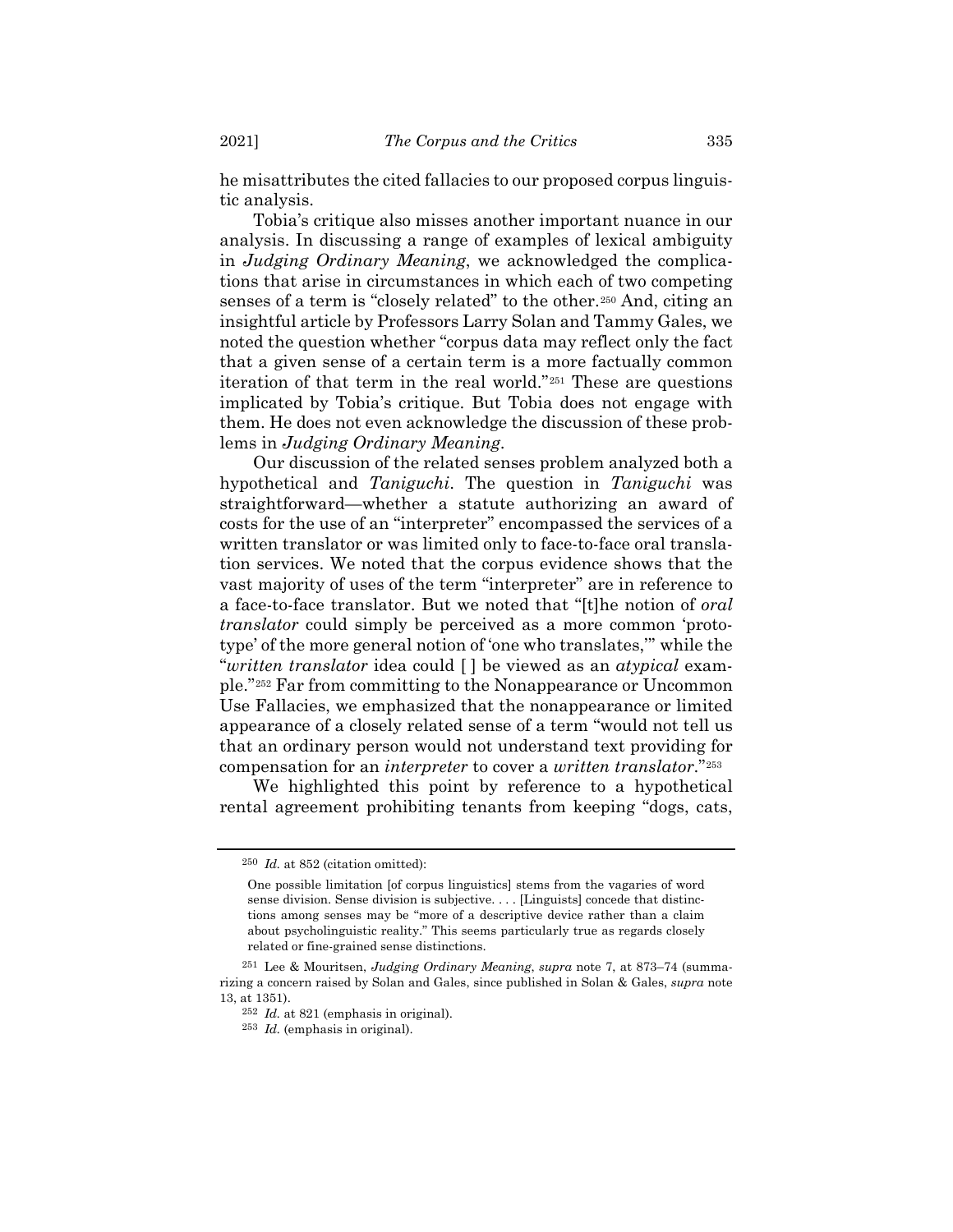he misattributes the cited fallacies to our proposed corpus linguistic analysis.

Tobia's critique also misses another important nuance in our analysis. In discussing a range of examples of lexical ambiguity in *Judging Ordinary Meaning*, we acknowledged the complications that arise in circumstances in which each of two competing senses of a term is "closely related" to the other.[250](#page-60-0) And, citing an insightful article by Professors Larry Solan and Tammy Gales, we noted the question whether "corpus data may reflect only the fact that a given sense of a certain term is a more factually common iteration of that term in the real world."[251](#page-60-1) These are questions implicated by Tobia's critique. But Tobia does not engage with them. He does not even acknowledge the discussion of these problems in *Judging Ordinary Meaning*.

Our discussion of the related senses problem analyzed both a hypothetical and *Taniguchi*. The question in *Taniguchi* was straightforward—whether a statute authorizing an award of costs for the use of an "interpreter" encompassed the services of a written translator or was limited only to face-to-face oral translation services. We noted that the corpus evidence shows that the vast majority of uses of the term "interpreter" are in reference to a face-to-face translator. But we noted that "[t]he notion of *oral translator* could simply be perceived as a more common 'prototype' of the more general notion of 'one who translates,'" while the "*written translator* idea could [ ] be viewed as an *atypical* example."[252](#page-60-2) Far from committing to the Nonappearance or Uncommon Use Fallacies, we emphasized that the nonappearance or limited appearance of a closely related sense of a term "would not tell us that an ordinary person would not understand text providing for compensation for an *interpreter* to cover a *written translator*."[253](#page-60-3)

<span id="page-60-0"></span>We highlighted this point by reference to a hypothetical rental agreement prohibiting tenants from keeping "dogs, cats,

<sup>250</sup> *Id.* at 852 (citation omitted):

One possible limitation [of corpus linguistics] stems from the vagaries of word sense division. Sense division is subjective. . . . [Linguists] concede that distinctions among senses may be "more of a descriptive device rather than a claim about psycholinguistic reality." This seems particularly true as regards closely related or fine-grained sense distinctions.

<span id="page-60-3"></span><span id="page-60-2"></span><span id="page-60-1"></span><sup>251</sup> Lee & Mouritsen, *Judging Ordinary Meaning*, *supra* note [7,](#page-2-0) at 873–74 (summarizing a concern raised by Solan and Gales, since published in Solan & Gales, *supra* note [13,](#page-3-0) at 1351).

<sup>252</sup> *Id.* at 821 (emphasis in original).

<sup>253</sup> *Id.* (emphasis in original).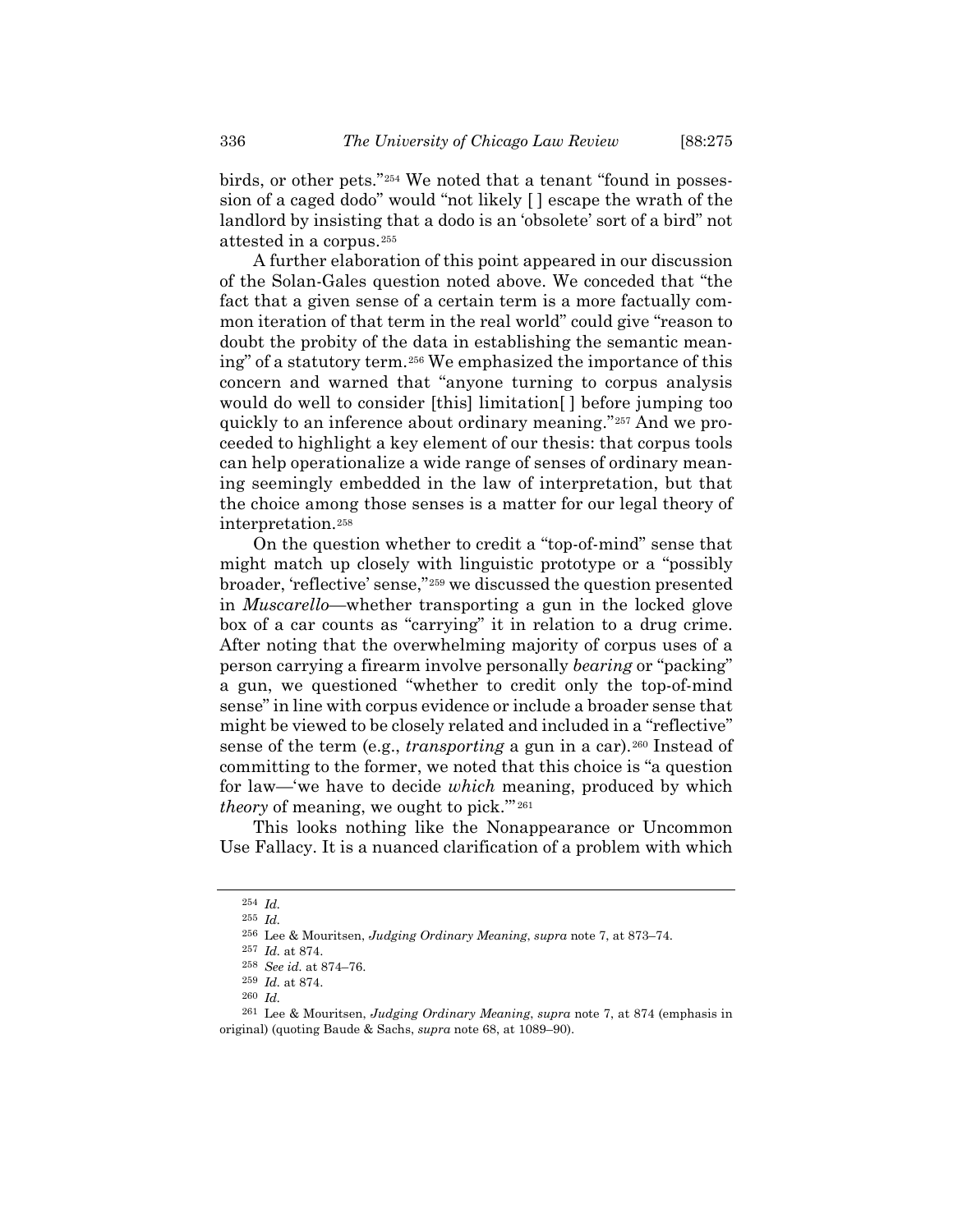birds, or other pets."[254](#page-61-0) We noted that a tenant "found in possession of a caged dodo" would "not likely [ ] escape the wrath of the landlord by insisting that a dodo is an 'obsolete' sort of a bird" not attested in a corpus.[255](#page-61-1)

A further elaboration of this point appeared in our discussion of the Solan-Gales question noted above. We conceded that "the fact that a given sense of a certain term is a more factually common iteration of that term in the real world" could give "reason to doubt the probity of the data in establishing the semantic meaning" of a statutory term.[256](#page-61-2) We emphasized the importance of this concern and warned that "anyone turning to corpus analysis would do well to consider [this] limitation[ ] before jumping too quickly to an inference about ordinary meaning."[257](#page-61-3) And we proceeded to highlight a key element of our thesis: that corpus tools can help operationalize a wide range of senses of ordinary meaning seemingly embedded in the law of interpretation, but that the choice among those senses is a matter for our legal theory of interpretation.[258](#page-61-4)

On the question whether to credit a "top-of-mind" sense that might match up closely with linguistic prototype or a "possibly broader, 'reflective' sense,"[259](#page-61-5) we discussed the question presented in *Muscarello*—whether transporting a gun in the locked glove box of a car counts as "carrying" it in relation to a drug crime. After noting that the overwhelming majority of corpus uses of a person carrying a firearm involve personally *bearing* or "packing" a gun, we questioned "whether to credit only the top-of-mind sense" in line with corpus evidence or include a broader sense that might be viewed to be closely related and included in a "reflective" sense of the term (e.g., *transporting* a gun in a car).<sup>[260](#page-61-6)</sup> Instead of committing to the former, we noted that this choice is "a question for law—'we have to decide *which* meaning, produced by which *theory* of meaning, we ought to pick.'" [261](#page-61-7)

<span id="page-61-1"></span><span id="page-61-0"></span>This looks nothing like the Nonappearance or Uncommon Use Fallacy. It is a nuanced clarification of a problem with which

<sup>254</sup> *Id.*

<sup>255</sup> *Id.*

<sup>256</sup> Lee & Mouritsen, *Judging Ordinary Meaning*, *supra* note [7,](#page-2-0) at 873–74.

<sup>257</sup> *Id.* at 874.

<sup>258</sup> *See id.* at 874–76.

<sup>259</sup> *Id.* at 874. 260 *Id.*

<span id="page-61-7"></span><span id="page-61-6"></span><span id="page-61-5"></span><span id="page-61-4"></span><span id="page-61-3"></span><span id="page-61-2"></span><sup>261</sup> Lee & Mouritsen, *Judging Ordinary Meaning*, *supra* note [7,](#page-2-0) at 874 (emphasis in original) (quoting Baude & Sachs, *supra* note [68,](#page-14-0) at 1089–90).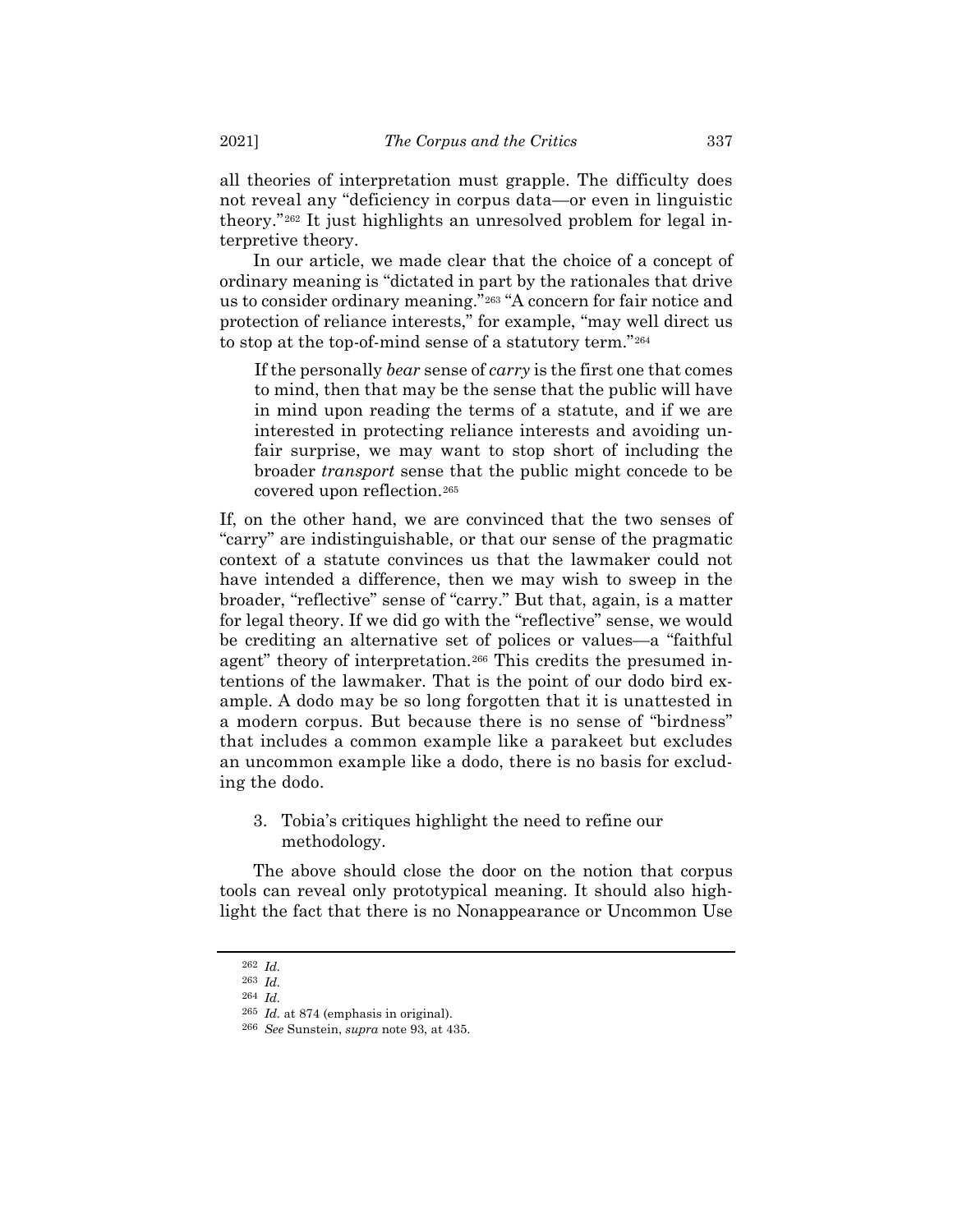all theories of interpretation must grapple. The difficulty does not reveal any "deficiency in corpus data—or even in linguistic theory."[262](#page-62-0) It just highlights an unresolved problem for legal interpretive theory.

In our article, we made clear that the choice of a concept of ordinary meaning is "dictated in part by the rationales that drive us to consider ordinary meaning."[263](#page-62-1) "A concern for fair notice and protection of reliance interests," for example, "may well direct us to stop at the top-of-mind sense of a statutory term."[264](#page-62-2)

If the personally *bear* sense of *carry* is the first one that comes to mind, then that may be the sense that the public will have in mind upon reading the terms of a statute, and if we are interested in protecting reliance interests and avoiding unfair surprise, we may want to stop short of including the broader *transport* sense that the public might concede to be covered upon reflection.[265](#page-62-3)

If, on the other hand, we are convinced that the two senses of "carry" are indistinguishable, or that our sense of the pragmatic context of a statute convinces us that the lawmaker could not have intended a difference, then we may wish to sweep in the broader, "reflective" sense of "carry." But that, again, is a matter for legal theory. If we did go with the "reflective" sense, we would be crediting an alternative set of polices or values—a "faithful agent" theory of interpretation.<sup>[266](#page-62-4)</sup> This credits the presumed intentions of the lawmaker. That is the point of our dodo bird example. A dodo may be so long forgotten that it is unattested in a modern corpus. But because there is no sense of "birdness" that includes a common example like a parakeet but excludes an uncommon example like a dodo, there is no basis for excluding the dodo.

3. Tobia's critiques highlight the need to refine our methodology.

The above should close the door on the notion that corpus tools can reveal only prototypical meaning. It should also highlight the fact that there is no Nonappearance or Uncommon Use

<span id="page-62-1"></span><span id="page-62-0"></span><sup>262</sup> *Id.*

<span id="page-62-3"></span><span id="page-62-2"></span><sup>263</sup> *Id.*

<sup>264</sup> *Id.*

<sup>265</sup> *Id.* at 874 (emphasis in original).

<span id="page-62-4"></span><sup>266</sup> *See* Sunstein, *supra* not[e 93,](#page-19-0) at 435.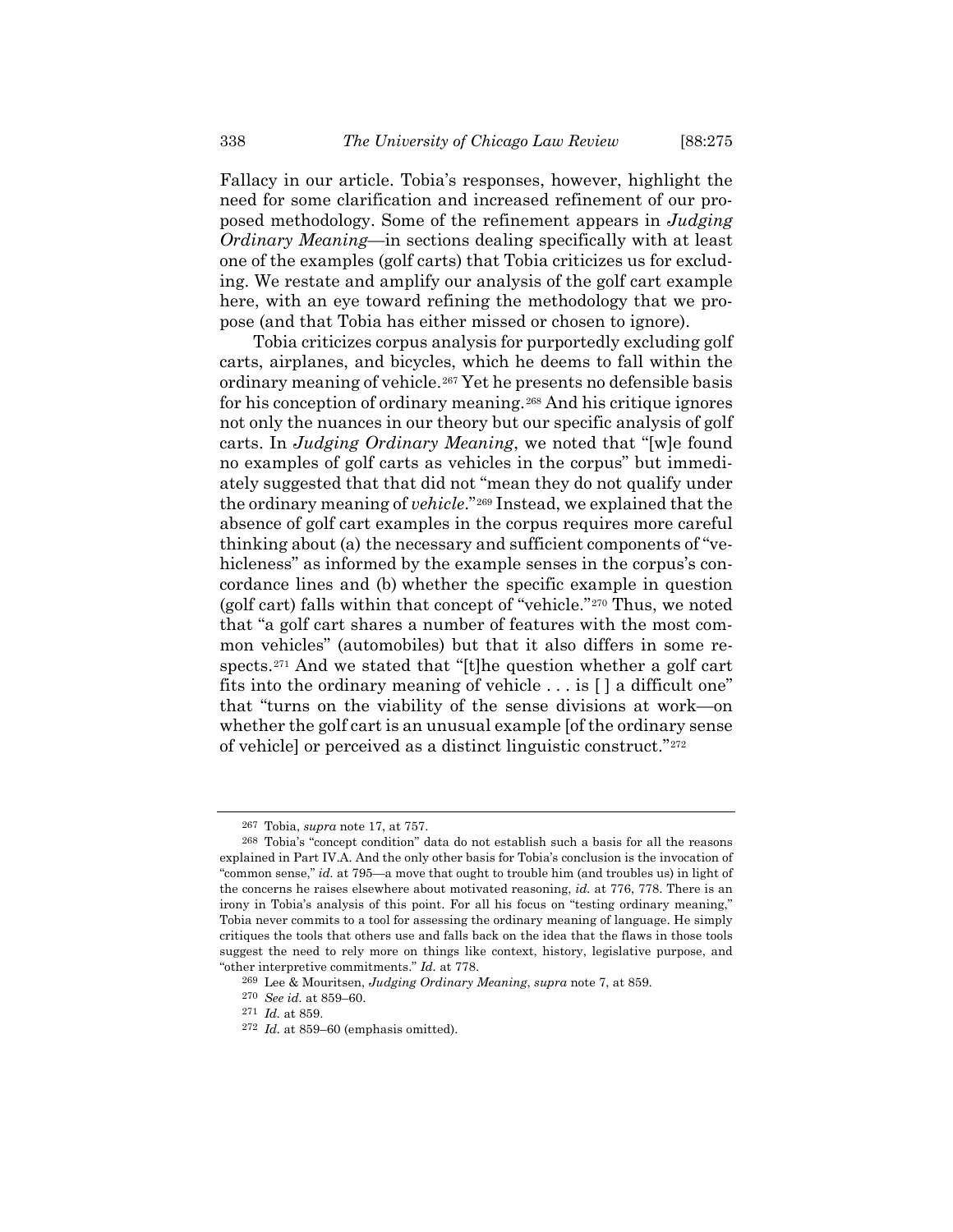Fallacy in our article. Tobia's responses, however, highlight the need for some clarification and increased refinement of our proposed methodology. Some of the refinement appears in *Judging Ordinary Meaning*—in sections dealing specifically with at least one of the examples (golf carts) that Tobia criticizes us for excluding. We restate and amplify our analysis of the golf cart example here, with an eye toward refining the methodology that we propose (and that Tobia has either missed or chosen to ignore).

Tobia criticizes corpus analysis for purportedly excluding golf carts, airplanes, and bicycles, which he deems to fall within the ordinary meaning of vehicle.[267](#page-63-0) Yet he presents no defensible basis for his conception of ordinary meaning.<sup>[268](#page-63-1)</sup> And his critique ignores not only the nuances in our theory but our specific analysis of golf carts. In *Judging Ordinary Meaning*, we noted that "[w]e found no examples of golf carts as vehicles in the corpus" but immediately suggested that that did not "mean they do not qualify under the ordinary meaning of *vehicle*."[269](#page-63-2) Instead, we explained that the absence of golf cart examples in the corpus requires more careful thinking about (a) the necessary and sufficient components of "vehicleness" as informed by the example senses in the corpus's concordance lines and (b) whether the specific example in question (golf cart) falls within that concept of "vehicle."[270](#page-63-3) Thus, we noted that "a golf cart shares a number of features with the most common vehicles" (automobiles) but that it also differs in some respects.[271](#page-63-4) And we stated that "[t]he question whether a golf cart fits into the ordinary meaning of vehicle . . . is [ ] a difficult one" that "turns on the viability of the sense divisions at work—on whether the golf cart is an unusual example [of the ordinary sense of vehicle] or perceived as a distinct linguistic construct."[272](#page-63-5)

<sup>267</sup> Tobia, *supra* note [17,](#page-4-0) at 757.

<span id="page-63-1"></span><span id="page-63-0"></span><sup>268</sup> Tobia's "concept condition" data do not establish such a basis for all the reasons explained in Part IV.A. And the only other basis for Tobia's conclusion is the invocation of "common sense," *id.* at 795—a move that ought to trouble him (and troubles us) in light of the concerns he raises elsewhere about motivated reasoning, *id.* at 776, 778. There is an irony in Tobia's analysis of this point. For all his focus on "testing ordinary meaning," Tobia never commits to a tool for assessing the ordinary meaning of language. He simply critiques the tools that others use and falls back on the idea that the flaws in those tools suggest the need to rely more on things like context, history, legislative purpose, and "other interpretive commitments." *Id.* at 778.

<span id="page-63-2"></span><sup>269</sup> Lee & Mouritsen, *Judging Ordinary Meaning*, *supra* note [7,](#page-2-0) at 859.

<sup>270</sup> *See id.* at 859–60.

<span id="page-63-4"></span><span id="page-63-3"></span><sup>271</sup> *Id.* at 859.

<span id="page-63-5"></span><sup>272</sup> *Id.* at 859–60 (emphasis omitted).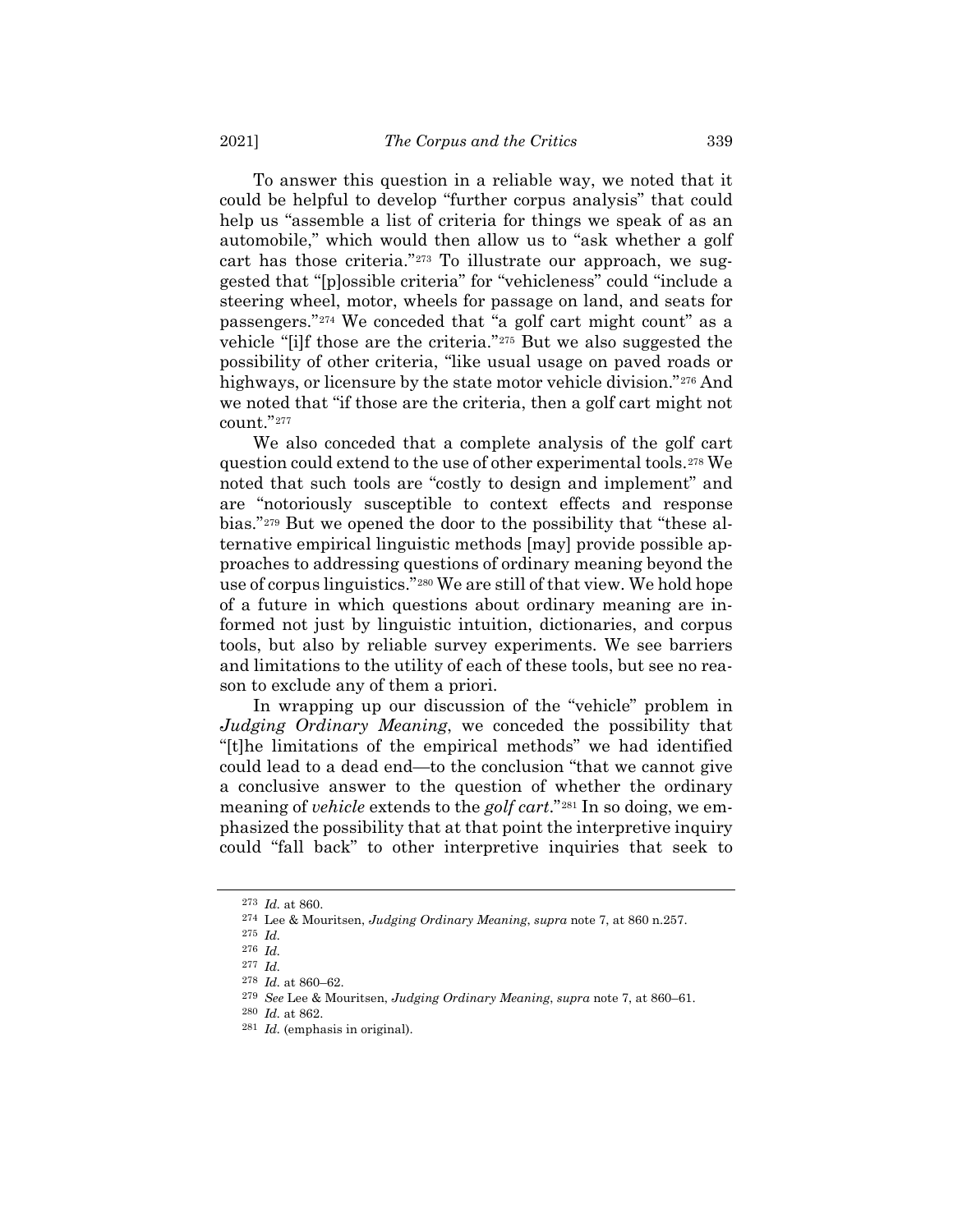To answer this question in a reliable way, we noted that it could be helpful to develop "further corpus analysis" that could help us "assemble a list of criteria for things we speak of as an automobile," which would then allow us to "ask whether a golf cart has those criteria."[273](#page-64-0) To illustrate our approach, we suggested that "[p]ossible criteria" for "vehicleness" could "include a steering wheel, motor, wheels for passage on land, and seats for passengers."[274](#page-64-1) We conceded that "a golf cart might count" as a vehicle "[i]f those are the criteria."[275](#page-64-2) But we also suggested the possibility of other criteria, "like usual usage on paved roads or highways, or licensure by the state motor vehicle division."<sup>[276](#page-64-3)</sup> And we noted that "if those are the criteria, then a golf cart might not count."[277](#page-64-4)

We also conceded that a complete analysis of the golf cart question could extend to the use of other experimental tools.[278](#page-64-5) We noted that such tools are "costly to design and implement" and are "notoriously susceptible to context effects and response bias."[279](#page-64-6) But we opened the door to the possibility that "these alternative empirical linguistic methods [may] provide possible approaches to addressing questions of ordinary meaning beyond the use of corpus linguistics."[280](#page-64-7) We are still of that view. We hold hope of a future in which questions about ordinary meaning are informed not just by linguistic intuition, dictionaries, and corpus tools, but also by reliable survey experiments. We see barriers and limitations to the utility of each of these tools, but see no reason to exclude any of them a priori.

In wrapping up our discussion of the "vehicle" problem in *Judging Ordinary Meaning*, we conceded the possibility that "[t]he limitations of the empirical methods" we had identified could lead to a dead end—to the conclusion "that we cannot give a conclusive answer to the question of whether the ordinary meaning of *vehicle* extends to the *golf cart*."[281](#page-64-8) In so doing, we emphasized the possibility that at that point the interpretive inquiry could "fall back" to other interpretive inquiries that seek to

<span id="page-64-0"></span><sup>273</sup> *Id.* at 860.

<sup>274</sup> Lee & Mouritsen, *Judging Ordinary Meaning*, *supra* note [7,](#page-2-0) at 860 n.257.

<span id="page-64-2"></span><span id="page-64-1"></span><sup>275</sup> *Id.*

<span id="page-64-4"></span><span id="page-64-3"></span><sup>276</sup> *Id.*

<sup>277</sup> *Id.*

<span id="page-64-5"></span><sup>278</sup> *Id.* at 860–62.

<sup>279</sup> *See* Lee & Mouritsen, *Judging Ordinary Meaning*, *supra* note [7,](#page-2-0) at 860–61.

<span id="page-64-7"></span><span id="page-64-6"></span><sup>280</sup> *Id.* at 862.

<span id="page-64-8"></span><sup>281</sup> *Id.* (emphasis in original).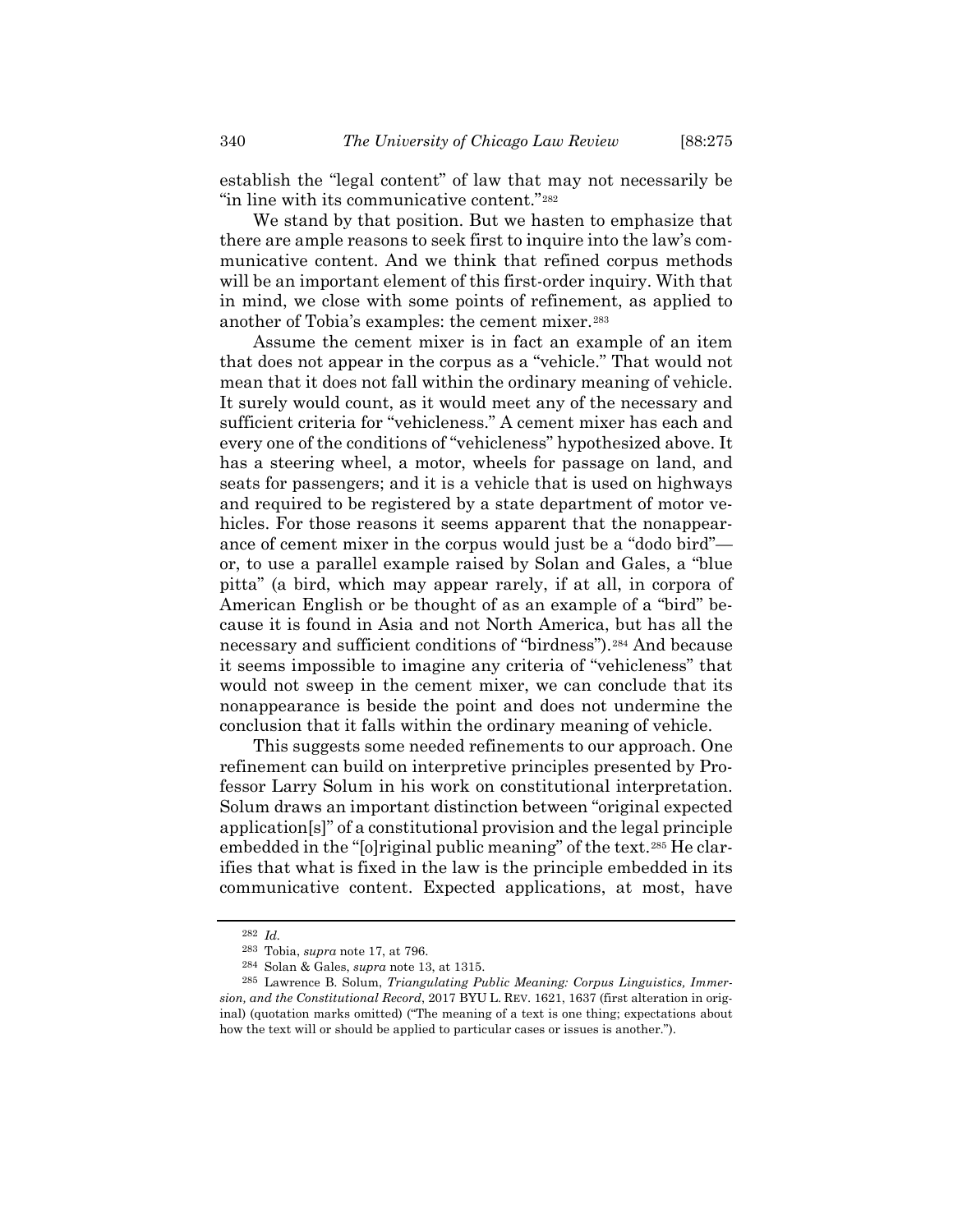establish the "legal content" of law that may not necessarily be "in line with its communicative content."[282](#page-65-0)

We stand by that position. But we hasten to emphasize that there are ample reasons to seek first to inquire into the law's communicative content. And we think that refined corpus methods will be an important element of this first-order inquiry. With that in mind, we close with some points of refinement, as applied to another of Tobia's examples: the cement mixer.[283](#page-65-1)

Assume the cement mixer is in fact an example of an item that does not appear in the corpus as a "vehicle." That would not mean that it does not fall within the ordinary meaning of vehicle. It surely would count, as it would meet any of the necessary and sufficient criteria for "vehicleness." A cement mixer has each and every one of the conditions of "vehicleness" hypothesized above. It has a steering wheel, a motor, wheels for passage on land, and seats for passengers; and it is a vehicle that is used on highways and required to be registered by a state department of motor vehicles. For those reasons it seems apparent that the nonappearance of cement mixer in the corpus would just be a "dodo bird" or, to use a parallel example raised by Solan and Gales, a "blue pitta" (a bird, which may appear rarely, if at all, in corpora of American English or be thought of as an example of a "bird" because it is found in Asia and not North America, but has all the necessary and sufficient conditions of "birdness").[284](#page-65-2) And because it seems impossible to imagine any criteria of "vehicleness" that would not sweep in the cement mixer, we can conclude that its nonappearance is beside the point and does not undermine the conclusion that it falls within the ordinary meaning of vehicle.

This suggests some needed refinements to our approach. One refinement can build on interpretive principles presented by Professor Larry Solum in his work on constitutional interpretation. Solum draws an important distinction between "original expected application[s]" of a constitutional provision and the legal principle embedded in the "[o]riginal public meaning" of the text.<sup>[285](#page-65-3)</sup> He clarifies that what is fixed in the law is the principle embedded in its communicative content. Expected applications, at most, have

<sup>282</sup> *Id.*

<sup>283</sup> Tobia, *supra* not[e 17,](#page-4-0) at 796.

<sup>284</sup> Solan & Gales, *supra* note [13,](#page-3-0) at 1315.

<span id="page-65-3"></span><span id="page-65-2"></span><span id="page-65-1"></span><span id="page-65-0"></span><sup>285</sup> Lawrence B. Solum, *Triangulating Public Meaning: Corpus Linguistics, Immersion, and the Constitutional Record*, 2017 BYU L. REV. 1621, 1637 (first alteration in original) (quotation marks omitted) ("The meaning of a text is one thing; expectations about how the text will or should be applied to particular cases or issues is another.").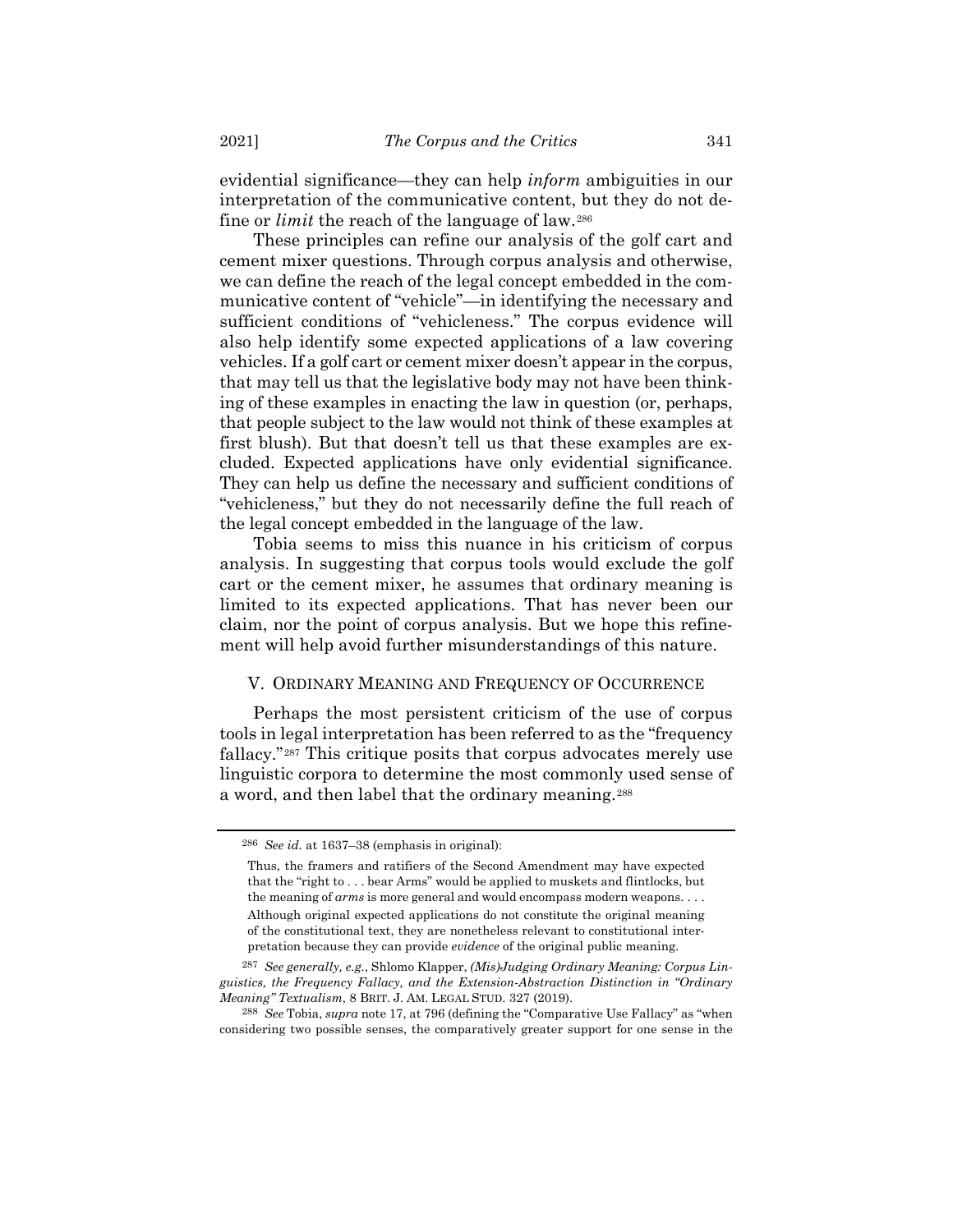evidential significance—they can help *inform* ambiguities in our interpretation of the communicative content, but they do not define or *limit* the reach of the language of law.[286](#page-66-0)

These principles can refine our analysis of the golf cart and cement mixer questions. Through corpus analysis and otherwise, we can define the reach of the legal concept embedded in the communicative content of "vehicle"—in identifying the necessary and sufficient conditions of "vehicleness." The corpus evidence will also help identify some expected applications of a law covering vehicles. If a golf cart or cement mixer doesn't appear in the corpus, that may tell us that the legislative body may not have been thinking of these examples in enacting the law in question (or, perhaps, that people subject to the law would not think of these examples at first blush). But that doesn't tell us that these examples are excluded. Expected applications have only evidential significance. They can help us define the necessary and sufficient conditions of "vehicleness," but they do not necessarily define the full reach of the legal concept embedded in the language of the law.

Tobia seems to miss this nuance in his criticism of corpus analysis. In suggesting that corpus tools would exclude the golf cart or the cement mixer, he assumes that ordinary meaning is limited to its expected applications. That has never been our claim, nor the point of corpus analysis. But we hope this refinement will help avoid further misunderstandings of this nature.

## V. ORDINARY MEANING AND FREQUENCY OF OCCURRENCE

Perhaps the most persistent criticism of the use of corpus tools in legal interpretation has been referred to as the "frequency fallacy."[287](#page-66-1) This critique posits that corpus advocates merely use linguistic corpora to determine the most commonly used sense of a word, and then label that the ordinary meaning.[288](#page-66-2)

<span id="page-66-3"></span><span id="page-66-0"></span><sup>286</sup> *See id.* at 1637–38 (emphasis in original):

Thus, the framers and ratifiers of the Second Amendment may have expected that the "right to . . . bear Arms" would be applied to muskets and flintlocks, but the meaning of *arms* is more general and would encompass modern weapons. . . . Although original expected applications do not constitute the original meaning of the constitutional text, they are nonetheless relevant to constitutional inter-

pretation because they can provide *evidence* of the original public meaning. 287 *See generally, e.g.*, Shlomo Klapper, *(Mis)Judging Ordinary Meaning: Corpus Lin-*

<span id="page-66-1"></span>*guistics, the Frequency Fallacy, and the Extension-Abstraction Distinction in "Ordinary Meaning" Textualism*, 8 BRIT. J. AM. LEGAL STUD. 327 (2019).

<span id="page-66-2"></span><sup>288</sup> *See* Tobia, *supra* note [17,](#page-4-0) at 796 (defining the "Comparative Use Fallacy" as "when considering two possible senses, the comparatively greater support for one sense in the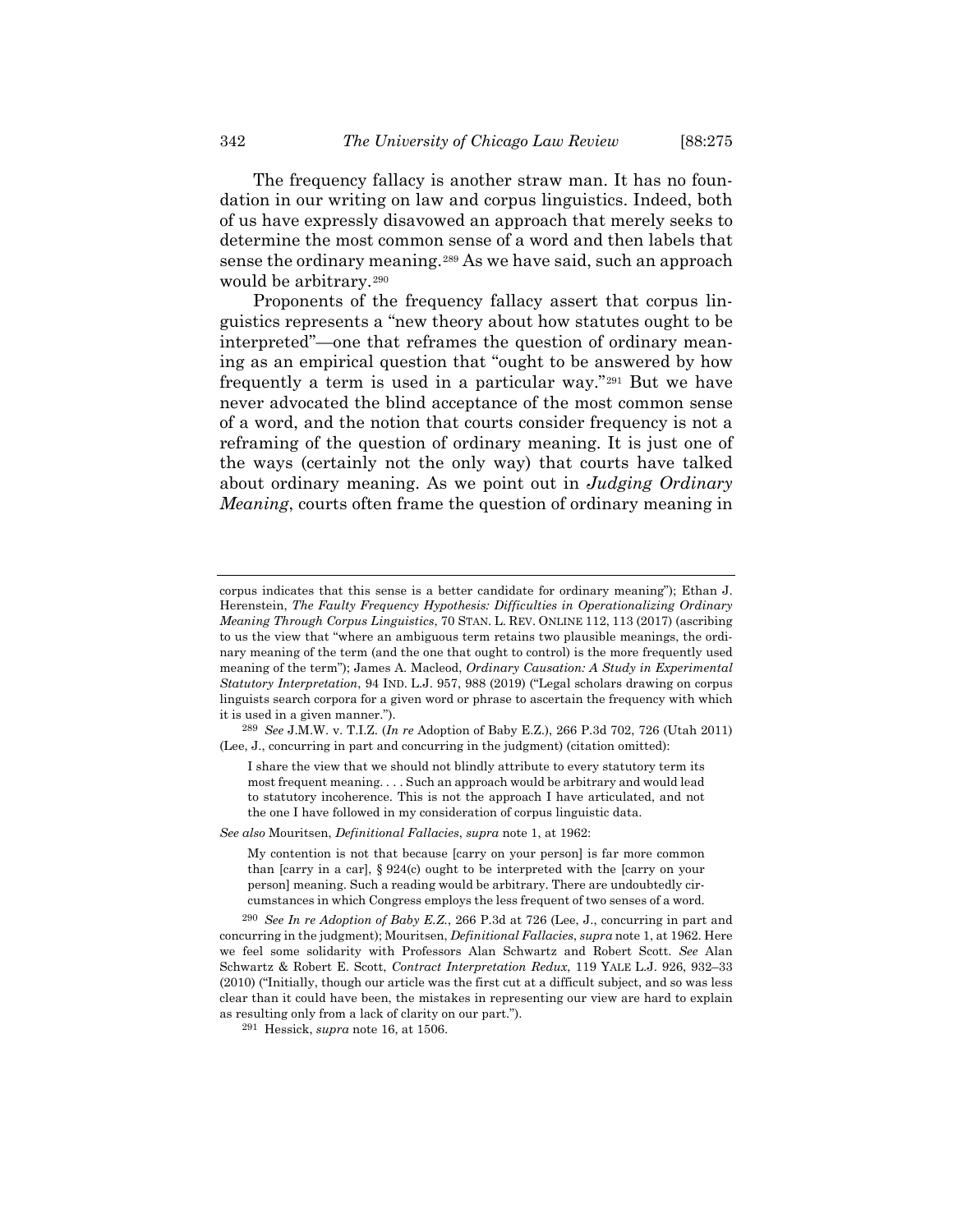The frequency fallacy is another straw man. It has no foundation in our writing on law and corpus linguistics. Indeed, both of us have expressly disavowed an approach that merely seeks to determine the most common sense of a word and then labels that sense the ordinary meaning.[289](#page-67-0) As we have said, such an approach would be arbitrary.[290](#page-67-1)

Proponents of the frequency fallacy assert that corpus linguistics represents a "new theory about how statutes ought to be interpreted"—one that reframes the question of ordinary meaning as an empirical question that "ought to be answered by how frequently a term is used in a particular way."[291](#page-67-2) But we have never advocated the blind acceptance of the most common sense of a word, and the notion that courts consider frequency is not a reframing of the question of ordinary meaning. It is just one of the ways (certainly not the only way) that courts have talked about ordinary meaning. As we point out in *Judging Ordinary Meaning*, courts often frame the question of ordinary meaning in

*See also* Mouritsen, *Definitional Fallacies*, *supra* note [1,](#page-2-1) at 1962:

corpus indicates that this sense is a better candidate for ordinary meaning"); Ethan J. Herenstein, *The Faulty Frequency Hypothesis: Difficulties in Operationalizing Ordinary Meaning Through Corpus Linguistics*, 70 STAN. L. REV. ONLINE 112, 113 (2017) (ascribing to us the view that "where an ambiguous term retains two plausible meanings, the ordinary meaning of the term (and the one that ought to control) is the more frequently used meaning of the term"); James A. Macleod, *Ordinary Causation: A Study in Experimental Statutory Interpretation*, 94 IND. L.J. 957, 988 (2019) ("Legal scholars drawing on corpus linguists search corpora for a given word or phrase to ascertain the frequency with which it is used in a given manner.").

<span id="page-67-0"></span><sup>289</sup> *See* J.M.W. v. T.I.Z. (*In re* Adoption of Baby E.Z.), 266 P.3d 702, 726 (Utah 2011) (Lee, J., concurring in part and concurring in the judgment) (citation omitted):

I share the view that we should not blindly attribute to every statutory term its most frequent meaning. . . . Such an approach would be arbitrary and would lead to statutory incoherence. This is not the approach I have articulated, and not the one I have followed in my consideration of corpus linguistic data.

My contention is not that because [carry on your person] is far more common than [carry in a car], § 924(c) ought to be interpreted with the [carry on your person] meaning. Such a reading would be arbitrary. There are undoubtedly circumstances in which Congress employs the less frequent of two senses of a word.

<span id="page-67-1"></span><sup>290</sup> *See In re Adoption of Baby E.Z.*, 266 P.3d at 726 (Lee, J., concurring in part and concurring in the judgment); Mouritsen, *Definitional Fallacies*, *supra* note [1,](#page-2-1) at 1962. Here we feel some solidarity with Professors Alan Schwartz and Robert Scott. *See* Alan Schwartz & Robert E. Scott, *Contract Interpretation Redux*, 119 YALE L.J. 926, 932–33 (2010) ("Initially, though our article was the first cut at a difficult subject, and so was less clear than it could have been, the mistakes in representing our view are hard to explain as resulting only from a lack of clarity on our part.").

<span id="page-67-2"></span><sup>291</sup> Hessick, *supra* note [16,](#page-4-1) at 1506.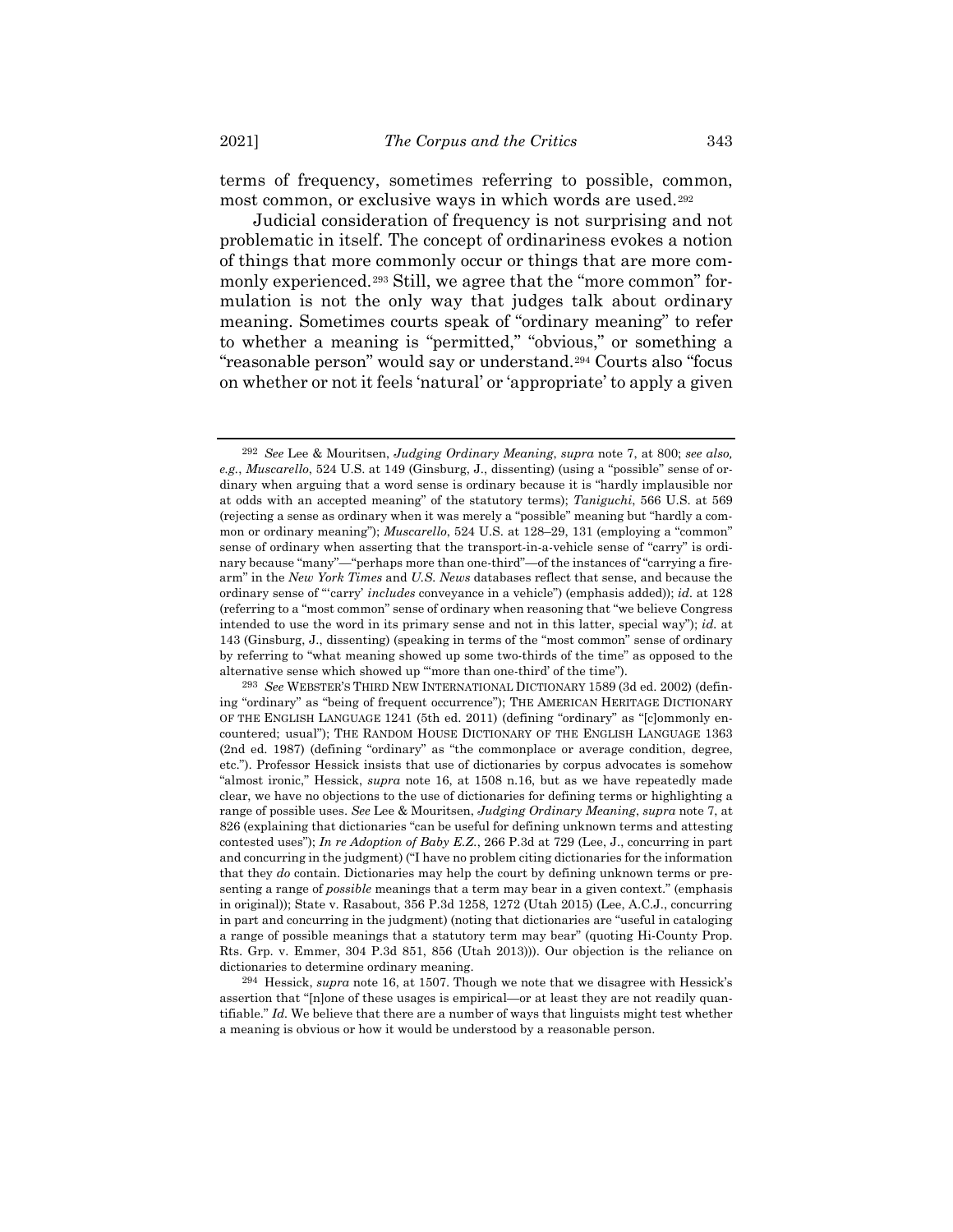terms of frequency, sometimes referring to possible, common, most common, or exclusive ways in which words are used.[292](#page-68-0)

<span id="page-68-3"></span>Judicial consideration of frequency is not surprising and not problematic in itself. The concept of ordinariness evokes a notion of things that more commonly occur or things that are more com-monly experienced.<sup>[293](#page-68-1)</sup> Still, we agree that the "more common" formulation is not the only way that judges talk about ordinary meaning. Sometimes courts speak of "ordinary meaning" to refer to whether a meaning is "permitted," "obvious," or something a "reasonable person" would say or understand.[294](#page-68-2) Courts also "focus on whether or not it feels 'natural' or 'appropriate' to apply a given

<span id="page-68-0"></span><sup>292</sup> *See* Lee & Mouritsen, *Judging Ordinary Meaning*, *supra* note [7,](#page-2-0) at 800; *see also, e.g.*, *Muscarello*, 524 U.S. at 149 (Ginsburg, J., dissenting) (using a "possible" sense of ordinary when arguing that a word sense is ordinary because it is "hardly implausible nor at odds with an accepted meaning" of the statutory terms); *Taniguchi*, 566 U.S. at 569 (rejecting a sense as ordinary when it was merely a "possible" meaning but "hardly a common or ordinary meaning"); *Muscarello*, 524 U.S. at 128–29, 131 (employing a "common" sense of ordinary when asserting that the transport-in-a-vehicle sense of "carry" is ordinary because "many"—"perhaps more than one-third"—of the instances of "carrying a firearm" in the *New York Times* and *U.S. News* databases reflect that sense, and because the ordinary sense of "'carry' *includes* conveyance in a vehicle") (emphasis added)); *id.* at 128 (referring to a "most common" sense of ordinary when reasoning that "we believe Congress intended to use the word in its primary sense and not in this latter, special way"); *id.* at 143 (Ginsburg, J., dissenting) (speaking in terms of the "most common" sense of ordinary by referring to "what meaning showed up some two-thirds of the time" as opposed to the alternative sense which showed up "'more than one-third' of the time").

<span id="page-68-1"></span><sup>293</sup> *See* WEBSTER'S THIRD NEW INTERNATIONAL DICTIONARY 1589 (3d ed. 2002) (defining "ordinary" as "being of frequent occurrence"); THE AMERICAN HERITAGE DICTIONARY OF THE ENGLISH LANGUAGE 1241 (5th ed. 2011) (defining "ordinary" as "[c]ommonly encountered; usual"); THE RANDOM HOUSE DICTIONARY OF THE ENGLISH LANGUAGE 1363 (2nd ed. 1987) (defining "ordinary" as "the commonplace or average condition, degree, etc."). Professor Hessick insists that use of dictionaries by corpus advocates is somehow "almost ironic," Hessick, *supra* note [16,](#page-4-1) at 1508 n.16, but as we have repeatedly made clear, we have no objections to the use of dictionaries for defining terms or highlighting a range of possible uses. *See* Lee & Mouritsen, *Judging Ordinary Meaning*, *supra* note [7,](#page-2-0) at 826 (explaining that dictionaries "can be useful for defining unknown terms and attesting contested uses"); *In re Adoption of Baby E.Z.*, 266 P.3d at 729 (Lee, J., concurring in part and concurring in the judgment) ("I have no problem citing dictionaries for the information that they *do* contain. Dictionaries may help the court by defining unknown terms or presenting a range of *possible* meanings that a term may bear in a given context." (emphasis in original)); State v. Rasabout, 356 P.3d 1258, 1272 (Utah 2015) (Lee, A.C.J., concurring in part and concurring in the judgment) (noting that dictionaries are "useful in cataloging a range of possible meanings that a statutory term may bear" (quoting Hi-County Prop. Rts. Grp. v. Emmer, 304 P.3d 851, 856 (Utah 2013))). Our objection is the reliance on dictionaries to determine ordinary meaning.

<span id="page-68-2"></span><sup>294</sup> Hessick, *supra* note [16,](#page-4-1) at 1507. Though we note that we disagree with Hessick's assertion that "[n]one of these usages is empirical—or at least they are not readily quantifiable." *Id.* We believe that there are a number of ways that linguists might test whether a meaning is obvious or how it would be understood by a reasonable person.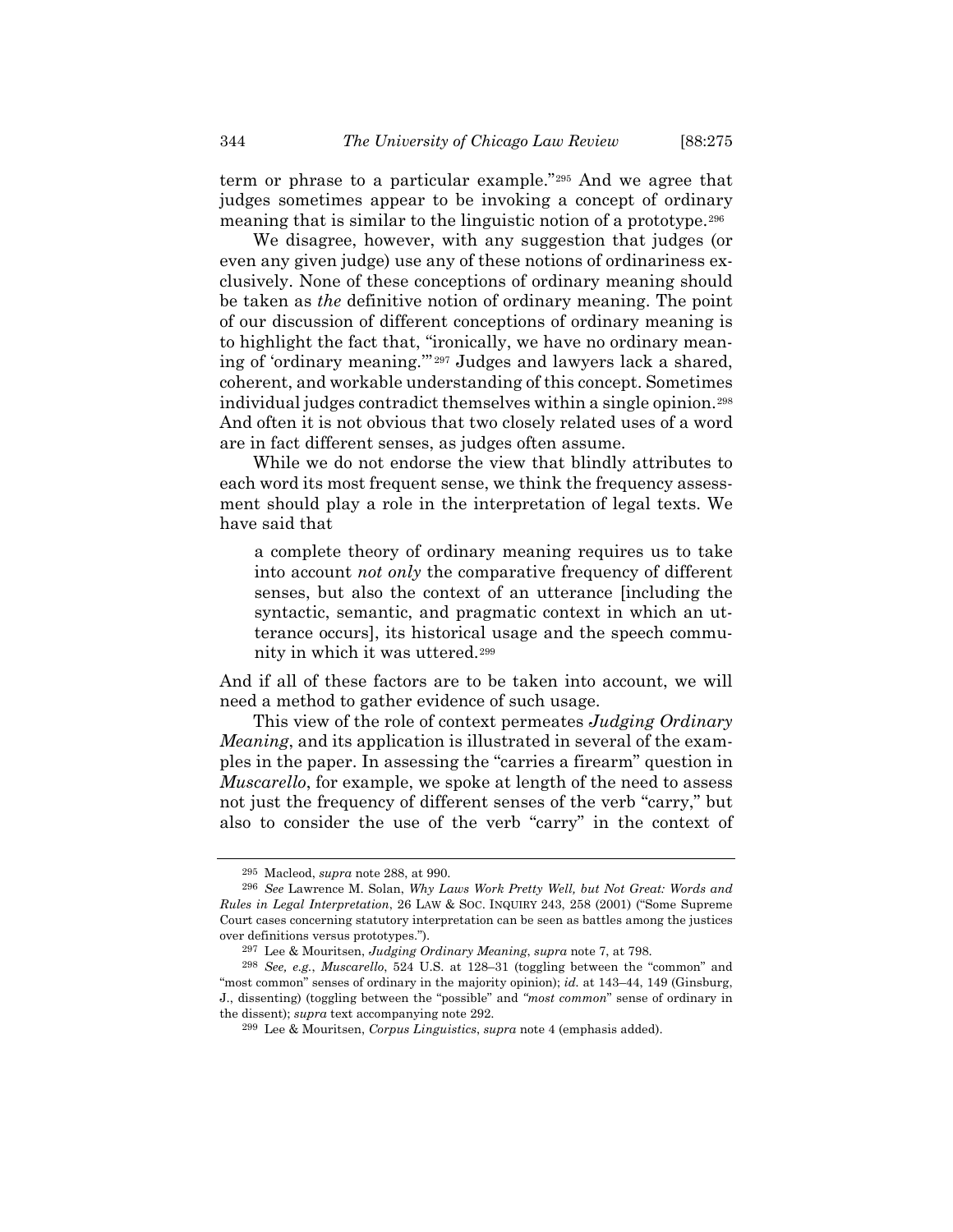term or phrase to a particular example."[295](#page-69-0) And we agree that judges sometimes appear to be invoking a concept of ordinary meaning that is similar to the linguistic notion of a prototype.[296](#page-69-1)

We disagree, however, with any suggestion that judges (or even any given judge) use any of these notions of ordinariness exclusively. None of these conceptions of ordinary meaning should be taken as *the* definitive notion of ordinary meaning. The point of our discussion of different conceptions of ordinary meaning is to highlight the fact that, "ironically, we have no ordinary meaning of 'ordinary meaning.'" [297](#page-69-2) Judges and lawyers lack a shared, coherent, and workable understanding of this concept. Sometimes individual judges contradict themselves within a single opinion.[298](#page-69-3) And often it is not obvious that two closely related uses of a word are in fact different senses, as judges often assume.

While we do not endorse the view that blindly attributes to each word its most frequent sense, we think the frequency assessment should play a role in the interpretation of legal texts. We have said that

a complete theory of ordinary meaning requires us to take into account *not only* the comparative frequency of different senses, but also the context of an utterance [including the syntactic, semantic, and pragmatic context in which an utterance occurs], its historical usage and the speech community in which it was uttered.[299](#page-69-4)

And if all of these factors are to be taken into account, we will need a method to gather evidence of such usage.

This view of the role of context permeates *Judging Ordinary Meaning*, and its application is illustrated in several of the examples in the paper. In assessing the "carries a firearm" question in *Muscarello*, for example, we spoke at length of the need to assess not just the frequency of different senses of the verb "carry," but also to consider the use of the verb "carry" in the context of

<sup>295</sup> Macleod, *supra* note [288,](#page-66-3) at 990.

<span id="page-69-1"></span><span id="page-69-0"></span><sup>296</sup> *See* Lawrence M. Solan, *Why Laws Work Pretty Well, but Not Great: Words and Rules in Legal Interpretation*, 26 LAW & SOC. INQUIRY 243, 258 (2001) ("Some Supreme Court cases concerning statutory interpretation can be seen as battles among the justices over definitions versus prototypes.").

<sup>297</sup> Lee & Mouritsen, *Judging Ordinary Meaning*, *supra* note [7,](#page-2-0) at 798.

<span id="page-69-4"></span><span id="page-69-3"></span><span id="page-69-2"></span><sup>298</sup> *See, e.g.*, *Muscarello*, 524 U.S. at 128–31 (toggling between the "common" and "most common" senses of ordinary in the majority opinion); *id.* at 143-44, 149 (Ginsburg, J., dissenting) (toggling between the "possible" and *"most common*" sense of ordinary in the dissent); *supra* text accompanying note [292.](#page-68-3)

<sup>299</sup> Lee & Mouritsen, *Corpus Linguistics*, *supra* note [4](#page-2-2) (emphasis added).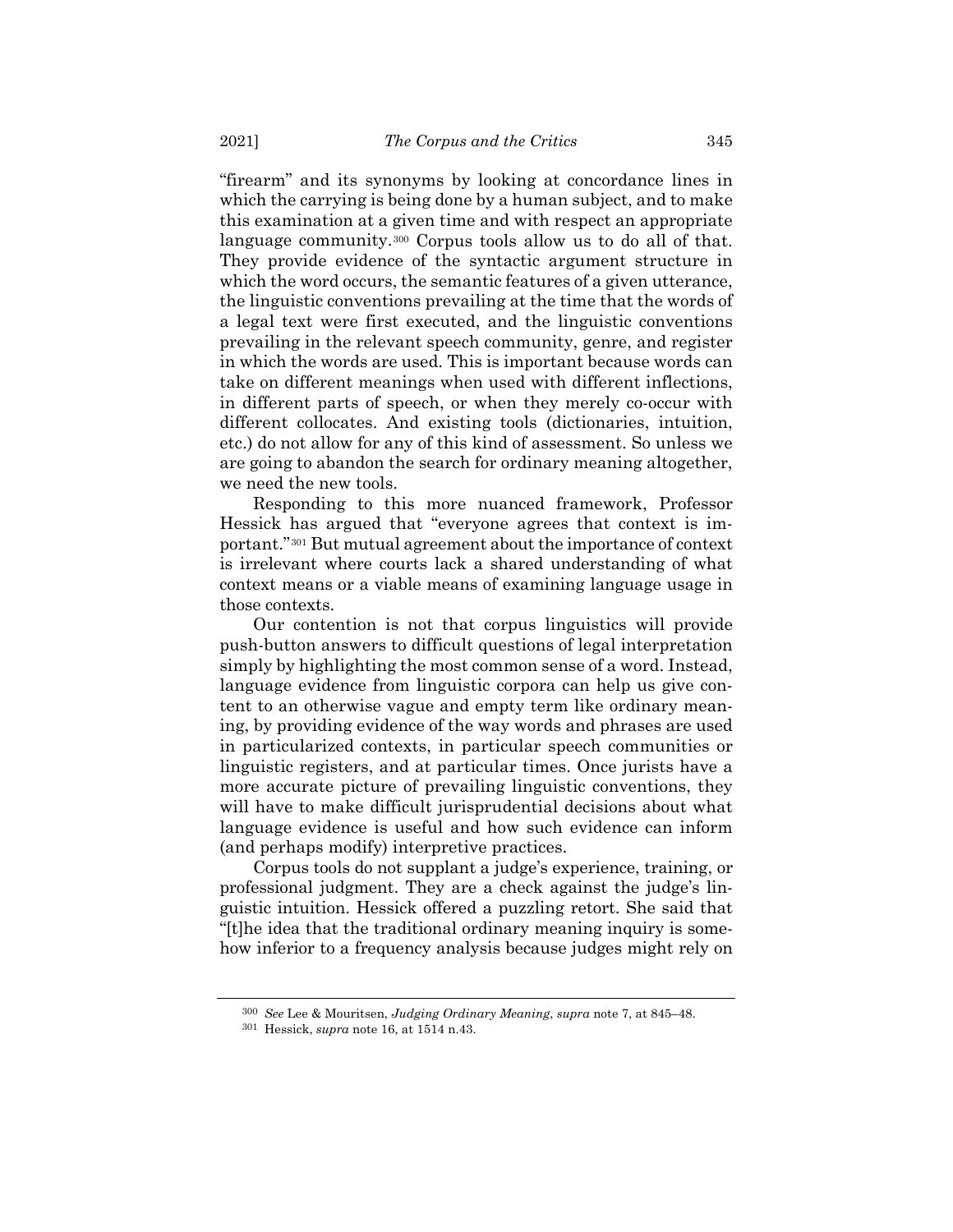"firearm" and its synonyms by looking at concordance lines in which the carrying is being done by a human subject, and to make this examination at a given time and with respect an appropriate language community.[300](#page-70-0) Corpus tools allow us to do all of that. They provide evidence of the syntactic argument structure in which the word occurs, the semantic features of a given utterance, the linguistic conventions prevailing at the time that the words of a legal text were first executed, and the linguistic conventions prevailing in the relevant speech community, genre, and register in which the words are used. This is important because words can take on different meanings when used with different inflections, in different parts of speech, or when they merely co-occur with different collocates. And existing tools (dictionaries, intuition, etc.) do not allow for any of this kind of assessment. So unless we are going to abandon the search for ordinary meaning altogether, we need the new tools.

Responding to this more nuanced framework, Professor Hessick has argued that "everyone agrees that context is important."[301](#page-70-1) But mutual agreement about the importance of context is irrelevant where courts lack a shared understanding of what context means or a viable means of examining language usage in those contexts.

Our contention is not that corpus linguistics will provide push-button answers to difficult questions of legal interpretation simply by highlighting the most common sense of a word. Instead, language evidence from linguistic corpora can help us give content to an otherwise vague and empty term like ordinary meaning, by providing evidence of the way words and phrases are used in particularized contexts, in particular speech communities or linguistic registers, and at particular times. Once jurists have a more accurate picture of prevailing linguistic conventions, they will have to make difficult jurisprudential decisions about what language evidence is useful and how such evidence can inform (and perhaps modify) interpretive practices.

Corpus tools do not supplant a judge's experience, training, or professional judgment. They are a check against the judge's linguistic intuition. Hessick offered a puzzling retort. She said that "[t]he idea that the traditional ordinary meaning inquiry is somehow inferior to a frequency analysis because judges might rely on

<span id="page-70-0"></span><sup>300</sup> *See* Lee & Mouritsen, *Judging Ordinary Meaning*, *supra* note [7,](#page-2-0) at 845–48.

<span id="page-70-1"></span><sup>301</sup> Hessick, *supra* note [16,](#page-4-1) at 1514 n.43.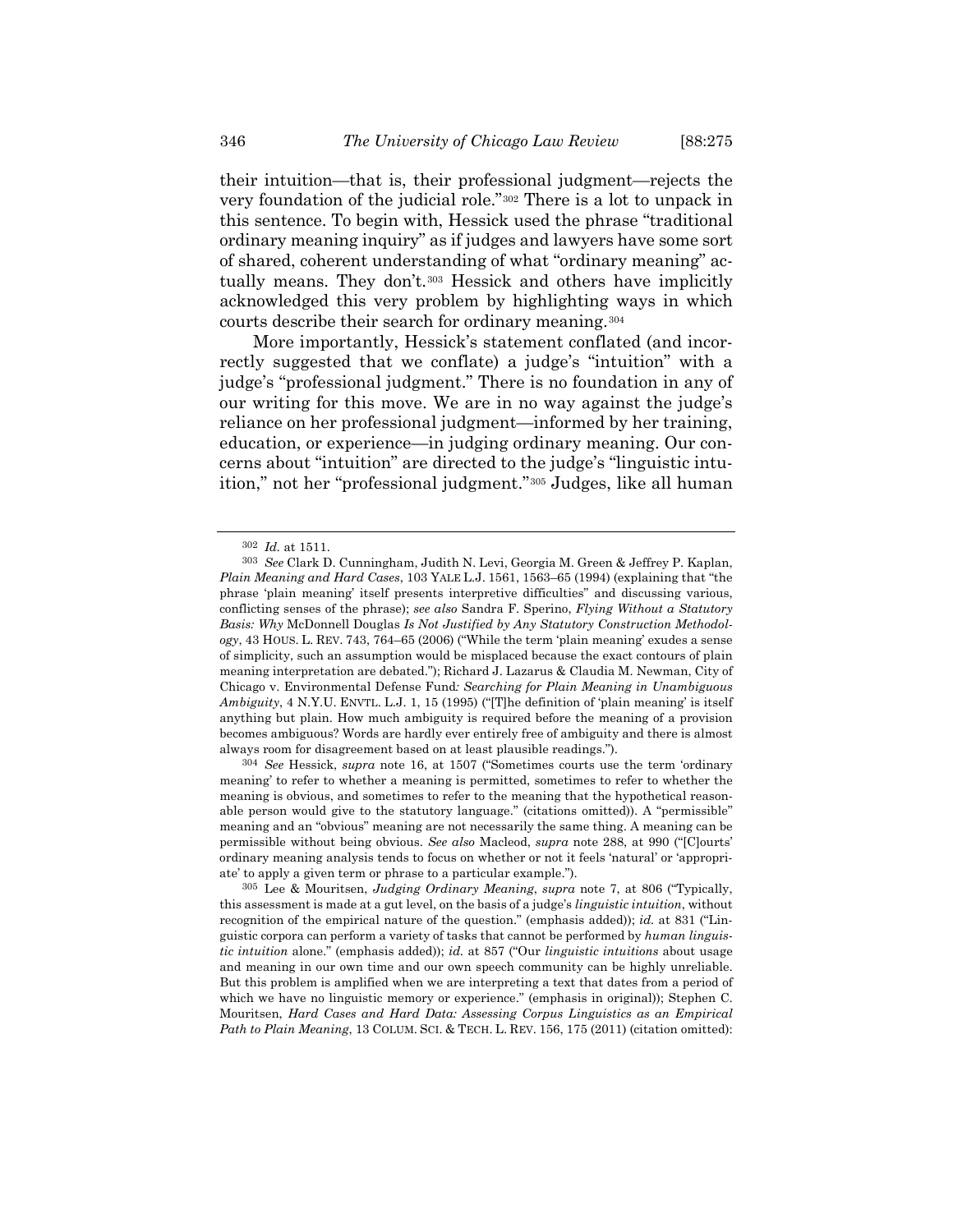their intuition—that is, their professional judgment—rejects the very foundation of the judicial role."[302](#page-71-0) There is a lot to unpack in this sentence. To begin with, Hessick used the phrase "traditional ordinary meaning inquiry" as if judges and lawyers have some sort of shared, coherent understanding of what "ordinary meaning" actually means. They don't.[303](#page-71-1) Hessick and others have implicitly acknowledged this very problem by highlighting ways in which courts describe their search for ordinary meaning.[304](#page-71-2)

More importantly, Hessick's statement conflated (and incorrectly suggested that we conflate) a judge's "intuition" with a judge's "professional judgment." There is no foundation in any of our writing for this move. We are in no way against the judge's reliance on her professional judgment—informed by her training, education, or experience—in judging ordinary meaning. Our concerns about "intuition" are directed to the judge's "linguistic intuition," not her "professional judgment."[305](#page-71-3) Judges, like all human

<span id="page-71-2"></span>304 *See* Hessick, *supra* note [16,](#page-4-1) at 1507 ("Sometimes courts use the term 'ordinary meaning' to refer to whether a meaning is permitted, sometimes to refer to whether the meaning is obvious, and sometimes to refer to the meaning that the hypothetical reasonable person would give to the statutory language." (citations omitted)). A "permissible" meaning and an "obvious" meaning are not necessarily the same thing. A meaning can be permissible without being obvious. *See also* Macleod, *supra* note [288,](#page-66-3) at 990 ("[C]ourts' ordinary meaning analysis tends to focus on whether or not it feels 'natural' or 'appropriate' to apply a given term or phrase to a particular example.").

<sup>302</sup> *Id.* at 1511.

<span id="page-71-1"></span><span id="page-71-0"></span><sup>303</sup> *See* Clark D. Cunningham, Judith N. Levi, Georgia M. Green & Jeffrey P. Kaplan, *Plain Meaning and Hard Cases*, 103 YALE L.J. 1561, 1563–65 (1994) (explaining that "the phrase 'plain meaning' itself presents interpretive difficulties" and discussing various, conflicting senses of the phrase); *see also* Sandra F. Sperino, *Flying Without a Statutory Basis: Why* McDonnell Douglas *Is Not Justified by Any Statutory Construction Methodology*, 43 HOUS. L. REV. 743, 764–65 (2006) ("While the term 'plain meaning' exudes a sense of simplicity, such an assumption would be misplaced because the exact contours of plain meaning interpretation are debated."); Richard J. Lazarus & Claudia M. Newman, City of Chicago v. Environmental Defense Fund*: Searching for Plain Meaning in Unambiguous Ambiguity*, 4 N.Y.U. ENVTL. L.J. 1, 15 (1995) ("[T]he definition of 'plain meaning' is itself anything but plain. How much ambiguity is required before the meaning of a provision becomes ambiguous? Words are hardly ever entirely free of ambiguity and there is almost always room for disagreement based on at least plausible readings.").

<span id="page-71-3"></span><sup>305</sup> Lee & Mouritsen, *Judging Ordinary Meaning*, *supra* note [7,](#page-2-0) at 806 ("Typically, this assessment is made at a gut level, on the basis of a judge's *linguistic intuition*, without recognition of the empirical nature of the question." (emphasis added)); *id.* at 831 ("Linguistic corpora can perform a variety of tasks that cannot be performed by *human linguistic intuition* alone." (emphasis added)); *id.* at 857 ("Our *linguistic intuitions* about usage and meaning in our own time and our own speech community can be highly unreliable. But this problem is amplified when we are interpreting a text that dates from a period of which we have no linguistic memory or experience." (emphasis in original)); Stephen C. Mouritsen, *Hard Cases and Hard Data: Assessing Corpus Linguistics as an Empirical Path to Plain Meaning*, 13 COLUM. SCI. & TECH. L. REV. 156, 175 (2011) (citation omitted):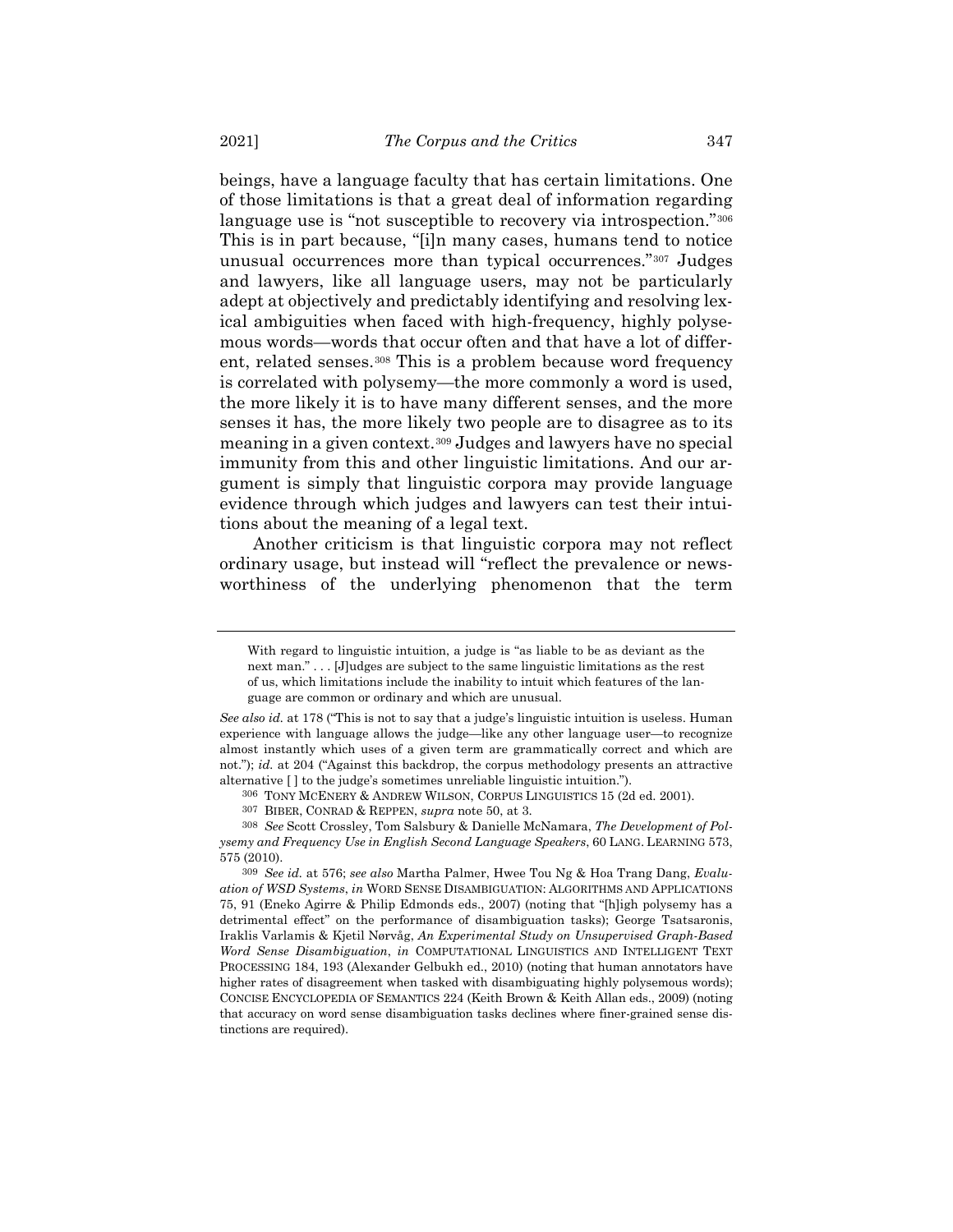beings, have a language faculty that has certain limitations. One of those limitations is that a great deal of information regarding language use is "not susceptible to recovery via introspection."<sup>[306](#page-72-0)</sup> This is in part because, "[i]n many cases, humans tend to notice unusual occurrences more than typical occurrences."[307](#page-72-1) Judges and lawyers, like all language users, may not be particularly adept at objectively and predictably identifying and resolving lexical ambiguities when faced with high-frequency, highly polysemous words—words that occur often and that have a lot of different, related senses.[308](#page-72-2) This is a problem because word frequency is correlated with polysemy—the more commonly a word is used, the more likely it is to have many different senses, and the more senses it has, the more likely two people are to disagree as to its meaning in a given context.[309](#page-72-3) Judges and lawyers have no special immunity from this and other linguistic limitations. And our argument is simply that linguistic corpora may provide language evidence through which judges and lawyers can test their intuitions about the meaning of a legal text.

Another criticism is that linguistic corpora may not reflect ordinary usage, but instead will "reflect the prevalence or newsworthiness of the underlying phenomenon that the term

With regard to linguistic intuition, a judge is "as liable to be as deviant as the next man." . . . [J]udges are subject to the same linguistic limitations as the rest of us, which limitations include the inability to intuit which features of the language are common or ordinary and which are unusual.

*See also id.* at 178 ("This is not to say that a judge's linguistic intuition is useless. Human experience with language allows the judge—like any other language user—to recognize almost instantly which uses of a given term are grammatically correct and which are not."); *id.* at 204 ("Against this backdrop, the corpus methodology presents an attractive alternative [ ] to the judge's sometimes unreliable linguistic intuition.").

<sup>306</sup> TONY MCENERY & ANDREW WILSON, CORPUS LINGUISTICS 15 (2d ed. 2001).

<sup>307</sup> BIBER, CONRAD & REPPEN, *supra* note [50,](#page-10-0) at 3.

<span id="page-72-2"></span><span id="page-72-1"></span><span id="page-72-0"></span><sup>308</sup> *See* Scott Crossley, Tom Salsbury & Danielle McNamara, *The Development of Polysemy and Frequency Use in English Second Language Speakers*, 60 LANG. LEARNING 573, 575 (2010).

<span id="page-72-3"></span><sup>309</sup> *See id.* at 576; *see also* Martha Palmer, Hwee Tou Ng & Hoa Trang Dang, *Evaluation of WSD Systems*, *in* WORD SENSE DISAMBIGUATION: ALGORITHMS AND APPLICATIONS 75, 91 (Eneko Agirre & Philip Edmonds eds., 2007) (noting that "[h]igh polysemy has a detrimental effect" on the performance of disambiguation tasks); George Tsatsaronis, Iraklis Varlamis & Kjetil Nørvåg, *An Experimental Study on Unsupervised Graph-Based Word Sense Disambiguation*, *in* COMPUTATIONAL LINGUISTICS AND INTELLIGENT TEXT PROCESSING 184, 193 (Alexander Gelbukh ed., 2010) (noting that human annotators have higher rates of disagreement when tasked with disambiguating highly polysemous words); CONCISE ENCYCLOPEDIA OF SEMANTICS 224 (Keith Brown & Keith Allan eds., 2009) (noting that accuracy on word sense disambiguation tasks declines where finer-grained sense distinctions are required).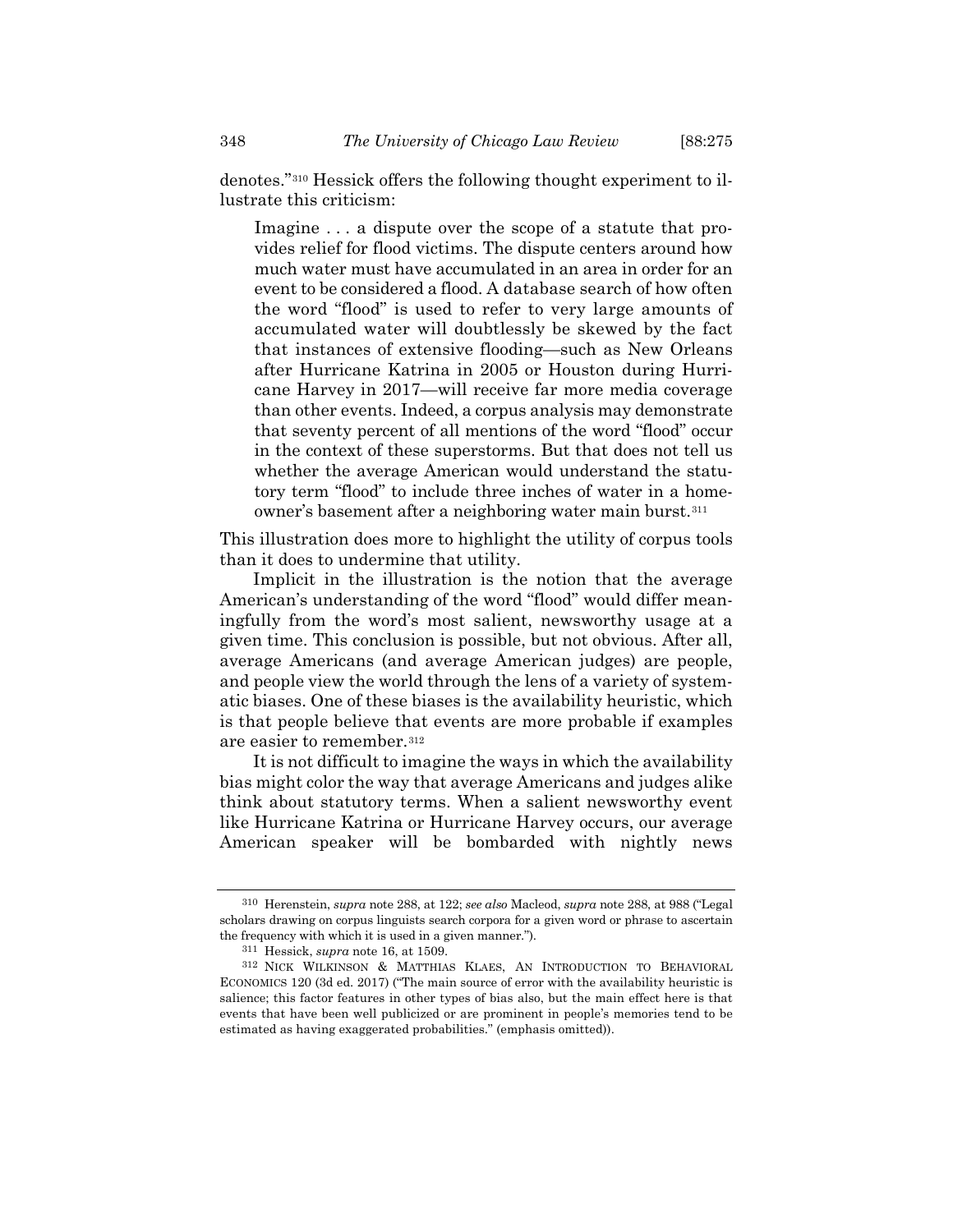denotes."[310](#page-73-0) Hessick offers the following thought experiment to illustrate this criticism:

Imagine . . . a dispute over the scope of a statute that provides relief for flood victims. The dispute centers around how much water must have accumulated in an area in order for an event to be considered a flood. A database search of how often the word "flood" is used to refer to very large amounts of accumulated water will doubtlessly be skewed by the fact that instances of extensive flooding—such as New Orleans after Hurricane Katrina in 2005 or Houston during Hurricane Harvey in 2017—will receive far more media coverage than other events. Indeed, a corpus analysis may demonstrate that seventy percent of all mentions of the word "flood" occur in the context of these superstorms. But that does not tell us whether the average American would understand the statutory term "flood" to include three inches of water in a homeowner's basement after a neighboring water main burst.[311](#page-73-1)

This illustration does more to highlight the utility of corpus tools than it does to undermine that utility.

Implicit in the illustration is the notion that the average American's understanding of the word "flood" would differ meaningfully from the word's most salient, newsworthy usage at a given time. This conclusion is possible, but not obvious. After all, average Americans (and average American judges) are people, and people view the world through the lens of a variety of systematic biases. One of these biases is the availability heuristic, which is that people believe that events are more probable if examples are easier to remember.[312](#page-73-2)

It is not difficult to imagine the ways in which the availability bias might color the way that average Americans and judges alike think about statutory terms. When a salient newsworthy event like Hurricane Katrina or Hurricane Harvey occurs, our average American speaker will be bombarded with nightly news

<span id="page-73-0"></span><sup>310</sup> Herenstein, *supra* note [288,](#page-66-0) at 122; *see also* Macleod, *supra* note [288,](#page-66-0) at 988 ("Legal scholars drawing on corpus linguists search corpora for a given word or phrase to ascertain the frequency with which it is used in a given manner.").

<sup>311</sup> Hessick, *supra* note [16,](#page-4-0) at 1509.

<span id="page-73-2"></span><span id="page-73-1"></span><sup>312</sup> NICK WILKINSON & MATTHIAS KLAES, AN INTRODUCTION TO BEHAVIORAL ECONOMICS 120 (3d ed. 2017) ("The main source of error with the availability heuristic is salience; this factor features in other types of bias also, but the main effect here is that events that have been well publicized or are prominent in people's memories tend to be estimated as having exaggerated probabilities." (emphasis omitted)).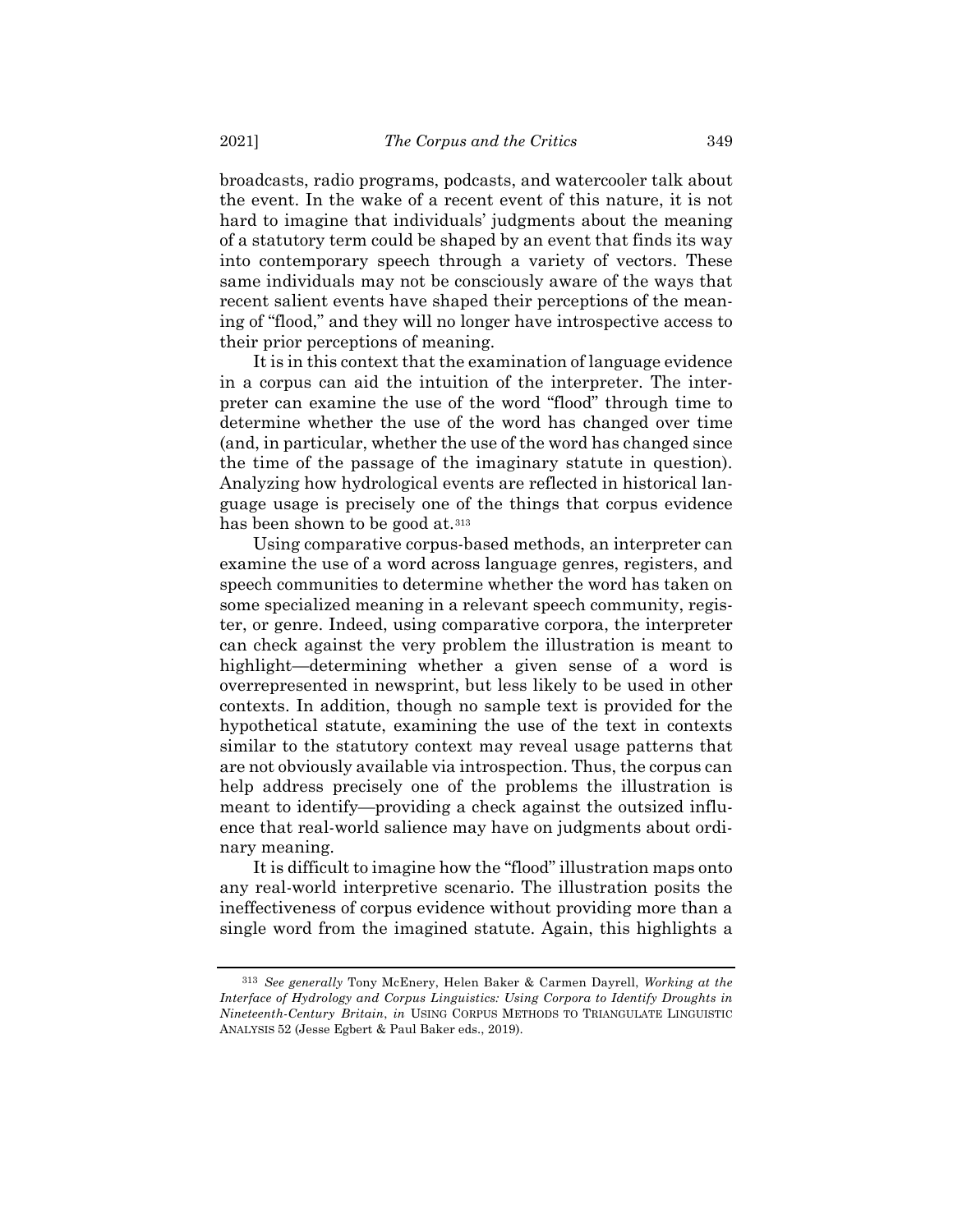broadcasts, radio programs, podcasts, and watercooler talk about the event. In the wake of a recent event of this nature, it is not hard to imagine that individuals' judgments about the meaning of a statutory term could be shaped by an event that finds its way into contemporary speech through a variety of vectors. These same individuals may not be consciously aware of the ways that recent salient events have shaped their perceptions of the meaning of "flood," and they will no longer have introspective access to their prior perceptions of meaning.

It is in this context that the examination of language evidence in a corpus can aid the intuition of the interpreter. The interpreter can examine the use of the word "flood" through time to determine whether the use of the word has changed over time (and, in particular, whether the use of the word has changed since the time of the passage of the imaginary statute in question). Analyzing how hydrological events are reflected in historical language usage is precisely one of the things that corpus evidence has been shown to be good at.<sup>[313](#page-74-0)</sup>

Using comparative corpus-based methods, an interpreter can examine the use of a word across language genres, registers, and speech communities to determine whether the word has taken on some specialized meaning in a relevant speech community, register, or genre. Indeed, using comparative corpora, the interpreter can check against the very problem the illustration is meant to highlight—determining whether a given sense of a word is overrepresented in newsprint, but less likely to be used in other contexts. In addition, though no sample text is provided for the hypothetical statute, examining the use of the text in contexts similar to the statutory context may reveal usage patterns that are not obviously available via introspection. Thus, the corpus can help address precisely one of the problems the illustration is meant to identify—providing a check against the outsized influence that real-world salience may have on judgments about ordinary meaning.

It is difficult to imagine how the "flood" illustration maps onto any real-world interpretive scenario. The illustration posits the ineffectiveness of corpus evidence without providing more than a single word from the imagined statute. Again, this highlights a

<span id="page-74-0"></span><sup>313</sup> *See generally* Tony McEnery, Helen Baker & Carmen Dayrell, *Working at the Interface of Hydrology and Corpus Linguistics: Using Corpora to Identify Droughts in Nineteenth-Century Britain*, *in* USING CORPUS METHODS TO TRIANGULATE LINGUISTIC ANALYSIS 52 (Jesse Egbert & Paul Baker eds., 2019).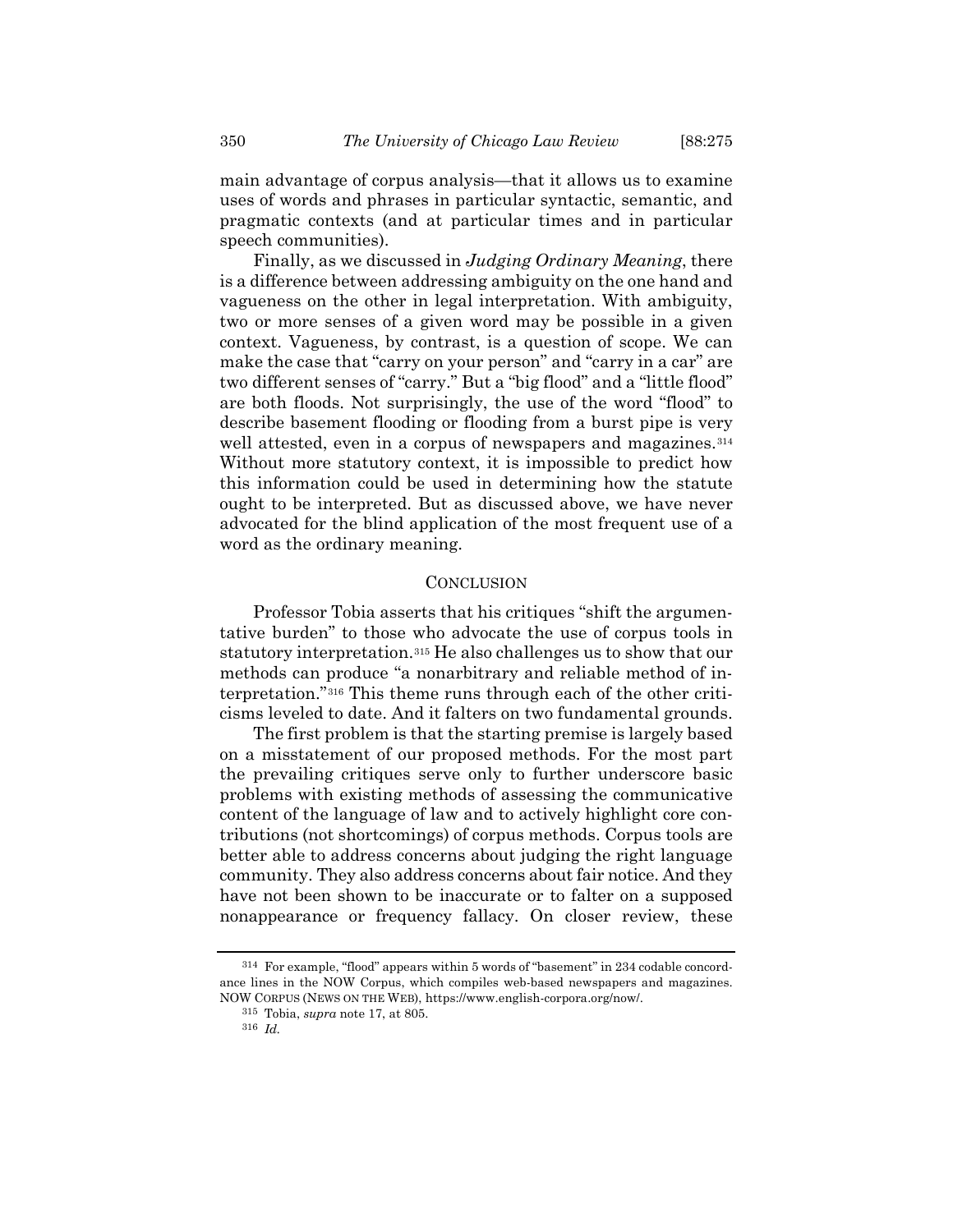main advantage of corpus analysis—that it allows us to examine uses of words and phrases in particular syntactic, semantic, and pragmatic contexts (and at particular times and in particular speech communities).

Finally, as we discussed in *Judging Ordinary Meaning*, there is a difference between addressing ambiguity on the one hand and vagueness on the other in legal interpretation. With ambiguity, two or more senses of a given word may be possible in a given context. Vagueness, by contrast, is a question of scope. We can make the case that "carry on your person" and "carry in a car" are two different senses of "carry." But a "big flood" and a "little flood" are both floods. Not surprisingly, the use of the word "flood" to describe basement flooding or flooding from a burst pipe is very well attested, even in a corpus of newspapers and magazines.<sup>[314](#page-75-0)</sup> Without more statutory context, it is impossible to predict how this information could be used in determining how the statute ought to be interpreted. But as discussed above, we have never advocated for the blind application of the most frequent use of a word as the ordinary meaning.

## **CONCLUSION**

Professor Tobia asserts that his critiques "shift the argumentative burden" to those who advocate the use of corpus tools in statutory interpretation.[315](#page-75-1) He also challenges us to show that our methods can produce "a nonarbitrary and reliable method of interpretation."[316](#page-75-2) This theme runs through each of the other criticisms leveled to date. And it falters on two fundamental grounds.

The first problem is that the starting premise is largely based on a misstatement of our proposed methods. For the most part the prevailing critiques serve only to further underscore basic problems with existing methods of assessing the communicative content of the language of law and to actively highlight core contributions (not shortcomings) of corpus methods. Corpus tools are better able to address concerns about judging the right language community. They also address concerns about fair notice. And they have not been shown to be inaccurate or to falter on a supposed nonappearance or frequency fallacy. On closer review, these

<span id="page-75-2"></span><span id="page-75-1"></span><span id="page-75-0"></span><sup>314</sup> For example, "flood" appears within 5 words of "basement" in 234 codable concordance lines in the NOW Corpus, which compiles web-based newspapers and magazines. NOW CORPUS (NEWS ON THE WEB), https://www.english-corpora.org/now/.

<sup>315</sup> Tobia, *supra* note [17,](#page-4-1) at 805.

<sup>316</sup> *Id.*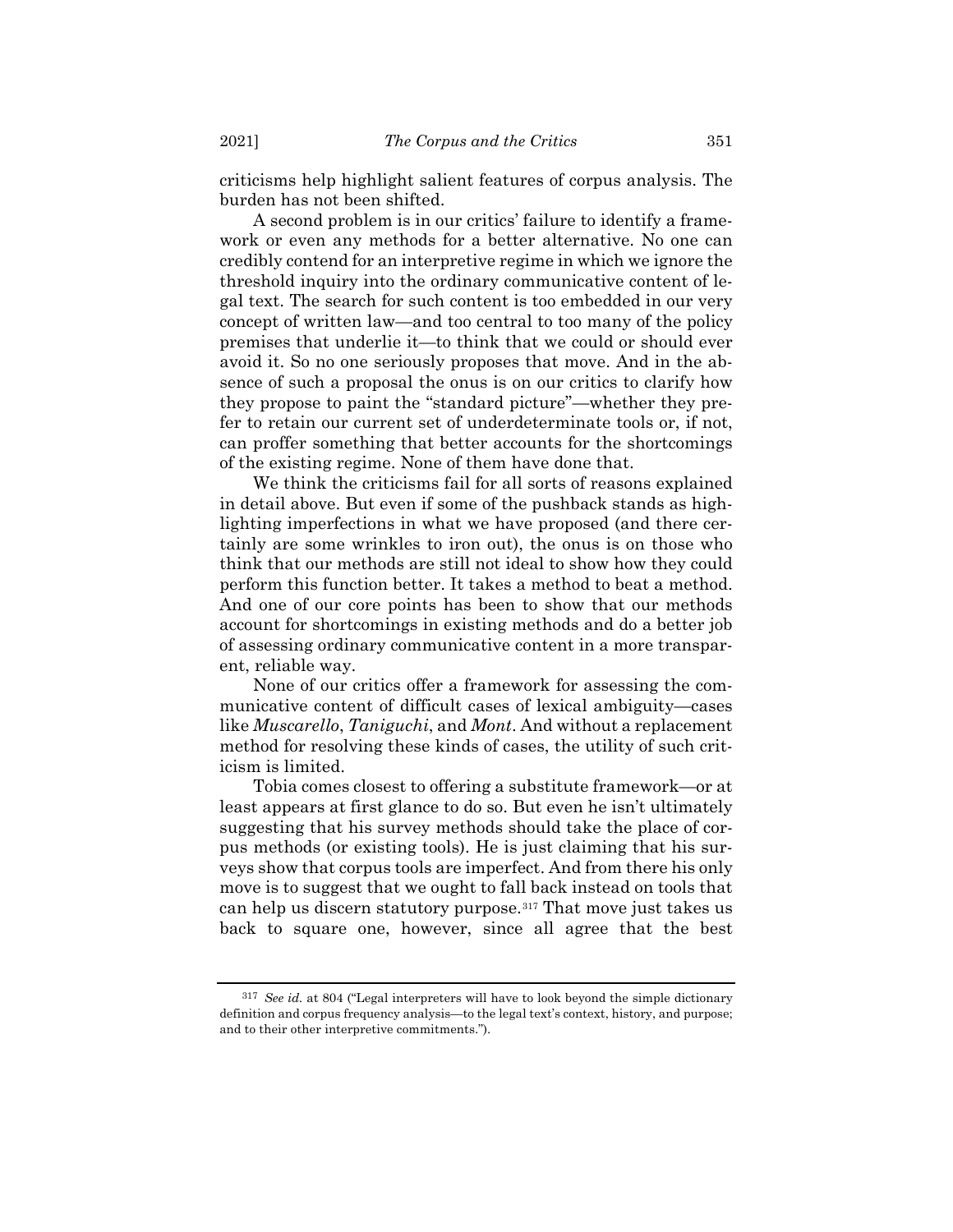criticisms help highlight salient features of corpus analysis. The burden has not been shifted.

A second problem is in our critics' failure to identify a framework or even any methods for a better alternative. No one can credibly contend for an interpretive regime in which we ignore the threshold inquiry into the ordinary communicative content of legal text. The search for such content is too embedded in our very concept of written law—and too central to too many of the policy premises that underlie it—to think that we could or should ever avoid it. So no one seriously proposes that move. And in the absence of such a proposal the onus is on our critics to clarify how they propose to paint the "standard picture"—whether they prefer to retain our current set of underdeterminate tools or, if not, can proffer something that better accounts for the shortcomings of the existing regime. None of them have done that.

We think the criticisms fail for all sorts of reasons explained in detail above. But even if some of the pushback stands as highlighting imperfections in what we have proposed (and there certainly are some wrinkles to iron out), the onus is on those who think that our methods are still not ideal to show how they could perform this function better. It takes a method to beat a method. And one of our core points has been to show that our methods account for shortcomings in existing methods and do a better job of assessing ordinary communicative content in a more transparent, reliable way.

None of our critics offer a framework for assessing the communicative content of difficult cases of lexical ambiguity—cases like *Muscarello*, *Taniguchi*, and *Mont*. And without a replacement method for resolving these kinds of cases, the utility of such criticism is limited.

Tobia comes closest to offering a substitute framework—or at least appears at first glance to do so. But even he isn't ultimately suggesting that his survey methods should take the place of corpus methods (or existing tools). He is just claiming that his surveys show that corpus tools are imperfect. And from there his only move is to suggest that we ought to fall back instead on tools that can help us discern statutory purpose.[317](#page-76-0) That move just takes us back to square one, however, since all agree that the best

<span id="page-76-0"></span><sup>317</sup> *See id.* at 804 ("Legal interpreters will have to look beyond the simple dictionary definition and corpus frequency analysis—to the legal text's context, history, and purpose; and to their other interpretive commitments.").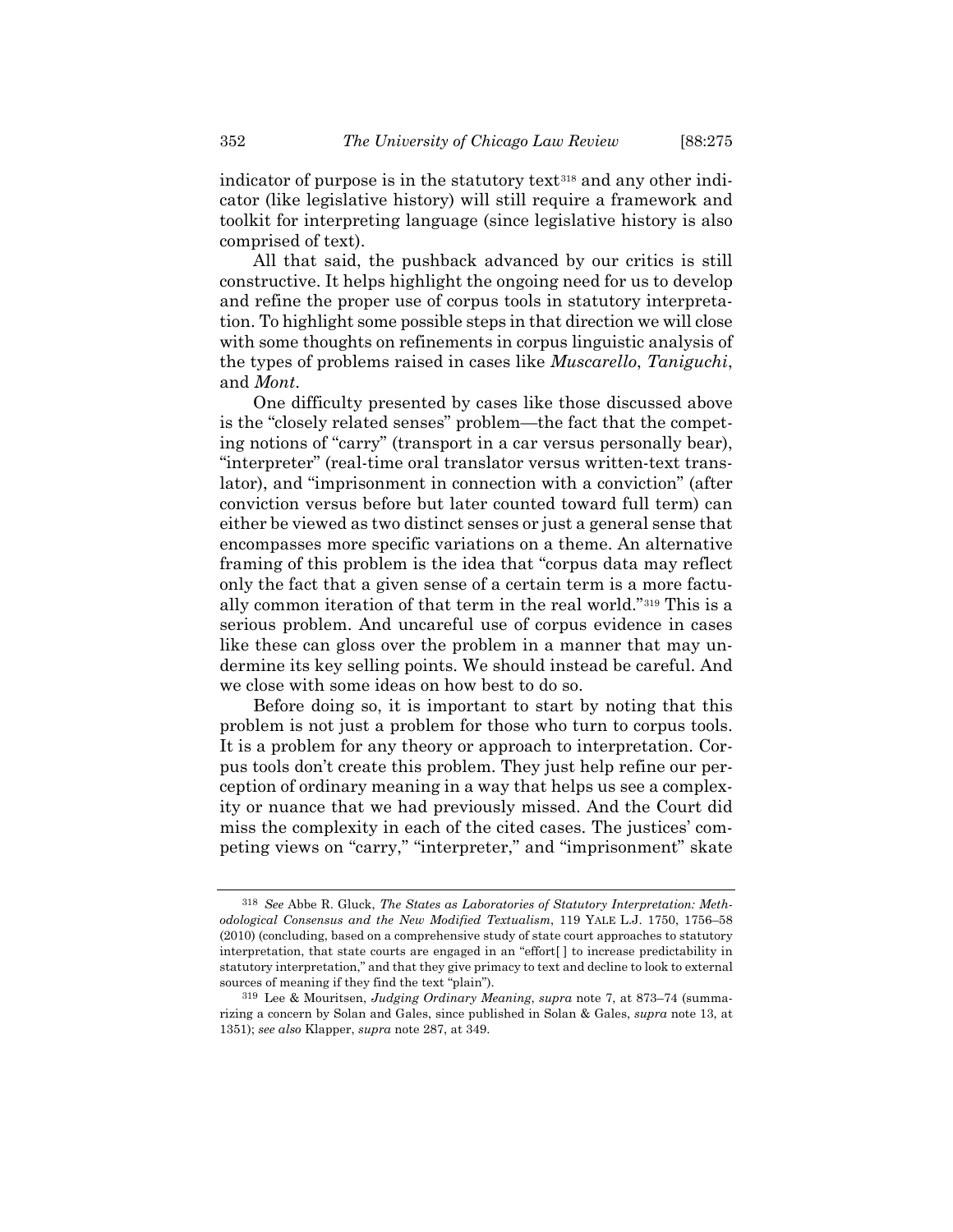indicator of purpose is in the statutory text<sup>[318](#page-77-0)</sup> and any other indicator (like legislative history) will still require a framework and toolkit for interpreting language (since legislative history is also comprised of text).

All that said, the pushback advanced by our critics is still constructive. It helps highlight the ongoing need for us to develop and refine the proper use of corpus tools in statutory interpretation. To highlight some possible steps in that direction we will close with some thoughts on refinements in corpus linguistic analysis of the types of problems raised in cases like *Muscarello*, *Taniguchi*, and *Mont*.

One difficulty presented by cases like those discussed above is the "closely related senses" problem—the fact that the competing notions of "carry" (transport in a car versus personally bear), "interpreter" (real-time oral translator versus written-text translator), and "imprisonment in connection with a conviction" (after conviction versus before but later counted toward full term) can either be viewed as two distinct senses or just a general sense that encompasses more specific variations on a theme. An alternative framing of this problem is the idea that "corpus data may reflect only the fact that a given sense of a certain term is a more factually common iteration of that term in the real world."[319](#page-77-1) This is a serious problem. And uncareful use of corpus evidence in cases like these can gloss over the problem in a manner that may undermine its key selling points. We should instead be careful. And we close with some ideas on how best to do so.

Before doing so, it is important to start by noting that this problem is not just a problem for those who turn to corpus tools. It is a problem for any theory or approach to interpretation. Corpus tools don't create this problem. They just help refine our perception of ordinary meaning in a way that helps us see a complexity or nuance that we had previously missed. And the Court did miss the complexity in each of the cited cases. The justices' competing views on "carry," "interpreter," and "imprisonment" skate

<span id="page-77-0"></span><sup>318</sup> *See* Abbe R. Gluck, *The States as Laboratories of Statutory Interpretation: Methodological Consensus and the New Modified Textualism*, 119 YALE L.J. 1750, 1756–58 (2010) (concluding, based on a comprehensive study of state court approaches to statutory interpretation, that state courts are engaged in an "effort[ ] to increase predictability in statutory interpretation," and that they give primacy to text and decline to look to external sources of meaning if they find the text "plain").

<span id="page-77-1"></span><sup>319</sup> Lee & Mouritsen, *Judging Ordinary Meaning*, *supra* note [7,](#page-2-0) at 873–74 (summarizing a concern by Solan and Gales, since published in Solan & Gales, *supra* note [13,](#page-3-0) at 1351); *see also* Klapper, *supra* note [287,](#page-66-1) at 349.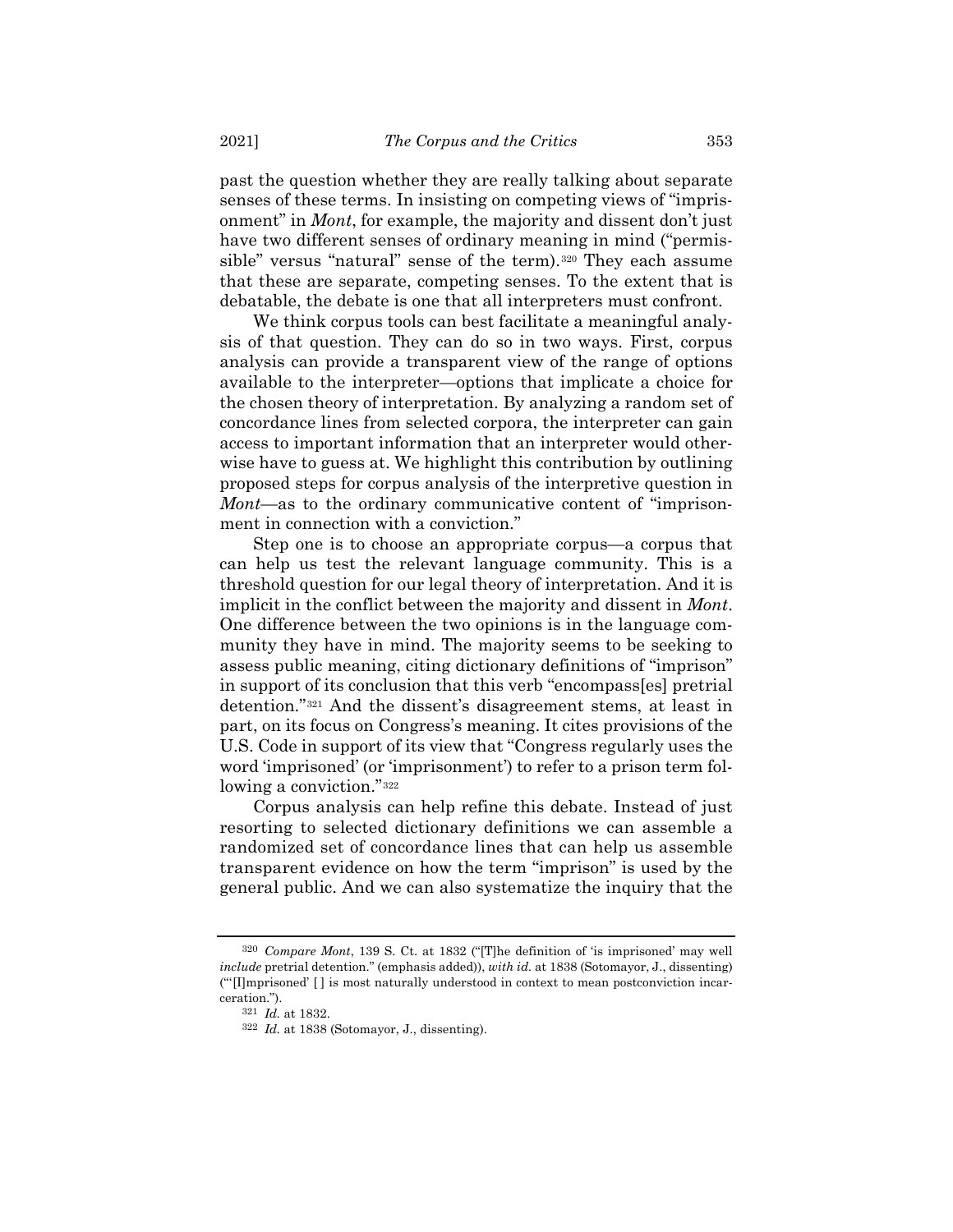past the question whether they are really talking about separate senses of these terms. In insisting on competing views of "imprisonment" in *Mont*, for example, the majority and dissent don't just have two different senses of ordinary meaning in mind ("permis-sible" versus "natural" sense of the term).<sup>[320](#page-78-0)</sup> They each assume that these are separate, competing senses. To the extent that is debatable, the debate is one that all interpreters must confront.

We think corpus tools can best facilitate a meaningful analysis of that question. They can do so in two ways. First, corpus analysis can provide a transparent view of the range of options available to the interpreter—options that implicate a choice for the chosen theory of interpretation. By analyzing a random set of concordance lines from selected corpora, the interpreter can gain access to important information that an interpreter would otherwise have to guess at. We highlight this contribution by outlining proposed steps for corpus analysis of the interpretive question in *Mont*—as to the ordinary communicative content of "imprisonment in connection with a conviction."

Step one is to choose an appropriate corpus—a corpus that can help us test the relevant language community. This is a threshold question for our legal theory of interpretation. And it is implicit in the conflict between the majority and dissent in *Mont*. One difference between the two opinions is in the language community they have in mind. The majority seems to be seeking to assess public meaning, citing dictionary definitions of "imprison" in support of its conclusion that this verb "encompass[es] pretrial detention."[321](#page-78-1) And the dissent's disagreement stems, at least in part, on its focus on Congress's meaning. It cites provisions of the U.S. Code in support of its view that "Congress regularly uses the word 'imprisoned' (or 'imprisonment') to refer to a prison term following a conviction."[322](#page-78-2)

Corpus analysis can help refine this debate. Instead of just resorting to selected dictionary definitions we can assemble a randomized set of concordance lines that can help us assemble transparent evidence on how the term "imprison" is used by the general public. And we can also systematize the inquiry that the

<span id="page-78-2"></span><span id="page-78-1"></span><span id="page-78-0"></span><sup>320</sup> *Compare Mont*, 139 S. Ct. at 1832 ("[T]he definition of 'is imprisoned' may well *include* pretrial detention." (emphasis added)), *with id.* at 1838 (Sotomayor, J., dissenting) ("'[I]mprisoned' [ ] is most naturally understood in context to mean postconviction incarceration.").

<sup>321</sup> *Id.* at 1832.

<sup>322</sup> *Id.* at 1838 (Sotomayor, J., dissenting).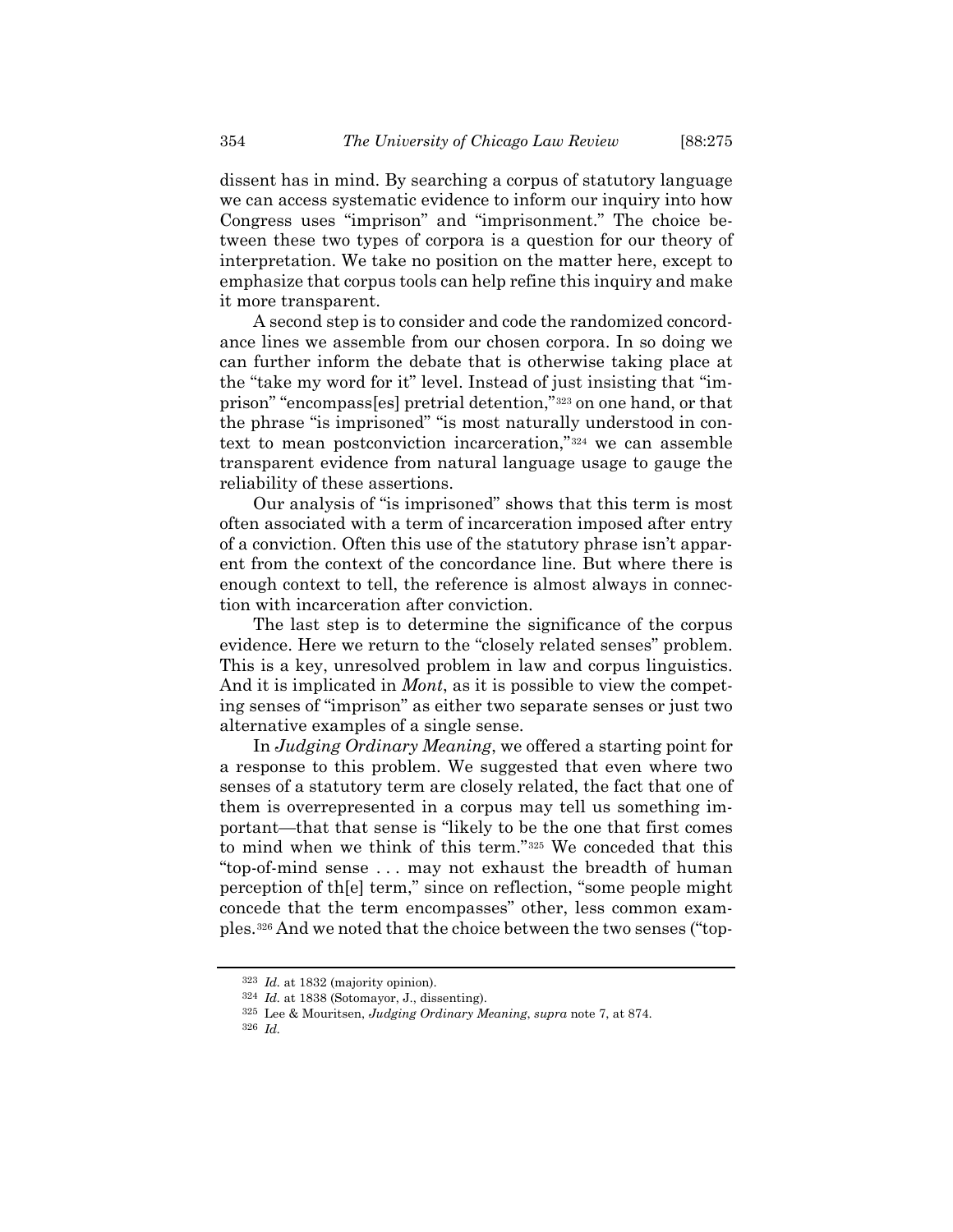dissent has in mind. By searching a corpus of statutory language we can access systematic evidence to inform our inquiry into how Congress uses "imprison" and "imprisonment." The choice between these two types of corpora is a question for our theory of interpretation. We take no position on the matter here, except to emphasize that corpus tools can help refine this inquiry and make it more transparent.

A second step is to consider and code the randomized concordance lines we assemble from our chosen corpora. In so doing we can further inform the debate that is otherwise taking place at the "take my word for it" level. Instead of just insisting that "imprison" "encompass[es] pretrial detention,"[323](#page-79-0) on one hand, or that the phrase "is imprisoned" "is most naturally understood in context to mean postconviction incarceration,"[324](#page-79-1) we can assemble transparent evidence from natural language usage to gauge the reliability of these assertions.

Our analysis of "is imprisoned" shows that this term is most often associated with a term of incarceration imposed after entry of a conviction. Often this use of the statutory phrase isn't apparent from the context of the concordance line. But where there is enough context to tell, the reference is almost always in connection with incarceration after conviction.

The last step is to determine the significance of the corpus evidence. Here we return to the "closely related senses" problem. This is a key, unresolved problem in law and corpus linguistics. And it is implicated in *Mont*, as it is possible to view the competing senses of "imprison" as either two separate senses or just two alternative examples of a single sense.

In *Judging Ordinary Meaning*, we offered a starting point for a response to this problem. We suggested that even where two senses of a statutory term are closely related, the fact that one of them is overrepresented in a corpus may tell us something important—that that sense is "likely to be the one that first comes to mind when we think of this term."[325](#page-79-2) We conceded that this "top-of-mind sense . . . may not exhaust the breadth of human perception of th[e] term," since on reflection, "some people might concede that the term encompasses" other, less common examples.[326](#page-79-3) And we noted that the choice between the two senses ("top-

<span id="page-79-0"></span><sup>323</sup> *Id.* at 1832 (majority opinion).

<span id="page-79-1"></span><sup>324</sup> *Id.* at 1838 (Sotomayor, J., dissenting).

<sup>325</sup> Lee & Mouritsen, *Judging Ordinary Meaning*, *supra* note [7,](#page-2-0) at 874.

<span id="page-79-3"></span><span id="page-79-2"></span><sup>326</sup> *Id.*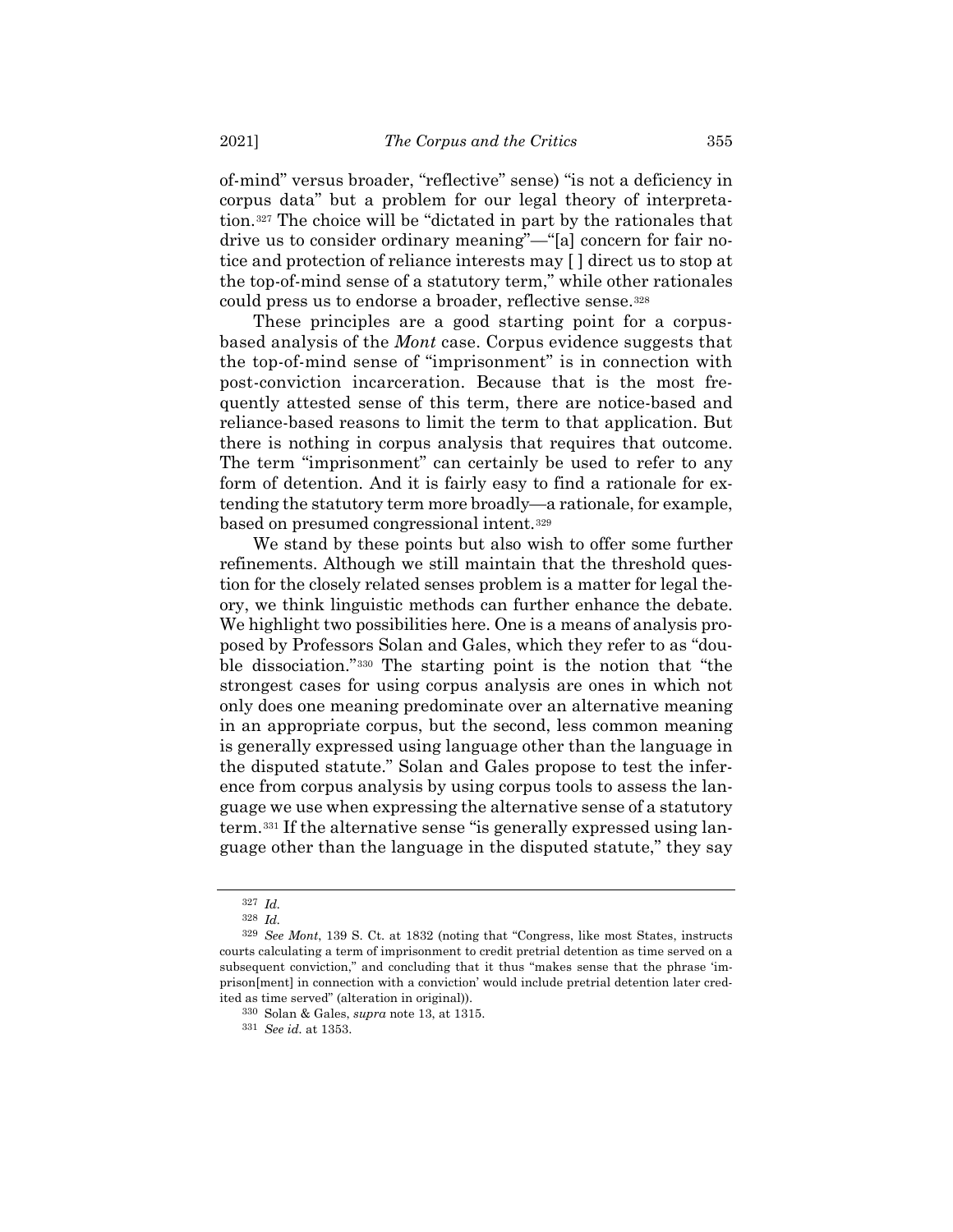of-mind" versus broader, "reflective" sense) "is not a deficiency in corpus data" but a problem for our legal theory of interpretation.[327](#page-80-0) The choice will be "dictated in part by the rationales that drive us to consider ordinary meaning"—"[a] concern for fair notice and protection of reliance interests may [ ] direct us to stop at the top-of-mind sense of a statutory term," while other rationales could press us to endorse a broader, reflective sense.<sup>[328](#page-80-1)</sup>

These principles are a good starting point for a corpusbased analysis of the *Mont* case. Corpus evidence suggests that the top-of-mind sense of "imprisonment" is in connection with post-conviction incarceration. Because that is the most frequently attested sense of this term, there are notice-based and reliance-based reasons to limit the term to that application. But there is nothing in corpus analysis that requires that outcome. The term "imprisonment" can certainly be used to refer to any form of detention. And it is fairly easy to find a rationale for extending the statutory term more broadly—a rationale, for example, based on presumed congressional intent.[329](#page-80-2)

We stand by these points but also wish to offer some further refinements. Although we still maintain that the threshold question for the closely related senses problem is a matter for legal theory, we think linguistic methods can further enhance the debate. We highlight two possibilities here. One is a means of analysis proposed by Professors Solan and Gales, which they refer to as "double dissociation."[330](#page-80-3) The starting point is the notion that "the strongest cases for using corpus analysis are ones in which not only does one meaning predominate over an alternative meaning in an appropriate corpus, but the second, less common meaning is generally expressed using language other than the language in the disputed statute." Solan and Gales propose to test the inference from corpus analysis by using corpus tools to assess the language we use when expressing the alternative sense of a statutory term.[331](#page-80-4) If the alternative sense "is generally expressed using language other than the language in the disputed statute," they say

<sup>327</sup> *Id.*

<sup>328</sup> *Id.*

<span id="page-80-4"></span><span id="page-80-3"></span><span id="page-80-2"></span><span id="page-80-1"></span><span id="page-80-0"></span><sup>329</sup> *See Mont*, 139 S. Ct. at 1832 (noting that "Congress, like most States, instructs courts calculating a term of imprisonment to credit pretrial detention as time served on a subsequent conviction," and concluding that it thus "makes sense that the phrase 'imprison[ment] in connection with a conviction' would include pretrial detention later credited as time served" (alteration in original)).

<sup>330</sup> Solan & Gales, *supra* note [13,](#page-3-0) at 1315.

<sup>331</sup> *See id.* at 1353.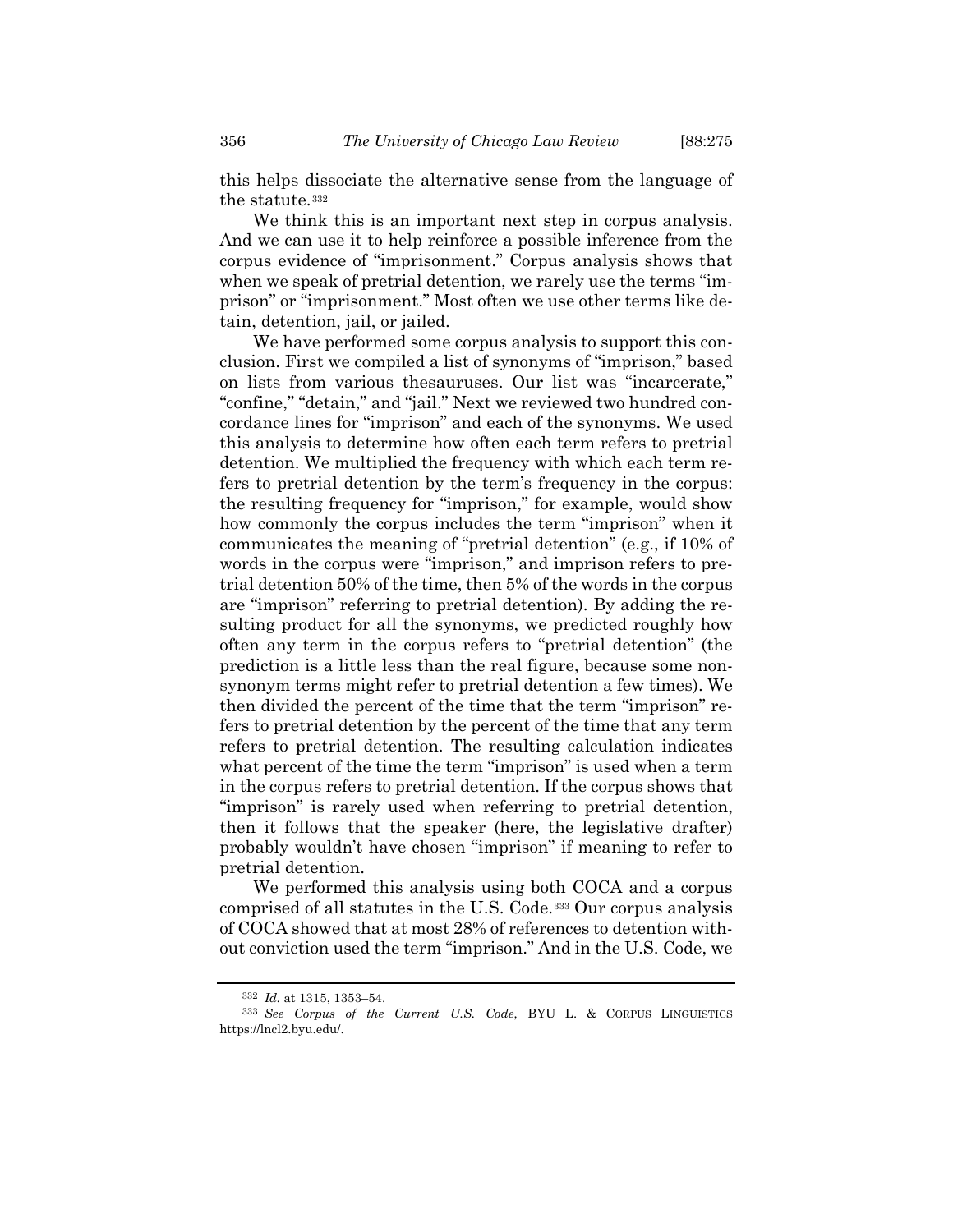this helps dissociate the alternative sense from the language of the statute.[332](#page-81-0)

We think this is an important next step in corpus analysis. And we can use it to help reinforce a possible inference from the corpus evidence of "imprisonment." Corpus analysis shows that when we speak of pretrial detention, we rarely use the terms "imprison" or "imprisonment." Most often we use other terms like detain, detention, jail, or jailed.

We have performed some corpus analysis to support this conclusion. First we compiled a list of synonyms of "imprison," based on lists from various thesauruses. Our list was "incarcerate," "confine," "detain," and "jail." Next we reviewed two hundred concordance lines for "imprison" and each of the synonyms. We used this analysis to determine how often each term refers to pretrial detention. We multiplied the frequency with which each term refers to pretrial detention by the term's frequency in the corpus: the resulting frequency for "imprison," for example, would show how commonly the corpus includes the term "imprison" when it communicates the meaning of "pretrial detention" (e.g., if 10% of words in the corpus were "imprison," and imprison refers to pretrial detention 50% of the time, then 5% of the words in the corpus are "imprison" referring to pretrial detention). By adding the resulting product for all the synonyms, we predicted roughly how often any term in the corpus refers to "pretrial detention" (the prediction is a little less than the real figure, because some nonsynonym terms might refer to pretrial detention a few times). We then divided the percent of the time that the term "imprison" refers to pretrial detention by the percent of the time that any term refers to pretrial detention. The resulting calculation indicates what percent of the time the term "imprison" is used when a term in the corpus refers to pretrial detention. If the corpus shows that "imprison" is rarely used when referring to pretrial detention, then it follows that the speaker (here, the legislative drafter) probably wouldn't have chosen "imprison" if meaning to refer to pretrial detention.

We performed this analysis using both COCA and a corpus comprised of all statutes in the U.S. Code.[333](#page-81-1) Our corpus analysis of COCA showed that at most 28% of references to detention without conviction used the term "imprison." And in the U.S. Code, we

<sup>332</sup> *Id.* at 1315, 1353–54.

<span id="page-81-1"></span><span id="page-81-0"></span><sup>333</sup> *See Corpus of the Current U.S. Code*, BYU L. & CORPUS LINGUISTICS https://lncl2.byu.edu/.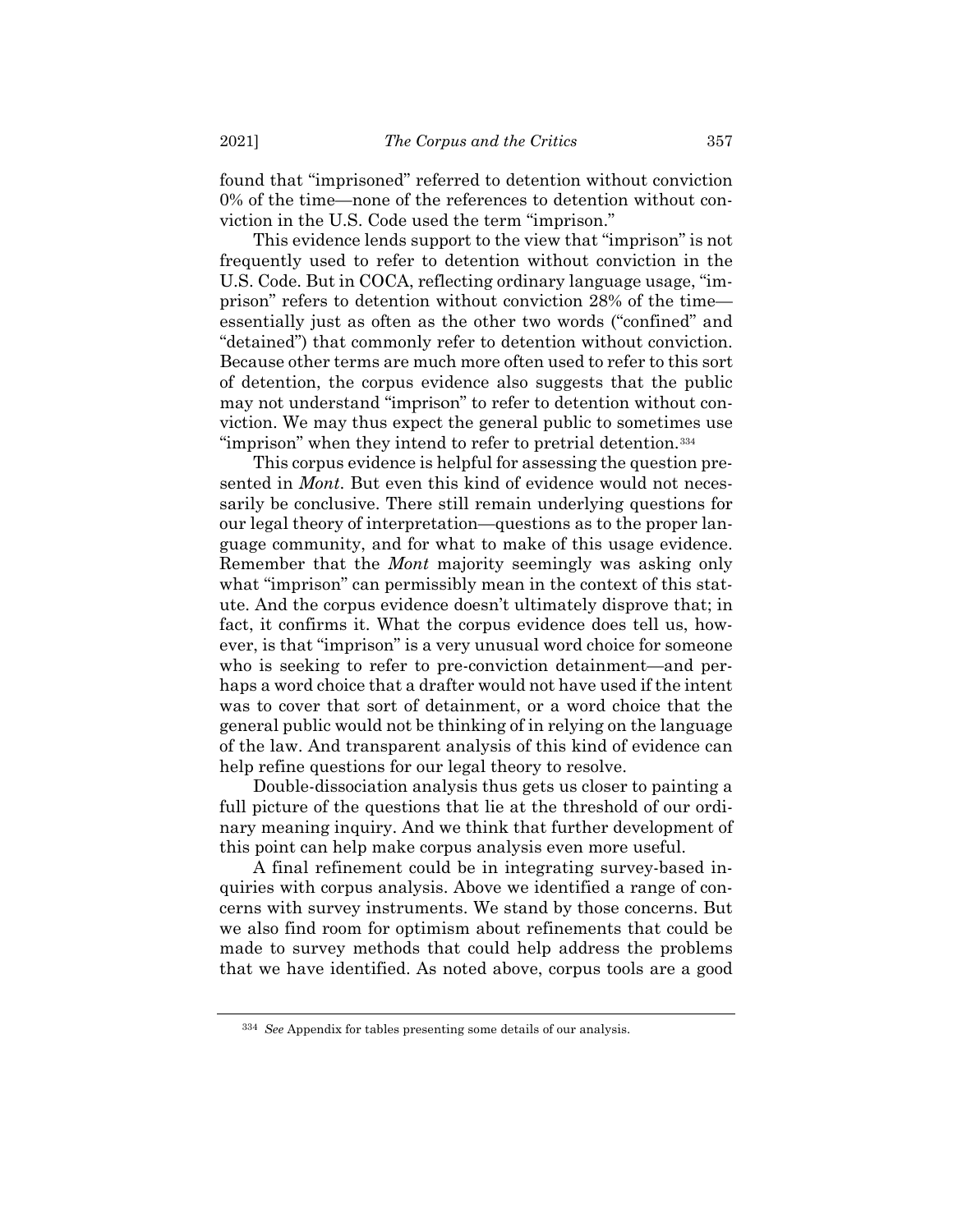found that "imprisoned" referred to detention without conviction 0% of the time—none of the references to detention without conviction in the U.S. Code used the term "imprison."

This evidence lends support to the view that "imprison" is not frequently used to refer to detention without conviction in the U.S. Code. But in COCA, reflecting ordinary language usage, "imprison" refers to detention without conviction 28% of the time essentially just as often as the other two words ("confined" and "detained") that commonly refer to detention without conviction. Because other terms are much more often used to refer to this sort of detention, the corpus evidence also suggests that the public may not understand "imprison" to refer to detention without conviction. We may thus expect the general public to sometimes use "imprison" when they intend to refer to pretrial detention.[334](#page-82-0)

This corpus evidence is helpful for assessing the question presented in *Mont*. But even this kind of evidence would not necessarily be conclusive. There still remain underlying questions for our legal theory of interpretation—questions as to the proper language community, and for what to make of this usage evidence. Remember that the *Mont* majority seemingly was asking only what "imprison" can permissibly mean in the context of this statute. And the corpus evidence doesn't ultimately disprove that; in fact, it confirms it. What the corpus evidence does tell us, however, is that "imprison" is a very unusual word choice for someone who is seeking to refer to pre-conviction detainment—and perhaps a word choice that a drafter would not have used if the intent was to cover that sort of detainment, or a word choice that the general public would not be thinking of in relying on the language of the law. And transparent analysis of this kind of evidence can help refine questions for our legal theory to resolve.

Double-dissociation analysis thus gets us closer to painting a full picture of the questions that lie at the threshold of our ordinary meaning inquiry. And we think that further development of this point can help make corpus analysis even more useful.

A final refinement could be in integrating survey-based inquiries with corpus analysis. Above we identified a range of concerns with survey instruments. We stand by those concerns. But we also find room for optimism about refinements that could be made to survey methods that could help address the problems that we have identified. As noted above, corpus tools are a good

<span id="page-82-0"></span><sup>334</sup> *See* Appendix for tables presenting some details of our analysis.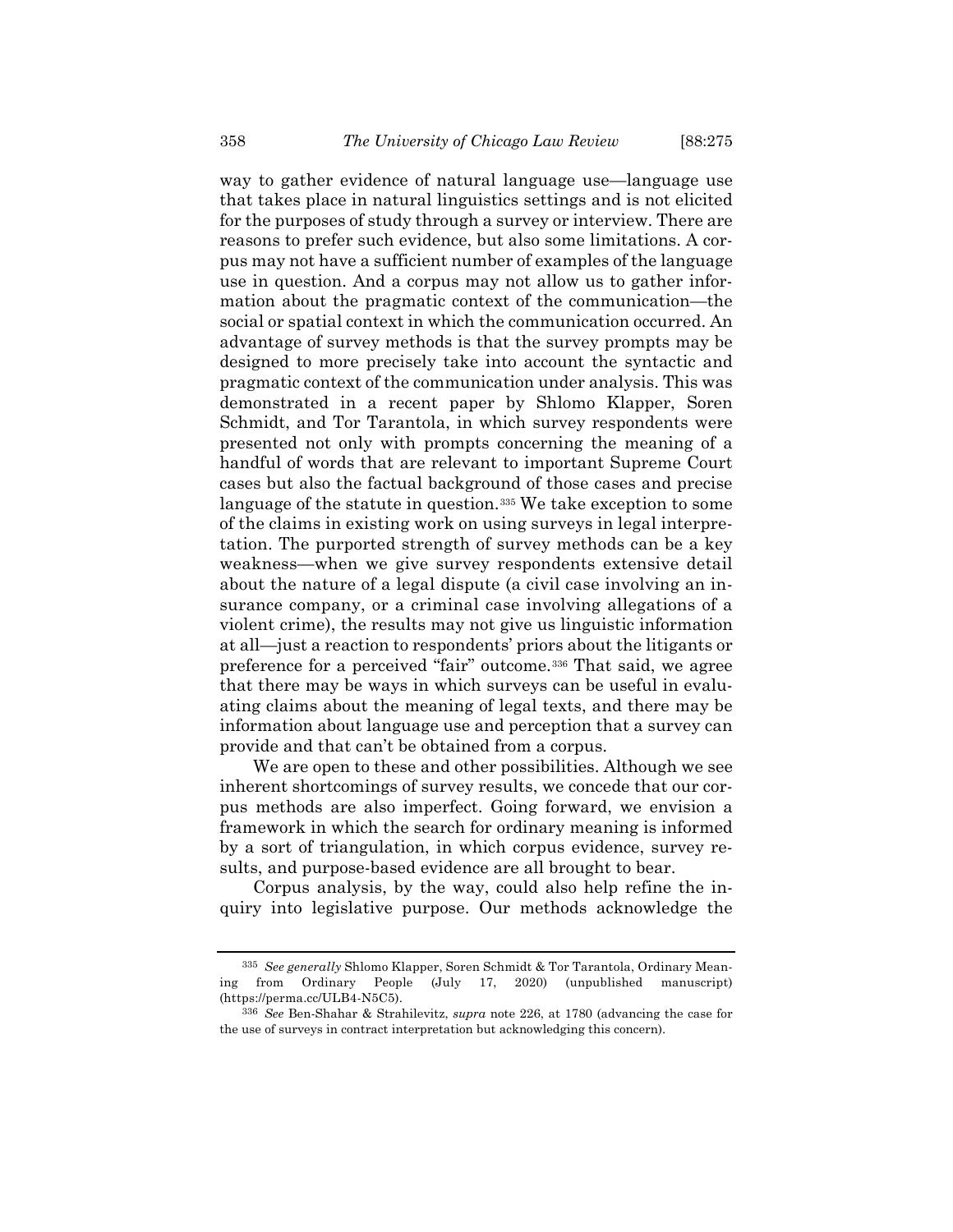way to gather evidence of natural language use—language use that takes place in natural linguistics settings and is not elicited for the purposes of study through a survey or interview. There are reasons to prefer such evidence, but also some limitations. A corpus may not have a sufficient number of examples of the language use in question. And a corpus may not allow us to gather information about the pragmatic context of the communication—the social or spatial context in which the communication occurred. An advantage of survey methods is that the survey prompts may be designed to more precisely take into account the syntactic and pragmatic context of the communication under analysis. This was demonstrated in a recent paper by Shlomo Klapper, Soren Schmidt, and Tor Tarantola, in which survey respondents were presented not only with prompts concerning the meaning of a handful of words that are relevant to important Supreme Court cases but also the factual background of those cases and precise language of the statute in question.<sup>[335](#page-83-0)</sup> We take exception to some of the claims in existing work on using surveys in legal interpretation. The purported strength of survey methods can be a key weakness—when we give survey respondents extensive detail about the nature of a legal dispute (a civil case involving an insurance company, or a criminal case involving allegations of a violent crime), the results may not give us linguistic information at all—just a reaction to respondents' priors about the litigants or preference for a perceived "fair" outcome.[336](#page-83-1) That said, we agree that there may be ways in which surveys can be useful in evaluating claims about the meaning of legal texts, and there may be information about language use and perception that a survey can provide and that can't be obtained from a corpus.

We are open to these and other possibilities. Although we see inherent shortcomings of survey results, we concede that our corpus methods are also imperfect. Going forward, we envision a framework in which the search for ordinary meaning is informed by a sort of triangulation, in which corpus evidence, survey results, and purpose-based evidence are all brought to bear.

Corpus analysis, by the way, could also help refine the inquiry into legislative purpose. Our methods acknowledge the

<span id="page-83-0"></span><sup>335</sup> *See generally* Shlomo Klapper, Soren Schmidt & Tor Tarantola, Ordinary Meaning from Ordinary People (July 17, 2020) (unpublished manuscript) (https://perma.cc/ULB4-N5C5).

<span id="page-83-1"></span><sup>336</sup> *See* Ben-Shahar & Strahilevitz, *supra* note [226,](#page-54-0) at 1780 (advancing the case for the use of surveys in contract interpretation but acknowledging this concern).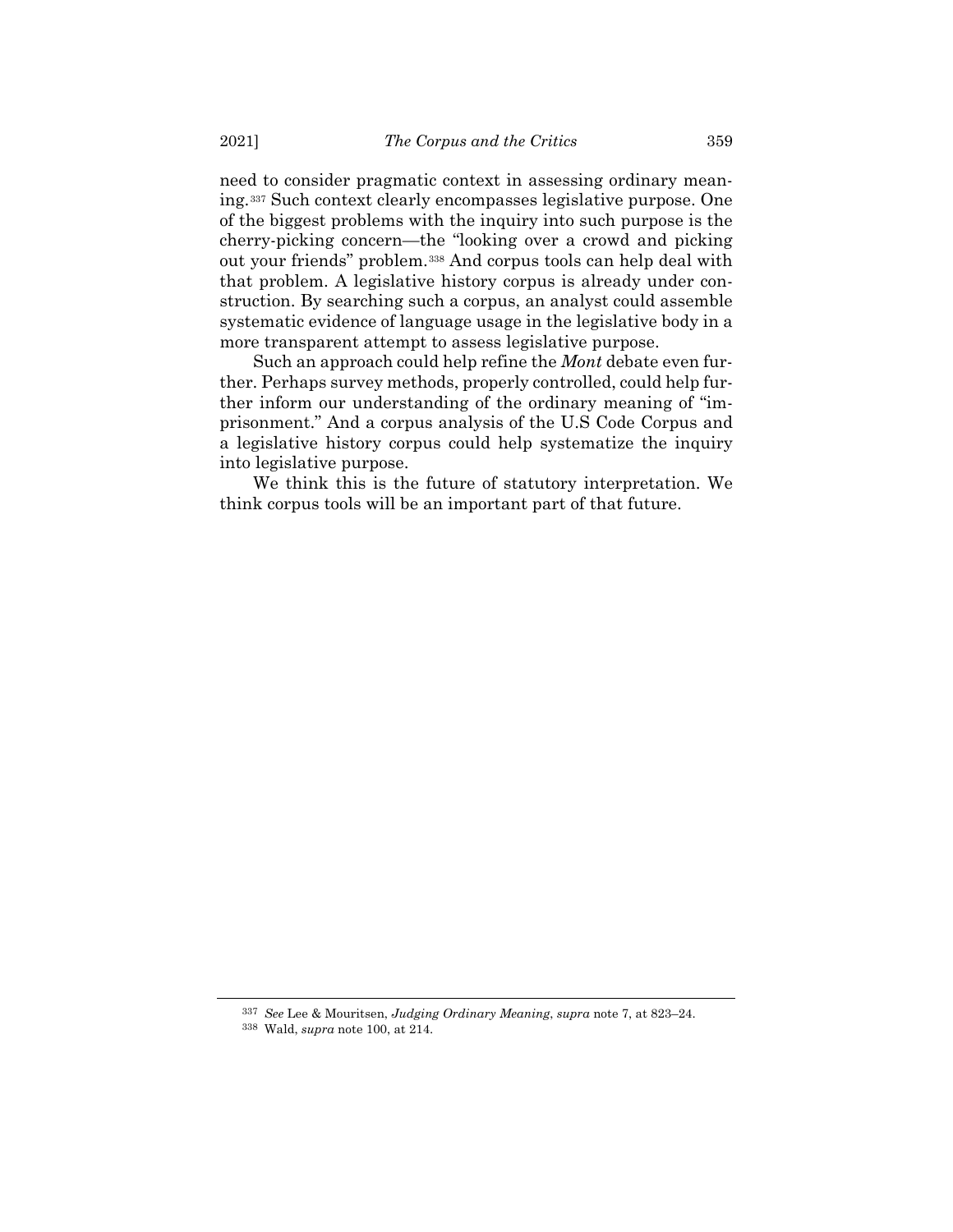need to consider pragmatic context in assessing ordinary meaning.[337](#page-84-0) Such context clearly encompasses legislative purpose. One of the biggest problems with the inquiry into such purpose is the cherry-picking concern—the "looking over a crowd and picking out your friends" problem.[338](#page-84-1) And corpus tools can help deal with that problem. A legislative history corpus is already under construction. By searching such a corpus, an analyst could assemble systematic evidence of language usage in the legislative body in a more transparent attempt to assess legislative purpose.

Such an approach could help refine the *Mont* debate even further. Perhaps survey methods, properly controlled, could help further inform our understanding of the ordinary meaning of "imprisonment." And a corpus analysis of the U.S Code Corpus and a legislative history corpus could help systematize the inquiry into legislative purpose.

We think this is the future of statutory interpretation. We think corpus tools will be an important part of that future.

<sup>337</sup> *See* Lee & Mouritsen, *Judging Ordinary Meaning*, *supra* note [7,](#page-2-0) at 823–24.

<span id="page-84-1"></span><span id="page-84-0"></span><sup>338</sup> Wald, *supra* note [100,](#page-22-0) at 214.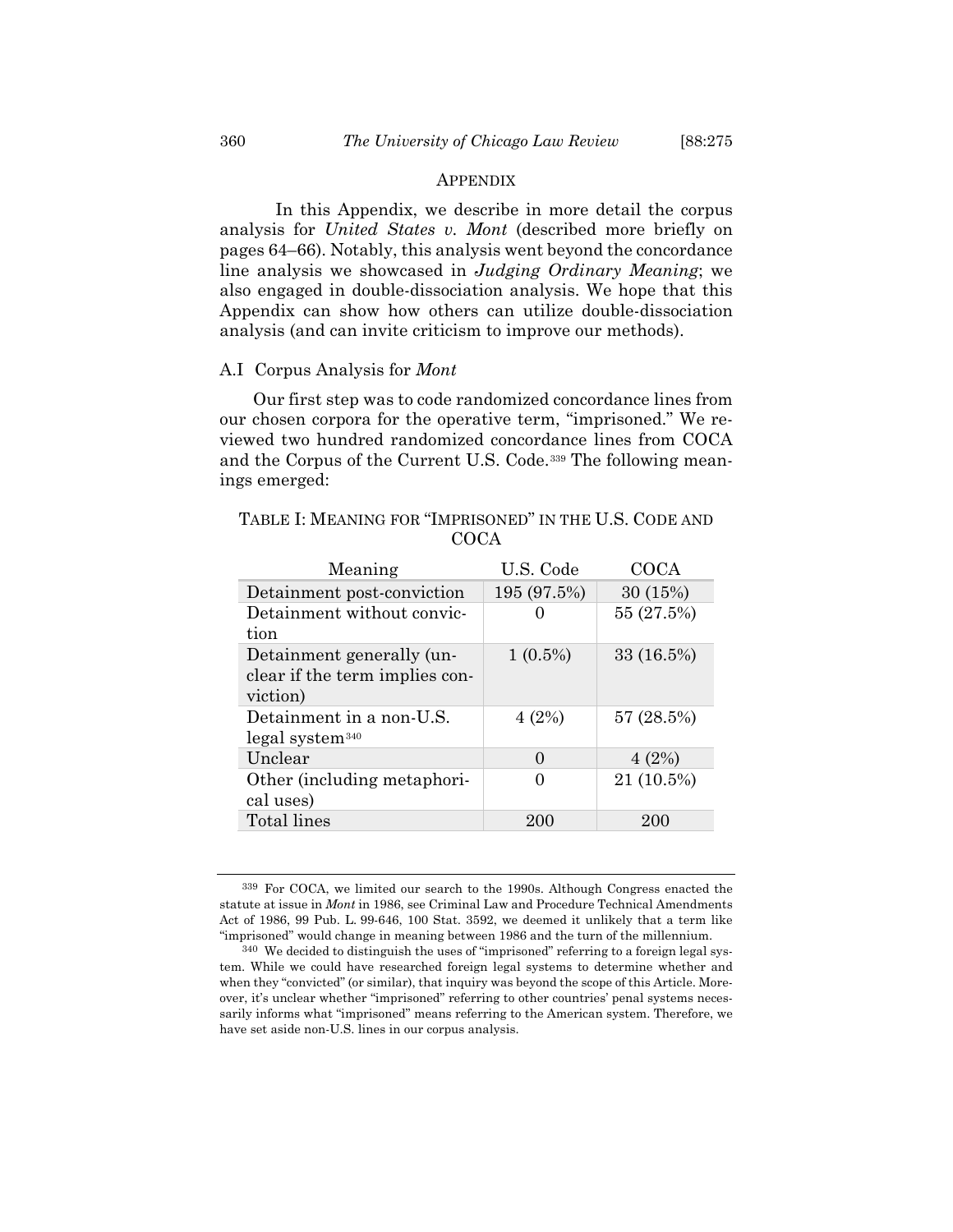#### APPENDIX

In this Appendix, we describe in more detail the corpus analysis for *United States v. Mont* (described more briefly on pages 64–66). Notably, this analysis went beyond the concordance line analysis we showcased in *Judging Ordinary Meaning*; we also engaged in double-dissociation analysis. We hope that this Appendix can show how others can utilize double-dissociation analysis (and can invite criticism to improve our methods).

#### A.I Corpus Analysis for *Mont*

Our first step was to code randomized concordance lines from our chosen corpora for the operative term, "imprisoned." We reviewed two hundred randomized concordance lines from COCA and the Corpus of the Current U.S. Code.[339](#page-85-0) The following meanings emerged:

| Meaning                        | U.S. Code    | COCA       |
|--------------------------------|--------------|------------|
| Detainment post-conviction     | 195 (97.5%)  | 30 (15%)   |
| Detainment without convic-     |              | 55 (27.5%) |
| tion                           |              |            |
| Detainment generally (un-      | $1(0.5\%)$   | 33 (16.5%) |
| clear if the term implies con- |              |            |
| viction)                       |              |            |
| Detainment in a non-U.S.       | 4(2%)        | 57 (28.5%) |
| $legal$ system $340$           |              |            |
| Unclear                        | $\mathbf{O}$ | 4(2%)      |
| Other (including metaphori-    |              | 21 (10.5%) |
| cal uses)                      |              |            |
| Total lines                    | 200          | 200        |

TABLE I: MEANING FOR "IMPRISONED" IN THE U.S. CODE AND **COCA** 

<span id="page-85-0"></span><sup>339</sup> For COCA, we limited our search to the 1990s. Although Congress enacted the statute at issue in *Mont* in 1986, see Criminal Law and Procedure Technical Amendments Act of 1986, 99 Pub. L. 99-646, 100 Stat. 3592, we deemed it unlikely that a term like "imprisoned" would change in meaning between 1986 and the turn of the millennium.

<span id="page-85-1"></span><sup>340</sup> We decided to distinguish the uses of "imprisoned" referring to a foreign legal system. While we could have researched foreign legal systems to determine whether and when they "convicted" (or similar), that inquiry was beyond the scope of this Article. Moreover, it's unclear whether "imprisoned" referring to other countries' penal systems necessarily informs what "imprisoned" means referring to the American system. Therefore, we have set aside non-U.S. lines in our corpus analysis.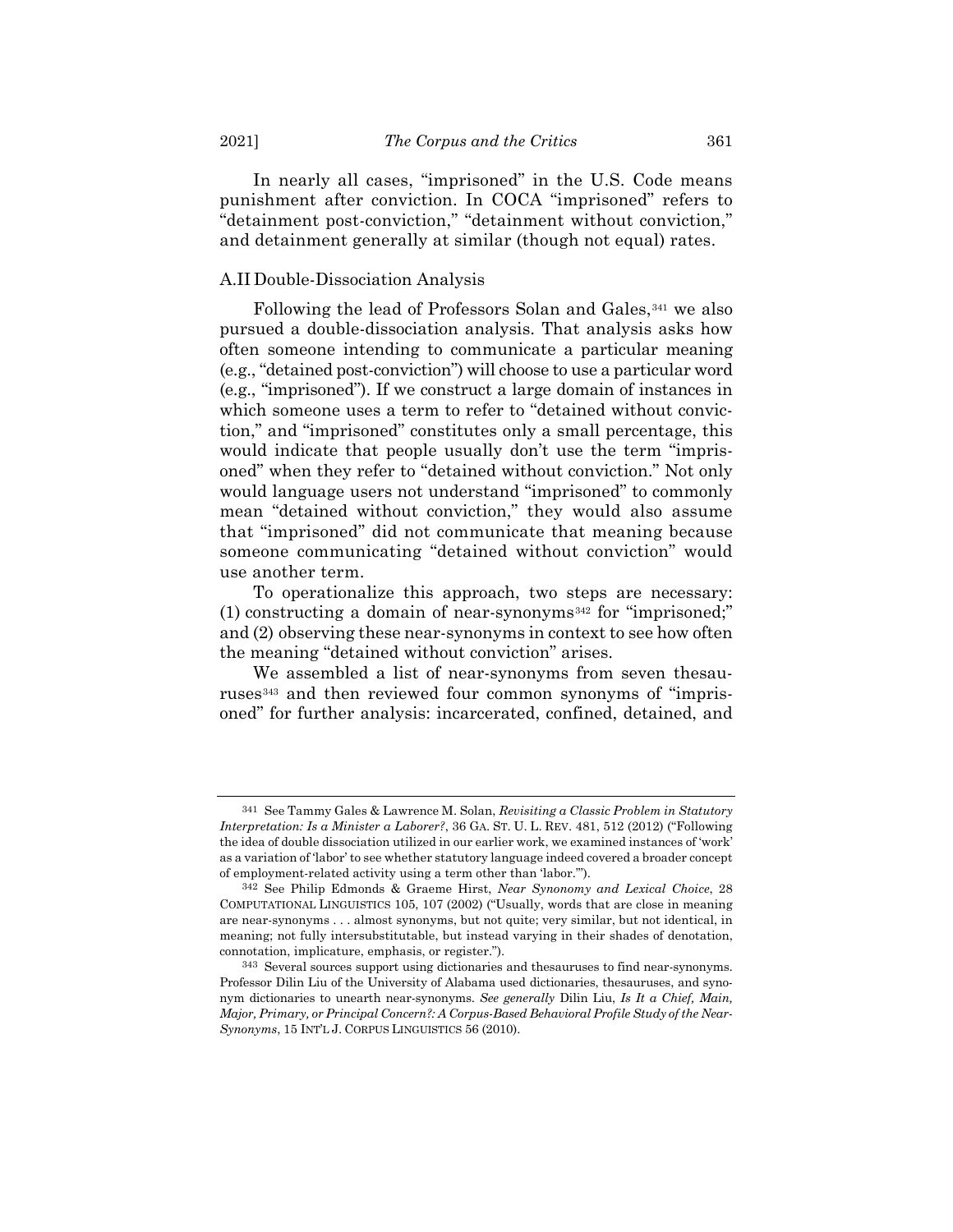In nearly all cases, "imprisoned" in the U.S. Code means punishment after conviction. In COCA "imprisoned" refers to "detainment post-conviction," "detainment without conviction," and detainment generally at similar (though not equal) rates.

## A.II Double-Dissociation Analysis

Following the lead of Professors Solan and Gales,<sup>[341](#page-86-0)</sup> we also pursued a double-dissociation analysis. That analysis asks how often someone intending to communicate a particular meaning (e.g., "detained post-conviction") will choose to use a particular word (e.g., "imprisoned"). If we construct a large domain of instances in which someone uses a term to refer to "detained without conviction," and "imprisoned" constitutes only a small percentage, this would indicate that people usually don't use the term "imprisoned" when they refer to "detained without conviction." Not only would language users not understand "imprisoned" to commonly mean "detained without conviction," they would also assume that "imprisoned" did not communicate that meaning because someone communicating "detained without conviction" would use another term.

To operationalize this approach, two steps are necessary: (1) constructing a domain of near-synonyms<sup>[342](#page-86-1)</sup> for "imprisoned;" and (2) observing these near-synonyms in context to see how often the meaning "detained without conviction" arises.

We assembled a list of near-synonyms from seven thesauruses[343](#page-86-2) and then reviewed four common synonyms of "imprisoned" for further analysis: incarcerated, confined, detained, and

<span id="page-86-0"></span><sup>341</sup> See Tammy Gales & Lawrence M. Solan, *Revisiting a Classic Problem in Statutory Interpretation: Is a Minister a Laborer?*, 36 GA. ST. U. L. REV. 481, 512 (2012) ("Following the idea of double dissociation utilized in our earlier work, we examined instances of 'work' as a variation of 'labor' to see whether statutory language indeed covered a broader concept of employment-related activity using a term other than 'labor.'").

<span id="page-86-1"></span><sup>342</sup> See Philip Edmonds & Graeme Hirst, *Near Synonomy and Lexical Choice*, 28 COMPUTATIONAL LINGUISTICS 105, 107 (2002) ("Usually, words that are close in meaning are near-synonyms . . . almost synonyms, but not quite; very similar, but not identical, in meaning; not fully intersubstitutable, but instead varying in their shades of denotation, connotation, implicature, emphasis, or register.").

<span id="page-86-2"></span><sup>343</sup> Several sources support using dictionaries and thesauruses to find near-synonyms. Professor Dilin Liu of the University of Alabama used dictionaries, thesauruses, and synonym dictionaries to unearth near-synonyms. *See generally* Dilin Liu, *Is It a Chief, Main, Major, Primary, or Principal Concern?: A Corpus-Based Behavioral Profile Study of the Near-Synonyms*, 15 INT'L J. CORPUS LINGUISTICS 56 (2010).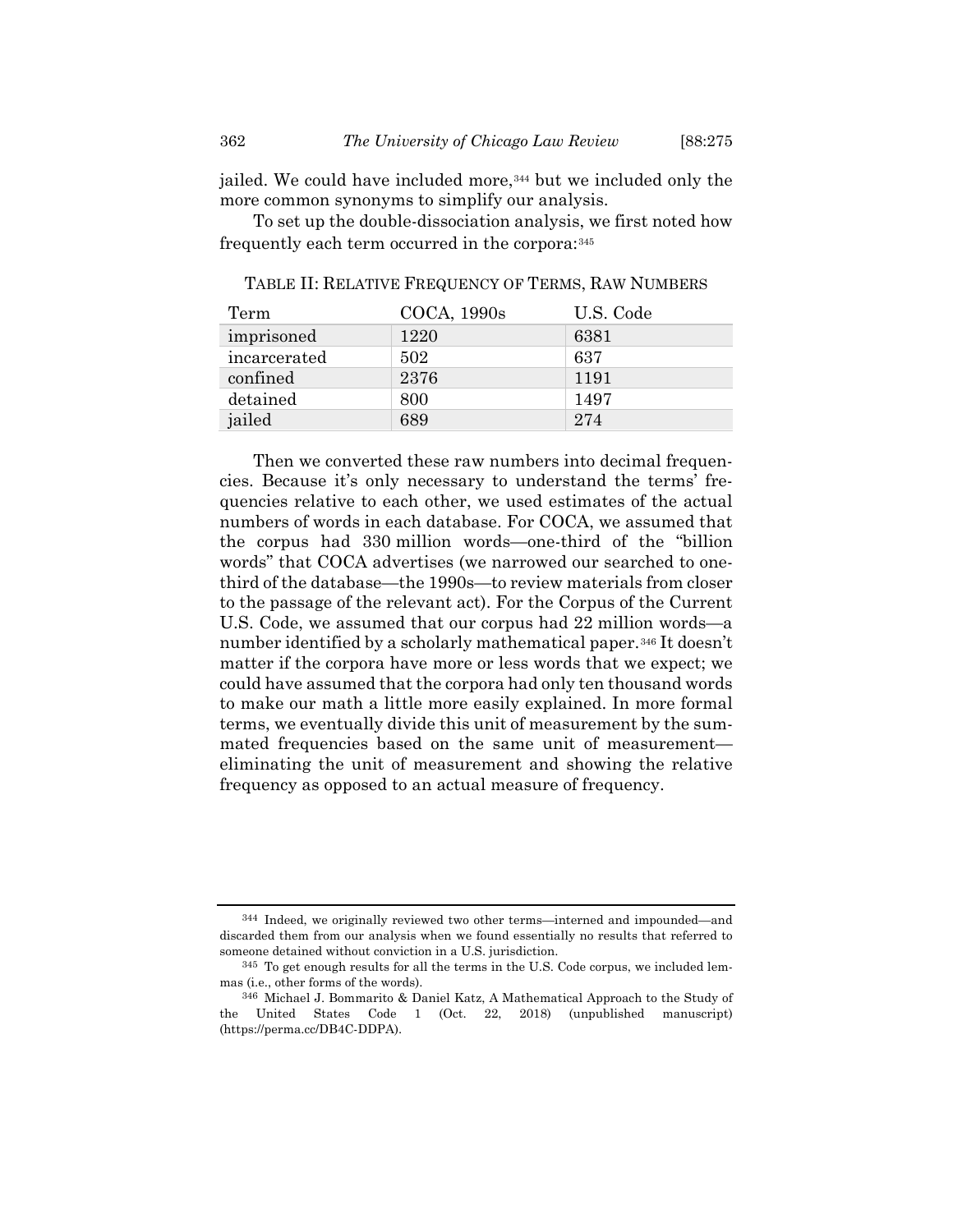jailed. We could have included more,<sup>[344](#page-87-0)</sup> but we included only the more common synonyms to simplify our analysis.

To set up the double-dissociation analysis, we first noted how frequently each term occurred in the corpora:[345](#page-87-1)

| Term         | COCA, 1990s | U.S. Code |
|--------------|-------------|-----------|
| imprisoned   | 1220        | 6381      |
| incarcerated | 502         | 637       |
| confined     | 2376        | 1191      |
| detained     | 800         | 1497      |
| jailed       | 689         | 274       |

TABLE II: RELATIVE FREQUENCY OF TERMS, RAW NUMBERS

Then we converted these raw numbers into decimal frequencies. Because it's only necessary to understand the terms' frequencies relative to each other, we used estimates of the actual numbers of words in each database. For COCA, we assumed that the corpus had 330 million words—one-third of the "billion words" that COCA advertises (we narrowed our searched to onethird of the database—the 1990s—to review materials from closer to the passage of the relevant act). For the Corpus of the Current U.S. Code, we assumed that our corpus had 22 million words—a number identified by a scholarly mathematical paper.[346](#page-87-2) It doesn't matter if the corpora have more or less words that we expect; we could have assumed that the corpora had only ten thousand words to make our math a little more easily explained. In more formal terms, we eventually divide this unit of measurement by the summated frequencies based on the same unit of measurement eliminating the unit of measurement and showing the relative frequency as opposed to an actual measure of frequency.

<span id="page-87-0"></span><sup>344</sup> Indeed, we originally reviewed two other terms—interned and impounded—and discarded them from our analysis when we found essentially no results that referred to someone detained without conviction in a U.S. jurisdiction.

<span id="page-87-1"></span><sup>345</sup> To get enough results for all the terms in the U.S. Code corpus, we included lemmas (i.e., other forms of the words).

<span id="page-87-2"></span><sup>346</sup> Michael J. Bommarito & Daniel Katz, A Mathematical Approach to the Study of the United States Code 1 (Oct. 22, 2018) (unpublished manuscript) (https://perma.cc/DB4C-DDPA).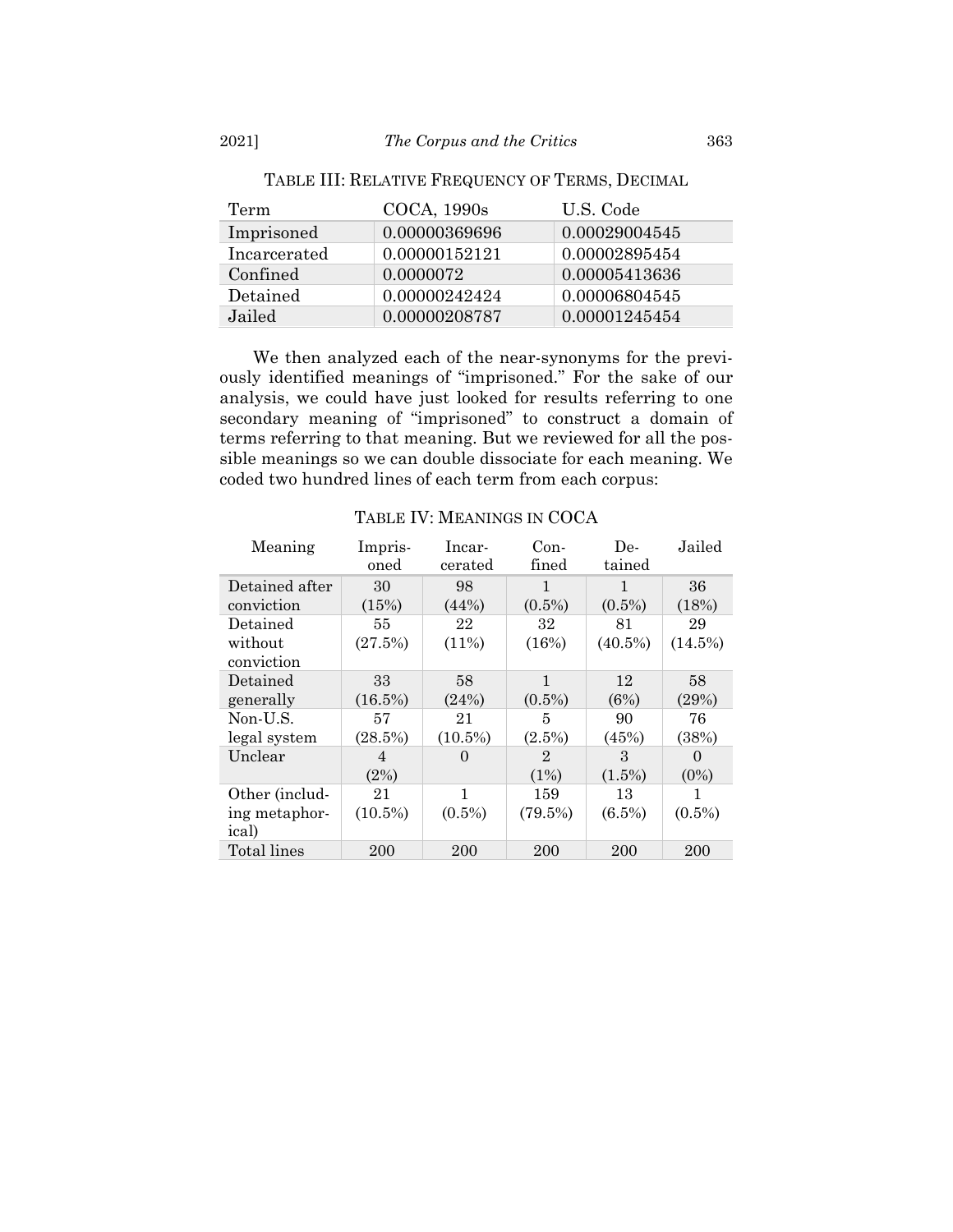| Term         | COCA, 1990s   | U.S. Code     |
|--------------|---------------|---------------|
| Imprisoned   | 0.00000369696 | 0.00029004545 |
| Incarcerated | 0.00000152121 | 0.00002895454 |
| Confined     | 0.0000072     | 0.00005413636 |
| Detained     | 0.00000242424 | 0.00006804545 |
| Jailed       | 0.00000208787 | 0.00001245454 |

TABLE III: RELATIVE FREQUENCY OF TERMS, DECIMAL

We then analyzed each of the near-synonyms for the previously identified meanings of "imprisoned." For the sake of our analysis, we could have just looked for results referring to one secondary meaning of "imprisoned" to construct a domain of terms referring to that meaning. But we reviewed for all the possible meanings so we can double dissociate for each meaning. We coded two hundred lines of each term from each corpus:

| Meaning        | Impris-    | Incar-            | $Con-$       | De-        | Jailed    |
|----------------|------------|-------------------|--------------|------------|-----------|
|                | oned       | cerated           | fined        | tained     |           |
| Detained after | 30         | 98                | 1            | 1          | 36        |
| conviction     | (15%)      | (44%)             | $(0.5\%)$    | $(0.5\%)$  | (18%)     |
| Detained       | 55         | 22                | 32           | 81         | 29        |
| without        | (27.5%)    | (11%)             | (16%)        | $(40.5\%)$ | (14.5%)   |
| conviction     |            |                   |              |            |           |
| Detained       | 33         | 58                | 1            | 12         | 58        |
| generally      | $(16.5\%)$ | (24%)             | $(0.5\%)$    | (6%)       | (29%)     |
| Non-U.S.       | 57         | 21                | 5            | 90         | 76        |
| legal system   | (28.5%)    | $(10.5\%)$        | $(2.5\%)$    | (45%)      | (38%)     |
| Unclear        | 4          | $\mathbf{\Omega}$ | $\mathbf{2}$ | 3          | $\theta$  |
|                | (2%)       |                   | (1%)         | $(1.5\%)$  | $(0\%)$   |
| Other (includ- | 21         | 1                 | 159          | 13         | 1         |
| ing metaphor-  | $(10.5\%)$ | $(0.5\%)$         | $(79.5\%)$   | $(6.5\%)$  | $(0.5\%)$ |
| ical)          |            |                   |              |            |           |
| Total lines    | 200        | 200               | 200          | 200        | 200       |

TABLE IV: MEANINGS IN COCA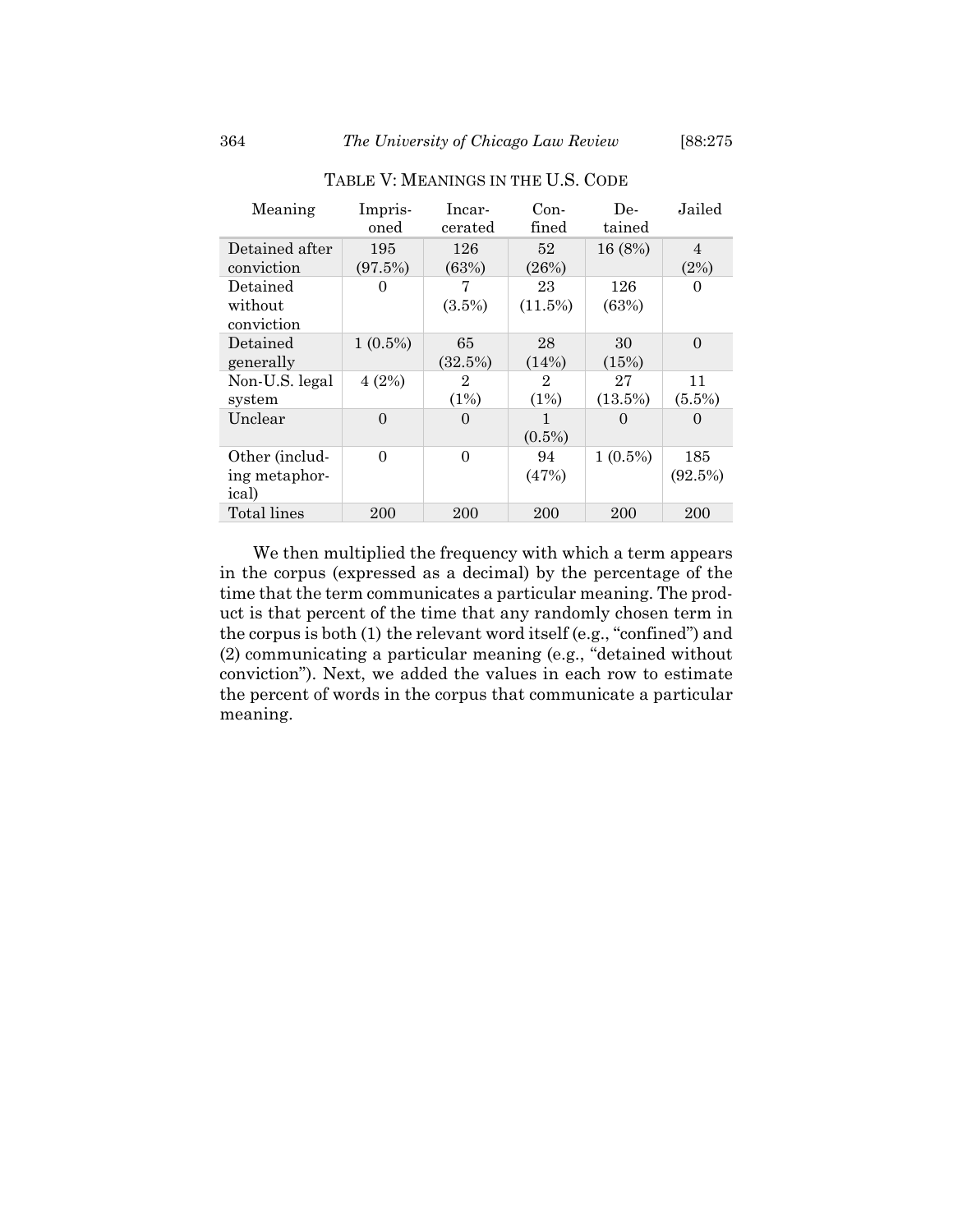| Meaning        | Impris-    | lncar-         | $Con-$         | De-        | Jailed         |
|----------------|------------|----------------|----------------|------------|----------------|
|                | oned       | cerated        | fined          | tained     |                |
| Detained after | 195        | 126            | 52             | 16 (8%)    | $\overline{4}$ |
| conviction     | (97.5%)    | (63%)          | (26%)          |            | (2%)           |
| Detained       | $\theta$   |                | 23             | 126        | 0              |
| without        |            | $(3.5\%)$      | $(11.5\%)$     | (63%)      |                |
| conviction     |            |                |                |            |                |
| Detained       | $1(0.5\%)$ | 65             | 28             | 30         | $\Omega$       |
| generally      |            | (32.5%)        | (14%)          | (15%)      |                |
| Non-U.S. legal | 4(2%)      | $\overline{2}$ | $\overline{2}$ | 27         | 11             |
| system         |            | (1%)           | (1%)           | $(13.5\%)$ | $(5.5\%)$      |
| Unclear        | $\Omega$   | $\Omega$       | 1              | 0          | 0              |
|                |            |                | $(0.5\%)$      |            |                |
| Other (includ- | $\Omega$   | $\Omega$       | 94             | $1(0.5\%)$ | 185            |
| ing metaphor-  |            |                | (47%)          |            | (92.5%)        |
| ical)          |            |                |                |            |                |
| Total lines    | 200        | 200            | 200            | 200        | 200            |

# TABLE V: MEANINGS IN THE U.S. CODE

We then multiplied the frequency with which a term appears in the corpus (expressed as a decimal) by the percentage of the time that the term communicates a particular meaning. The product is that percent of the time that any randomly chosen term in the corpus is both (1) the relevant word itself (e.g., "confined") and (2) communicating a particular meaning (e.g., "detained without conviction"). Next, we added the values in each row to estimate the percent of words in the corpus that communicate a particular meaning.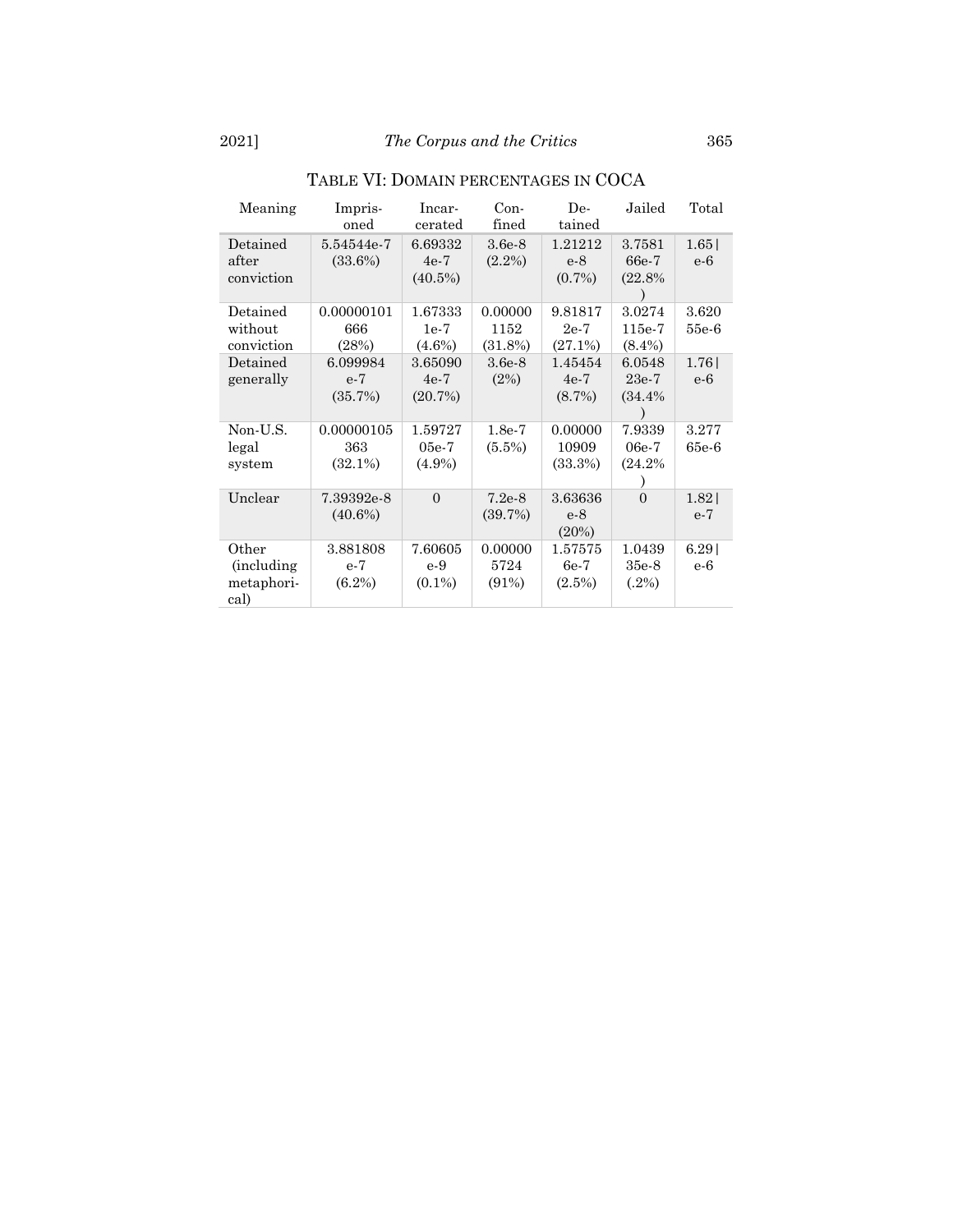| Meaning                                          | Impris-<br>oned                 | Incar-<br>cerated               | Con-<br>fined              | De-<br>tained                  | Jailed                        | Total            |
|--------------------------------------------------|---------------------------------|---------------------------------|----------------------------|--------------------------------|-------------------------------|------------------|
| Detained<br>after<br>conviction                  | 5.54544e-7<br>(33.6%)           | 6.69332<br>$4e-7$<br>$(40.5\%)$ | $3.6e-8$<br>$(2.2\%)$      | 1.21212<br>$e-8$<br>$(0.7\%)$  | 3.7581<br>66e-7<br>(22.8%     | 1.65<br>$e-6$    |
| Detained<br>without<br>conviction                | 0.00000101<br>666<br>(28%)      | 1.67333<br>$1e-7$<br>$(4.6\%)$  | 0.00000<br>1152<br>(31.8%) | 9.81817<br>$2e-7$<br>(27.1%)   | 3.0274<br>115e-7<br>$(8.4\%)$ | 3.620<br>55e-6   |
| Detained<br>generally                            | 6.099984<br>$e-7$<br>(35.7%)    | 3.65090<br>$4e-7$<br>(20.7%)    | $3.6e-8$<br>(2%)           | 1.45454<br>$4e-7$<br>$(8.7\%)$ | 6.0548<br>$23e-7$<br>(34.4%   | 1.76<br>e-6      |
| Non-U.S.<br>legal<br>system                      | 0.00000105<br>363<br>$(32.1\%)$ | 1.59727<br>$05e-7$<br>$(4.9\%)$ | $1.8e-7$<br>$(5.5\%)$      | 0.00000<br>10909<br>(33.3%)    | 7.9339<br>06e-7<br>(24.2%     | 3.277<br>$65e-6$ |
| Unclear                                          | 7.39392e-8<br>$(40.6\%)$        | $\Omega$                        | $7.2e-8$<br>(39.7%)        | 3.63636<br>$e-8$<br>(20%)      | $\theta$                      | 1.82<br>$e-7$    |
| Other<br><i>(including</i><br>metaphori-<br>cal) | 3.881808<br>$e-7$<br>$(6.2\%)$  | 7.60605<br>$e-9$<br>$(0.1\%)$   | 0.00000<br>5724<br>(91%)   | 1.57575<br>$6e-7$<br>$(2.5\%)$ | 1.0439<br>$35e-8$<br>$(.2\%)$ | 6.29<br>e-6      |

# TABLE VI: DOMAIN PERCENTAGES IN COCA

 $\overline{\phantom{a}}$